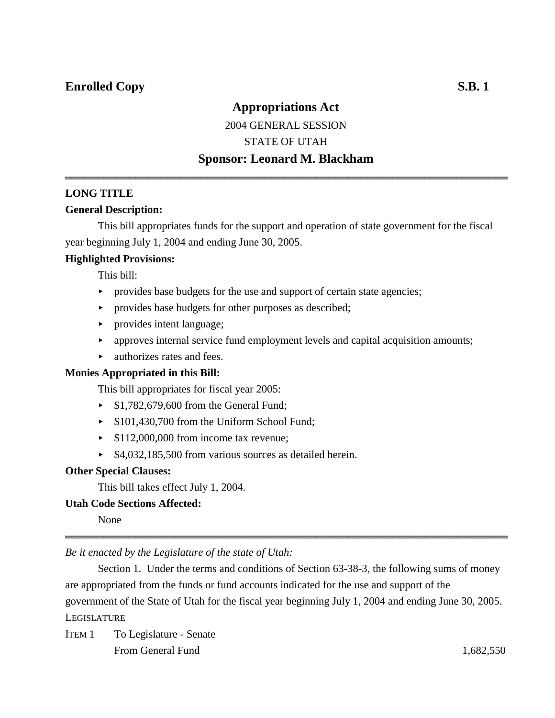### **Appropriations Act**

### 2004 GENERAL SESSION STATE OF UTAH **Sponsor: Leonard M. Blackham**

444444444444444444444444444444444444444444444444444444444444444444444

### **LONG TITLE**

### **General Description:**

This bill appropriates funds for the support and operation of state government for the fiscal year beginning July 1, 2004 and ending June 30, 2005.

### **Highlighted Provisions:**

This bill:

- $\rightarrow$  provides base budgets for the use and support of certain state agencies;
- provides base budgets for other purposes as described;
- provides intent language;
- $\rightarrow$  approves internal service fund employment levels and capital acquisition amounts;
- $\blacktriangleright$  authorizes rates and fees.

### **Monies Appropriated in this Bill:**

This bill appropriates for fiscal year 2005:

- $\blacktriangleright$  \$1,782,679,600 from the General Fund;
- ▶ \$101,430,700 from the Uniform School Fund;
- $\blacktriangleright$  \$112,000,000 from income tax revenue;
- ▶ \$4,032,185,500 from various sources as detailed herein.

### **Other Special Clauses:**

This bill takes effect July 1, 2004.

### **Utah Code Sections Affected:**

None

*Be it enacted by the Legislature of the state of Utah:*

Section 1. Under the terms and conditions of Section 63-38-3, the following sums of money are appropriated from the funds or fund accounts indicated for the use and support of the government of the State of Utah for the fiscal year beginning July 1, 2004 and ending June 30, 2005. **LEGISLATURE** 

444444444444444444444444444444444444444444444444444444444444444444444

ITEM 1 To Legislature - Senate From General Fund 1,682,550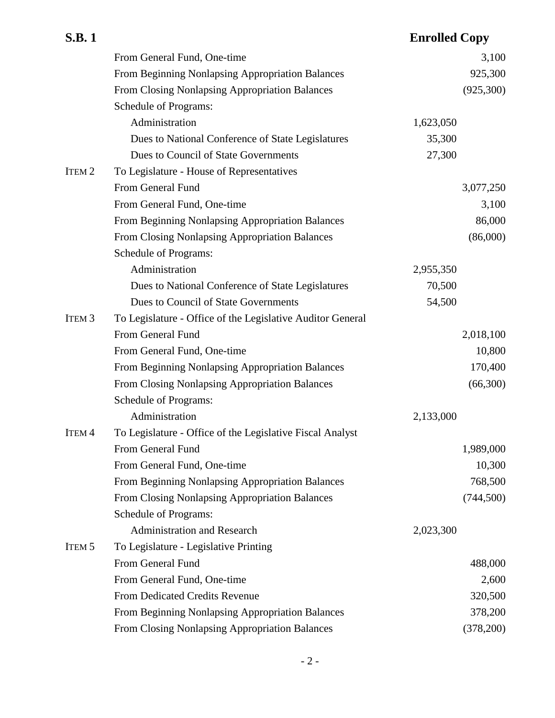| <b>S.B.1</b>      |                                                            | <b>Enrolled Copy</b> |            |
|-------------------|------------------------------------------------------------|----------------------|------------|
|                   | From General Fund, One-time                                |                      | 3,100      |
|                   | From Beginning Nonlapsing Appropriation Balances           |                      | 925,300    |
|                   | From Closing Nonlapsing Appropriation Balances             |                      | (925,300)  |
|                   | <b>Schedule of Programs:</b>                               |                      |            |
|                   | Administration                                             | 1,623,050            |            |
|                   | Dues to National Conference of State Legislatures          | 35,300               |            |
|                   | Dues to Council of State Governments                       | 27,300               |            |
| ITEM <sub>2</sub> | To Legislature - House of Representatives                  |                      |            |
|                   | From General Fund                                          |                      | 3,077,250  |
|                   | From General Fund, One-time                                |                      | 3,100      |
|                   | From Beginning Nonlapsing Appropriation Balances           |                      | 86,000     |
|                   | From Closing Nonlapsing Appropriation Balances             |                      | (86,000)   |
|                   | <b>Schedule of Programs:</b>                               |                      |            |
|                   | Administration                                             | 2,955,350            |            |
|                   | Dues to National Conference of State Legislatures          | 70,500               |            |
|                   | Dues to Council of State Governments                       | 54,500               |            |
| ITEM <sub>3</sub> | To Legislature - Office of the Legislative Auditor General |                      |            |
|                   | From General Fund                                          |                      | 2,018,100  |
|                   | From General Fund, One-time                                |                      | 10,800     |
|                   | From Beginning Nonlapsing Appropriation Balances           |                      | 170,400    |
|                   | From Closing Nonlapsing Appropriation Balances             |                      | (66,300)   |
|                   | <b>Schedule of Programs:</b>                               |                      |            |
|                   | Administration                                             | 2,133,000            |            |
| ITEM <sub>4</sub> | To Legislature - Office of the Legislative Fiscal Analyst  |                      |            |
|                   | From General Fund                                          |                      | 1,989,000  |
|                   | From General Fund, One-time                                |                      | 10,300     |
|                   | From Beginning Nonlapsing Appropriation Balances           |                      | 768,500    |
|                   | From Closing Nonlapsing Appropriation Balances             |                      | (744, 500) |
|                   | <b>Schedule of Programs:</b>                               |                      |            |
|                   | <b>Administration and Research</b>                         | 2,023,300            |            |
| ITEM <sub>5</sub> | To Legislature - Legislative Printing                      |                      |            |
|                   | From General Fund                                          |                      | 488,000    |
|                   | From General Fund, One-time                                |                      | 2,600      |
|                   | From Dedicated Credits Revenue                             |                      | 320,500    |
|                   | From Beginning Nonlapsing Appropriation Balances           |                      | 378,200    |
|                   | From Closing Nonlapsing Appropriation Balances             |                      | (378,200)  |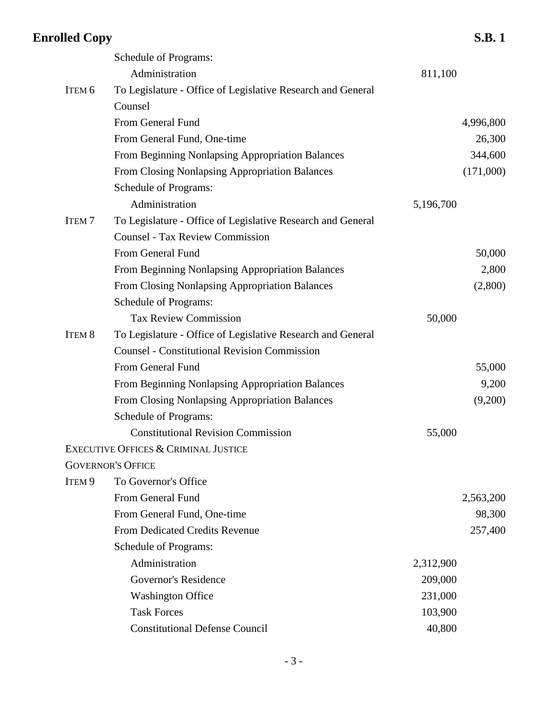|                   | Schedule of Programs:                                       |           |           |
|-------------------|-------------------------------------------------------------|-----------|-----------|
|                   | Administration                                              | 811,100   |           |
| ITEM <sub>6</sub> | To Legislature - Office of Legislative Research and General |           |           |
|                   | Counsel                                                     |           |           |
|                   | From General Fund                                           |           | 4,996,800 |
|                   | From General Fund, One-time                                 |           | 26,300    |
|                   | From Beginning Nonlapsing Appropriation Balances            |           | 344,600   |
|                   | From Closing Nonlapsing Appropriation Balances              |           | (171,000) |
|                   | Schedule of Programs:                                       |           |           |
|                   | Administration                                              | 5,196,700 |           |
| <b>ITEM7</b>      | To Legislature - Office of Legislative Research and General |           |           |
|                   | <b>Counsel - Tax Review Commission</b>                      |           |           |
|                   | From General Fund                                           |           | 50,000    |
|                   | From Beginning Nonlapsing Appropriation Balances            |           | 2,800     |
|                   | From Closing Nonlapsing Appropriation Balances              |           | (2,800)   |
|                   | Schedule of Programs:                                       |           |           |
|                   | <b>Tax Review Commission</b>                                | 50,000    |           |
| ITEM <sub>8</sub> | To Legislature - Office of Legislative Research and General |           |           |
|                   | <b>Counsel - Constitutional Revision Commission</b>         |           |           |
|                   | From General Fund                                           |           | 55,000    |
|                   | From Beginning Nonlapsing Appropriation Balances            |           | 9,200     |
|                   | From Closing Nonlapsing Appropriation Balances              |           | (9,200)   |
|                   | Schedule of Programs:                                       |           |           |
|                   | <b>Constitutional Revision Commission</b>                   | 55,000    |           |
|                   | EXECUTIVE OFFICES & CRIMINAL JUSTICE                        |           |           |
|                   | <b>GOVERNOR'S OFFICE</b>                                    |           |           |
| ITEM <sub>9</sub> | To Governor's Office                                        |           |           |
|                   | From General Fund                                           |           | 2,563,200 |
|                   | From General Fund, One-time                                 |           | 98,300    |
|                   | From Dedicated Credits Revenue                              |           | 257,400   |
|                   | Schedule of Programs:                                       |           |           |
|                   | Administration                                              | 2,312,900 |           |
|                   | Governor's Residence                                        | 209,000   |           |
|                   | <b>Washington Office</b>                                    | 231,000   |           |
|                   | <b>Task Forces</b>                                          | 103,900   |           |
|                   | <b>Constitutional Defense Council</b>                       | 40,800    |           |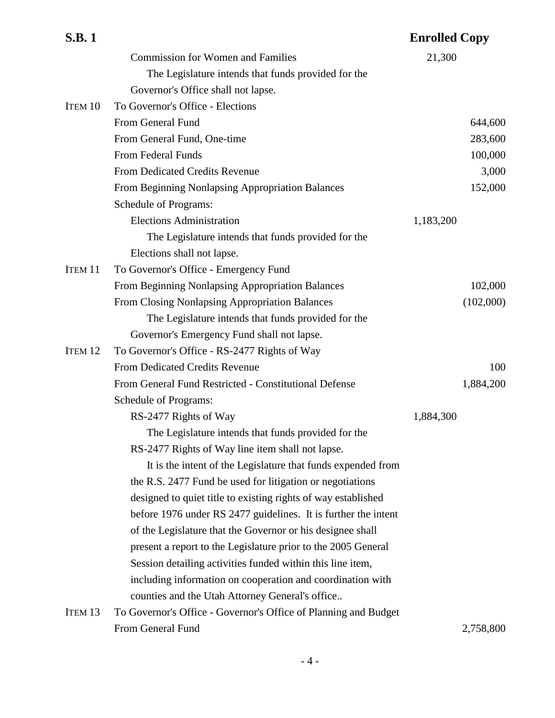| <b>S.B.1</b>       |                                                                 | <b>Enrolled Copy</b> |           |
|--------------------|-----------------------------------------------------------------|----------------------|-----------|
|                    | <b>Commission for Women and Families</b>                        | 21,300               |           |
|                    | The Legislature intends that funds provided for the             |                      |           |
|                    | Governor's Office shall not lapse.                              |                      |           |
| ITEM 10            | To Governor's Office - Elections                                |                      |           |
|                    | From General Fund                                               |                      | 644,600   |
|                    | From General Fund, One-time                                     |                      | 283,600   |
|                    | <b>From Federal Funds</b>                                       |                      | 100,000   |
|                    | From Dedicated Credits Revenue                                  |                      | 3,000     |
|                    | From Beginning Nonlapsing Appropriation Balances                |                      | 152,000   |
|                    | Schedule of Programs:                                           |                      |           |
|                    | <b>Elections Administration</b>                                 | 1,183,200            |           |
|                    | The Legislature intends that funds provided for the             |                      |           |
|                    | Elections shall not lapse.                                      |                      |           |
| <b>ITEM 11</b>     | To Governor's Office - Emergency Fund                           |                      |           |
|                    | From Beginning Nonlapsing Appropriation Balances                |                      | 102,000   |
|                    | From Closing Nonlapsing Appropriation Balances                  |                      | (102,000) |
|                    | The Legislature intends that funds provided for the             |                      |           |
|                    | Governor's Emergency Fund shall not lapse.                      |                      |           |
| ITEM 12            | To Governor's Office - RS-2477 Rights of Way                    |                      |           |
|                    | From Dedicated Credits Revenue                                  |                      | 100       |
|                    | From General Fund Restricted - Constitutional Defense           |                      | 1,884,200 |
|                    | Schedule of Programs:                                           |                      |           |
|                    | RS-2477 Rights of Way                                           | 1,884,300            |           |
|                    | The Legislature intends that funds provided for the             |                      |           |
|                    | RS-2477 Rights of Way line item shall not lapse.                |                      |           |
|                    | It is the intent of the Legislature that funds expended from    |                      |           |
|                    | the R.S. 2477 Fund be used for litigation or negotiations       |                      |           |
|                    | designed to quiet title to existing rights of way established   |                      |           |
|                    | before 1976 under RS 2477 guidelines. It is further the intent  |                      |           |
|                    | of the Legislature that the Governor or his designee shall      |                      |           |
|                    | present a report to the Legislature prior to the 2005 General   |                      |           |
|                    | Session detailing activities funded within this line item,      |                      |           |
|                    | including information on cooperation and coordination with      |                      |           |
|                    | counties and the Utah Attorney General's office                 |                      |           |
| ITEM <sub>13</sub> | To Governor's Office - Governor's Office of Planning and Budget |                      |           |
|                    | From General Fund                                               |                      | 2,758,800 |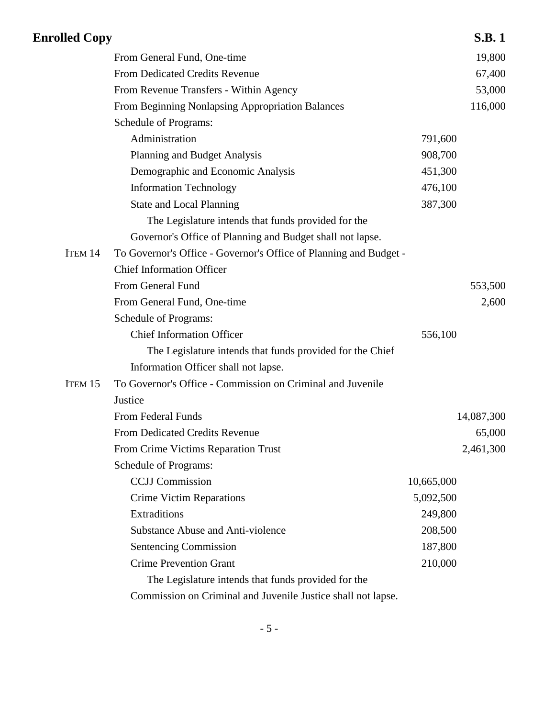| <b>Enrolled Copy</b> |                                                                   |            | <b>S.B.1</b> |
|----------------------|-------------------------------------------------------------------|------------|--------------|
|                      | From General Fund, One-time                                       |            | 19,800       |
|                      | <b>From Dedicated Credits Revenue</b>                             |            | 67,400       |
|                      | From Revenue Transfers - Within Agency                            |            | 53,000       |
|                      | From Beginning Nonlapsing Appropriation Balances                  |            | 116,000      |
|                      | Schedule of Programs:                                             |            |              |
|                      | Administration                                                    | 791,600    |              |
|                      | <b>Planning and Budget Analysis</b>                               | 908,700    |              |
|                      | Demographic and Economic Analysis                                 | 451,300    |              |
|                      | <b>Information Technology</b>                                     | 476,100    |              |
|                      | <b>State and Local Planning</b>                                   | 387,300    |              |
|                      | The Legislature intends that funds provided for the               |            |              |
|                      | Governor's Office of Planning and Budget shall not lapse.         |            |              |
| ITEM 14              | To Governor's Office - Governor's Office of Planning and Budget - |            |              |
|                      | <b>Chief Information Officer</b>                                  |            |              |
|                      | From General Fund                                                 |            | 553,500      |
|                      | From General Fund, One-time                                       |            | 2,600        |
|                      | Schedule of Programs:                                             |            |              |
|                      | <b>Chief Information Officer</b>                                  | 556,100    |              |
|                      | The Legislature intends that funds provided for the Chief         |            |              |
|                      | Information Officer shall not lapse.                              |            |              |
| ITEM 15              | To Governor's Office - Commission on Criminal and Juvenile        |            |              |
|                      | Justice                                                           |            |              |
|                      | From Federal Funds                                                |            | 14,087,300   |
|                      | From Dedicated Credits Revenue                                    |            | 65,000       |
|                      | From Crime Victims Reparation Trust                               |            | 2,461,300    |
|                      | Schedule of Programs:                                             |            |              |
|                      | <b>CCJJ</b> Commission                                            | 10,665,000 |              |
|                      | <b>Crime Victim Reparations</b>                                   | 5,092,500  |              |
|                      | Extraditions                                                      | 249,800    |              |
|                      | <b>Substance Abuse and Anti-violence</b>                          | 208,500    |              |
|                      | <b>Sentencing Commission</b>                                      | 187,800    |              |
|                      | <b>Crime Prevention Grant</b>                                     | 210,000    |              |
|                      | The Legislature intends that funds provided for the               |            |              |
|                      | Commission on Criminal and Juvenile Justice shall not lapse.      |            |              |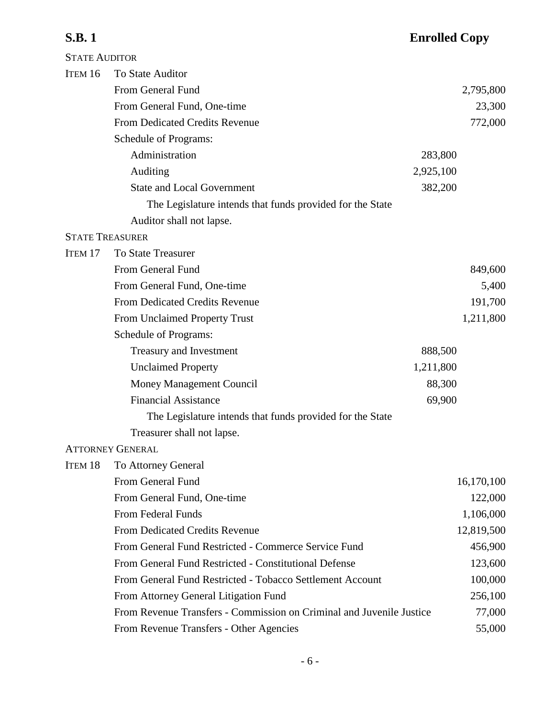| <b>STATE AUDITOR</b>   |                                                                      |            |
|------------------------|----------------------------------------------------------------------|------------|
| ITEM 16                | To State Auditor                                                     |            |
|                        | From General Fund                                                    | 2,795,800  |
|                        | From General Fund, One-time                                          | 23,300     |
|                        | From Dedicated Credits Revenue                                       | 772,000    |
|                        | Schedule of Programs:                                                |            |
|                        | Administration                                                       | 283,800    |
|                        | Auditing                                                             | 2,925,100  |
|                        | <b>State and Local Government</b>                                    | 382,200    |
|                        | The Legislature intends that funds provided for the State            |            |
|                        | Auditor shall not lapse.                                             |            |
| <b>STATE TREASURER</b> |                                                                      |            |
| ITEM <sub>17</sub>     | <b>To State Treasurer</b>                                            |            |
|                        | From General Fund                                                    | 849,600    |
|                        | From General Fund, One-time                                          | 5,400      |
|                        | <b>From Dedicated Credits Revenue</b>                                | 191,700    |
|                        | From Unclaimed Property Trust                                        | 1,211,800  |
|                        | Schedule of Programs:                                                |            |
|                        | <b>Treasury and Investment</b>                                       | 888,500    |
|                        | <b>Unclaimed Property</b>                                            | 1,211,800  |
|                        | Money Management Council                                             | 88,300     |
|                        | <b>Financial Assistance</b>                                          | 69,900     |
|                        | The Legislature intends that funds provided for the State            |            |
|                        | Treasurer shall not lapse.                                           |            |
|                        | <b>ATTORNEY GENERAL</b>                                              |            |
| ITEM 18                | To Attorney General                                                  |            |
|                        | From General Fund                                                    | 16,170,100 |
|                        | From General Fund, One-time                                          | 122,000    |
|                        | From Federal Funds                                                   | 1,106,000  |
|                        | From Dedicated Credits Revenue                                       | 12,819,500 |
|                        | From General Fund Restricted - Commerce Service Fund                 | 456,900    |
|                        | From General Fund Restricted - Constitutional Defense                | 123,600    |
|                        | From General Fund Restricted - Tobacco Settlement Account            | 100,000    |
|                        | From Attorney General Litigation Fund                                | 256,100    |
|                        | From Revenue Transfers - Commission on Criminal and Juvenile Justice | 77,000     |
|                        | From Revenue Transfers - Other Agencies                              | 55,000     |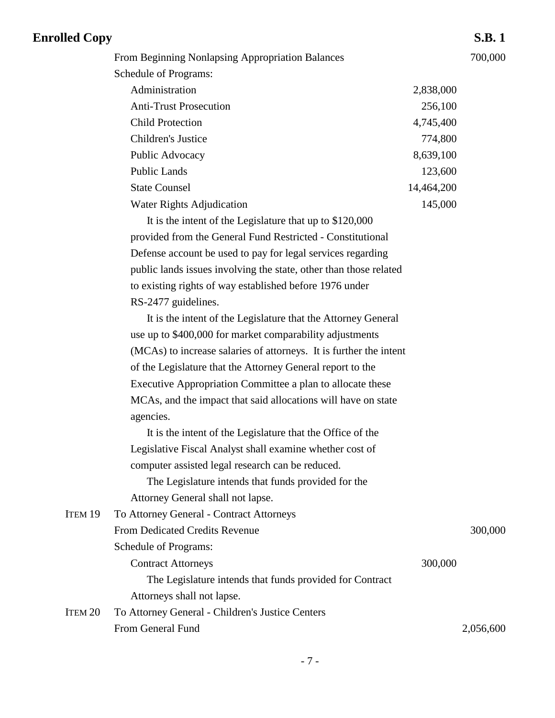| <b>Enrolled Copy</b> |                                                                    |            | <b>S.B.1</b> |
|----------------------|--------------------------------------------------------------------|------------|--------------|
|                      | From Beginning Nonlapsing Appropriation Balances                   |            | 700,000      |
|                      | Schedule of Programs:                                              |            |              |
|                      | Administration                                                     | 2,838,000  |              |
|                      | <b>Anti-Trust Prosecution</b>                                      | 256,100    |              |
|                      | <b>Child Protection</b>                                            | 4,745,400  |              |
|                      | Children's Justice                                                 | 774,800    |              |
|                      | Public Advocacy                                                    | 8,639,100  |              |
|                      | <b>Public Lands</b>                                                | 123,600    |              |
|                      | <b>State Counsel</b>                                               | 14,464,200 |              |
|                      | Water Rights Adjudication                                          | 145,000    |              |
|                      | It is the intent of the Legislature that up to \$120,000           |            |              |
|                      | provided from the General Fund Restricted - Constitutional         |            |              |
|                      | Defense account be used to pay for legal services regarding        |            |              |
|                      | public lands issues involving the state, other than those related  |            |              |
|                      | to existing rights of way established before 1976 under            |            |              |
|                      | RS-2477 guidelines.                                                |            |              |
|                      | It is the intent of the Legislature that the Attorney General      |            |              |
|                      | use up to \$400,000 for market comparability adjustments           |            |              |
|                      | (MCAs) to increase salaries of attorneys. It is further the intent |            |              |
|                      | of the Legislature that the Attorney General report to the         |            |              |
|                      | Executive Appropriation Committee a plan to allocate these         |            |              |
|                      | MCAs, and the impact that said allocations will have on state      |            |              |
|                      | agencies.                                                          |            |              |
|                      | It is the intent of the Legislature that the Office of the         |            |              |
|                      | Legislative Fiscal Analyst shall examine whether cost of           |            |              |
|                      | computer assisted legal research can be reduced.                   |            |              |
|                      | The Legislature intends that funds provided for the                |            |              |
|                      | Attorney General shall not lapse.                                  |            |              |
| ITEM 19              | To Attorney General - Contract Attorneys                           |            |              |
|                      | From Dedicated Credits Revenue                                     |            | 300,000      |
|                      | Schedule of Programs:                                              |            |              |
|                      | <b>Contract Attorneys</b>                                          | 300,000    |              |
|                      | The Legislature intends that funds provided for Contract           |            |              |
|                      | Attorneys shall not lapse.                                         |            |              |
| ITEM <sub>20</sub>   | To Attorney General - Children's Justice Centers                   |            |              |
|                      | From General Fund                                                  |            | 2,056,600    |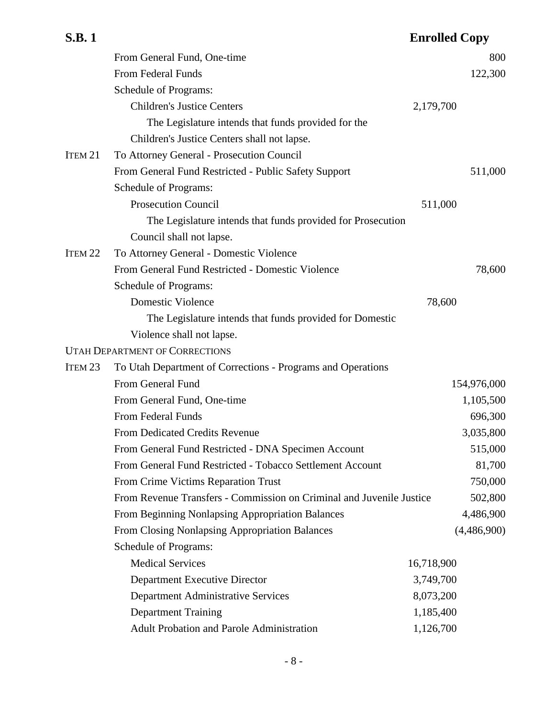|                    | From General Fund, One-time                                          | 800         |
|--------------------|----------------------------------------------------------------------|-------------|
|                    | From Federal Funds                                                   | 122,300     |
|                    | Schedule of Programs:                                                |             |
|                    | <b>Children's Justice Centers</b>                                    | 2,179,700   |
|                    | The Legislature intends that funds provided for the                  |             |
|                    | Children's Justice Centers shall not lapse.                          |             |
| ITEM 21            | To Attorney General - Prosecution Council                            |             |
|                    | From General Fund Restricted - Public Safety Support                 | 511,000     |
|                    | Schedule of Programs:                                                |             |
|                    | <b>Prosecution Council</b>                                           | 511,000     |
|                    | The Legislature intends that funds provided for Prosecution          |             |
|                    | Council shall not lapse.                                             |             |
| ITEM <sub>22</sub> | To Attorney General - Domestic Violence                              |             |
|                    | From General Fund Restricted - Domestic Violence                     | 78,600      |
|                    | Schedule of Programs:                                                |             |
|                    | <b>Domestic Violence</b>                                             | 78,600      |
|                    | The Legislature intends that funds provided for Domestic             |             |
|                    | Violence shall not lapse.                                            |             |
|                    | <b>UTAH DEPARTMENT OF CORRECTIONS</b>                                |             |
| ITEM <sub>23</sub> | To Utah Department of Corrections - Programs and Operations          |             |
|                    | From General Fund                                                    | 154,976,000 |
|                    | From General Fund, One-time                                          | 1,105,500   |
|                    | From Federal Funds                                                   | 696,300     |
|                    | <b>From Dedicated Credits Revenue</b>                                | 3,035,800   |
|                    | From General Fund Restricted - DNA Specimen Account                  | 515,000     |
|                    | From General Fund Restricted - Tobacco Settlement Account            | 81,700      |
|                    | From Crime Victims Reparation Trust                                  | 750,000     |
|                    | From Revenue Transfers - Commission on Criminal and Juvenile Justice | 502,800     |
|                    | From Beginning Nonlapsing Appropriation Balances                     | 4,486,900   |
|                    | From Closing Nonlapsing Appropriation Balances                       | (4,486,900) |
|                    | Schedule of Programs:                                                |             |
|                    | <b>Medical Services</b>                                              | 16,718,900  |
|                    | <b>Department Executive Director</b>                                 | 3,749,700   |
|                    | <b>Department Administrative Services</b>                            | 8,073,200   |
|                    | <b>Department Training</b>                                           | 1,185,400   |
|                    | Adult Probation and Parole Administration                            | 1,126,700   |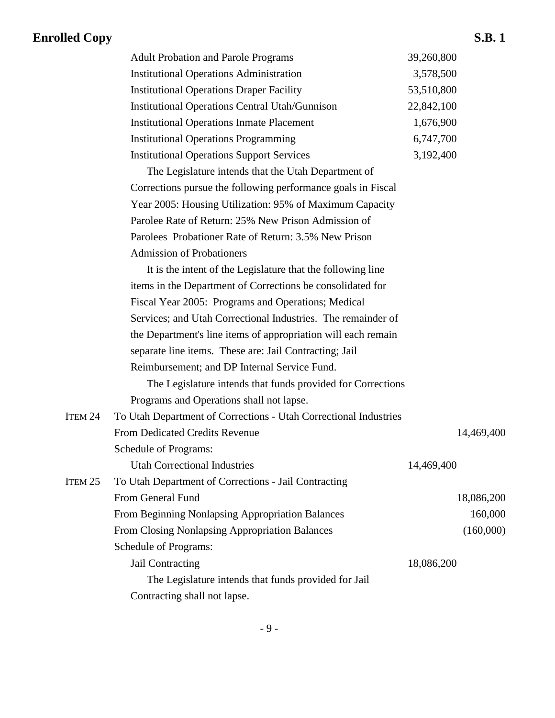| <b>Adult Probation and Parole Programs</b>            | 39,260,800 |
|-------------------------------------------------------|------------|
| <b>Institutional Operations Administration</b>        | 3,578,500  |
| <b>Institutional Operations Draper Facility</b>       | 53,510,800 |
| <b>Institutional Operations Central Utah/Gunnison</b> | 22,842,100 |
| <b>Institutional Operations Inmate Placement</b>      | 1,676,900  |
| <b>Institutional Operations Programming</b>           | 6,747,700  |
| <b>Institutional Operations Support Services</b>      | 3,192,400  |

The Legislature intends that the Utah Department of Corrections pursue the following performance goals in Fiscal Year 2005: Housing Utilization: 95% of Maximum Capacity Parolee Rate of Return: 25% New Prison Admission of Parolees Probationer Rate of Return: 3.5% New Prison Admission of Probationers

It is the intent of the Legislature that the following line items in the Department of Corrections be consolidated for Fiscal Year 2005: Programs and Operations; Medical Services; and Utah Correctional Industries. The remainder of the Department's line items of appropriation will each remain separate line items. These are: Jail Contracting; Jail Reimbursement; and DP Internal Service Fund.

The Legislature intends that funds provided for Corrections Programs and Operations shall not lapse.

| ITEM 24 | To Utah Department of Corrections - Utah Correctional Industries |            |
|---------|------------------------------------------------------------------|------------|
|         | From Dedicated Credits Revenue                                   | 14,469,400 |
|         | Schedule of Programs:                                            |            |
|         | <b>Utah Correctional Industries</b>                              | 14,469,400 |
| ITEM 25 | To Utah Department of Corrections - Jail Contracting             |            |
|         | From General Fund                                                | 18,086,200 |
|         | From Beginning Nonlapsing Appropriation Balances                 | 160,000    |
|         | <b>From Closing Nonlapsing Appropriation Balances</b>            | (160,000)  |
|         | Schedule of Programs:                                            |            |
|         | Jail Contracting                                                 | 18,086,200 |
|         | The Legislature intends that funds provided for Jail             |            |
|         | Contracting shall not lapse.                                     |            |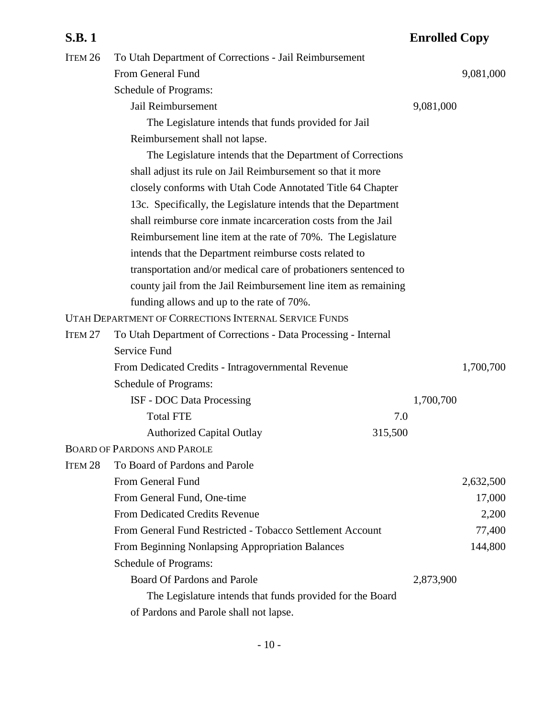| S.B. 1             |                                                                 | <b>Enrolled Copy</b> |           |
|--------------------|-----------------------------------------------------------------|----------------------|-----------|
| ITEM <sub>26</sub> | To Utah Department of Corrections - Jail Reimbursement          |                      |           |
|                    | From General Fund                                               |                      | 9,081,000 |
|                    | Schedule of Programs:                                           |                      |           |
|                    | Jail Reimbursement                                              | 9,081,000            |           |
|                    | The Legislature intends that funds provided for Jail            |                      |           |
|                    | Reimbursement shall not lapse.                                  |                      |           |
|                    | The Legislature intends that the Department of Corrections      |                      |           |
|                    | shall adjust its rule on Jail Reimbursement so that it more     |                      |           |
|                    | closely conforms with Utah Code Annotated Title 64 Chapter      |                      |           |
|                    | 13c. Specifically, the Legislature intends that the Department  |                      |           |
|                    | shall reimburse core inmate incarceration costs from the Jail   |                      |           |
|                    | Reimbursement line item at the rate of 70%. The Legislature     |                      |           |
|                    | intends that the Department reimburse costs related to          |                      |           |
|                    | transportation and/or medical care of probationers sentenced to |                      |           |
|                    | county jail from the Jail Reimbursement line item as remaining  |                      |           |
|                    | funding allows and up to the rate of 70%.                       |                      |           |
|                    | UTAH DEPARTMENT OF CORRECTIONS INTERNAL SERVICE FUNDS           |                      |           |
| Item 27            | To Utah Department of Corrections - Data Processing - Internal  |                      |           |
|                    | Service Fund                                                    |                      |           |
|                    | From Dedicated Credits - Intragovernmental Revenue              |                      | 1,700,700 |
|                    | Schedule of Programs:                                           |                      |           |
|                    | ISF - DOC Data Processing                                       | 1,700,700            |           |
|                    | <b>Total FTE</b><br>7.0                                         |                      |           |
|                    | <b>Authorized Capital Outlay</b><br>315,500                     |                      |           |
|                    | <b>BOARD OF PARDONS AND PAROLE</b>                              |                      |           |
| Item 28            | To Board of Pardons and Parole                                  |                      |           |
|                    | From General Fund                                               |                      | 2,632,500 |
|                    | From General Fund, One-time                                     |                      | 17,000    |
|                    | <b>From Dedicated Credits Revenue</b>                           |                      | 2,200     |
|                    | From General Fund Restricted - Tobacco Settlement Account       |                      | 77,400    |
|                    | From Beginning Nonlapsing Appropriation Balances                |                      | 144,800   |
|                    | Schedule of Programs:                                           |                      |           |
|                    | <b>Board Of Pardons and Parole</b>                              | 2,873,900            |           |
|                    | The Legislature intends that funds provided for the Board       |                      |           |
|                    | of Pardons and Parole shall not lapse.                          |                      |           |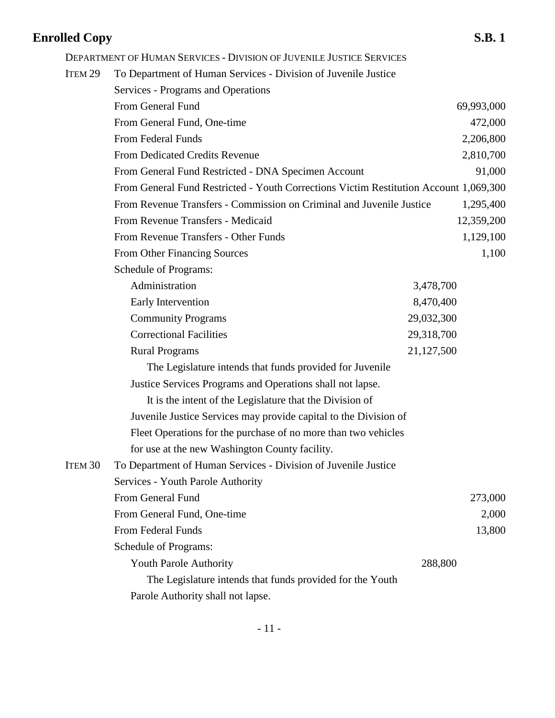**Enrolled Copy S.B. 1** DEPARTMENT OF HUMAN SERVICES - DIVISION OF JUVENILE JUSTICE SERVICES ITEM 29 To Department of Human Services - Division of Juvenile Justice Services - Programs and Operations From General Fund 69,993,000 From General Fund, One-time 472,000 From Federal Funds 2,206,800 From Dedicated Credits Revenue 2,810,700 From General Fund Restricted - DNA Specimen Account 91,000 From General Fund Restricted - Youth Corrections Victim Restitution Account 1,069,300 From Revenue Transfers - Commission on Criminal and Juvenile Justice 1,295,400

> From Revenue Transfers - Other Funds 1,129,100 From Other Financing Sources 1,100 Schedule of Programs: Administration 3,478,700 Early Intervention 8,470,400 Community Programs 29,032,300 Correctional Facilities 29,318,700 Rural Programs 21,127,500 The Legislature intends that funds provided for Juvenile Justice Services Programs and Operations shall not lapse. It is the intent of the Legislature that the Division of Juvenile Justice Services may provide capital to the Division of Fleet Operations for the purchase of no more than two vehicles for use at the new Washington County facility.

From Revenue Transfers - Medicaid 12,359,200

ITEM 30 To Department of Human Services - Division of Juvenile Justice Services - Youth Parole Authority From General Fund 273,000 From General Fund, One-time 2,000 From Federal Funds 13,800 Schedule of Programs: Youth Parole Authority 288,800 The Legislature intends that funds provided for the Youth Parole Authority shall not lapse.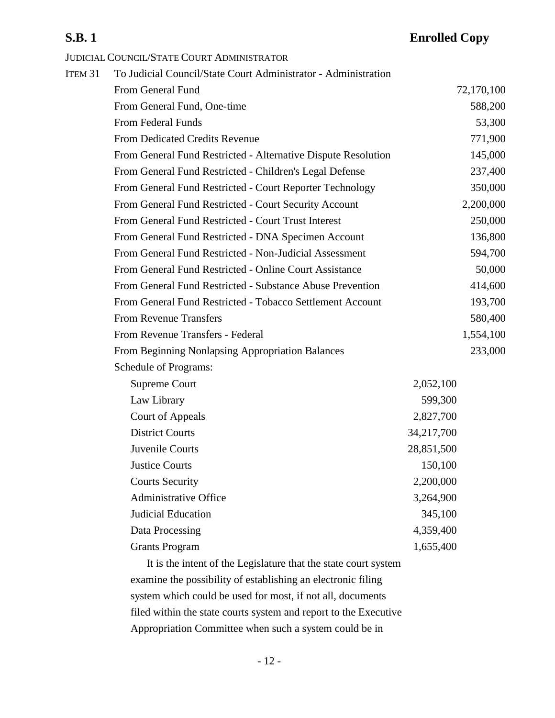JUDICIAL COUNCIL/STATE COURT ADMINISTRATOR

| ITEM <sub>31</sub> | To Judicial Council/State Court Administrator - Administration |            |            |
|--------------------|----------------------------------------------------------------|------------|------------|
|                    | From General Fund                                              |            | 72,170,100 |
|                    | From General Fund, One-time                                    |            | 588,200    |
|                    | From Federal Funds                                             |            | 53,300     |
|                    | From Dedicated Credits Revenue                                 |            | 771,900    |
|                    | From General Fund Restricted - Alternative Dispute Resolution  |            | 145,000    |
|                    | From General Fund Restricted - Children's Legal Defense        |            | 237,400    |
|                    | From General Fund Restricted - Court Reporter Technology       |            | 350,000    |
|                    | From General Fund Restricted - Court Security Account          |            | 2,200,000  |
|                    | From General Fund Restricted - Court Trust Interest            |            | 250,000    |
|                    | From General Fund Restricted - DNA Specimen Account            |            | 136,800    |
|                    | From General Fund Restricted - Non-Judicial Assessment         |            | 594,700    |
|                    | From General Fund Restricted - Online Court Assistance         |            | 50,000     |
|                    | From General Fund Restricted - Substance Abuse Prevention      |            | 414,600    |
|                    | From General Fund Restricted - Tobacco Settlement Account      |            | 193,700    |
|                    | <b>From Revenue Transfers</b>                                  |            | 580,400    |
|                    | From Revenue Transfers - Federal                               |            | 1,554,100  |
|                    | From Beginning Nonlapsing Appropriation Balances               |            | 233,000    |
|                    | <b>Schedule of Programs:</b>                                   |            |            |
|                    | <b>Supreme Court</b>                                           | 2,052,100  |            |
|                    | Law Library                                                    | 599,300    |            |
|                    | <b>Court of Appeals</b>                                        | 2,827,700  |            |
|                    | <b>District Courts</b>                                         | 34,217,700 |            |
|                    | Juvenile Courts                                                | 28,851,500 |            |
|                    | <b>Justice Courts</b>                                          | 150,100    |            |
|                    | <b>Courts Security</b>                                         | 2,200,000  |            |
|                    | <b>Administrative Office</b>                                   | 3,264,900  |            |
|                    | Judicial Education                                             | 345,100    |            |
|                    | Data Processing                                                | 4,359,400  |            |
|                    | <b>Grants Program</b>                                          | 1,655,400  |            |
|                    |                                                                |            |            |

It is the intent of the Legislature that the state court system examine the possibility of establishing an electronic filing system which could be used for most, if not all, documents filed within the state courts system and report to the Executive Appropriation Committee when such a system could be in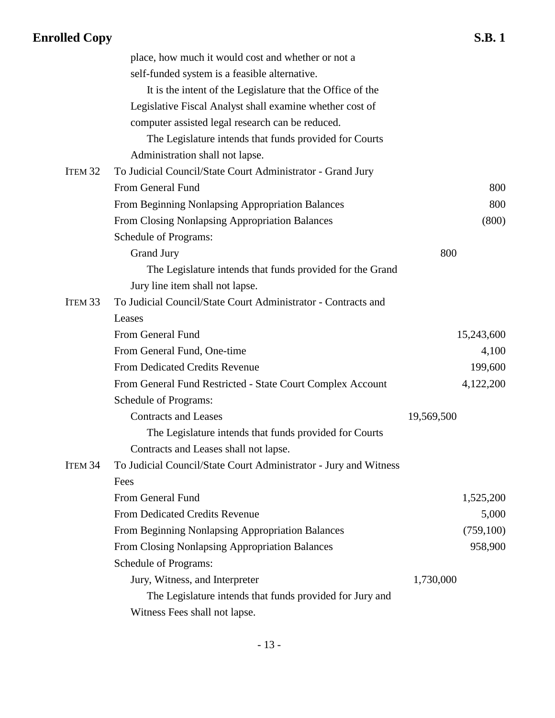|                    | place, how much it would cost and whether or not a               |            |
|--------------------|------------------------------------------------------------------|------------|
|                    | self-funded system is a feasible alternative.                    |            |
|                    | It is the intent of the Legislature that the Office of the       |            |
|                    | Legislative Fiscal Analyst shall examine whether cost of         |            |
|                    | computer assisted legal research can be reduced.                 |            |
|                    | The Legislature intends that funds provided for Courts           |            |
|                    | Administration shall not lapse.                                  |            |
| ITEM <sub>32</sub> | To Judicial Council/State Court Administrator - Grand Jury       |            |
|                    | From General Fund                                                | 800        |
|                    | From Beginning Nonlapsing Appropriation Balances                 | 800        |
|                    | From Closing Nonlapsing Appropriation Balances                   | (800)      |
|                    | Schedule of Programs:                                            |            |
|                    | <b>Grand Jury</b>                                                | 800        |
|                    | The Legislature intends that funds provided for the Grand        |            |
|                    | Jury line item shall not lapse.                                  |            |
| ITEM <sub>33</sub> | To Judicial Council/State Court Administrator - Contracts and    |            |
|                    | Leases                                                           |            |
|                    | From General Fund                                                | 15,243,600 |
|                    | From General Fund, One-time                                      | 4,100      |
|                    | From Dedicated Credits Revenue                                   | 199,600    |
|                    | From General Fund Restricted - State Court Complex Account       | 4,122,200  |
|                    | Schedule of Programs:                                            |            |
|                    | <b>Contracts and Leases</b>                                      | 19,569,500 |
|                    | The Legislature intends that funds provided for Courts           |            |
|                    | Contracts and Leases shall not lapse.                            |            |
| ITEM <sub>34</sub> | To Judicial Council/State Court Administrator - Jury and Witness |            |
|                    | Fees                                                             |            |
|                    | From General Fund                                                | 1,525,200  |
|                    | From Dedicated Credits Revenue                                   | 5,000      |
|                    | From Beginning Nonlapsing Appropriation Balances                 | (759, 100) |
|                    | From Closing Nonlapsing Appropriation Balances                   | 958,900    |
|                    | Schedule of Programs:                                            |            |
|                    | Jury, Witness, and Interpreter                                   | 1,730,000  |
|                    | The Legislature intends that funds provided for Jury and         |            |
|                    | Witness Fees shall not lapse.                                    |            |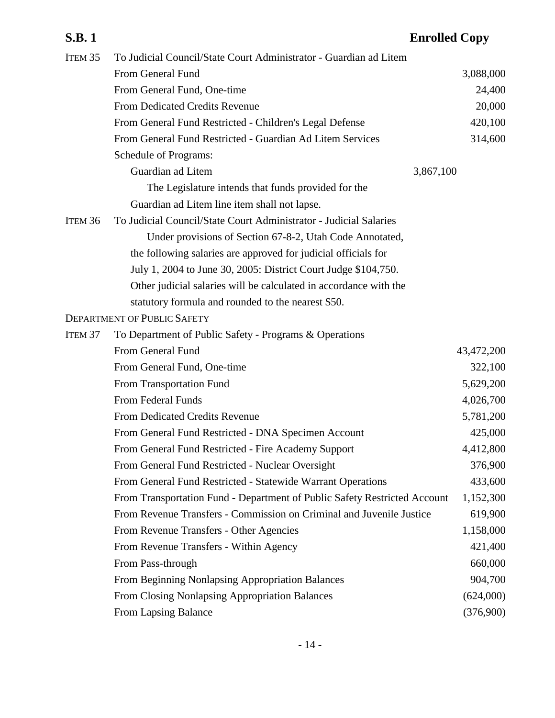| Item <sub>35</sub> | To Judicial Council/State Court Administrator - Guardian ad Litem         |            |
|--------------------|---------------------------------------------------------------------------|------------|
|                    | From General Fund                                                         | 3,088,000  |
|                    | From General Fund, One-time                                               | 24,400     |
|                    | From Dedicated Credits Revenue                                            | 20,000     |
|                    | From General Fund Restricted - Children's Legal Defense                   | 420,100    |
|                    | From General Fund Restricted - Guardian Ad Litem Services                 | 314,600    |
|                    | Schedule of Programs:                                                     |            |
|                    | Guardian ad Litem                                                         | 3,867,100  |
|                    | The Legislature intends that funds provided for the                       |            |
|                    | Guardian ad Litem line item shall not lapse.                              |            |
| ITEM <sub>36</sub> | To Judicial Council/State Court Administrator - Judicial Salaries         |            |
|                    | Under provisions of Section 67-8-2, Utah Code Annotated,                  |            |
|                    | the following salaries are approved for judicial officials for            |            |
|                    | July 1, 2004 to June 30, 2005: District Court Judge \$104,750.            |            |
|                    | Other judicial salaries will be calculated in accordance with the         |            |
|                    | statutory formula and rounded to the nearest \$50.                        |            |
|                    | <b>DEPARTMENT OF PUBLIC SAFETY</b>                                        |            |
| Item <sub>37</sub> | To Department of Public Safety - Programs & Operations                    |            |
|                    | From General Fund                                                         | 43,472,200 |
|                    | From General Fund, One-time                                               | 322,100    |
|                    | From Transportation Fund                                                  | 5,629,200  |
|                    | From Federal Funds                                                        | 4,026,700  |
|                    | From Dedicated Credits Revenue                                            | 5,781,200  |
|                    | From General Fund Restricted - DNA Specimen Account                       | 425,000    |
|                    | From General Fund Restricted - Fire Academy Support                       | 4,412,800  |
|                    | From General Fund Restricted - Nuclear Oversight                          | 376,900    |
|                    | From General Fund Restricted - Statewide Warrant Operations               | 433,600    |
|                    | From Transportation Fund - Department of Public Safety Restricted Account | 1,152,300  |
|                    | From Revenue Transfers - Commission on Criminal and Juvenile Justice      | 619,900    |
|                    | From Revenue Transfers - Other Agencies                                   | 1,158,000  |
|                    | From Revenue Transfers - Within Agency                                    | 421,400    |
|                    | From Pass-through                                                         | 660,000    |
|                    | From Beginning Nonlapsing Appropriation Balances                          | 904,700    |
|                    | From Closing Nonlapsing Appropriation Balances                            | (624,000)  |
|                    | From Lapsing Balance                                                      | (376,900)  |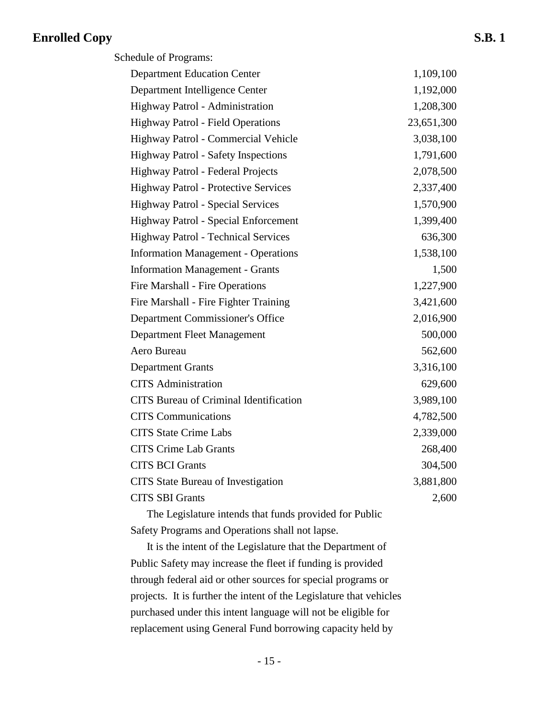| Schedule of Programs:                         |            |  |  |
|-----------------------------------------------|------------|--|--|
| <b>Department Education Center</b>            | 1,109,100  |  |  |
| Department Intelligence Center                | 1,192,000  |  |  |
| Highway Patrol - Administration               | 1,208,300  |  |  |
| <b>Highway Patrol - Field Operations</b>      | 23,651,300 |  |  |
| Highway Patrol - Commercial Vehicle           | 3,038,100  |  |  |
| <b>Highway Patrol - Safety Inspections</b>    | 1,791,600  |  |  |
| Highway Patrol - Federal Projects             | 2,078,500  |  |  |
| <b>Highway Patrol - Protective Services</b>   | 2,337,400  |  |  |
| <b>Highway Patrol - Special Services</b>      | 1,570,900  |  |  |
| Highway Patrol - Special Enforcement          | 1,399,400  |  |  |
| <b>Highway Patrol - Technical Services</b>    | 636,300    |  |  |
| <b>Information Management - Operations</b>    | 1,538,100  |  |  |
| <b>Information Management - Grants</b>        | 1,500      |  |  |
| Fire Marshall - Fire Operations               | 1,227,900  |  |  |
| Fire Marshall - Fire Fighter Training         | 3,421,600  |  |  |
| Department Commissioner's Office              | 2,016,900  |  |  |
| Department Fleet Management                   | 500,000    |  |  |
| Aero Bureau                                   | 562,600    |  |  |
| <b>Department Grants</b>                      | 3,316,100  |  |  |
| <b>CITS</b> Administration                    | 629,600    |  |  |
| <b>CITS</b> Bureau of Criminal Identification | 3,989,100  |  |  |
| <b>CITS</b> Communications                    | 4,782,500  |  |  |
| <b>CITS State Crime Labs</b>                  | 2,339,000  |  |  |
| <b>CITS Crime Lab Grants</b>                  | 268,400    |  |  |
| <b>CITS BCI Grants</b>                        | 304,500    |  |  |
| <b>CITS</b> State Bureau of Investigation     | 3,881,800  |  |  |
| <b>CITS SBI Grants</b>                        | 2,600      |  |  |

The Legislature intends that funds provided for Public Safety Programs and Operations shall not lapse.

It is the intent of the Legislature that the Department of Public Safety may increase the fleet if funding is provided through federal aid or other sources for special programs or projects. It is further the intent of the Legislature that vehicles purchased under this intent language will not be eligible for replacement using General Fund borrowing capacity held by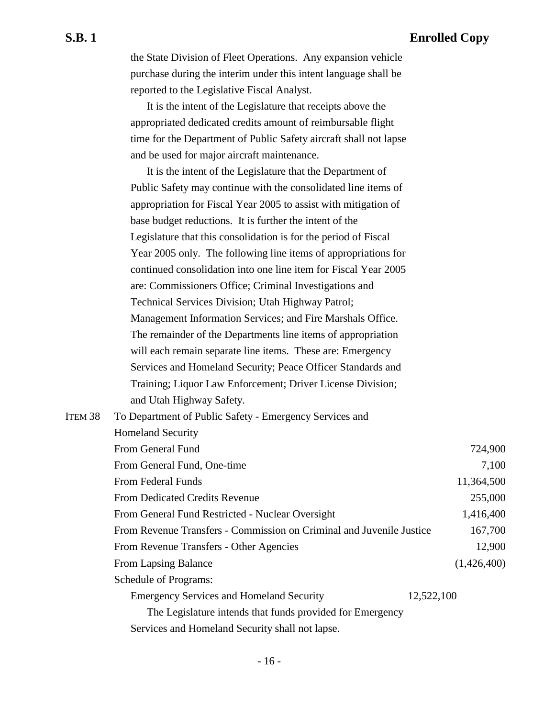the State Division of Fleet Operations. Any expansion vehicle purchase during the interim under this intent language shall be reported to the Legislative Fiscal Analyst.

It is the intent of the Legislature that receipts above the appropriated dedicated credits amount of reimbursable flight time for the Department of Public Safety aircraft shall not lapse and be used for major aircraft maintenance.

It is the intent of the Legislature that the Department of Public Safety may continue with the consolidated line items of appropriation for Fiscal Year 2005 to assist with mitigation of base budget reductions. It is further the intent of the Legislature that this consolidation is for the period of Fiscal Year 2005 only. The following line items of appropriations for continued consolidation into one line item for Fiscal Year 2005 are: Commissioners Office; Criminal Investigations and Technical Services Division; Utah Highway Patrol; Management Information Services; and Fire Marshals Office. The remainder of the Departments line items of appropriation will each remain separate line items. These are: Emergency Services and Homeland Security; Peace Officer Standards and Training; Liquor Law Enforcement; Driver License Division; and Utah Highway Safety.

| ITEM <sub>38</sub> | To Department of Public Safety - Emergency Services and              |             |
|--------------------|----------------------------------------------------------------------|-------------|
|                    | <b>Homeland Security</b>                                             |             |
|                    | From General Fund                                                    | 724,900     |
|                    | From General Fund, One-time                                          | 7,100       |
|                    | <b>From Federal Funds</b>                                            | 11,364,500  |
|                    | <b>From Dedicated Credits Revenue</b>                                | 255,000     |
|                    | From General Fund Restricted - Nuclear Oversight                     | 1,416,400   |
|                    | From Revenue Transfers - Commission on Criminal and Juvenile Justice | 167,700     |
|                    | From Revenue Transfers - Other Agencies                              | 12,900      |
|                    | From Lapsing Balance                                                 | (1,426,400) |
|                    | Schedule of Programs:                                                |             |
|                    | <b>Emergency Services and Homeland Security</b>                      | 12,522,100  |
|                    | The Legislature intends that funds provided for Emergency            |             |
|                    | Services and Homeland Security shall not lapse.                      |             |

- 16 -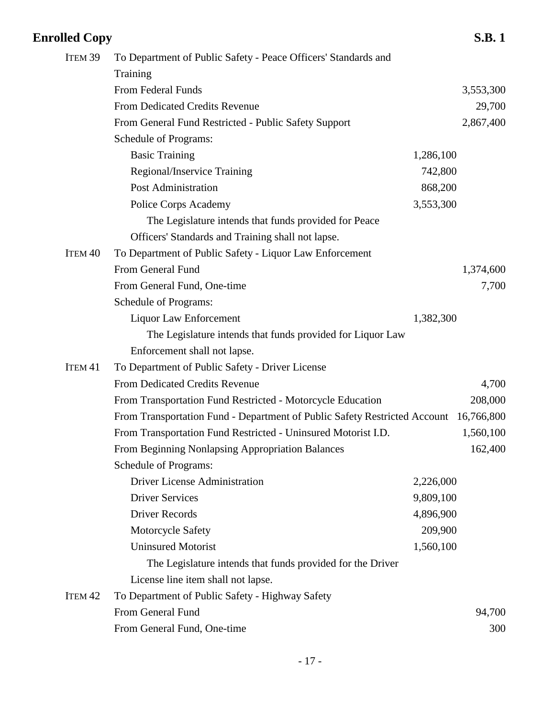|                                                                |                      | <b>S.B.1</b>                                                              |
|----------------------------------------------------------------|----------------------|---------------------------------------------------------------------------|
| To Department of Public Safety - Peace Officers' Standards and |                      |                                                                           |
| Training                                                       |                      |                                                                           |
| From Federal Funds                                             |                      | 3,553,300                                                                 |
| <b>From Dedicated Credits Revenue</b>                          |                      | 29,700                                                                    |
| From General Fund Restricted - Public Safety Support           |                      | 2,867,400                                                                 |
| Schedule of Programs:                                          |                      |                                                                           |
| <b>Basic Training</b>                                          | 1,286,100            |                                                                           |
| Regional/Inservice Training                                    | 742,800              |                                                                           |
| <b>Post Administration</b>                                     | 868,200              |                                                                           |
| Police Corps Academy                                           | 3,553,300            |                                                                           |
| The Legislature intends that funds provided for Peace          |                      |                                                                           |
| Officers' Standards and Training shall not lapse.              |                      |                                                                           |
| To Department of Public Safety - Liquor Law Enforcement        |                      |                                                                           |
| From General Fund                                              |                      | 1,374,600                                                                 |
| From General Fund, One-time                                    |                      | 7,700                                                                     |
| Schedule of Programs:                                          |                      |                                                                           |
| Liquor Law Enforcement                                         | 1,382,300            |                                                                           |
| The Legislature intends that funds provided for Liquor Law     |                      |                                                                           |
| Enforcement shall not lapse.                                   |                      |                                                                           |
| To Department of Public Safety - Driver License                |                      |                                                                           |
| From Dedicated Credits Revenue                                 |                      | 4,700                                                                     |
| From Transportation Fund Restricted - Motorcycle Education     |                      | 208,000                                                                   |
|                                                                |                      | 16,766,800                                                                |
| From Transportation Fund Restricted - Uninsured Motorist I.D.  |                      | 1,560,100                                                                 |
| From Beginning Nonlapsing Appropriation Balances               |                      | 162,400                                                                   |
| Schedule of Programs:                                          |                      |                                                                           |
| <b>Driver License Administration</b>                           | 2,226,000            |                                                                           |
| <b>Driver Services</b>                                         | 9,809,100            |                                                                           |
| <b>Driver Records</b>                                          | 4,896,900            |                                                                           |
| Motorcycle Safety                                              | 209,900              |                                                                           |
| <b>Uninsured Motorist</b>                                      | 1,560,100            |                                                                           |
| The Legislature intends that funds provided for the Driver     |                      |                                                                           |
| License line item shall not lapse.                             |                      |                                                                           |
| To Department of Public Safety - Highway Safety                |                      |                                                                           |
| From General Fund                                              |                      | 94,700                                                                    |
| From General Fund, One-time                                    |                      | 300                                                                       |
|                                                                | <b>Enrolled Copy</b> | From Transportation Fund - Department of Public Safety Restricted Account |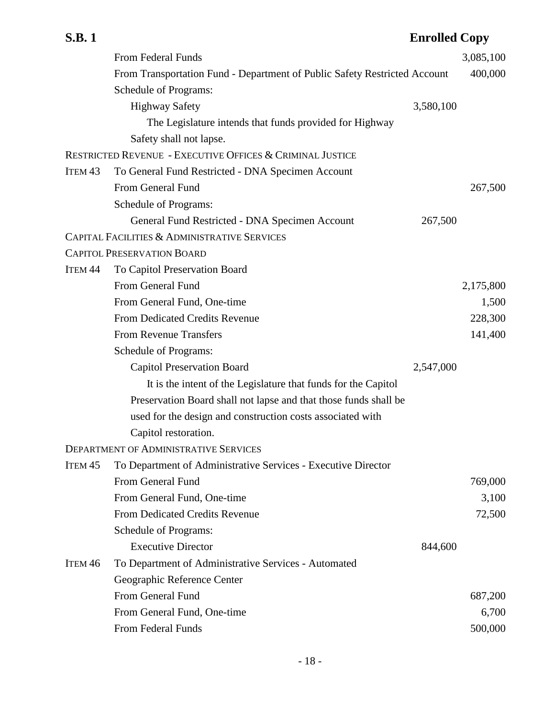|                    | From Federal Funds                                                        |           | 3,085,100 |
|--------------------|---------------------------------------------------------------------------|-----------|-----------|
|                    | From Transportation Fund - Department of Public Safety Restricted Account |           | 400,000   |
|                    | Schedule of Programs:                                                     |           |           |
|                    | <b>Highway Safety</b>                                                     | 3,580,100 |           |
|                    | The Legislature intends that funds provided for Highway                   |           |           |
|                    | Safety shall not lapse.                                                   |           |           |
|                    | RESTRICTED REVENUE - EXECUTIVE OFFICES & CRIMINAL JUSTICE                 |           |           |
| ITEM <sub>43</sub> | To General Fund Restricted - DNA Specimen Account                         |           |           |
|                    | From General Fund                                                         |           | 267,500   |
|                    | Schedule of Programs:                                                     |           |           |
|                    | General Fund Restricted - DNA Specimen Account                            | 267,500   |           |
|                    | CAPITAL FACILITIES & ADMINISTRATIVE SERVICES                              |           |           |
|                    | <b>CAPITOL PRESERVATION BOARD</b>                                         |           |           |
| ITEM <sub>44</sub> | To Capitol Preservation Board                                             |           |           |
|                    | From General Fund                                                         |           | 2,175,800 |
|                    | From General Fund, One-time                                               |           | 1,500     |
|                    | From Dedicated Credits Revenue                                            |           | 228,300   |
|                    | <b>From Revenue Transfers</b>                                             |           | 141,400   |
|                    | Schedule of Programs:                                                     |           |           |
|                    | <b>Capitol Preservation Board</b>                                         | 2,547,000 |           |
|                    | It is the intent of the Legislature that funds for the Capitol            |           |           |
|                    | Preservation Board shall not lapse and that those funds shall be          |           |           |
|                    | used for the design and construction costs associated with                |           |           |
|                    | Capitol restoration.                                                      |           |           |
|                    | <b>DEPARTMENT OF ADMINISTRATIVE SERVICES</b>                              |           |           |
| ITEM <sub>45</sub> | To Department of Administrative Services - Executive Director             |           |           |
|                    | From General Fund                                                         |           | 769,000   |
|                    | From General Fund, One-time                                               |           | 3,100     |
|                    | From Dedicated Credits Revenue                                            |           | 72,500    |
|                    | Schedule of Programs:                                                     |           |           |
|                    | <b>Executive Director</b>                                                 | 844,600   |           |
| ITEM <sub>46</sub> | To Department of Administrative Services - Automated                      |           |           |
|                    | Geographic Reference Center                                               |           |           |
|                    | From General Fund                                                         |           | 687,200   |
|                    | From General Fund, One-time                                               |           | 6,700     |
|                    | From Federal Funds                                                        |           | 500,000   |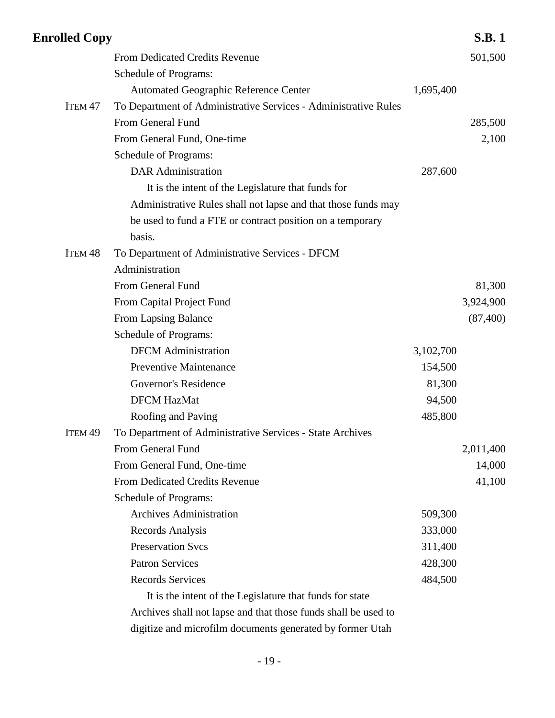| <b>Enrolled Copy</b> |                                                                 |           | <b>S.B.1</b> |
|----------------------|-----------------------------------------------------------------|-----------|--------------|
|                      | <b>From Dedicated Credits Revenue</b>                           |           | 501,500      |
|                      | Schedule of Programs:                                           |           |              |
|                      | <b>Automated Geographic Reference Center</b>                    | 1,695,400 |              |
| ITEM <sub>47</sub>   | To Department of Administrative Services - Administrative Rules |           |              |
|                      | From General Fund                                               |           | 285,500      |
|                      | From General Fund, One-time                                     |           | 2,100        |
|                      | Schedule of Programs:                                           |           |              |
|                      | <b>DAR</b> Administration                                       | 287,600   |              |
|                      | It is the intent of the Legislature that funds for              |           |              |
|                      | Administrative Rules shall not lapse and that those funds may   |           |              |
|                      | be used to fund a FTE or contract position on a temporary       |           |              |
|                      | basis.                                                          |           |              |
| ITEM <sub>48</sub>   | To Department of Administrative Services - DFCM                 |           |              |
|                      | Administration                                                  |           |              |
|                      | From General Fund                                               |           | 81,300       |
|                      | From Capital Project Fund                                       |           | 3,924,900    |
|                      | From Lapsing Balance                                            |           | (87, 400)    |
|                      | Schedule of Programs:                                           |           |              |
|                      | <b>DFCM</b> Administration                                      | 3,102,700 |              |
|                      | <b>Preventive Maintenance</b>                                   | 154,500   |              |
|                      | Governor's Residence                                            | 81,300    |              |
|                      | <b>DFCM HazMat</b>                                              | 94,500    |              |
|                      | Roofing and Paving                                              | 485,800   |              |
| ITEM <sub>49</sub>   | To Department of Administrative Services - State Archives       |           |              |
|                      | From General Fund                                               |           | 2,011,400    |
|                      | From General Fund, One-time                                     |           | 14,000       |
|                      | <b>From Dedicated Credits Revenue</b>                           |           | 41,100       |
|                      | Schedule of Programs:                                           |           |              |
|                      | <b>Archives Administration</b>                                  | 509,300   |              |
|                      | Records Analysis                                                | 333,000   |              |
|                      | <b>Preservation Svcs</b>                                        | 311,400   |              |
|                      | <b>Patron Services</b>                                          | 428,300   |              |
|                      | <b>Records Services</b>                                         | 484,500   |              |
|                      | It is the intent of the Legislature that funds for state        |           |              |
|                      | Archives shall not lapse and that those funds shall be used to  |           |              |
|                      | digitize and microfilm documents generated by former Utah       |           |              |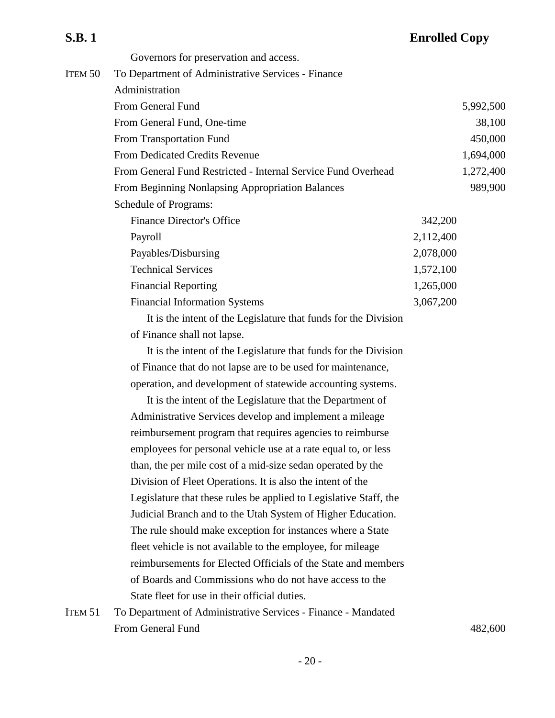|         | Governors for preservation and access.                        |           |
|---------|---------------------------------------------------------------|-----------|
| Item 50 | To Department of Administrative Services - Finance            |           |
|         | Administration                                                |           |
|         | From General Fund                                             | 5,992,500 |
|         | From General Fund, One-time                                   | 38,100    |
|         | From Transportation Fund                                      | 450,000   |
|         | <b>From Dedicated Credits Revenue</b>                         | 1,694,000 |
|         | From General Fund Restricted - Internal Service Fund Overhead | 1,272,400 |

From Beginning Nonlapsing Appropriation Balances 989,900 Schedule of Programs: Finance Director's Office 342,200 Payroll 2,112,400 Payables/Disbursing 2,078,000 Technical Services 1,572,100 Financial Reporting 1,265,000 Financial Information Systems 3,067,200

It is the intent of the Legislature that funds for the Division of Finance shall not lapse.

It is the intent of the Legislature that funds for the Division of Finance that do not lapse are to be used for maintenance, operation, and development of statewide accounting systems.

It is the intent of the Legislature that the Department of Administrative Services develop and implement a mileage reimbursement program that requires agencies to reimburse employees for personal vehicle use at a rate equal to, or less than, the per mile cost of a mid-size sedan operated by the Division of Fleet Operations. It is also the intent of the Legislature that these rules be applied to Legislative Staff, the Judicial Branch and to the Utah System of Higher Education. The rule should make exception for instances where a State fleet vehicle is not available to the employee, for mileage reimbursements for Elected Officials of the State and members of Boards and Commissions who do not have access to the State fleet for use in their official duties.

ITEM 51 To Department of Administrative Services - Finance - Mandated From General Fund 482,600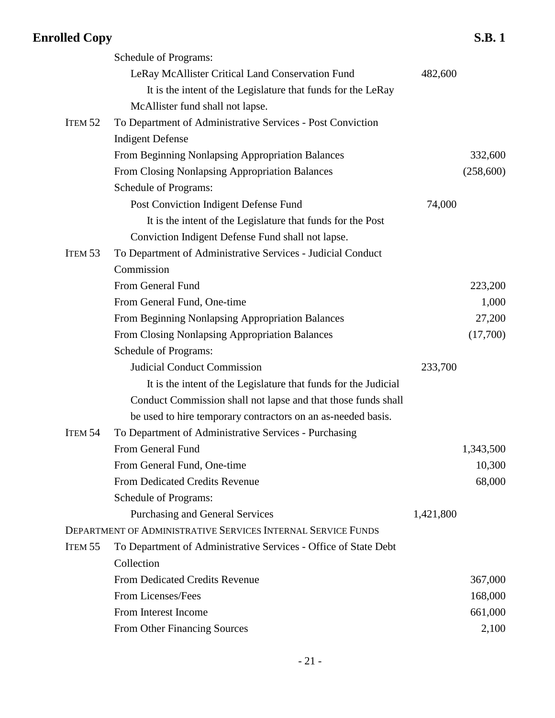|                    | <b>Schedule of Programs:</b>                                        |           |           |
|--------------------|---------------------------------------------------------------------|-----------|-----------|
|                    | LeRay McAllister Critical Land Conservation Fund                    | 482,600   |           |
|                    | It is the intent of the Legislature that funds for the LeRay        |           |           |
|                    | McAllister fund shall not lapse.                                    |           |           |
| ITEM <sub>52</sub> | To Department of Administrative Services - Post Conviction          |           |           |
|                    | <b>Indigent Defense</b>                                             |           |           |
|                    | From Beginning Nonlapsing Appropriation Balances                    |           | 332,600   |
|                    | From Closing Nonlapsing Appropriation Balances                      |           | (258,600) |
|                    | Schedule of Programs:                                               |           |           |
|                    | Post Conviction Indigent Defense Fund                               | 74,000    |           |
|                    | It is the intent of the Legislature that funds for the Post         |           |           |
|                    | Conviction Indigent Defense Fund shall not lapse.                   |           |           |
| ITEM <sub>53</sub> | To Department of Administrative Services - Judicial Conduct         |           |           |
|                    | Commission                                                          |           |           |
|                    | From General Fund                                                   |           | 223,200   |
|                    | From General Fund, One-time                                         |           | 1,000     |
|                    | From Beginning Nonlapsing Appropriation Balances                    |           | 27,200    |
|                    | From Closing Nonlapsing Appropriation Balances                      |           | (17,700)  |
|                    | Schedule of Programs:                                               |           |           |
|                    | <b>Judicial Conduct Commission</b>                                  | 233,700   |           |
|                    | It is the intent of the Legislature that funds for the Judicial     |           |           |
|                    | Conduct Commission shall not lapse and that those funds shall       |           |           |
|                    | be used to hire temporary contractors on an as-needed basis.        |           |           |
| ITEM <sub>54</sub> | To Department of Administrative Services - Purchasing               |           |           |
|                    | From General Fund                                                   |           | 1,343,500 |
|                    | From General Fund, One-time                                         |           | 10,300    |
|                    | <b>From Dedicated Credits Revenue</b>                               |           | 68,000    |
|                    | Schedule of Programs:                                               |           |           |
|                    | <b>Purchasing and General Services</b>                              | 1,421,800 |           |
|                    | <b>DEPARTMENT OF ADMINISTRATIVE SERVICES INTERNAL SERVICE FUNDS</b> |           |           |
| ITEM <sub>55</sub> | To Department of Administrative Services - Office of State Debt     |           |           |
|                    | Collection                                                          |           |           |
|                    | From Dedicated Credits Revenue                                      |           | 367,000   |
|                    | From Licenses/Fees                                                  |           | 168,000   |
|                    | From Interest Income                                                |           | 661,000   |
|                    | From Other Financing Sources                                        |           | 2,100     |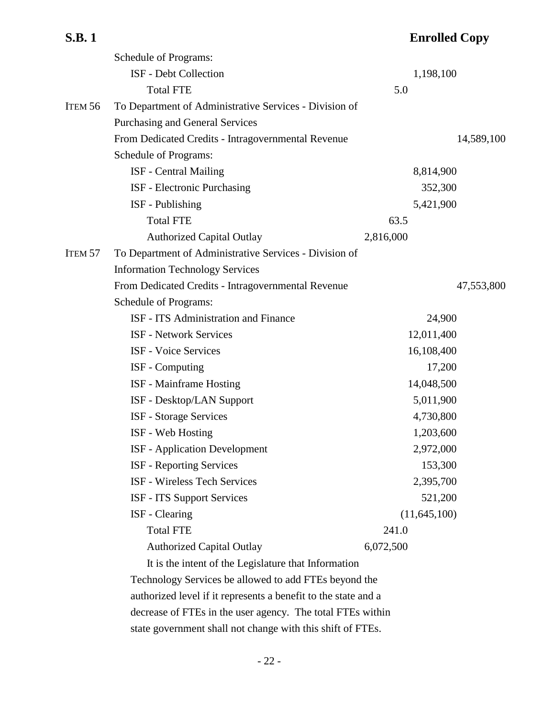|                    | Schedule of Programs:                                  |              |            |
|--------------------|--------------------------------------------------------|--------------|------------|
|                    | ISF - Debt Collection                                  | 1,198,100    |            |
|                    | <b>Total FTE</b>                                       | 5.0          |            |
| ITEM <sub>56</sub> | To Department of Administrative Services - Division of |              |            |
|                    | <b>Purchasing and General Services</b>                 |              |            |
|                    | From Dedicated Credits - Intragovernmental Revenue     |              | 14,589,100 |
|                    | Schedule of Programs:                                  |              |            |
|                    | <b>ISF</b> - Central Mailing                           | 8,814,900    |            |
|                    | ISF - Electronic Purchasing                            | 352,300      |            |
|                    | ISF - Publishing                                       | 5,421,900    |            |
|                    | <b>Total FTE</b>                                       | 63.5         |            |
|                    | <b>Authorized Capital Outlay</b>                       | 2,816,000    |            |
| ITEM <sub>57</sub> | To Department of Administrative Services - Division of |              |            |
|                    | <b>Information Technology Services</b>                 |              |            |
|                    | From Dedicated Credits - Intragovernmental Revenue     |              | 47,553,800 |
|                    | Schedule of Programs:                                  |              |            |
|                    | ISF - ITS Administration and Finance                   | 24,900       |            |
|                    | <b>ISF - Network Services</b>                          | 12,011,400   |            |
|                    | ISF - Voice Services                                   | 16,108,400   |            |
|                    | ISF - Computing                                        | 17,200       |            |
|                    | <b>ISF</b> - Mainframe Hosting                         | 14,048,500   |            |
|                    | ISF - Desktop/LAN Support                              | 5,011,900    |            |
|                    | <b>ISF</b> - Storage Services                          | 4,730,800    |            |
|                    | ISF - Web Hosting                                      | 1,203,600    |            |
|                    | <b>ISF</b> - Application Development                   | 2,972,000    |            |
|                    | ISF - Reporting Services                               | 153,300      |            |
|                    | <b>ISF - Wireless Tech Services</b>                    | 2,395,700    |            |
|                    | ISF - ITS Support Services                             | 521,200      |            |
|                    | <b>ISF</b> - Clearing                                  | (11,645,100) |            |
|                    | <b>Total FTE</b>                                       | 241.0        |            |
|                    | <b>Authorized Capital Outlay</b>                       | 6,072,500    |            |
|                    | It is the intent of the Legislature that Information   |              |            |
|                    |                                                        |              |            |

Technology Services be allowed to add FTEs beyond the authorized level if it represents a benefit to the state and a decrease of FTEs in the user agency. The total FTEs within state government shall not change with this shift of FTEs.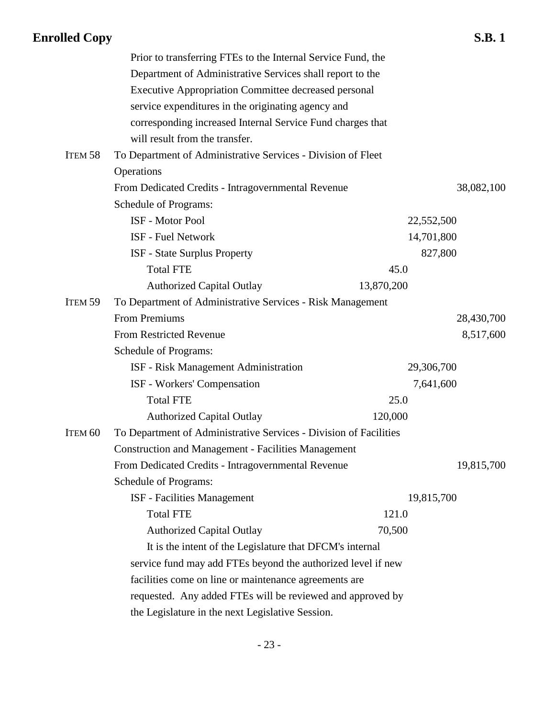|                    | Prior to transferring FTEs to the Internal Service Fund, the      |            |            |
|--------------------|-------------------------------------------------------------------|------------|------------|
|                    | Department of Administrative Services shall report to the         |            |            |
|                    | <b>Executive Appropriation Committee decreased personal</b>       |            |            |
|                    | service expenditures in the originating agency and                |            |            |
|                    | corresponding increased Internal Service Fund charges that        |            |            |
|                    | will result from the transfer.                                    |            |            |
| ITEM <sub>58</sub> | To Department of Administrative Services - Division of Fleet      |            |            |
|                    | Operations                                                        |            |            |
|                    | From Dedicated Credits - Intragovernmental Revenue                |            | 38,082,100 |
|                    | Schedule of Programs:                                             |            |            |
|                    | <b>ISF</b> - Motor Pool                                           | 22,552,500 |            |
|                    | ISF - Fuel Network                                                | 14,701,800 |            |
|                    | <b>ISF</b> - State Surplus Property                               | 827,800    |            |
|                    | <b>Total FTE</b>                                                  | 45.0       |            |
|                    | <b>Authorized Capital Outlay</b>                                  | 13,870,200 |            |
| ITEM <sub>59</sub> | To Department of Administrative Services - Risk Management        |            |            |
|                    | <b>From Premiums</b>                                              |            | 28,430,700 |
|                    | <b>From Restricted Revenue</b>                                    |            | 8,517,600  |
|                    | Schedule of Programs:                                             |            |            |
|                    | ISF - Risk Management Administration                              | 29,306,700 |            |
|                    | ISF - Workers' Compensation                                       | 7,641,600  |            |
|                    | <b>Total FTE</b>                                                  | 25.0       |            |
|                    | <b>Authorized Capital Outlay</b>                                  | 120,000    |            |
| ITEM <sub>60</sub> | To Department of Administrative Services - Division of Facilities |            |            |
|                    | <b>Construction and Management - Facilities Management</b>        |            |            |
|                    | From Dedicated Credits - Intragovernmental Revenue                |            | 19,815,700 |
|                    | Schedule of Programs:                                             |            |            |
|                    | <b>ISF</b> - Facilities Management                                | 19,815,700 |            |
|                    | <b>Total FTE</b>                                                  | 121.0      |            |
|                    | <b>Authorized Capital Outlay</b>                                  | 70,500     |            |
|                    | It is the intent of the Legislature that DFCM's internal          |            |            |
|                    | service fund may add FTEs beyond the authorized level if new      |            |            |
|                    | facilities come on line or maintenance agreements are             |            |            |
|                    | requested. Any added FTEs will be reviewed and approved by        |            |            |
|                    | the Legislature in the next Legislative Session.                  |            |            |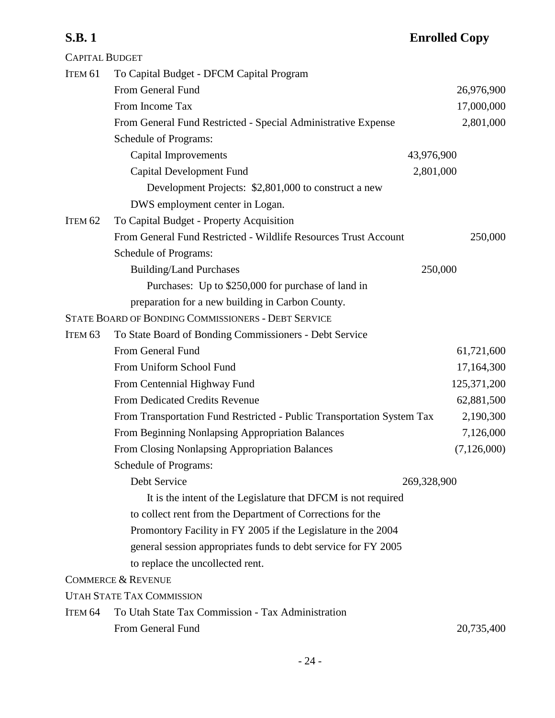| <b>CAPITAL BUDGET</b> |                                                                        |             |               |
|-----------------------|------------------------------------------------------------------------|-------------|---------------|
| ITEM <sub>61</sub>    | To Capital Budget - DFCM Capital Program                               |             |               |
|                       | From General Fund                                                      |             | 26,976,900    |
|                       | From Income Tax                                                        |             | 17,000,000    |
|                       | From General Fund Restricted - Special Administrative Expense          |             | 2,801,000     |
|                       | Schedule of Programs:                                                  |             |               |
|                       | Capital Improvements                                                   | 43,976,900  |               |
|                       | Capital Development Fund                                               | 2,801,000   |               |
|                       | Development Projects: \$2,801,000 to construct a new                   |             |               |
|                       | DWS employment center in Logan.                                        |             |               |
| ITEM <sub>62</sub>    | To Capital Budget - Property Acquisition                               |             |               |
|                       | From General Fund Restricted - Wildlife Resources Trust Account        |             | 250,000       |
|                       | Schedule of Programs:                                                  |             |               |
|                       | <b>Building/Land Purchases</b>                                         | 250,000     |               |
|                       | Purchases: Up to \$250,000 for purchase of land in                     |             |               |
|                       | preparation for a new building in Carbon County.                       |             |               |
|                       | STATE BOARD OF BONDING COMMISSIONERS - DEBT SERVICE                    |             |               |
| ITEM <sub>63</sub>    | To State Board of Bonding Commissioners - Debt Service                 |             |               |
|                       | From General Fund                                                      |             | 61,721,600    |
|                       | From Uniform School Fund                                               |             | 17,164,300    |
|                       | From Centennial Highway Fund                                           |             | 125,371,200   |
|                       | From Dedicated Credits Revenue                                         |             | 62,881,500    |
|                       | From Transportation Fund Restricted - Public Transportation System Tax |             | 2,190,300     |
|                       | From Beginning Nonlapsing Appropriation Balances                       |             | 7,126,000     |
|                       | From Closing Nonlapsing Appropriation Balances                         |             | (7, 126, 000) |
|                       | Schedule of Programs:                                                  |             |               |
|                       | Debt Service                                                           | 269,328,900 |               |
|                       | It is the intent of the Legislature that DFCM is not required          |             |               |
|                       | to collect rent from the Department of Corrections for the             |             |               |
|                       | Promontory Facility in FY 2005 if the Legislature in the 2004          |             |               |
|                       | general session appropriates funds to debt service for FY 2005         |             |               |
|                       | to replace the uncollected rent.                                       |             |               |
|                       | <b>COMMERCE &amp; REVENUE</b>                                          |             |               |
|                       | <b>UTAH STATE TAX COMMISSION</b>                                       |             |               |
| ITEM <sub>64</sub>    | To Utah State Tax Commission - Tax Administration                      |             |               |
|                       | From General Fund                                                      |             | 20,735,400    |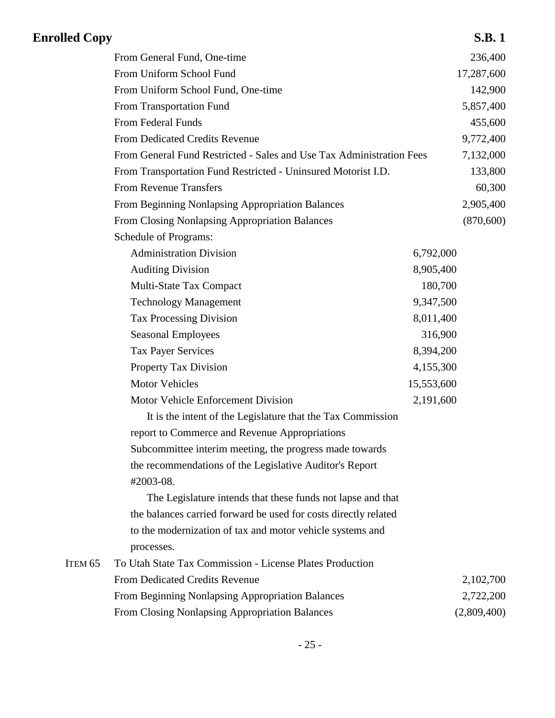| <b>Enrolled Copy</b> |                                                                      |            | <b>S.B.1</b> |
|----------------------|----------------------------------------------------------------------|------------|--------------|
|                      | From General Fund, One-time                                          |            | 236,400      |
|                      | From Uniform School Fund                                             |            | 17,287,600   |
|                      | From Uniform School Fund, One-time                                   |            | 142,900      |
|                      | From Transportation Fund                                             |            | 5,857,400    |
|                      | From Federal Funds                                                   |            | 455,600      |
|                      | <b>From Dedicated Credits Revenue</b>                                |            | 9,772,400    |
|                      | From General Fund Restricted - Sales and Use Tax Administration Fees |            | 7,132,000    |
|                      | From Transportation Fund Restricted - Uninsured Motorist I.D.        |            | 133,800      |
|                      | <b>From Revenue Transfers</b>                                        |            | 60,300       |
|                      | From Beginning Nonlapsing Appropriation Balances                     |            | 2,905,400    |
|                      | From Closing Nonlapsing Appropriation Balances                       |            | (870, 600)   |
|                      | Schedule of Programs:                                                |            |              |
|                      | <b>Administration Division</b>                                       | 6,792,000  |              |
|                      | <b>Auditing Division</b>                                             | 8,905,400  |              |
|                      | Multi-State Tax Compact                                              | 180,700    |              |
|                      | <b>Technology Management</b>                                         | 9,347,500  |              |
|                      | <b>Tax Processing Division</b>                                       | 8,011,400  |              |
|                      | <b>Seasonal Employees</b>                                            | 316,900    |              |
|                      | <b>Tax Payer Services</b>                                            | 8,394,200  |              |
|                      | Property Tax Division                                                | 4,155,300  |              |
|                      | <b>Motor Vehicles</b>                                                | 15,553,600 |              |
|                      | Motor Vehicle Enforcement Division                                   | 2,191,600  |              |
|                      | It is the intent of the Legislature that the Tax Commission          |            |              |
|                      | report to Commerce and Revenue Appropriations                        |            |              |
|                      | Subcommittee interim meeting, the progress made towards              |            |              |
|                      | the recommendations of the Legislative Auditor's Report              |            |              |
|                      | #2003-08.                                                            |            |              |
|                      | The Legislature intends that these funds not lapse and that          |            |              |
|                      | the balances carried forward be used for costs directly related      |            |              |
|                      | to the modernization of tax and motor vehicle systems and            |            |              |
|                      | processes.                                                           |            |              |
| ITEM <sub>65</sub>   | To Utah State Tax Commission - License Plates Production             |            |              |
|                      | From Dedicated Credits Revenue                                       |            | 2,102,700    |
|                      | From Beginning Nonlapsing Appropriation Balances                     |            | 2,722,200    |
|                      | From Closing Nonlapsing Appropriation Balances                       |            | (2,809,400)  |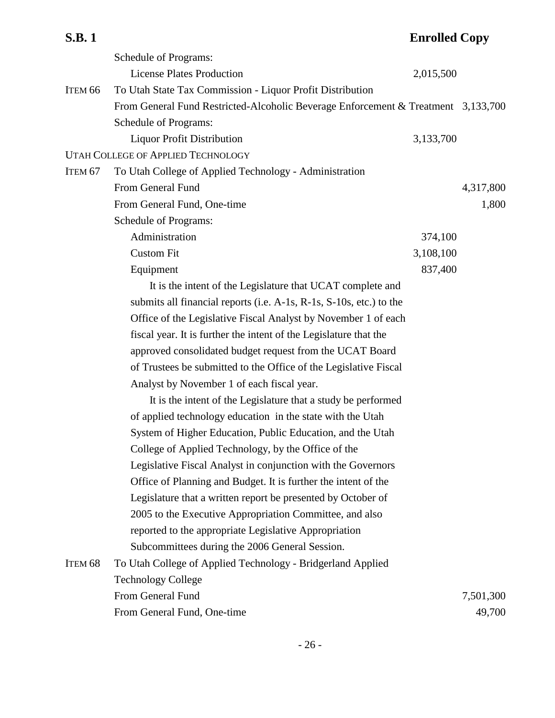## **S.B. 1 Enrolled Copy** Schedule of Programs: License Plates Production 2,015,500 ITEM 66 To Utah State Tax Commission - Liquor Profit Distribution From General Fund Restricted-Alcoholic Beverage Enforcement & Treatment 3,133,700 Schedule of Programs: Liquor Profit Distribution 3,133,700 UTAH COLLEGE OF APPLIED TECHNOLOGY ITEM 67 To Utah College of Applied Technology - Administration From General Fund 4,317,800 From General Fund, One-time 1,800 Schedule of Programs: Administration 374,100 Custom Fit 3,108,100 Equipment 837,400 It is the intent of the Legislature that UCAT complete and submits all financial reports (i.e. A-1s, R-1s, S-10s, etc.) to the Office of the Legislative Fiscal Analyst by November 1 of each fiscal year. It is further the intent of the Legislature that the approved consolidated budget request from the UCAT Board of Trustees be submitted to the Office of the Legislative Fiscal Analyst by November 1 of each fiscal year. It is the intent of the Legislature that a study be performed of applied technology education in the state with the Utah System of Higher Education, Public Education, and the Utah College of Applied Technology, by the Office of the Legislative Fiscal Analyst in conjunction with the Governors Office of Planning and Budget. It is further the intent of the Legislature that a written report be presented by October of 2005 to the Executive Appropriation Committee, and also reported to the appropriate Legislative Appropriation Subcommittees during the 2006 General Session. ITEM 68 To Utah College of Applied Technology - Bridgerland Applied Technology College From General Fund 7,501,300

From General Fund, One-time 49,700

- 26 -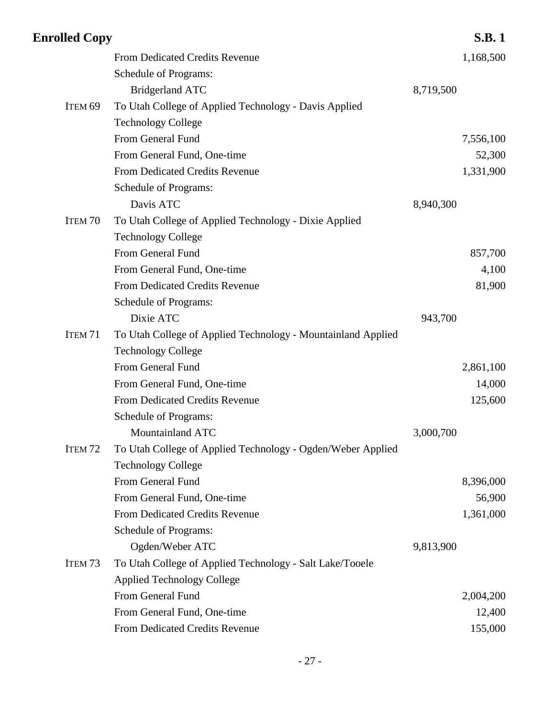| <b>From Dedicated Credits Revenue</b>                        |                      |                                                                                                                                                                                                     |
|--------------------------------------------------------------|----------------------|-----------------------------------------------------------------------------------------------------------------------------------------------------------------------------------------------------|
| Schedule of Programs:                                        |                      |                                                                                                                                                                                                     |
| <b>Bridgerland ATC</b>                                       | 8,719,500            |                                                                                                                                                                                                     |
| To Utah College of Applied Technology - Davis Applied        |                      |                                                                                                                                                                                                     |
| <b>Technology College</b>                                    |                      |                                                                                                                                                                                                     |
| From General Fund                                            |                      |                                                                                                                                                                                                     |
| From General Fund, One-time                                  |                      |                                                                                                                                                                                                     |
| <b>From Dedicated Credits Revenue</b>                        |                      |                                                                                                                                                                                                     |
| Schedule of Programs:                                        |                      |                                                                                                                                                                                                     |
| Davis ATC                                                    | 8,940,300            |                                                                                                                                                                                                     |
| To Utah College of Applied Technology - Dixie Applied        |                      |                                                                                                                                                                                                     |
| <b>Technology College</b>                                    |                      |                                                                                                                                                                                                     |
| From General Fund                                            |                      |                                                                                                                                                                                                     |
| From General Fund, One-time                                  |                      |                                                                                                                                                                                                     |
| <b>From Dedicated Credits Revenue</b>                        |                      |                                                                                                                                                                                                     |
| Schedule of Programs:                                        |                      |                                                                                                                                                                                                     |
| Dixie ATC                                                    | 943,700              |                                                                                                                                                                                                     |
| To Utah College of Applied Technology - Mountainland Applied |                      |                                                                                                                                                                                                     |
| <b>Technology College</b>                                    |                      |                                                                                                                                                                                                     |
| From General Fund                                            |                      |                                                                                                                                                                                                     |
| From General Fund, One-time                                  |                      |                                                                                                                                                                                                     |
| From Dedicated Credits Revenue                               |                      |                                                                                                                                                                                                     |
| Schedule of Programs:                                        |                      |                                                                                                                                                                                                     |
| Mountainland ATC                                             | 3,000,700            |                                                                                                                                                                                                     |
| To Utah College of Applied Technology - Ogden/Weber Applied  |                      |                                                                                                                                                                                                     |
| <b>Technology College</b>                                    |                      |                                                                                                                                                                                                     |
| From General Fund                                            |                      |                                                                                                                                                                                                     |
| From General Fund, One-time                                  |                      |                                                                                                                                                                                                     |
| From Dedicated Credits Revenue                               |                      |                                                                                                                                                                                                     |
| Schedule of Programs:                                        |                      |                                                                                                                                                                                                     |
| Ogden/Weber ATC                                              | 9,813,900            |                                                                                                                                                                                                     |
| To Utah College of Applied Technology - Salt Lake/Tooele     |                      |                                                                                                                                                                                                     |
| <b>Applied Technology College</b>                            |                      |                                                                                                                                                                                                     |
| From General Fund                                            |                      |                                                                                                                                                                                                     |
| From General Fund, One-time                                  |                      |                                                                                                                                                                                                     |
| From Dedicated Credits Revenue                               |                      |                                                                                                                                                                                                     |
|                                                              | <b>Enrolled Copy</b> | <b>S.B.1</b><br>1,168,500<br>7,556,100<br>52,300<br>1,331,900<br>857,700<br>4,100<br>81,900<br>2,861,100<br>14,000<br>125,600<br>8,396,000<br>56,900<br>1,361,000<br>2,004,200<br>12,400<br>155,000 |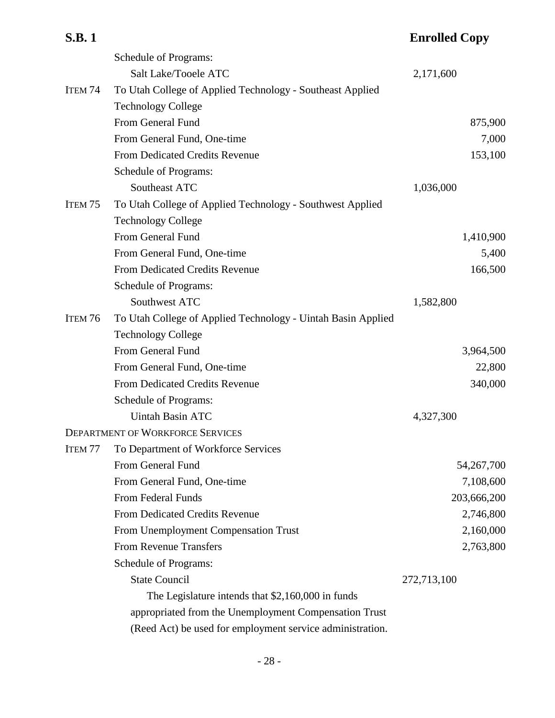| <b>S.B.1</b>       |                                                              | <b>Enrolled Copy</b> |
|--------------------|--------------------------------------------------------------|----------------------|
|                    | Schedule of Programs:                                        |                      |
|                    | Salt Lake/Tooele ATC                                         | 2,171,600            |
| ITEM <sub>74</sub> | To Utah College of Applied Technology - Southeast Applied    |                      |
|                    | <b>Technology College</b>                                    |                      |
|                    | From General Fund                                            | 875,900              |
|                    | From General Fund, One-time                                  | 7,000                |
|                    | From Dedicated Credits Revenue                               | 153,100              |
|                    | Schedule of Programs:                                        |                      |
|                    | Southeast ATC                                                | 1,036,000            |
| ITEM <sub>75</sub> | To Utah College of Applied Technology - Southwest Applied    |                      |
|                    | <b>Technology College</b>                                    |                      |
|                    | From General Fund                                            | 1,410,900            |
|                    | From General Fund, One-time                                  | 5,400                |
|                    | From Dedicated Credits Revenue                               | 166,500              |
|                    | Schedule of Programs:                                        |                      |
|                    | Southwest ATC                                                | 1,582,800            |
| ITEM 76            | To Utah College of Applied Technology - Uintah Basin Applied |                      |
|                    | <b>Technology College</b>                                    |                      |
|                    | From General Fund                                            | 3,964,500            |
|                    | From General Fund, One-time                                  | 22,800               |
|                    | From Dedicated Credits Revenue                               | 340,000              |
|                    | Schedule of Programs:                                        |                      |
|                    | <b>Uintah Basin ATC</b>                                      | 4,327,300            |
|                    | DEPARTMENT OF WORKFORCE SERVICES                             |                      |
| ITEM <sub>77</sub> | To Department of Workforce Services                          |                      |
|                    | From General Fund                                            | 54,267,700           |
|                    | From General Fund, One-time                                  | 7,108,600            |
|                    | From Federal Funds                                           | 203,666,200          |
|                    | From Dedicated Credits Revenue                               | 2,746,800            |
|                    | From Unemployment Compensation Trust                         | 2,160,000            |
|                    | <b>From Revenue Transfers</b>                                | 2,763,800            |
|                    | Schedule of Programs:                                        |                      |
|                    | <b>State Council</b>                                         | 272,713,100          |
|                    | The Legislature intends that \$2,160,000 in funds            |                      |
|                    | appropriated from the Unemployment Compensation Trust        |                      |
|                    | (Reed Act) be used for employment service administration.    |                      |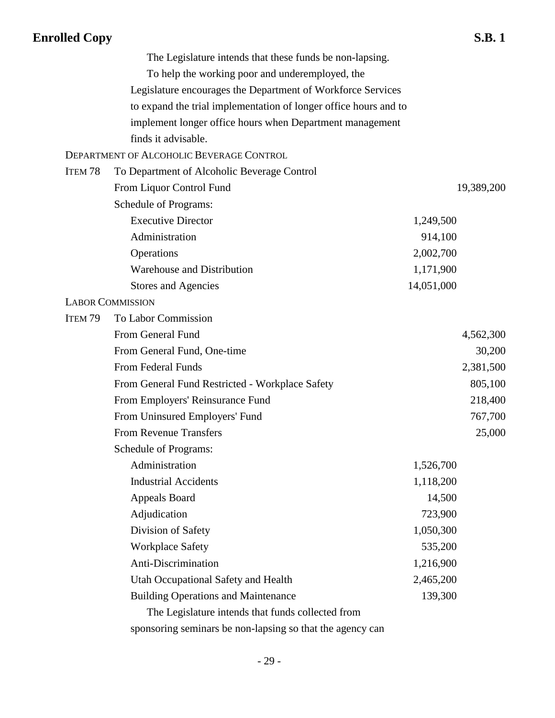|                    | The Legislature intends that these funds be non-lapsing.         |            |            |
|--------------------|------------------------------------------------------------------|------------|------------|
|                    | To help the working poor and underemployed, the                  |            |            |
|                    | Legislature encourages the Department of Workforce Services      |            |            |
|                    | to expand the trial implementation of longer office hours and to |            |            |
|                    | implement longer office hours when Department management         |            |            |
|                    | finds it advisable.                                              |            |            |
|                    | DEPARTMENT OF ALCOHOLIC BEVERAGE CONTROL                         |            |            |
| ITEM <sub>78</sub> | To Department of Alcoholic Beverage Control                      |            |            |
|                    | From Liquor Control Fund                                         |            | 19,389,200 |
|                    | Schedule of Programs:                                            |            |            |
|                    | <b>Executive Director</b>                                        | 1,249,500  |            |
|                    | Administration                                                   | 914,100    |            |
|                    | Operations                                                       | 2,002,700  |            |
|                    | Warehouse and Distribution                                       | 1,171,900  |            |
|                    | Stores and Agencies                                              | 14,051,000 |            |
|                    | <b>LABOR COMMISSION</b>                                          |            |            |
| ITEM <sub>79</sub> | To Labor Commission                                              |            |            |
|                    | From General Fund                                                |            | 4,562,300  |
|                    | From General Fund, One-time                                      |            | 30,200     |
|                    | From Federal Funds                                               |            | 2,381,500  |
|                    | From General Fund Restricted - Workplace Safety                  |            | 805,100    |
|                    | From Employers' Reinsurance Fund                                 |            | 218,400    |
|                    | From Uninsured Employers' Fund                                   |            | 767,700    |
|                    | <b>From Revenue Transfers</b>                                    |            | 25,000     |
|                    | Schedule of Programs:                                            |            |            |
|                    | Administration                                                   | 1,526,700  |            |
|                    | <b>Industrial Accidents</b>                                      | 1,118,200  |            |
|                    | <b>Appeals Board</b>                                             | 14,500     |            |
|                    | Adjudication                                                     | 723,900    |            |
|                    | Division of Safety                                               | 1,050,300  |            |
|                    | <b>Workplace Safety</b>                                          | 535,200    |            |
|                    | Anti-Discrimination                                              | 1,216,900  |            |
|                    | Utah Occupational Safety and Health                              | 2,465,200  |            |
|                    | <b>Building Operations and Maintenance</b>                       | 139,300    |            |
|                    | The Legislature intends that funds collected from                |            |            |

sponsoring seminars be non-lapsing so that the agency can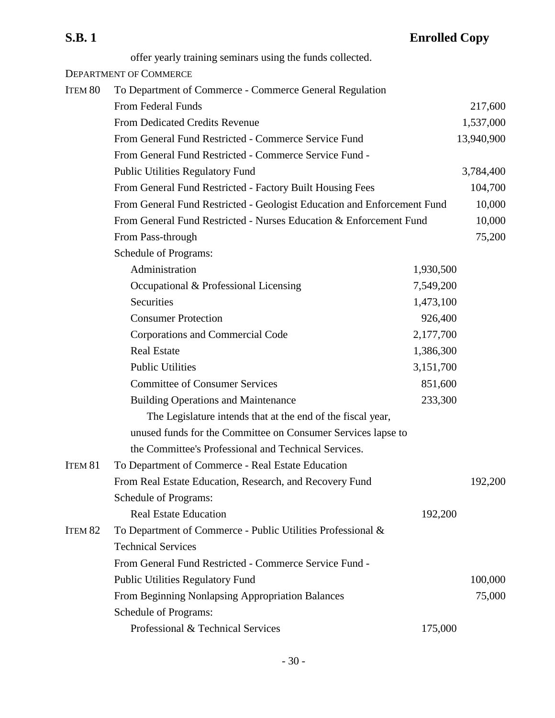| <b>S.B.1</b>       |                                                                         | <b>Enrolled Copy</b> |            |
|--------------------|-------------------------------------------------------------------------|----------------------|------------|
|                    | offer yearly training seminars using the funds collected.               |                      |            |
|                    | <b>DEPARTMENT OF COMMERCE</b>                                           |                      |            |
| ITEM 80            | To Department of Commerce - Commerce General Regulation                 |                      |            |
|                    | <b>From Federal Funds</b>                                               |                      | 217,600    |
|                    | <b>From Dedicated Credits Revenue</b>                                   |                      | 1,537,000  |
|                    | From General Fund Restricted - Commerce Service Fund                    |                      | 13,940,900 |
|                    | From General Fund Restricted - Commerce Service Fund -                  |                      |            |
|                    | <b>Public Utilities Regulatory Fund</b>                                 |                      | 3,784,400  |
|                    | From General Fund Restricted - Factory Built Housing Fees               |                      | 104,700    |
|                    | From General Fund Restricted - Geologist Education and Enforcement Fund |                      | 10,000     |
|                    | From General Fund Restricted - Nurses Education & Enforcement Fund      |                      | 10,000     |
|                    | From Pass-through                                                       |                      | 75,200     |
|                    | Schedule of Programs:                                                   |                      |            |
|                    | Administration                                                          | 1,930,500            |            |
|                    | Occupational & Professional Licensing                                   | 7,549,200            |            |
|                    | Securities                                                              | 1,473,100            |            |
|                    | <b>Consumer Protection</b>                                              | 926,400              |            |
|                    | Corporations and Commercial Code                                        | 2,177,700            |            |
|                    | <b>Real Estate</b>                                                      | 1,386,300            |            |
|                    | <b>Public Utilities</b>                                                 | 3,151,700            |            |
|                    | <b>Committee of Consumer Services</b>                                   | 851,600              |            |
|                    | <b>Building Operations and Maintenance</b>                              | 233,300              |            |
|                    | The Legislature intends that at the end of the fiscal year,             |                      |            |
|                    | unused funds for the Committee on Consumer Services lapse to            |                      |            |
|                    | the Committee's Professional and Technical Services.                    |                      |            |
| ITEM <sub>81</sub> | To Department of Commerce - Real Estate Education                       |                      |            |
|                    | From Real Estate Education, Research, and Recovery Fund                 |                      | 192,200    |
|                    | Schedule of Programs:                                                   |                      |            |
|                    | <b>Real Estate Education</b>                                            | 192,200              |            |
| ITEM <sub>82</sub> | To Department of Commerce - Public Utilities Professional &             |                      |            |
|                    | <b>Technical Services</b>                                               |                      |            |
|                    | From General Fund Restricted - Commerce Service Fund -                  |                      |            |
|                    | <b>Public Utilities Regulatory Fund</b>                                 |                      | 100,000    |
|                    | From Beginning Nonlapsing Appropriation Balances                        |                      | 75,000     |
|                    | Schedule of Programs:                                                   |                      |            |
|                    | Professional & Technical Services                                       | 175,000              |            |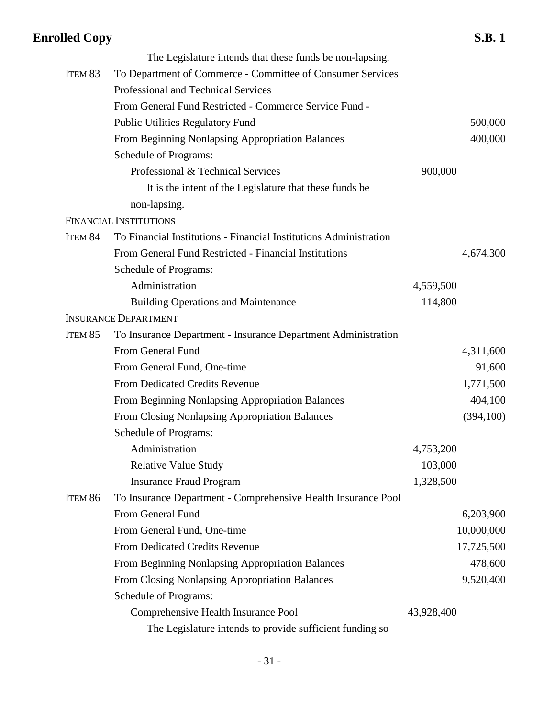|         | The Legislature intends that these funds be non-lapsing.          |            |            |
|---------|-------------------------------------------------------------------|------------|------------|
| ITEM 83 | To Department of Commerce - Committee of Consumer Services        |            |            |
|         | Professional and Technical Services                               |            |            |
|         | From General Fund Restricted - Commerce Service Fund -            |            |            |
|         | <b>Public Utilities Regulatory Fund</b>                           |            | 500,000    |
|         | From Beginning Nonlapsing Appropriation Balances                  |            | 400,000    |
|         | Schedule of Programs:                                             |            |            |
|         | Professional & Technical Services                                 | 900,000    |            |
|         | It is the intent of the Legislature that these funds be           |            |            |
|         | non-lapsing.                                                      |            |            |
|         | <b>FINANCIAL INSTITUTIONS</b>                                     |            |            |
| ITEM 84 | To Financial Institutions - Financial Institutions Administration |            |            |
|         | From General Fund Restricted - Financial Institutions             |            | 4,674,300  |
|         | Schedule of Programs:                                             |            |            |
|         | Administration                                                    | 4,559,500  |            |
|         | <b>Building Operations and Maintenance</b>                        | 114,800    |            |
|         | <b>INSURANCE DEPARTMENT</b>                                       |            |            |
| ITEM 85 | To Insurance Department - Insurance Department Administration     |            |            |
|         | From General Fund                                                 |            | 4,311,600  |
|         | From General Fund, One-time                                       |            | 91,600     |
|         | <b>From Dedicated Credits Revenue</b>                             |            | 1,771,500  |
|         | From Beginning Nonlapsing Appropriation Balances                  |            | 404,100    |
|         | From Closing Nonlapsing Appropriation Balances                    |            | (394, 100) |
|         | Schedule of Programs:                                             |            |            |
|         | Administration                                                    | 4,753,200  |            |
|         | <b>Relative Value Study</b>                                       | 103,000    |            |
|         | <b>Insurance Fraud Program</b>                                    | 1,328,500  |            |
| ITEM 86 | To Insurance Department - Comprehensive Health Insurance Pool     |            |            |
|         | From General Fund                                                 |            | 6,203,900  |
|         | From General Fund, One-time                                       |            | 10,000,000 |
|         | From Dedicated Credits Revenue                                    |            | 17,725,500 |
|         | From Beginning Nonlapsing Appropriation Balances                  |            | 478,600    |
|         | From Closing Nonlapsing Appropriation Balances                    |            | 9,520,400  |
|         | <b>Schedule of Programs:</b>                                      |            |            |
|         | Comprehensive Health Insurance Pool                               | 43,928,400 |            |
|         | The Legislature intends to provide sufficient funding so          |            |            |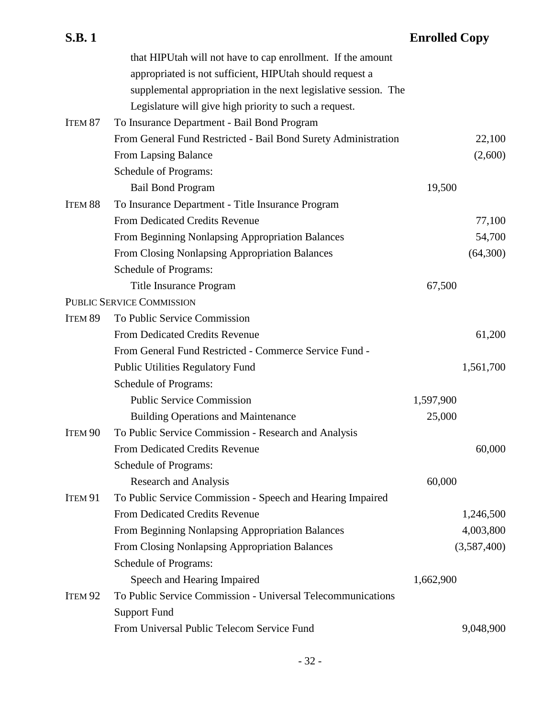| <b>S.B.1</b>       |                                                                 | <b>Enrolled Copy</b> |             |
|--------------------|-----------------------------------------------------------------|----------------------|-------------|
|                    | that HIPUtah will not have to cap enrollment. If the amount     |                      |             |
|                    | appropriated is not sufficient, HIPUtah should request a        |                      |             |
|                    | supplemental appropriation in the next legislative session. The |                      |             |
|                    | Legislature will give high priority to such a request.          |                      |             |
| ITEM <sub>87</sub> | To Insurance Department - Bail Bond Program                     |                      |             |
|                    | From General Fund Restricted - Bail Bond Surety Administration  |                      | 22,100      |
|                    | From Lapsing Balance                                            |                      | (2,600)     |
|                    | Schedule of Programs:                                           |                      |             |
|                    | <b>Bail Bond Program</b>                                        | 19,500               |             |
| ITEM 88            | To Insurance Department - Title Insurance Program               |                      |             |
|                    | <b>From Dedicated Credits Revenue</b>                           |                      | 77,100      |
|                    | From Beginning Nonlapsing Appropriation Balances                |                      | 54,700      |
|                    | From Closing Nonlapsing Appropriation Balances                  |                      | (64,300)    |
|                    | Schedule of Programs:                                           |                      |             |
|                    | Title Insurance Program                                         | 67,500               |             |
|                    | <b>PUBLIC SERVICE COMMISSION</b>                                |                      |             |
| ITEM <sub>89</sub> | To Public Service Commission                                    |                      |             |
|                    | From Dedicated Credits Revenue                                  |                      | 61,200      |
|                    | From General Fund Restricted - Commerce Service Fund -          |                      |             |
|                    | <b>Public Utilities Regulatory Fund</b>                         |                      | 1,561,700   |
|                    | Schedule of Programs:                                           |                      |             |
|                    | <b>Public Service Commission</b>                                | 1,597,900            |             |
|                    | <b>Building Operations and Maintenance</b>                      | 25,000               |             |
| ITEM <sub>90</sub> | To Public Service Commission - Research and Analysis            |                      |             |
|                    | From Dedicated Credits Revenue                                  |                      | 60,000      |
|                    | Schedule of Programs:                                           |                      |             |
|                    | <b>Research and Analysis</b>                                    | 60,000               |             |
| ITEM 91            | To Public Service Commission - Speech and Hearing Impaired      |                      |             |
|                    | From Dedicated Credits Revenue                                  |                      | 1,246,500   |
|                    | From Beginning Nonlapsing Appropriation Balances                |                      | 4,003,800   |
|                    | From Closing Nonlapsing Appropriation Balances                  |                      | (3,587,400) |
|                    | Schedule of Programs:                                           |                      |             |
|                    | Speech and Hearing Impaired                                     | 1,662,900            |             |
| ITEM <sub>92</sub> | To Public Service Commission - Universal Telecommunications     |                      |             |
|                    | <b>Support Fund</b>                                             |                      |             |
|                    | From Universal Public Telecom Service Fund                      |                      | 9,048,900   |

## - 32 -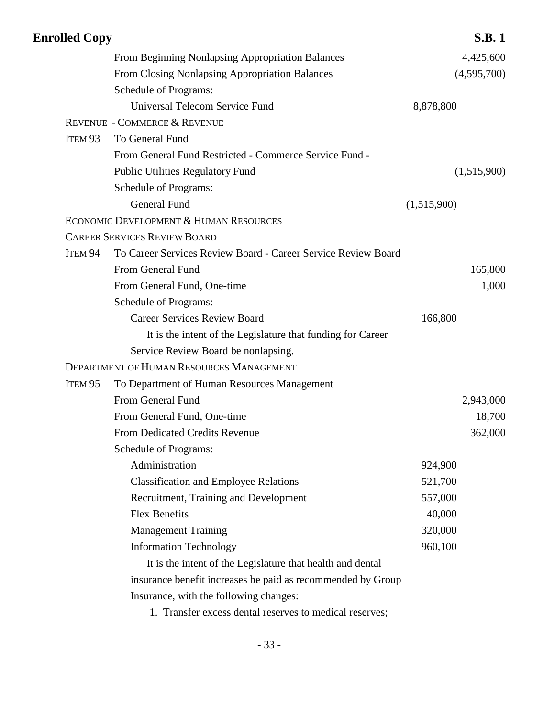| <b>Enrolled Copy</b> |                                                               | <b>S.B.1</b> |  |
|----------------------|---------------------------------------------------------------|--------------|--|
|                      | From Beginning Nonlapsing Appropriation Balances              | 4,425,600    |  |
|                      | From Closing Nonlapsing Appropriation Balances                | (4,595,700)  |  |
|                      | <b>Schedule of Programs:</b>                                  |              |  |
|                      | <b>Universal Telecom Service Fund</b>                         | 8,878,800    |  |
|                      | REVENUE - COMMERCE & REVENUE                                  |              |  |
| ITEM <sub>93</sub>   | To General Fund                                               |              |  |
|                      | From General Fund Restricted - Commerce Service Fund -        |              |  |
|                      | <b>Public Utilities Regulatory Fund</b>                       | (1,515,900)  |  |
|                      | Schedule of Programs:                                         |              |  |
|                      | <b>General Fund</b>                                           | (1,515,900)  |  |
|                      | ECONOMIC DEVELOPMENT & HUMAN RESOURCES                        |              |  |
|                      | <b>CAREER SERVICES REVIEW BOARD</b>                           |              |  |
| ITEM 94              | To Career Services Review Board - Career Service Review Board |              |  |
|                      | From General Fund                                             | 165,800      |  |
|                      | From General Fund, One-time                                   | 1,000        |  |
|                      | <b>Schedule of Programs:</b>                                  |              |  |
|                      | <b>Career Services Review Board</b>                           | 166,800      |  |
|                      | It is the intent of the Legislature that funding for Career   |              |  |
|                      | Service Review Board be nonlapsing.                           |              |  |
|                      | <b>DEPARTMENT OF HUMAN RESOURCES MANAGEMENT</b>               |              |  |
| ITEM <sub>95</sub>   | To Department of Human Resources Management                   |              |  |
|                      | From General Fund                                             | 2,943,000    |  |
|                      | From General Fund, One-time                                   | 18,700       |  |
|                      | <b>From Dedicated Credits Revenue</b>                         | 362,000      |  |
|                      | Schedule of Programs:                                         |              |  |
|                      | Administration                                                | 924,900      |  |
|                      | <b>Classification and Employee Relations</b>                  | 521,700      |  |
|                      | Recruitment, Training and Development                         | 557,000      |  |
|                      | <b>Flex Benefits</b>                                          | 40,000       |  |
|                      | <b>Management Training</b>                                    | 320,000      |  |
|                      | <b>Information Technology</b>                                 | 960,100      |  |
|                      | It is the intent of the Legislature that health and dental    |              |  |
|                      | insurance benefit increases be paid as recommended by Group   |              |  |
|                      | Insurance, with the following changes:                        |              |  |
|                      |                                                               |              |  |

1. Transfer excess dental reserves to medical reserves;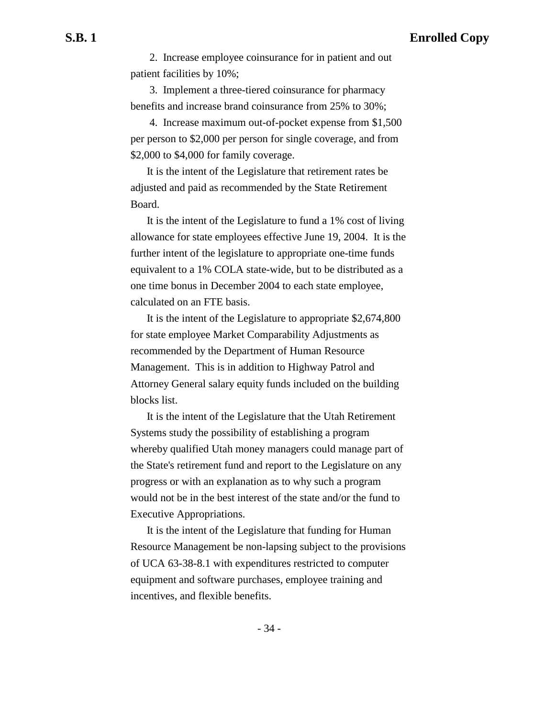2. Increase employee coinsurance for in patient and out patient facilities by 10%;

 3. Implement a three-tiered coinsurance for pharmacy benefits and increase brand coinsurance from 25% to 30%;

 4. Increase maximum out-of-pocket expense from \$1,500 per person to \$2,000 per person for single coverage, and from \$2,000 to \$4,000 for family coverage.

It is the intent of the Legislature that retirement rates be adjusted and paid as recommended by the State Retirement Board.

It is the intent of the Legislature to fund a 1% cost of living allowance for state employees effective June 19, 2004. It is the further intent of the legislature to appropriate one-time funds equivalent to a 1% COLA state-wide, but to be distributed as a one time bonus in December 2004 to each state employee, calculated on an FTE basis.

It is the intent of the Legislature to appropriate \$2,674,800 for state employee Market Comparability Adjustments as recommended by the Department of Human Resource Management. This is in addition to Highway Patrol and Attorney General salary equity funds included on the building blocks list.

It is the intent of the Legislature that the Utah Retirement Systems study the possibility of establishing a program whereby qualified Utah money managers could manage part of the State's retirement fund and report to the Legislature on any progress or with an explanation as to why such a program would not be in the best interest of the state and/or the fund to Executive Appropriations.

It is the intent of the Legislature that funding for Human Resource Management be non-lapsing subject to the provisions of UCA 63-38-8.1 with expenditures restricted to computer equipment and software purchases, employee training and incentives, and flexible benefits.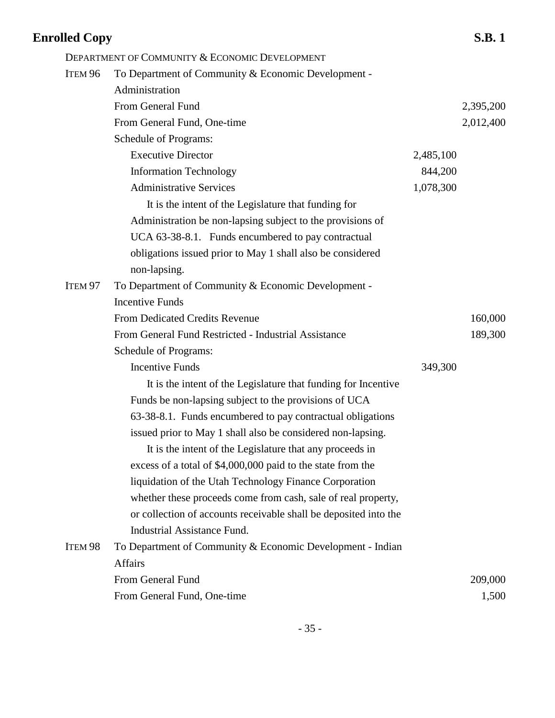| <b>Enrolled Copy</b>                                             |           | <b>S.B.1</b> |
|------------------------------------------------------------------|-----------|--------------|
| DEPARTMENT OF COMMUNITY & ECONOMIC DEVELOPMENT                   |           |              |
| To Department of Community & Economic Development -              |           |              |
| Administration                                                   |           |              |
| From General Fund                                                |           | 2,395,200    |
| From General Fund, One-time                                      |           | 2,012,400    |
| Schedule of Programs:                                            |           |              |
| <b>Executive Director</b>                                        | 2,485,100 |              |
| <b>Information Technology</b>                                    | 844,200   |              |
| <b>Administrative Services</b>                                   | 1,078,300 |              |
| It is the intent of the Legislature that funding for             |           |              |
| Administration be non-lapsing subject to the provisions of       |           |              |
| UCA 63-38-8.1. Funds encumbered to pay contractual               |           |              |
| obligations issued prior to May 1 shall also be considered       |           |              |
| non-lapsing.                                                     |           |              |
| To Department of Community & Economic Development -              |           |              |
| <b>Incentive Funds</b>                                           |           |              |
| <b>From Dedicated Credits Revenue</b>                            |           | 160,000      |
| From General Fund Restricted - Industrial Assistance             |           | 189,300      |
| Schedule of Programs:                                            |           |              |
| <b>Incentive Funds</b>                                           | 349,300   |              |
| It is the intent of the Legislature that funding for Incentive   |           |              |
| Funds be non-lapsing subject to the provisions of UCA            |           |              |
| 63-38-8.1. Funds encumbered to pay contractual obligations       |           |              |
| issued prior to May 1 shall also be considered non-lapsing.      |           |              |
| It is the intent of the Legislature that any proceeds in         |           |              |
| excess of a total of \$4,000,000 paid to the state from the      |           |              |
| liquidation of the Utah Technology Finance Corporation           |           |              |
| whether these proceeds come from cash, sale of real property,    |           |              |
| or collection of accounts receivable shall be deposited into the |           |              |
| <b>Industrial Assistance Fund.</b>                               |           |              |
| To Department of Community & Economic Development - Indian       |           |              |
| <b>Affairs</b>                                                   |           |              |
| From General Fund                                                |           | 209,000      |
| From General Fund, One-time                                      |           | 1,500        |
|                                                                  |           |              |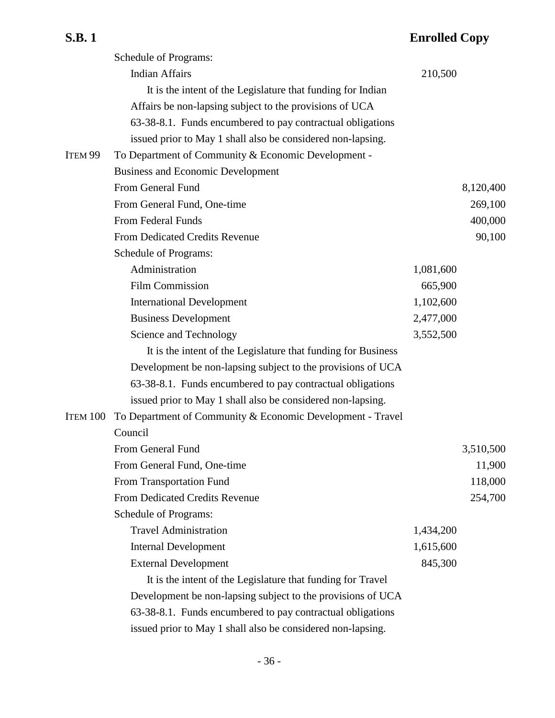|                    | Schedule of Programs:                                         |           |           |
|--------------------|---------------------------------------------------------------|-----------|-----------|
|                    | <b>Indian Affairs</b>                                         | 210,500   |           |
|                    | It is the intent of the Legislature that funding for Indian   |           |           |
|                    | Affairs be non-lapsing subject to the provisions of UCA       |           |           |
|                    | 63-38-8.1. Funds encumbered to pay contractual obligations    |           |           |
|                    | issued prior to May 1 shall also be considered non-lapsing.   |           |           |
| ITEM <sub>99</sub> | To Department of Community & Economic Development -           |           |           |
|                    | <b>Business and Economic Development</b>                      |           |           |
|                    | From General Fund                                             |           | 8,120,400 |
|                    | From General Fund, One-time                                   |           | 269,100   |
|                    | From Federal Funds                                            |           | 400,000   |
|                    | <b>From Dedicated Credits Revenue</b>                         |           | 90,100    |
|                    | Schedule of Programs:                                         |           |           |
|                    | Administration                                                | 1,081,600 |           |
|                    | <b>Film Commission</b>                                        | 665,900   |           |
|                    | <b>International Development</b>                              | 1,102,600 |           |
|                    | <b>Business Development</b>                                   | 2,477,000 |           |
|                    | Science and Technology                                        | 3,552,500 |           |
|                    | It is the intent of the Legislature that funding for Business |           |           |
|                    | Development be non-lapsing subject to the provisions of UCA   |           |           |
|                    | 63-38-8.1. Funds encumbered to pay contractual obligations    |           |           |
|                    | issued prior to May 1 shall also be considered non-lapsing.   |           |           |
| ITEM 100           | To Department of Community & Economic Development - Travel    |           |           |
|                    | Council                                                       |           |           |
|                    | From General Fund                                             |           | 3,510,500 |
|                    | From General Fund, One-time                                   |           | 11,900    |
|                    | From Transportation Fund                                      |           | 118,000   |
|                    | From Dedicated Credits Revenue                                |           | 254,700   |
|                    | Schedule of Programs:                                         |           |           |
|                    | <b>Travel Administration</b>                                  | 1,434,200 |           |
|                    | <b>Internal Development</b>                                   | 1,615,600 |           |
|                    | <b>External Development</b>                                   | 845,300   |           |
|                    | It is the intent of the Legislature that funding for Travel   |           |           |
|                    | Development be non-lapsing subject to the provisions of UCA   |           |           |
|                    | 63-38-8.1. Funds encumbered to pay contractual obligations    |           |           |
|                    | issued prior to May 1 shall also be considered non-lapsing.   |           |           |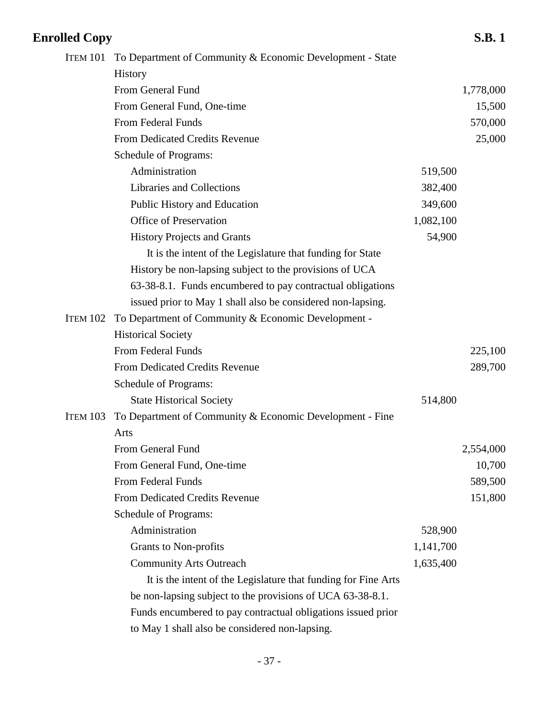| <b>Enrolled Copy</b> |                                                                |           | <b>S.B.1</b> |
|----------------------|----------------------------------------------------------------|-----------|--------------|
| ITEM 101             | To Department of Community & Economic Development - State      |           |              |
|                      | <b>History</b>                                                 |           |              |
|                      | From General Fund                                              |           | 1,778,000    |
|                      | From General Fund, One-time                                    |           | 15,500       |
|                      | From Federal Funds                                             |           | 570,000      |
|                      | From Dedicated Credits Revenue                                 |           | 25,000       |
|                      | Schedule of Programs:                                          |           |              |
|                      | Administration                                                 | 519,500   |              |
|                      | Libraries and Collections                                      | 382,400   |              |
|                      | Public History and Education                                   | 349,600   |              |
|                      | <b>Office of Preservation</b>                                  | 1,082,100 |              |
|                      | <b>History Projects and Grants</b>                             | 54,900    |              |
|                      | It is the intent of the Legislature that funding for State     |           |              |
|                      | History be non-lapsing subject to the provisions of UCA        |           |              |
|                      | 63-38-8.1. Funds encumbered to pay contractual obligations     |           |              |
|                      | issued prior to May 1 shall also be considered non-lapsing.    |           |              |
| ITEM 102             | To Department of Community & Economic Development -            |           |              |
|                      | <b>Historical Society</b>                                      |           |              |
|                      | From Federal Funds                                             |           | 225,100      |
|                      | From Dedicated Credits Revenue                                 |           | 289,700      |
|                      | <b>Schedule of Programs:</b>                                   |           |              |
|                      | <b>State Historical Society</b>                                | 514,800   |              |
| <b>ITEM 103</b>      | To Department of Community & Economic Development - Fine       |           |              |
|                      | Arts                                                           |           |              |
|                      | From General Fund                                              |           | 2,554,000    |
|                      | From General Fund, One-time                                    |           | 10,700       |
|                      | From Federal Funds                                             |           | 589,500      |
|                      | From Dedicated Credits Revenue                                 |           | 151,800      |
|                      | Schedule of Programs:                                          |           |              |
|                      | Administration                                                 | 528,900   |              |
|                      | Grants to Non-profits                                          | 1,141,700 |              |
|                      | <b>Community Arts Outreach</b>                                 | 1,635,400 |              |
|                      | It is the intent of the Legislature that funding for Fine Arts |           |              |
|                      | be non-lapsing subject to the provisions of UCA 63-38-8.1.     |           |              |
|                      | Funds encumbered to pay contractual obligations issued prior   |           |              |
|                      | to May 1 shall also be considered non-lapsing.                 |           |              |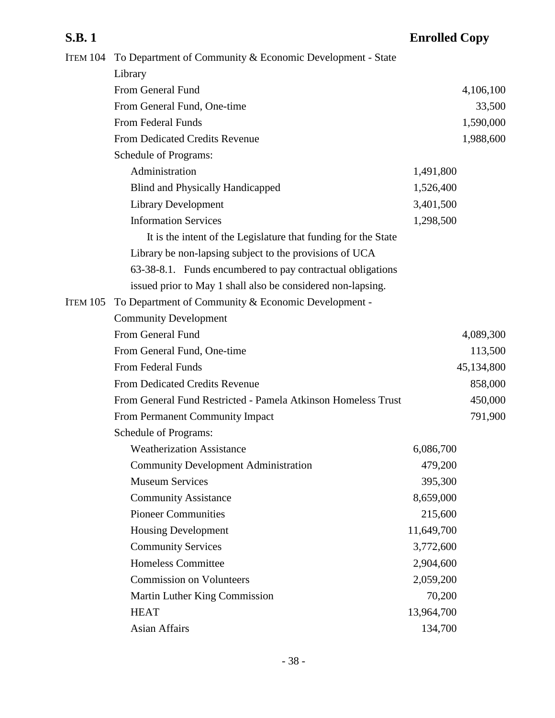|                 | ITEM 104 To Department of Community & Economic Development - State |            |            |
|-----------------|--------------------------------------------------------------------|------------|------------|
|                 | Library                                                            |            |            |
|                 | From General Fund                                                  |            | 4,106,100  |
|                 | From General Fund, One-time                                        |            | 33,500     |
|                 | From Federal Funds                                                 |            | 1,590,000  |
|                 | From Dedicated Credits Revenue                                     |            | 1,988,600  |
|                 | Schedule of Programs:                                              |            |            |
|                 | Administration                                                     | 1,491,800  |            |
|                 | <b>Blind and Physically Handicapped</b>                            | 1,526,400  |            |
|                 | <b>Library Development</b>                                         | 3,401,500  |            |
|                 | <b>Information Services</b>                                        | 1,298,500  |            |
|                 | It is the intent of the Legislature that funding for the State     |            |            |
|                 | Library be non-lapsing subject to the provisions of UCA            |            |            |
|                 | 63-38-8.1. Funds encumbered to pay contractual obligations         |            |            |
|                 | issued prior to May 1 shall also be considered non-lapsing.        |            |            |
| <b>ITEM 105</b> | To Department of Community & Economic Development -                |            |            |
|                 | <b>Community Development</b>                                       |            |            |
|                 | From General Fund                                                  |            | 4,089,300  |
|                 | From General Fund, One-time                                        |            | 113,500    |
|                 | From Federal Funds                                                 |            | 45,134,800 |
|                 | <b>From Dedicated Credits Revenue</b>                              |            | 858,000    |
|                 | From General Fund Restricted - Pamela Atkinson Homeless Trust      |            | 450,000    |
|                 | From Permanent Community Impact                                    |            | 791,900    |
|                 | Schedule of Programs:                                              |            |            |
|                 | <b>Weatherization Assistance</b>                                   | 6,086,700  |            |
|                 | <b>Community Development Administration</b>                        | 479,200    |            |
|                 | <b>Museum Services</b>                                             | 395,300    |            |
|                 | <b>Community Assistance</b>                                        | 8,659,000  |            |
|                 | <b>Pioneer Communities</b>                                         | 215,600    |            |
|                 | <b>Housing Development</b>                                         | 11,649,700 |            |
|                 | <b>Community Services</b>                                          | 3,772,600  |            |
|                 | <b>Homeless Committee</b>                                          | 2,904,600  |            |
|                 | <b>Commission on Volunteers</b>                                    | 2,059,200  |            |
|                 | Martin Luther King Commission                                      | 70,200     |            |
|                 | <b>HEAT</b>                                                        | 13,964,700 |            |
|                 | <b>Asian Affairs</b>                                               | 134,700    |            |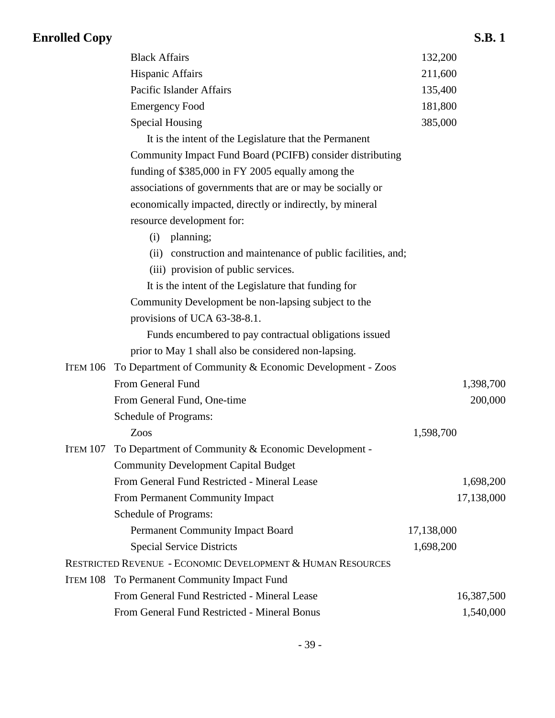## Black Affairs 132,200 Hispanic Affairs 211,600 Pacific Islander Affairs 135,400 Emergency Food 181,800 Special Housing 385,000 It is the intent of the Legislature that the Permanent Community Impact Fund Board (PCIFB) consider distributing funding of \$385,000 in FY 2005 equally among the associations of governments that are or may be socially or economically impacted, directly or indirectly, by mineral resource development for: (i) planning; (ii) construction and maintenance of public facilities, and; (iii) provision of public services. It is the intent of the Legislature that funding for Community Development be non-lapsing subject to the provisions of UCA 63-38-8.1. Funds encumbered to pay contractual obligations issued prior to May 1 shall also be considered non-lapsing. ITEM 106 To Department of Community & Economic Development - Zoos From General Fund 1,398,700 From General Fund, One-time 200,000 Schedule of Programs: Zoos 1,598,700 ITEM 107 To Department of Community & Economic Development - Community Development Capital Budget From General Fund Restricted - Mineral Lease 1,698,200 From Permanent Community Impact 17,138,000 Schedule of Programs: Permanent Community Impact Board 17,138,000

| <b>Special Service Districts</b>                            | 1,698,200 |
|-------------------------------------------------------------|-----------|
| Restricted Revenue - Economic Development & Human Resources |           |
| <b>ITEM 108</b> To Permanent Community Impact Fund          |           |
| From General Fund Restricted - Mineral Lease                |           |
|                                                             |           |

From General Fund Restricted - Mineral Bonus 1,540,000

16,387,500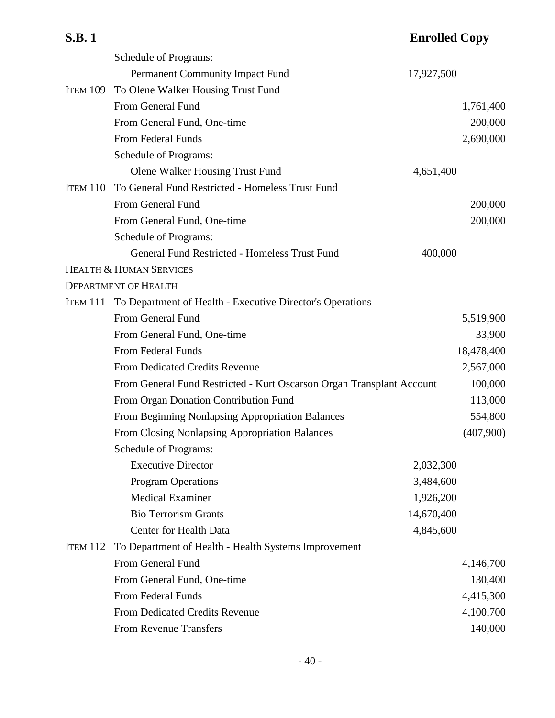## **S.B. 1 Enrolled Copy** Schedule of Programs: Permanent Community Impact Fund 17,927,500 ITEM 109 To Olene Walker Housing Trust Fund From General Fund 1,761,400 From General Fund, One-time 200,000 From Federal Funds 2,690,000 Schedule of Programs: Olene Walker Housing Trust Fund 4,651,400 ITEM 110 To General Fund Restricted - Homeless Trust Fund From General Fund 200,000 From General Fund, One-time 200,000 Schedule of Programs: General Fund Restricted - Homeless Trust Fund 400,000 HEALTH & HUMAN SERVICES DEPARTMENT OF HEALTH ITEM 111 To Department of Health - Executive Director's Operations From General Fund 5,519,900 From General Fund, One-time 33,900 From Federal Funds 18,478,400

| From General Fund Restricted - Kurt Oscarson Organ Transplant Account |            | 100,000   |
|-----------------------------------------------------------------------|------------|-----------|
| From Organ Donation Contribution Fund                                 |            | 113,000   |
| From Beginning Nonlapsing Appropriation Balances                      |            | 554,800   |
| From Closing Nonlapsing Appropriation Balances                        |            | (407,900) |
| <b>Schedule of Programs:</b>                                          |            |           |
| <b>Executive Director</b>                                             | 2,032,300  |           |
| <b>Program Operations</b>                                             | 3,484,600  |           |
| <b>Medical Examiner</b>                                               | 1,926,200  |           |
| <b>Bio Terrorism Grants</b>                                           | 14,670,400 |           |
| Center for Health Data                                                | 4,845,600  |           |
| ITEM 112 To Department of Health - Health Systems Improvement         |            |           |
| From General Fund                                                     |            | 4,146,700 |
| From General Fund, One-time                                           |            | 130,400   |
| From Federal Funds                                                    |            | 4,415,300 |
| <b>From Dedicated Credits Revenue</b>                                 |            | 4,100,700 |
| <b>From Revenue Transfers</b>                                         |            | 140,000   |

From Dedicated Credits Revenue 2,567,000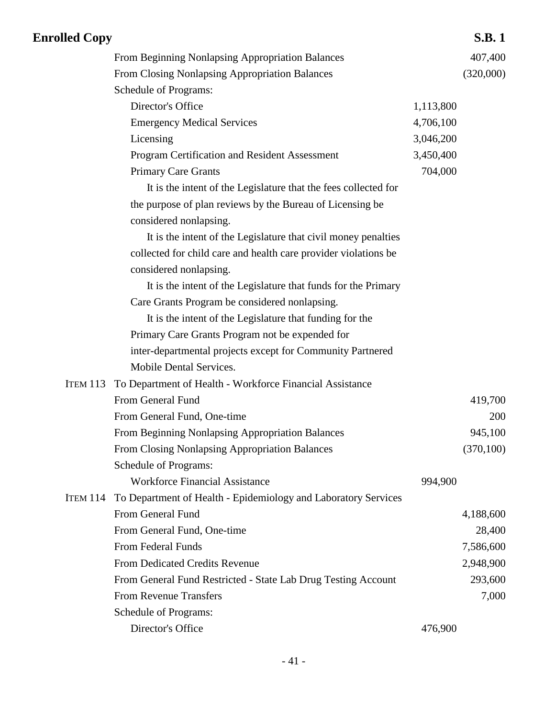| <b>Enrolled Copy</b> |                                                                 |           | <b>S.B.1</b> |
|----------------------|-----------------------------------------------------------------|-----------|--------------|
|                      | From Beginning Nonlapsing Appropriation Balances                |           | 407,400      |
|                      | From Closing Nonlapsing Appropriation Balances                  |           | (320,000)    |
|                      | Schedule of Programs:                                           |           |              |
|                      | Director's Office                                               | 1,113,800 |              |
|                      | <b>Emergency Medical Services</b>                               | 4,706,100 |              |
|                      | Licensing                                                       | 3,046,200 |              |
|                      | Program Certification and Resident Assessment                   | 3,450,400 |              |
|                      | <b>Primary Care Grants</b>                                      | 704,000   |              |
|                      | It is the intent of the Legislature that the fees collected for |           |              |
|                      | the purpose of plan reviews by the Bureau of Licensing be       |           |              |
|                      | considered nonlapsing.                                          |           |              |
|                      | It is the intent of the Legislature that civil money penalties  |           |              |
|                      | collected for child care and health care provider violations be |           |              |
|                      | considered nonlapsing.                                          |           |              |
|                      | It is the intent of the Legislature that funds for the Primary  |           |              |
|                      | Care Grants Program be considered nonlapsing.                   |           |              |
|                      | It is the intent of the Legislature that funding for the        |           |              |
|                      | Primary Care Grants Program not be expended for                 |           |              |
|                      | inter-departmental projects except for Community Partnered      |           |              |
|                      | Mobile Dental Services.                                         |           |              |
| <b>ITEM 113</b>      | To Department of Health - Workforce Financial Assistance        |           |              |
|                      | From General Fund                                               |           | 419,700      |
|                      | From General Fund, One-time                                     |           | 200          |
|                      | From Beginning Nonlapsing Appropriation Balances                |           | 945,100      |
|                      | From Closing Nonlapsing Appropriation Balances                  |           | (370, 100)   |
|                      | Schedule of Programs:                                           |           |              |
|                      | <b>Workforce Financial Assistance</b>                           | 994,900   |              |
| <b>ITEM 114</b>      | To Department of Health - Epidemiology and Laboratory Services  |           |              |
|                      | From General Fund                                               |           | 4,188,600    |
|                      | From General Fund, One-time                                     |           | 28,400       |
|                      | From Federal Funds                                              |           | 7,586,600    |
|                      | <b>From Dedicated Credits Revenue</b>                           |           | 2,948,900    |
|                      | From General Fund Restricted - State Lab Drug Testing Account   |           | 293,600      |
|                      | <b>From Revenue Transfers</b>                                   |           | 7,000        |
|                      | Schedule of Programs:                                           |           |              |
|                      | Director's Office                                               | 476,900   |              |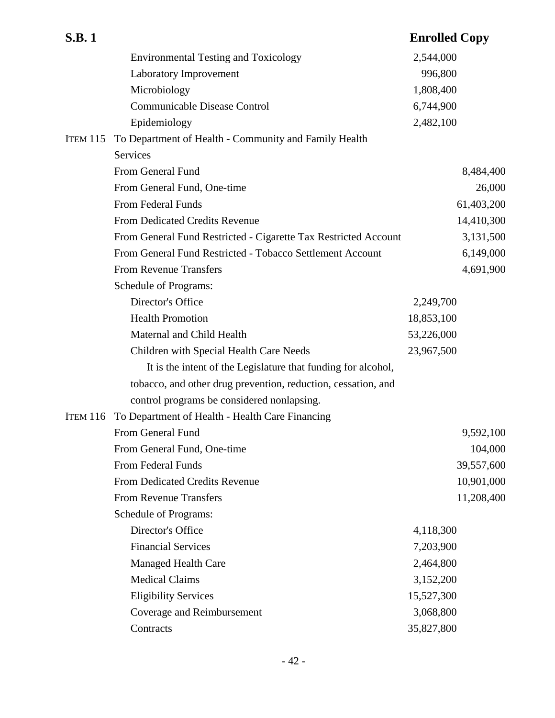| <b>S.B.1</b>    |                                                                 | <b>Enrolled Copy</b> |
|-----------------|-----------------------------------------------------------------|----------------------|
|                 | <b>Environmental Testing and Toxicology</b>                     | 2,544,000            |
|                 | Laboratory Improvement                                          | 996,800              |
|                 | Microbiology                                                    | 1,808,400            |
|                 | <b>Communicable Disease Control</b>                             | 6,744,900            |
|                 | Epidemiology                                                    | 2,482,100            |
| <b>ITEM 115</b> | To Department of Health - Community and Family Health           |                      |
|                 | Services                                                        |                      |
|                 | From General Fund                                               | 8,484,400            |
|                 | From General Fund, One-time                                     | 26,000               |
|                 | From Federal Funds                                              | 61,403,200           |
|                 | <b>From Dedicated Credits Revenue</b>                           | 14,410,300           |
|                 | From General Fund Restricted - Cigarette Tax Restricted Account | 3,131,500            |
|                 | From General Fund Restricted - Tobacco Settlement Account       | 6,149,000            |
|                 | <b>From Revenue Transfers</b>                                   | 4,691,900            |
|                 | <b>Schedule of Programs:</b>                                    |                      |
|                 | Director's Office                                               | 2,249,700            |
|                 | <b>Health Promotion</b>                                         | 18,853,100           |
|                 | Maternal and Child Health                                       | 53,226,000           |
|                 | Children with Special Health Care Needs                         | 23,967,500           |
|                 | It is the intent of the Legislature that funding for alcohol,   |                      |
|                 | tobacco, and other drug prevention, reduction, cessation, and   |                      |
|                 | control programs be considered nonlapsing.                      |                      |
| <b>ITEM 116</b> | To Department of Health - Health Care Financing                 |                      |
|                 | From General Fund                                               | 9,592,100            |
|                 | From General Fund, One-time                                     | 104,000              |
|                 | From Federal Funds                                              | 39,557,600           |
|                 | <b>From Dedicated Credits Revenue</b>                           | 10,901,000           |
|                 | <b>From Revenue Transfers</b>                                   | 11,208,400           |
|                 | Schedule of Programs:                                           |                      |
|                 | Director's Office                                               | 4,118,300            |
|                 | <b>Financial Services</b>                                       | 7,203,900            |
|                 | <b>Managed Health Care</b>                                      | 2,464,800            |
|                 | <b>Medical Claims</b>                                           | 3,152,200            |
|                 | <b>Eligibility Services</b>                                     | 15,527,300           |
|                 | Coverage and Reimbursement                                      | 3,068,800            |
|                 | Contracts                                                       | 35,827,800           |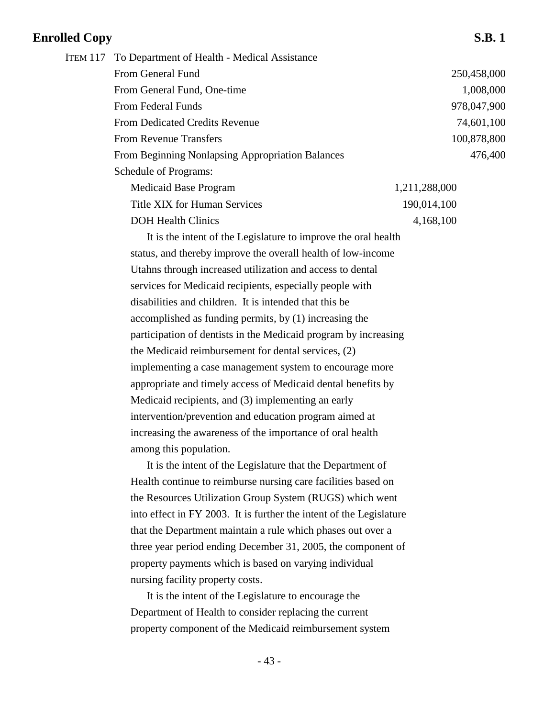| ITEM 117 To Department of Health - Medical Assistance |               |
|-------------------------------------------------------|---------------|
| From General Fund                                     | 250,458,000   |
| From General Fund, One-time                           | 1,008,000     |
| From Federal Funds                                    | 978,047,900   |
| <b>From Dedicated Credits Revenue</b>                 | 74,601,100    |
| <b>From Revenue Transfers</b>                         | 100,878,800   |
| From Beginning Nonlapsing Appropriation Balances      | 476,400       |
| Schedule of Programs:                                 |               |
| Medicaid Base Program                                 | 1,211,288,000 |
| Title XIX for Human Services                          | 190,014,100   |
| <b>DOH Health Clinics</b>                             | 4,168,100     |

It is the intent of the Legislature to improve the oral health status, and thereby improve the overall health of low-income Utahns through increased utilization and access to dental services for Medicaid recipients, especially people with disabilities and children. It is intended that this be accomplished as funding permits, by (1) increasing the participation of dentists in the Medicaid program by increasing the Medicaid reimbursement for dental services, (2) implementing a case management system to encourage more appropriate and timely access of Medicaid dental benefits by Medicaid recipients, and (3) implementing an early intervention/prevention and education program aimed at increasing the awareness of the importance of oral health among this population.

It is the intent of the Legislature that the Department of Health continue to reimburse nursing care facilities based on the Resources Utilization Group System (RUGS) which went into effect in FY 2003. It is further the intent of the Legislature that the Department maintain a rule which phases out over a three year period ending December 31, 2005, the component of property payments which is based on varying individual nursing facility property costs.

It is the intent of the Legislature to encourage the Department of Health to consider replacing the current property component of the Medicaid reimbursement system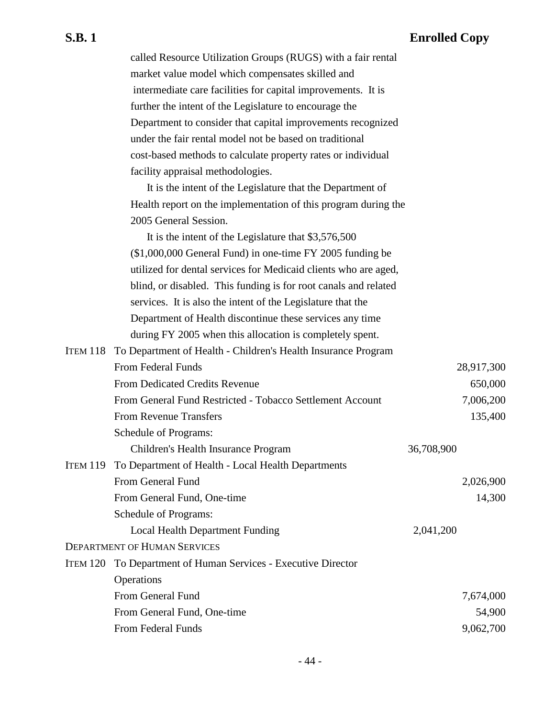| called Resource Utilization Groups (RUGS) with a fair rental |
|--------------------------------------------------------------|
| market value model which compensates skilled and             |
| intermediate care facilities for capital improvements. It is |
| further the intent of the Legislature to encourage the       |
| Department to consider that capital improvements recognized  |
| under the fair rental model not be based on traditional      |
| cost-based methods to calculate property rates or individual |
| facility appraisal methodologies.                            |
|                                                              |

It is the intent of the Legislature that the Department of Health report on the implementation of this program during the 2005 General Session.

It is the intent of the Legislature that \$3,576,500 (\$1,000,000 General Fund) in one-time FY 2005 funding be utilized for dental services for Medicaid clients who are aged, blind, or disabled. This funding is for root canals and related services. It is also the intent of the Legislature that the Department of Health discontinue these services any time during FY 2005 when this allocation is completely spent.

|          | ITEM 118 To Department of Health - Children's Health Insurance Program |            |            |
|----------|------------------------------------------------------------------------|------------|------------|
|          | From Federal Funds                                                     |            | 28,917,300 |
|          | <b>From Dedicated Credits Revenue</b>                                  |            | 650,000    |
|          | From General Fund Restricted - Tobacco Settlement Account              |            | 7,006,200  |
|          | <b>From Revenue Transfers</b>                                          |            | 135,400    |
|          | Schedule of Programs:                                                  |            |            |
|          | Children's Health Insurance Program                                    | 36,708,900 |            |
| ITEM 119 | To Department of Health - Local Health Departments                     |            |            |
|          | From General Fund                                                      |            | 2,026,900  |
|          | From General Fund, One-time                                            |            | 14,300     |
|          | Schedule of Programs:                                                  |            |            |
|          | Local Health Department Funding                                        | 2,041,200  |            |
|          | <b>DEPARTMENT OF HUMAN SERVICES</b>                                    |            |            |
|          | ITEM 120 To Department of Human Services - Executive Director          |            |            |
|          | Operations                                                             |            |            |
|          | From General Fund                                                      |            | 7,674,000  |
|          | From General Fund, One-time                                            |            | 54,900     |
|          | From Federal Funds                                                     |            | 9,062,700  |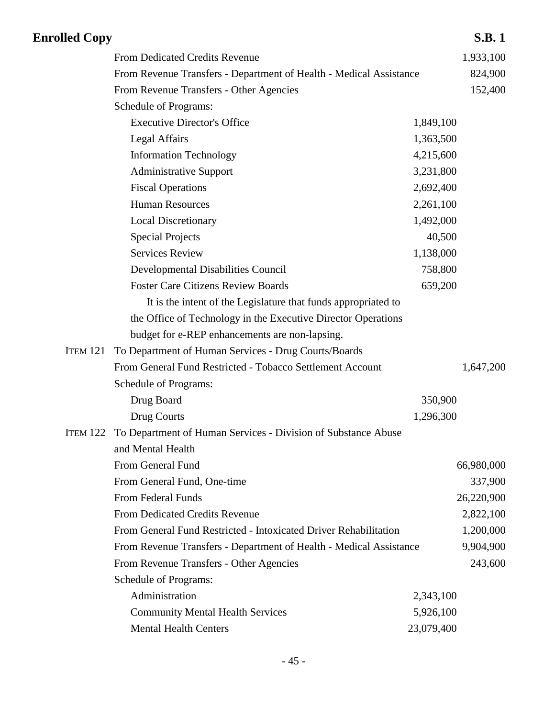| <b>Enrolled Copy</b> |                                                                        |            | <b>S.B.1</b> |
|----------------------|------------------------------------------------------------------------|------------|--------------|
|                      | From Dedicated Credits Revenue                                         |            | 1,933,100    |
|                      | From Revenue Transfers - Department of Health - Medical Assistance     |            | 824,900      |
|                      | From Revenue Transfers - Other Agencies                                |            | 152,400      |
|                      | Schedule of Programs:                                                  |            |              |
|                      | <b>Executive Director's Office</b>                                     | 1,849,100  |              |
|                      | <b>Legal Affairs</b>                                                   | 1,363,500  |              |
|                      | <b>Information Technology</b>                                          | 4,215,600  |              |
|                      | <b>Administrative Support</b>                                          | 3,231,800  |              |
|                      | <b>Fiscal Operations</b>                                               | 2,692,400  |              |
|                      | <b>Human Resources</b>                                                 | 2,261,100  |              |
|                      | <b>Local Discretionary</b>                                             | 1,492,000  |              |
|                      | <b>Special Projects</b>                                                | 40,500     |              |
|                      | <b>Services Review</b>                                                 | 1,138,000  |              |
|                      | Developmental Disabilities Council                                     | 758,800    |              |
|                      | <b>Foster Care Citizens Review Boards</b>                              | 659,200    |              |
|                      | It is the intent of the Legislature that funds appropriated to         |            |              |
|                      | the Office of Technology in the Executive Director Operations          |            |              |
|                      | budget for e-REP enhancements are non-lapsing.                         |            |              |
| <b>ITEM 121</b>      | To Department of Human Services - Drug Courts/Boards                   |            |              |
|                      | From General Fund Restricted - Tobacco Settlement Account              |            | 1,647,200    |
|                      | Schedule of Programs:                                                  |            |              |
|                      | Drug Board                                                             | 350,900    |              |
|                      | Drug Courts                                                            | 1,296,300  |              |
|                      | ITEM 122 To Department of Human Services - Division of Substance Abuse |            |              |
|                      | and Mental Health                                                      |            |              |
|                      | From General Fund                                                      |            | 66,980,000   |
|                      | From General Fund, One-time                                            |            | 337,900      |
|                      | From Federal Funds                                                     |            | 26,220,900   |
|                      | From Dedicated Credits Revenue                                         |            | 2,822,100    |
|                      | From General Fund Restricted - Intoxicated Driver Rehabilitation       |            | 1,200,000    |
|                      | From Revenue Transfers - Department of Health - Medical Assistance     |            | 9,904,900    |
|                      | From Revenue Transfers - Other Agencies                                |            | 243,600      |
|                      | Schedule of Programs:                                                  |            |              |
|                      | Administration                                                         | 2,343,100  |              |
|                      | <b>Community Mental Health Services</b>                                | 5,926,100  |              |
|                      | <b>Mental Health Centers</b>                                           | 23,079,400 |              |
|                      |                                                                        |            |              |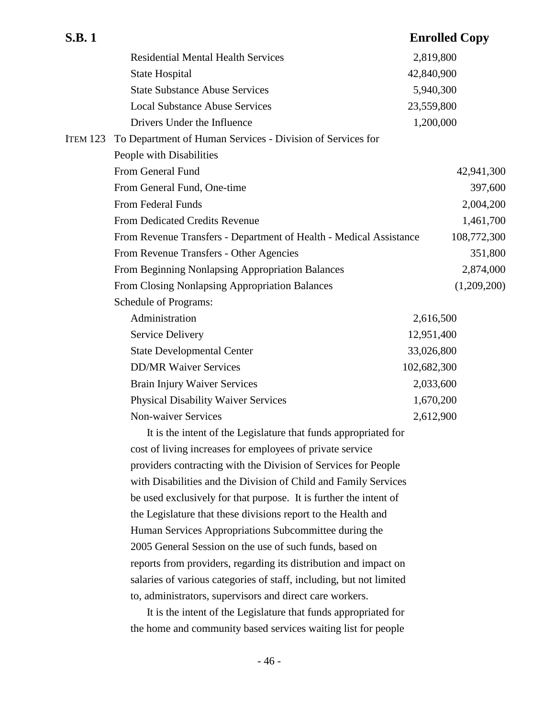| <b>S.B.1</b>    |                                                                     | <b>Enrolled Copy</b> |           |
|-----------------|---------------------------------------------------------------------|----------------------|-----------|
|                 | <b>Residential Mental Health Services</b>                           | 2,819,800            |           |
|                 | <b>State Hospital</b>                                               | 42,840,900           |           |
|                 | <b>State Substance Abuse Services</b>                               | 5,940,300            |           |
|                 | <b>Local Substance Abuse Services</b>                               | 23,559,800           |           |
|                 | Drivers Under the Influence                                         | 1,200,000            |           |
| <b>ITEM 123</b> | To Department of Human Services - Division of Services for          |                      |           |
|                 | People with Disabilities                                            |                      |           |
|                 | From General Fund                                                   | 42,941,300           |           |
|                 | From General Fund, One-time                                         |                      | 397,600   |
|                 | From Federal Funds                                                  |                      | 2,004,200 |
|                 | From Dedicated Credits Revenue                                      |                      | 1,461,700 |
|                 | From Revenue Transfers - Department of Health - Medical Assistance  | 108,772,300          |           |
|                 | From Revenue Transfers - Other Agencies                             |                      | 351,800   |
|                 | From Beginning Nonlapsing Appropriation Balances                    |                      | 2,874,000 |
|                 | From Closing Nonlapsing Appropriation Balances                      | (1,209,200)          |           |
|                 | Schedule of Programs:                                               |                      |           |
|                 | Administration                                                      | 2,616,500            |           |
|                 | <b>Service Delivery</b>                                             | 12,951,400           |           |
|                 | <b>State Developmental Center</b>                                   | 33,026,800           |           |
|                 | <b>DD/MR Waiver Services</b>                                        | 102,682,300          |           |
|                 | <b>Brain Injury Waiver Services</b>                                 | 2,033,600            |           |
|                 | <b>Physical Disability Waiver Services</b>                          | 1,670,200            |           |
|                 | <b>Non-waiver Services</b>                                          | 2,612,900            |           |
|                 | It is the intent of the Legislature that funds appropriated for     |                      |           |
|                 | cost of living increases for employees of private service           |                      |           |
|                 | providers contracting with the Division of Services for People      |                      |           |
|                 | with Disabilities and the Division of Child and Family Services     |                      |           |
|                 | be used exclusively for that purpose. It is further the intent of   |                      |           |
|                 | the Legislature that these divisions report to the Health and       |                      |           |
|                 | Human Services Appropriations Subcommittee during the               |                      |           |
|                 | 2005 General Session on the use of such funds, based on             |                      |           |
|                 | reports from providers, regarding its distribution and impact on    |                      |           |
|                 | salaries of various categories of staff, including, but not limited |                      |           |
|                 | to, administrators, supervisors and direct care workers.            |                      |           |
|                 | It is the intent of the Legislature that funds appropriated for     |                      |           |
|                 | the home and community based services waiting list for people       |                      |           |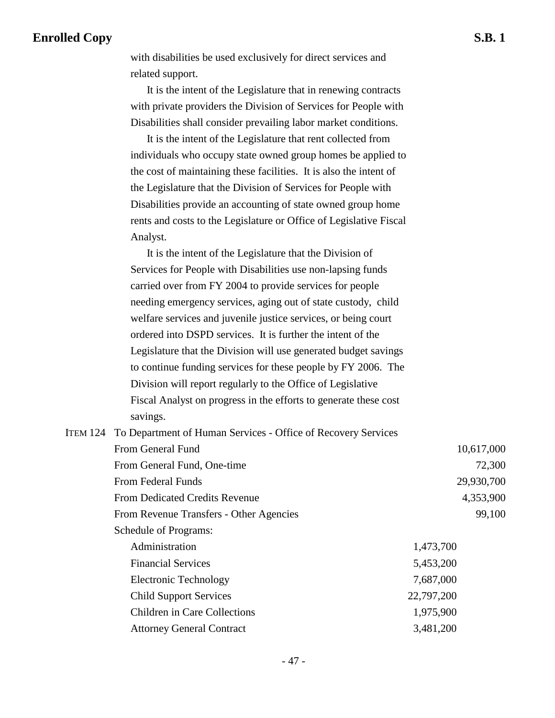with disabilities be used exclusively for direct services and related support.

It is the intent of the Legislature that in renewing contracts with private providers the Division of Services for People with Disabilities shall consider prevailing labor market conditions.

It is the intent of the Legislature that rent collected from individuals who occupy state owned group homes be applied to the cost of maintaining these facilities. It is also the intent of the Legislature that the Division of Services for People with Disabilities provide an accounting of state owned group home rents and costs to the Legislature or Office of Legislative Fiscal Analyst.

It is the intent of the Legislature that the Division of Services for People with Disabilities use non-lapsing funds carried over from FY 2004 to provide services for people needing emergency services, aging out of state custody, child welfare services and juvenile justice services, or being court ordered into DSPD services. It is further the intent of the Legislature that the Division will use generated budget savings to continue funding services for these people by FY 2006. The Division will report regularly to the Office of Legislative Fiscal Analyst on progress in the efforts to generate these cost savings.

| ITEM 124 To Department of Human Services - Office of Recovery Services |            |  |
|------------------------------------------------------------------------|------------|--|
| From General Fund                                                      | 10,617,000 |  |
| From General Fund, One-time                                            | 72,300     |  |
| <b>From Federal Funds</b>                                              | 29,930,700 |  |
| <b>From Dedicated Credits Revenue</b>                                  | 4,353,900  |  |
| From Revenue Transfers - Other Agencies                                | 99,100     |  |
| Schedule of Programs:                                                  |            |  |
| Administration                                                         | 1,473,700  |  |
| <b>Financial Services</b>                                              | 5,453,200  |  |
| <b>Electronic Technology</b>                                           | 7,687,000  |  |
| <b>Child Support Services</b>                                          | 22,797,200 |  |
| <b>Children in Care Collections</b>                                    | 1,975,900  |  |
| <b>Attorney General Contract</b>                                       | 3,481,200  |  |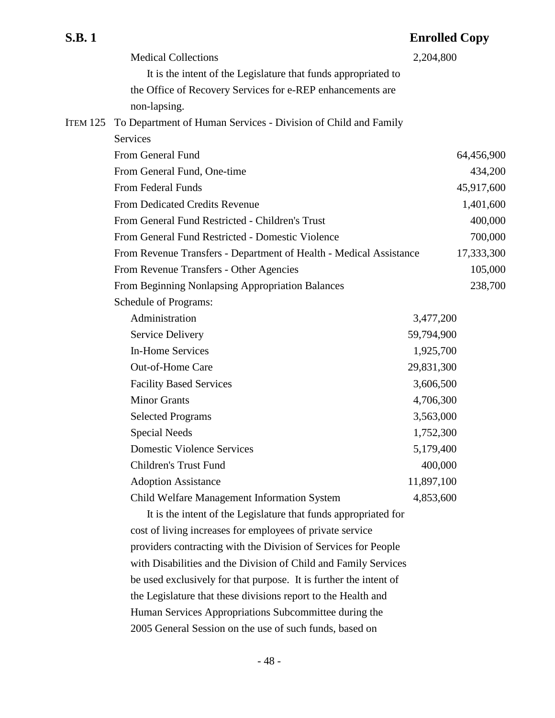| <b>S.B.1</b>    |                                                                    | <b>Enrolled Copy</b> |         |
|-----------------|--------------------------------------------------------------------|----------------------|---------|
|                 | <b>Medical Collections</b>                                         | 2,204,800            |         |
|                 | It is the intent of the Legislature that funds appropriated to     |                      |         |
|                 | the Office of Recovery Services for e-REP enhancements are         |                      |         |
|                 | non-lapsing.                                                       |                      |         |
| <b>ITEM 125</b> | To Department of Human Services - Division of Child and Family     |                      |         |
|                 | Services                                                           |                      |         |
|                 | From General Fund                                                  | 64,456,900           |         |
|                 | From General Fund, One-time                                        | 434,200              |         |
|                 | From Federal Funds                                                 | 45,917,600           |         |
|                 | From Dedicated Credits Revenue                                     | 1,401,600            |         |
|                 | From General Fund Restricted - Children's Trust                    | 400,000              |         |
|                 | From General Fund Restricted - Domestic Violence                   | 700,000              |         |
|                 | From Revenue Transfers - Department of Health - Medical Assistance | 17,333,300           |         |
|                 | From Revenue Transfers - Other Agencies                            |                      | 105,000 |
|                 | From Beginning Nonlapsing Appropriation Balances                   | 238,700              |         |
|                 | Schedule of Programs:                                              |                      |         |
|                 | Administration                                                     | 3,477,200            |         |
|                 | <b>Service Delivery</b>                                            | 59,794,900           |         |
|                 | <b>In-Home Services</b>                                            | 1,925,700            |         |
|                 | <b>Out-of-Home Care</b>                                            | 29,831,300           |         |
|                 | <b>Facility Based Services</b>                                     | 3,606,500            |         |
|                 | <b>Minor Grants</b>                                                | 4,706,300            |         |
|                 | <b>Selected Programs</b>                                           | 3,563,000            |         |
|                 | <b>Special Needs</b>                                               | 1,752,300            |         |
|                 | Domestic Violence Services                                         | 5,179,400            |         |
|                 | Children's Trust Fund                                              | 400,000              |         |
|                 | <b>Adoption Assistance</b>                                         | 11,897,100           |         |
|                 | Child Welfare Management Information System                        | 4,853,600            |         |
|                 | It is the intent of the Legislature that funds appropriated for    |                      |         |
|                 | cost of living increases for employees of private service          |                      |         |
|                 | providers contracting with the Division of Services for People     |                      |         |
|                 | with Disabilities and the Division of Child and Family Services    |                      |         |

with Disabilities and the Division of Child and Family Services be used exclusively for that purpose. It is further the intent of the Legislature that these divisions report to the Health and Human Services Appropriations Subcommittee during the 2005 General Session on the use of such funds, based on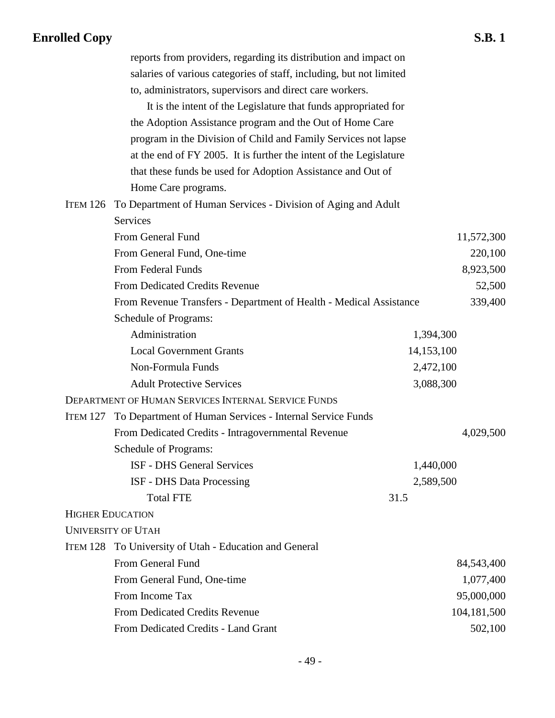|          | reports from providers, regarding its distribution and impact on    |            |             |
|----------|---------------------------------------------------------------------|------------|-------------|
|          | salaries of various categories of staff, including, but not limited |            |             |
|          | to, administrators, supervisors and direct care workers.            |            |             |
|          | It is the intent of the Legislature that funds appropriated for     |            |             |
|          | the Adoption Assistance program and the Out of Home Care            |            |             |
|          | program in the Division of Child and Family Services not lapse      |            |             |
|          | at the end of FY 2005. It is further the intent of the Legislature  |            |             |
|          | that these funds be used for Adoption Assistance and Out of         |            |             |
|          | Home Care programs.                                                 |            |             |
| ITEM 126 | To Department of Human Services - Division of Aging and Adult       |            |             |
|          | <b>Services</b>                                                     |            |             |
|          | From General Fund                                                   |            | 11,572,300  |
|          | From General Fund, One-time                                         |            | 220,100     |
|          | From Federal Funds                                                  |            | 8,923,500   |
|          | From Dedicated Credits Revenue                                      |            | 52,500      |
|          | From Revenue Transfers - Department of Health - Medical Assistance  |            | 339,400     |
|          | <b>Schedule of Programs:</b>                                        |            |             |
|          | Administration                                                      | 1,394,300  |             |
|          | <b>Local Government Grants</b>                                      | 14,153,100 |             |
|          | Non-Formula Funds                                                   | 2,472,100  |             |
|          | <b>Adult Protective Services</b>                                    | 3,088,300  |             |
|          | DEPARTMENT OF HUMAN SERVICES INTERNAL SERVICE FUNDS                 |            |             |
| ITEM 127 | To Department of Human Services - Internal Service Funds            |            |             |
|          | From Dedicated Credits - Intragovernmental Revenue                  |            | 4,029,500   |
|          | Schedule of Programs:                                               |            |             |
|          | <b>ISF - DHS General Services</b>                                   | 1,440,000  |             |
|          | <b>ISF - DHS Data Processing</b>                                    | 2,589,500  |             |
|          | <b>Total FTE</b>                                                    | 31.5       |             |
|          | <b>HIGHER EDUCATION</b>                                             |            |             |
|          | <b>UNIVERSITY OF UTAH</b>                                           |            |             |
|          | ITEM 128 To University of Utah - Education and General              |            |             |
|          | From General Fund                                                   |            | 84,543,400  |
|          | From General Fund, One-time                                         |            | 1,077,400   |
|          | From Income Tax                                                     |            | 95,000,000  |
|          | From Dedicated Credits Revenue                                      |            | 104,181,500 |
|          | From Dedicated Credits - Land Grant                                 |            | 502,100     |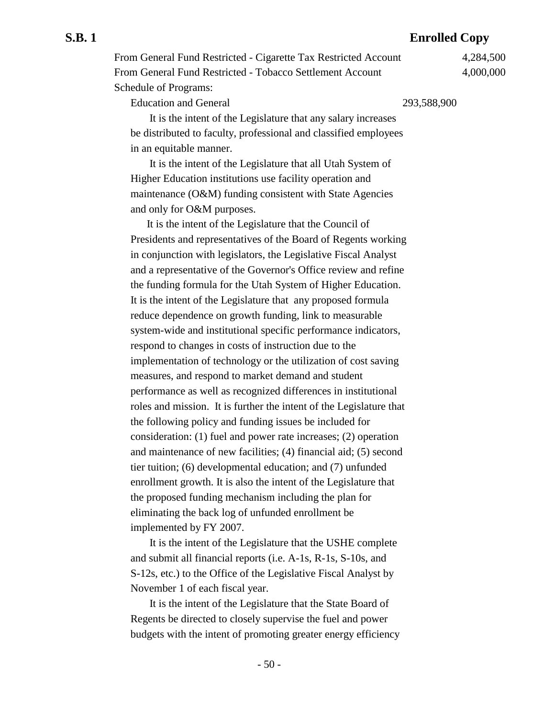From General Fund Restricted - Cigarette Tax Restricted Account 4,284,500 From General Fund Restricted - Tobacco Settlement Account 4,000,000 Schedule of Programs:

Education and General 293,588,900

 It is the intent of the Legislature that any salary increases be distributed to faculty, professional and classified employees in an equitable manner.

 It is the intent of the Legislature that all Utah System of Higher Education institutions use facility operation and maintenance (O&M) funding consistent with State Agencies and only for O&M purposes.

It is the intent of the Legislature that the Council of Presidents and representatives of the Board of Regents working in conjunction with legislators, the Legislative Fiscal Analyst and a representative of the Governor's Office review and refine the funding formula for the Utah System of Higher Education. It is the intent of the Legislature that any proposed formula reduce dependence on growth funding, link to measurable system-wide and institutional specific performance indicators, respond to changes in costs of instruction due to the implementation of technology or the utilization of cost saving measures, and respond to market demand and student performance as well as recognized differences in institutional roles and mission. It is further the intent of the Legislature that the following policy and funding issues be included for consideration: (1) fuel and power rate increases; (2) operation and maintenance of new facilities; (4) financial aid; (5) second tier tuition; (6) developmental education; and (7) unfunded enrollment growth. It is also the intent of the Legislature that the proposed funding mechanism including the plan for eliminating the back log of unfunded enrollment be implemented by FY 2007.

 It is the intent of the Legislature that the USHE complete and submit all financial reports (i.e. A-1s, R-1s, S-10s, and S-12s, etc.) to the Office of the Legislative Fiscal Analyst by November 1 of each fiscal year.

 It is the intent of the Legislature that the State Board of Regents be directed to closely supervise the fuel and power budgets with the intent of promoting greater energy efficiency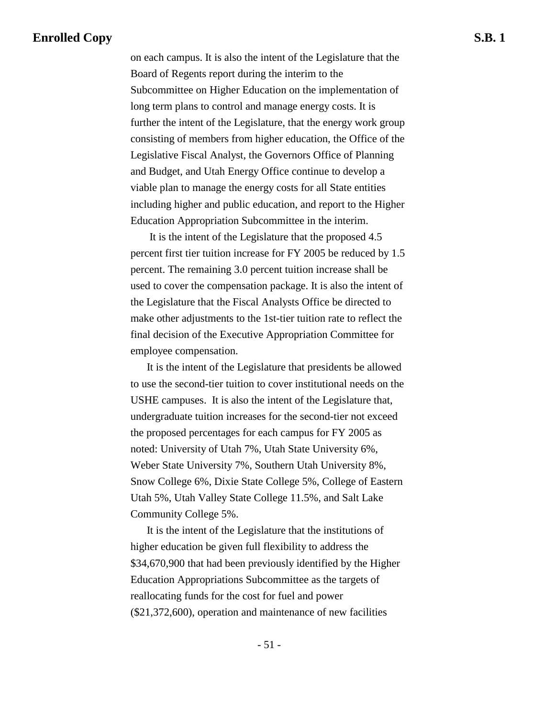on each campus. It is also the intent of the Legislature that the Board of Regents report during the interim to the Subcommittee on Higher Education on the implementation of long term plans to control and manage energy costs. It is further the intent of the Legislature, that the energy work group consisting of members from higher education, the Office of the Legislative Fiscal Analyst, the Governors Office of Planning and Budget, and Utah Energy Office continue to develop a viable plan to manage the energy costs for all State entities including higher and public education, and report to the Higher Education Appropriation Subcommittee in the interim.

 It is the intent of the Legislature that the proposed 4.5 percent first tier tuition increase for FY 2005 be reduced by 1.5 percent. The remaining 3.0 percent tuition increase shall be used to cover the compensation package. It is also the intent of the Legislature that the Fiscal Analysts Office be directed to make other adjustments to the 1st-tier tuition rate to reflect the final decision of the Executive Appropriation Committee for employee compensation.

It is the intent of the Legislature that presidents be allowed to use the second-tier tuition to cover institutional needs on the USHE campuses. It is also the intent of the Legislature that, undergraduate tuition increases for the second-tier not exceed the proposed percentages for each campus for FY 2005 as noted: University of Utah 7%, Utah State University 6%, Weber State University 7%, Southern Utah University 8%, Snow College 6%, Dixie State College 5%, College of Eastern Utah 5%, Utah Valley State College 11.5%, and Salt Lake Community College 5%.

It is the intent of the Legislature that the institutions of higher education be given full flexibility to address the \$34,670,900 that had been previously identified by the Higher Education Appropriations Subcommittee as the targets of reallocating funds for the cost for fuel and power (\$21,372,600), operation and maintenance of new facilities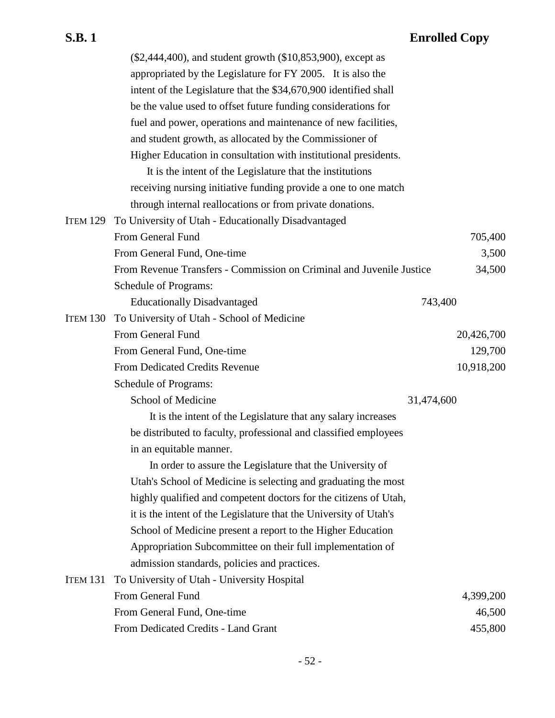|                 | (\$2,444,400), and student growth (\$10,853,900), except as          |            |            |
|-----------------|----------------------------------------------------------------------|------------|------------|
|                 | appropriated by the Legislature for FY 2005. It is also the          |            |            |
|                 | intent of the Legislature that the \$34,670,900 identified shall     |            |            |
|                 | be the value used to offset future funding considerations for        |            |            |
|                 | fuel and power, operations and maintenance of new facilities,        |            |            |
|                 | and student growth, as allocated by the Commissioner of              |            |            |
|                 | Higher Education in consultation with institutional presidents.      |            |            |
|                 | It is the intent of the Legislature that the institutions            |            |            |
|                 | receiving nursing initiative funding provide a one to one match      |            |            |
|                 | through internal reallocations or from private donations.            |            |            |
| <b>ITEM 129</b> | To University of Utah - Educationally Disadvantaged                  |            |            |
|                 | From General Fund                                                    |            | 705,400    |
|                 | From General Fund, One-time                                          |            | 3,500      |
|                 | From Revenue Transfers - Commission on Criminal and Juvenile Justice |            | 34,500     |
|                 | Schedule of Programs:                                                |            |            |
|                 | <b>Educationally Disadvantaged</b>                                   | 743,400    |            |
| <b>ITEM 130</b> | To University of Utah - School of Medicine                           |            |            |
|                 | From General Fund                                                    |            | 20,426,700 |
|                 | From General Fund, One-time                                          |            | 129,700    |
|                 | From Dedicated Credits Revenue                                       |            | 10,918,200 |
|                 | Schedule of Programs:                                                |            |            |
|                 | School of Medicine                                                   | 31,474,600 |            |
|                 | It is the intent of the Legislature that any salary increases        |            |            |
|                 | be distributed to faculty, professional and classified employees     |            |            |
|                 | in an equitable manner.                                              |            |            |
|                 | In order to assure the Legislature that the University of            |            |            |
|                 | Utah's School of Medicine is selecting and graduating the most       |            |            |
|                 | highly qualified and competent doctors for the citizens of Utah,     |            |            |
|                 | it is the intent of the Legislature that the University of Utah's    |            |            |
|                 | School of Medicine present a report to the Higher Education          |            |            |
|                 | Appropriation Subcommittee on their full implementation of           |            |            |
|                 | admission standards, policies and practices.                         |            |            |
| <b>ITEM 131</b> | To University of Utah - University Hospital                          |            |            |
|                 | From General Fund                                                    |            | 4,399,200  |
|                 | From General Fund, One-time                                          |            | 46,500     |
|                 | From Dedicated Credits - Land Grant                                  |            | 455,800    |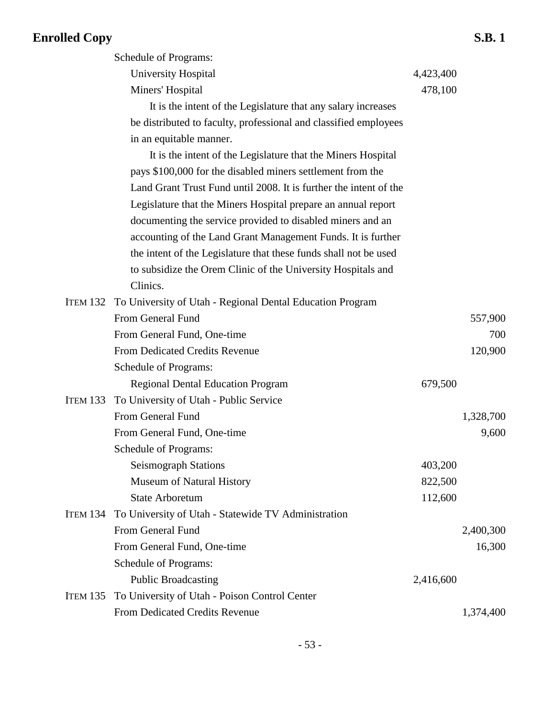## **Enrolled Copy**

|                                                                   |           | <b>S.B.1</b> |
|-------------------------------------------------------------------|-----------|--------------|
| Schedule of Programs:                                             |           |              |
| University Hospital                                               | 4,423,400 |              |
| Miners' Hospital                                                  | 478,100   |              |
| It is the intent of the Legislature that any salary increases     |           |              |
| be distributed to faculty, professional and classified employees  |           |              |
| in an equitable manner.                                           |           |              |
| It is the intent of the Legislature that the Miners Hospital      |           |              |
| pays \$100,000 for the disabled miners settlement from the        |           |              |
| Land Grant Trust Fund until 2008. It is further the intent of the |           |              |
| Legislature that the Miners Hospital prepare an annual report     |           |              |
| documenting the service provided to disabled miners and an        |           |              |
| accounting of the Land Grant Management Funds. It is further      |           |              |
| the intent of the Legislature that these funds shall not be used  |           |              |
| to subsidize the Orem Clinic of the University Hospitals and      |           |              |
| Clinics.                                                          |           |              |
| To University of Utah - Regional Dental Education Program         |           |              |
| Erom General Eund                                                 |           | 557 QQQ      |

|                 | ITEM 132 To University of Utah - Regional Dental Education Program |           |           |
|-----------------|--------------------------------------------------------------------|-----------|-----------|
|                 | From General Fund                                                  |           | 557,900   |
|                 | From General Fund, One-time                                        |           | 700       |
|                 | <b>From Dedicated Credits Revenue</b>                              |           | 120,900   |
|                 | Schedule of Programs:                                              |           |           |
|                 | <b>Regional Dental Education Program</b>                           | 679,500   |           |
| <b>ITEM 133</b> | To University of Utah - Public Service                             |           |           |
|                 | From General Fund                                                  |           | 1,328,700 |
|                 | From General Fund, One-time                                        |           | 9,600     |
|                 | Schedule of Programs:                                              |           |           |
|                 | <b>Seismograph Stations</b>                                        | 403,200   |           |
|                 | Museum of Natural History                                          | 822,500   |           |
|                 | <b>State Arboretum</b>                                             | 112,600   |           |
| <b>ITEM 134</b> | To University of Utah - Statewide TV Administration                |           |           |
|                 | From General Fund                                                  |           | 2,400,300 |
|                 | From General Fund, One-time                                        |           | 16,300    |
|                 | Schedule of Programs:                                              |           |           |
|                 | <b>Public Broadcasting</b>                                         | 2,416,600 |           |
| <b>ITEM 135</b> | To University of Utah - Poison Control Center                      |           |           |
|                 | From Dedicated Credits Revenue                                     |           | 1,374,400 |
|                 |                                                                    |           |           |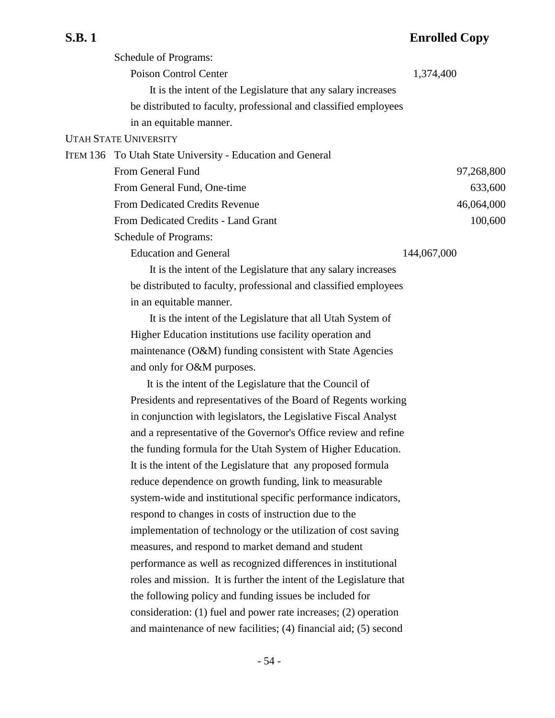| Schedule of Programs:                                            |             |
|------------------------------------------------------------------|-------------|
| Poison Control Center                                            | 1,374,400   |
| It is the intent of the Legislature that any salary increases    |             |
| be distributed to faculty, professional and classified employees |             |
| in an equitable manner.                                          |             |
| <b>UTAH STATE UNIVERSITY</b>                                     |             |
| ITEM 136 To Utah State University - Education and General        |             |
| From General Fund                                                | 97,268,800  |
| From General Fund, One-time                                      | 633,600     |
| <b>From Dedicated Credits Revenue</b>                            | 46,064,000  |
| From Dedicated Credits - Land Grant                              | 100,600     |
| Schedule of Programs:                                            |             |
| <b>Education and General</b>                                     | 144,067,000 |
| It is the intent of the Legislature that any salary increases    |             |
| be distributed to faculty, professional and classified employees |             |
|                                                                  |             |

in an equitable manner.

 It is the intent of the Legislature that all Utah System of Higher Education institutions use facility operation and maintenance (O&M) funding consistent with State Agencies and only for O&M purposes.

It is the intent of the Legislature that the Council of Presidents and representatives of the Board of Regents working in conjunction with legislators, the Legislative Fiscal Analyst and a representative of the Governor's Office review and refine the funding formula for the Utah System of Higher Education. It is the intent of the Legislature that any proposed formula reduce dependence on growth funding, link to measurable system-wide and institutional specific performance indicators, respond to changes in costs of instruction due to the implementation of technology or the utilization of cost saving measures, and respond to market demand and student performance as well as recognized differences in institutional roles and mission. It is further the intent of the Legislature that the following policy and funding issues be included for consideration: (1) fuel and power rate increases; (2) operation and maintenance of new facilities; (4) financial aid; (5) second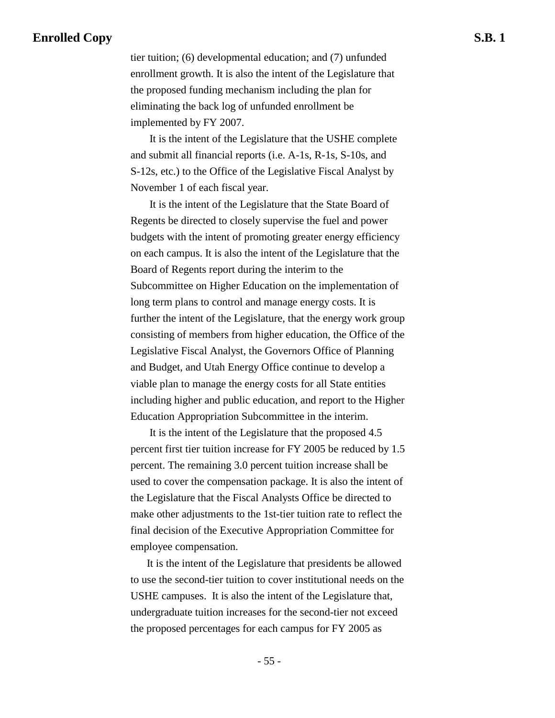tier tuition; (6) developmental education; and (7) unfunded enrollment growth. It is also the intent of the Legislature that the proposed funding mechanism including the plan for eliminating the back log of unfunded enrollment be implemented by FY 2007.

 It is the intent of the Legislature that the USHE complete and submit all financial reports (i.e. A-1s, R-1s, S-10s, and S-12s, etc.) to the Office of the Legislative Fiscal Analyst by November 1 of each fiscal year.

 It is the intent of the Legislature that the State Board of Regents be directed to closely supervise the fuel and power budgets with the intent of promoting greater energy efficiency on each campus. It is also the intent of the Legislature that the Board of Regents report during the interim to the Subcommittee on Higher Education on the implementation of long term plans to control and manage energy costs. It is further the intent of the Legislature, that the energy work group consisting of members from higher education, the Office of the Legislative Fiscal Analyst, the Governors Office of Planning and Budget, and Utah Energy Office continue to develop a viable plan to manage the energy costs for all State entities including higher and public education, and report to the Higher Education Appropriation Subcommittee in the interim.

 It is the intent of the Legislature that the proposed 4.5 percent first tier tuition increase for FY 2005 be reduced by 1.5 percent. The remaining 3.0 percent tuition increase shall be used to cover the compensation package. It is also the intent of the Legislature that the Fiscal Analysts Office be directed to make other adjustments to the 1st-tier tuition rate to reflect the final decision of the Executive Appropriation Committee for employee compensation.

It is the intent of the Legislature that presidents be allowed to use the second-tier tuition to cover institutional needs on the USHE campuses. It is also the intent of the Legislature that, undergraduate tuition increases for the second-tier not exceed the proposed percentages for each campus for FY 2005 as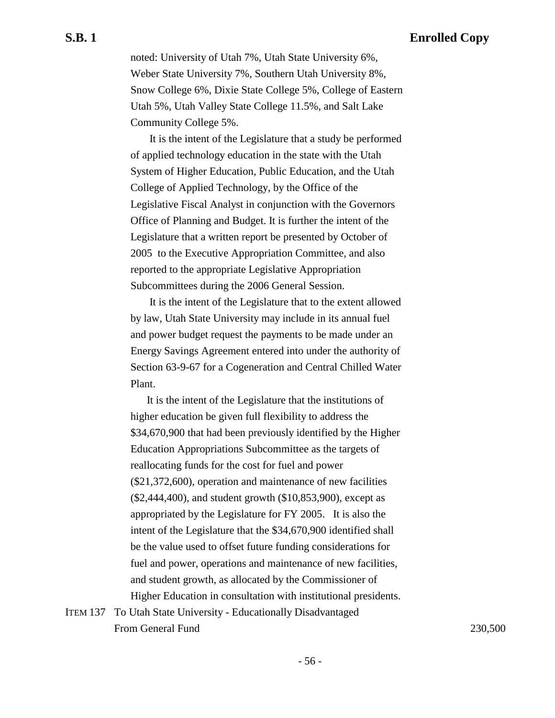noted: University of Utah 7%, Utah State University 6%, Weber State University 7%, Southern Utah University 8%, Snow College 6%, Dixie State College 5%, College of Eastern Utah 5%, Utah Valley State College 11.5%, and Salt Lake Community College 5%.

 It is the intent of the Legislature that a study be performed of applied technology education in the state with the Utah System of Higher Education, Public Education, and the Utah College of Applied Technology, by the Office of the Legislative Fiscal Analyst in conjunction with the Governors Office of Planning and Budget. It is further the intent of the Legislature that a written report be presented by October of 2005 to the Executive Appropriation Committee, and also reported to the appropriate Legislative Appropriation Subcommittees during the 2006 General Session.

 It is the intent of the Legislature that to the extent allowed by law, Utah State University may include in its annual fuel and power budget request the payments to be made under an Energy Savings Agreement entered into under the authority of Section 63-9-67 for a Cogeneration and Central Chilled Water Plant.

It is the intent of the Legislature that the institutions of higher education be given full flexibility to address the \$34,670,900 that had been previously identified by the Higher Education Appropriations Subcommittee as the targets of reallocating funds for the cost for fuel and power (\$21,372,600), operation and maintenance of new facilities (\$2,444,400), and student growth (\$10,853,900), except as appropriated by the Legislature for FY 2005. It is also the intent of the Legislature that the \$34,670,900 identified shall be the value used to offset future funding considerations for fuel and power, operations and maintenance of new facilities, and student growth, as allocated by the Commissioner of Higher Education in consultation with institutional presidents.

ITEM 137 To Utah State University - Educationally Disadvantaged From General Fund 230,500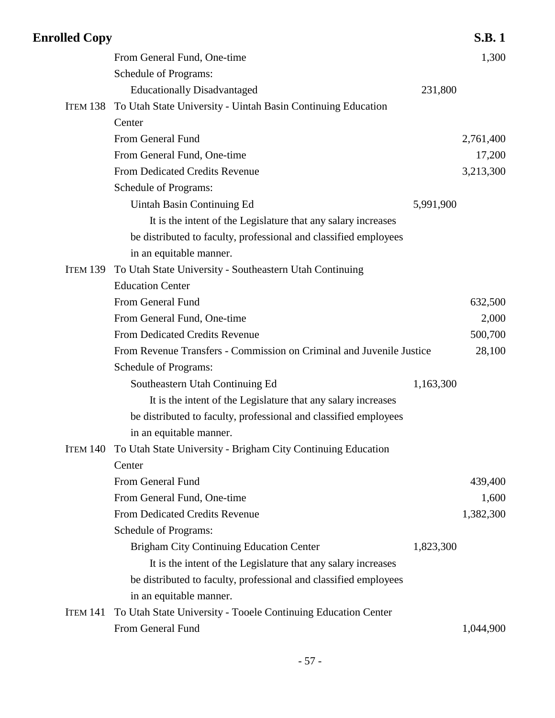| <b>Enrolled Copy</b> |                                                                       |           | <b>S.B.1</b> |
|----------------------|-----------------------------------------------------------------------|-----------|--------------|
|                      | From General Fund, One-time                                           |           | 1,300        |
|                      | Schedule of Programs:                                                 |           |              |
|                      | <b>Educationally Disadvantaged</b>                                    | 231,800   |              |
| ITEM 138             | To Utah State University - Uintah Basin Continuing Education          |           |              |
|                      | Center                                                                |           |              |
|                      | From General Fund                                                     |           | 2,761,400    |
|                      | From General Fund, One-time                                           |           | 17,200       |
|                      | From Dedicated Credits Revenue                                        |           | 3,213,300    |
|                      | Schedule of Programs:                                                 |           |              |
|                      | Uintah Basin Continuing Ed                                            | 5,991,900 |              |
|                      | It is the intent of the Legislature that any salary increases         |           |              |
|                      | be distributed to faculty, professional and classified employees      |           |              |
|                      | in an equitable manner.                                               |           |              |
| <b>ITEM 139</b>      | To Utah State University - Southeastern Utah Continuing               |           |              |
|                      | <b>Education Center</b>                                               |           |              |
|                      | From General Fund                                                     |           | 632,500      |
|                      | From General Fund, One-time                                           |           | 2,000        |
|                      | From Dedicated Credits Revenue                                        |           | 500,700      |
|                      | From Revenue Transfers - Commission on Criminal and Juvenile Justice  |           | 28,100       |
|                      | Schedule of Programs:                                                 |           |              |
|                      | Southeastern Utah Continuing Ed                                       | 1,163,300 |              |
|                      | It is the intent of the Legislature that any salary increases         |           |              |
|                      | be distributed to faculty, professional and classified employees      |           |              |
|                      | in an equitable manner.                                               |           |              |
|                      | ITEM 140 To Utah State University - Brigham City Continuing Education |           |              |
|                      | Center                                                                |           |              |
|                      | From General Fund                                                     |           | 439,400      |
|                      | From General Fund, One-time                                           |           | 1,600        |
|                      | From Dedicated Credits Revenue                                        |           | 1,382,300    |
|                      | Schedule of Programs:                                                 |           |              |
|                      | <b>Brigham City Continuing Education Center</b>                       | 1,823,300 |              |
|                      | It is the intent of the Legislature that any salary increases         |           |              |
|                      | be distributed to faculty, professional and classified employees      |           |              |
|                      | in an equitable manner.                                               |           |              |
| <b>ITEM 141</b>      | To Utah State University - Tooele Continuing Education Center         |           |              |
|                      | From General Fund                                                     |           | 1,044,900    |
|                      |                                                                       |           |              |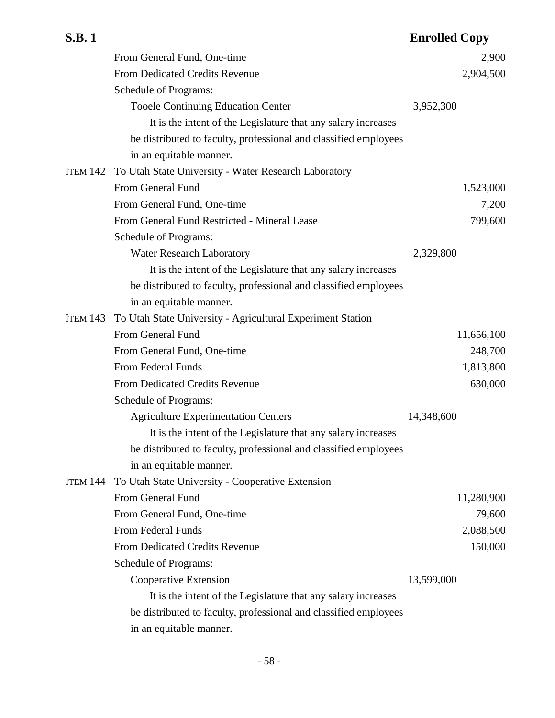|                 | From General Fund, One-time                                      | 2,900      |
|-----------------|------------------------------------------------------------------|------------|
|                 | <b>From Dedicated Credits Revenue</b>                            | 2,904,500  |
|                 | Schedule of Programs:                                            |            |
|                 | <b>Tooele Continuing Education Center</b>                        | 3,952,300  |
|                 | It is the intent of the Legislature that any salary increases    |            |
|                 | be distributed to faculty, professional and classified employees |            |
|                 | in an equitable manner.                                          |            |
| ITEM 142        | To Utah State University - Water Research Laboratory             |            |
|                 | From General Fund                                                | 1,523,000  |
|                 | From General Fund, One-time                                      | 7,200      |
|                 | From General Fund Restricted - Mineral Lease                     | 799,600    |
|                 | Schedule of Programs:                                            |            |
|                 | Water Research Laboratory                                        | 2,329,800  |
|                 | It is the intent of the Legislature that any salary increases    |            |
|                 | be distributed to faculty, professional and classified employees |            |
|                 | in an equitable manner.                                          |            |
| <b>ITEM 143</b> | To Utah State University - Agricultural Experiment Station       |            |
|                 | From General Fund                                                | 11,656,100 |
|                 | From General Fund, One-time                                      | 248,700    |
|                 | From Federal Funds                                               | 1,813,800  |
|                 | <b>From Dedicated Credits Revenue</b>                            | 630,000    |
|                 | Schedule of Programs:                                            |            |
|                 | <b>Agriculture Experimentation Centers</b>                       | 14,348,600 |
|                 | It is the intent of the Legislature that any salary increases    |            |
|                 | be distributed to faculty, professional and classified employees |            |
|                 | in an equitable manner.                                          |            |
| <b>ITEM 144</b> | To Utah State University - Cooperative Extension                 |            |
|                 | From General Fund                                                | 11,280,900 |
|                 | From General Fund, One-time                                      | 79,600     |
|                 | From Federal Funds                                               | 2,088,500  |
|                 | <b>From Dedicated Credits Revenue</b>                            | 150,000    |
|                 | Schedule of Programs:                                            |            |
|                 | Cooperative Extension                                            | 13,599,000 |
|                 | It is the intent of the Legislature that any salary increases    |            |
|                 | be distributed to faculty, professional and classified employees |            |
|                 | in an equitable manner.                                          |            |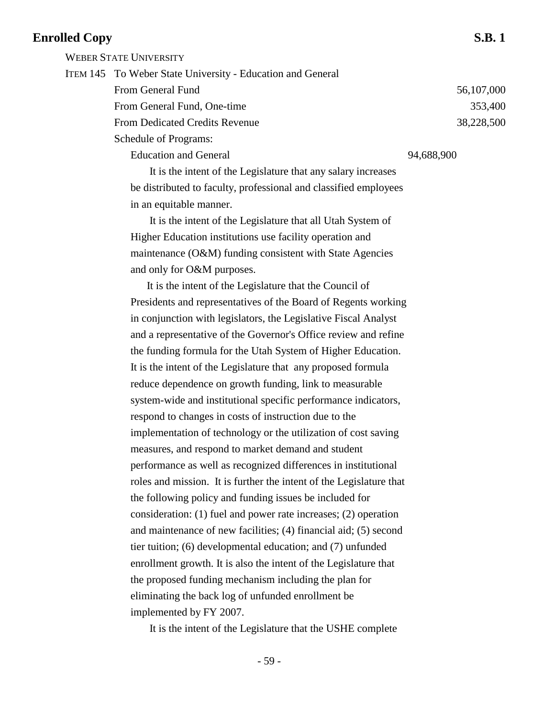WEBER STATE UNIVERSITY

ITEM 145 To Weber State University - Education and General From General Fund 56,107,000 From General Fund, One-time 353,400 From Dedicated Credits Revenue 38,228,500 Schedule of Programs: Education and General 94,688,900

> It is the intent of the Legislature that any salary increases be distributed to faculty, professional and classified employees in an equitable manner.

 It is the intent of the Legislature that all Utah System of Higher Education institutions use facility operation and maintenance (O&M) funding consistent with State Agencies and only for O&M purposes.

It is the intent of the Legislature that the Council of Presidents and representatives of the Board of Regents working in conjunction with legislators, the Legislative Fiscal Analyst and a representative of the Governor's Office review and refine the funding formula for the Utah System of Higher Education. It is the intent of the Legislature that any proposed formula reduce dependence on growth funding, link to measurable system-wide and institutional specific performance indicators, respond to changes in costs of instruction due to the implementation of technology or the utilization of cost saving measures, and respond to market demand and student performance as well as recognized differences in institutional roles and mission. It is further the intent of the Legislature that the following policy and funding issues be included for consideration: (1) fuel and power rate increases; (2) operation and maintenance of new facilities; (4) financial aid; (5) second tier tuition; (6) developmental education; and (7) unfunded enrollment growth. It is also the intent of the Legislature that the proposed funding mechanism including the plan for eliminating the back log of unfunded enrollment be implemented by FY 2007.

It is the intent of the Legislature that the USHE complete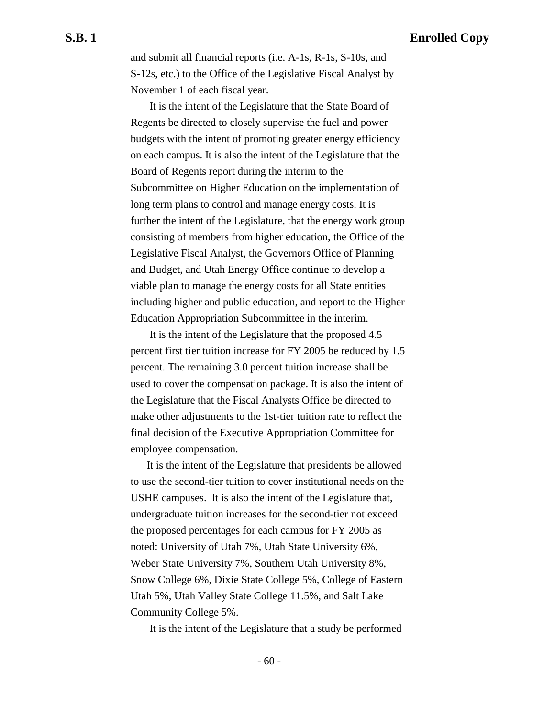and submit all financial reports (i.e. A-1s, R-1s, S-10s, and S-12s, etc.) to the Office of the Legislative Fiscal Analyst by November 1 of each fiscal year.

 It is the intent of the Legislature that the State Board of Regents be directed to closely supervise the fuel and power budgets with the intent of promoting greater energy efficiency on each campus. It is also the intent of the Legislature that the Board of Regents report during the interim to the Subcommittee on Higher Education on the implementation of long term plans to control and manage energy costs. It is further the intent of the Legislature, that the energy work group consisting of members from higher education, the Office of the Legislative Fiscal Analyst, the Governors Office of Planning and Budget, and Utah Energy Office continue to develop a viable plan to manage the energy costs for all State entities including higher and public education, and report to the Higher Education Appropriation Subcommittee in the interim.

 It is the intent of the Legislature that the proposed 4.5 percent first tier tuition increase for FY 2005 be reduced by 1.5 percent. The remaining 3.0 percent tuition increase shall be used to cover the compensation package. It is also the intent of the Legislature that the Fiscal Analysts Office be directed to make other adjustments to the 1st-tier tuition rate to reflect the final decision of the Executive Appropriation Committee for employee compensation.

It is the intent of the Legislature that presidents be allowed to use the second-tier tuition to cover institutional needs on the USHE campuses. It is also the intent of the Legislature that, undergraduate tuition increases for the second-tier not exceed the proposed percentages for each campus for FY 2005 as noted: University of Utah 7%, Utah State University 6%, Weber State University 7%, Southern Utah University 8%, Snow College 6%, Dixie State College 5%, College of Eastern Utah 5%, Utah Valley State College 11.5%, and Salt Lake Community College 5%.

It is the intent of the Legislature that a study be performed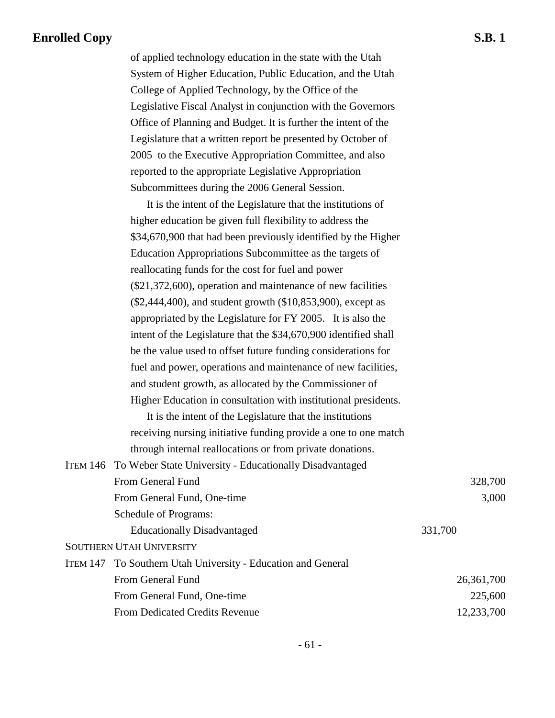of applied technology education in the state with the Utah System of Higher Education, Public Education, and the Utah College of Applied Technology, by the Office of the Legislative Fiscal Analyst in conjunction with the Governors Office of Planning and Budget. It is further the intent of the Legislature that a written report be presented by October of 2005 to the Executive Appropriation Committee, and also reported to the appropriate Legislative Appropriation Subcommittees during the 2006 General Session.

It is the intent of the Legislature that the institutions of higher education be given full flexibility to address the \$34,670,900 that had been previously identified by the Higher Education Appropriations Subcommittee as the targets of reallocating funds for the cost for fuel and power (\$21,372,600), operation and maintenance of new facilities (\$2,444,400), and student growth (\$10,853,900), except as appropriated by the Legislature for FY 2005. It is also the intent of the Legislature that the \$34,670,900 identified shall be the value used to offset future funding considerations for fuel and power, operations and maintenance of new facilities, and student growth, as allocated by the Commissioner of Higher Education in consultation with institutional presidents.

It is the intent of the Legislature that the institutions receiving nursing initiative funding provide a one to one match through internal reallocations or from private donations.

| ITEM 146 To Weber State University - Educationally Disadvantaged |            |
|------------------------------------------------------------------|------------|
| From General Fund                                                | 328,700    |
| From General Fund, One-time                                      | 3,000      |
| Schedule of Programs:                                            |            |
| <b>Educationally Disadvantaged</b>                               | 331,700    |
| <b>SOUTHERN UTAH UNIVERSITY</b>                                  |            |
| ITEM 147 To Southern Utah University - Education and General     |            |
| From General Fund                                                | 26,361,700 |
| From General Fund, One-time                                      | 225,600    |
| <b>From Dedicated Credits Revenue</b>                            | 12,233,700 |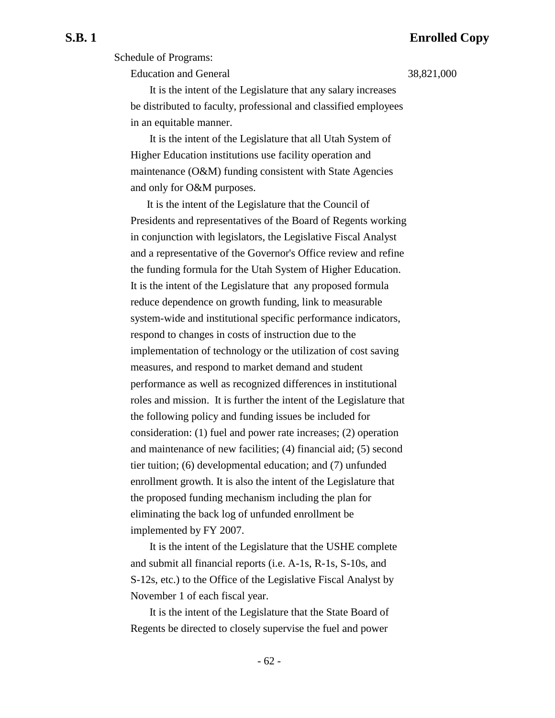Schedule of Programs:

Education and General 38,821,000

 It is the intent of the Legislature that any salary increases be distributed to faculty, professional and classified employees in an equitable manner.

 It is the intent of the Legislature that all Utah System of Higher Education institutions use facility operation and maintenance (O&M) funding consistent with State Agencies and only for O&M purposes.

It is the intent of the Legislature that the Council of Presidents and representatives of the Board of Regents working in conjunction with legislators, the Legislative Fiscal Analyst and a representative of the Governor's Office review and refine the funding formula for the Utah System of Higher Education. It is the intent of the Legislature that any proposed formula reduce dependence on growth funding, link to measurable system-wide and institutional specific performance indicators, respond to changes in costs of instruction due to the implementation of technology or the utilization of cost saving measures, and respond to market demand and student performance as well as recognized differences in institutional roles and mission. It is further the intent of the Legislature that the following policy and funding issues be included for consideration: (1) fuel and power rate increases; (2) operation and maintenance of new facilities; (4) financial aid; (5) second tier tuition; (6) developmental education; and (7) unfunded enrollment growth. It is also the intent of the Legislature that the proposed funding mechanism including the plan for eliminating the back log of unfunded enrollment be implemented by FY 2007.

 It is the intent of the Legislature that the USHE complete and submit all financial reports (i.e. A-1s, R-1s, S-10s, and S-12s, etc.) to the Office of the Legislative Fiscal Analyst by November 1 of each fiscal year.

 It is the intent of the Legislature that the State Board of Regents be directed to closely supervise the fuel and power

- 62 -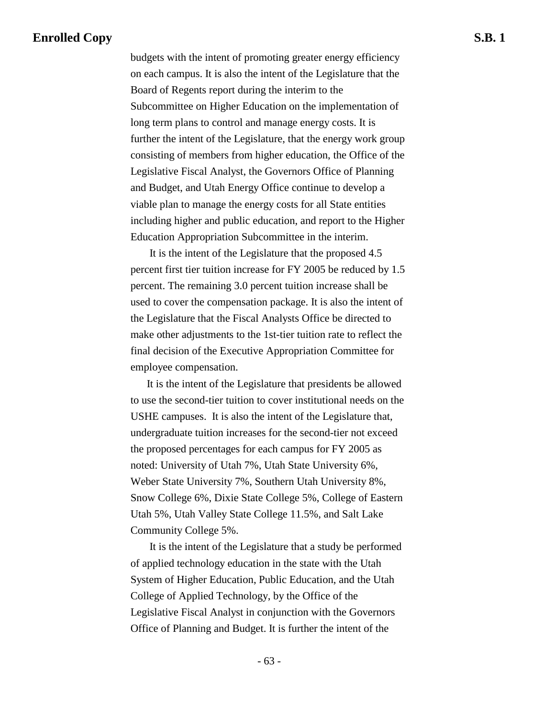budgets with the intent of promoting greater energy efficiency on each campus. It is also the intent of the Legislature that the Board of Regents report during the interim to the Subcommittee on Higher Education on the implementation of long term plans to control and manage energy costs. It is further the intent of the Legislature, that the energy work group consisting of members from higher education, the Office of the Legislative Fiscal Analyst, the Governors Office of Planning and Budget, and Utah Energy Office continue to develop a viable plan to manage the energy costs for all State entities including higher and public education, and report to the Higher Education Appropriation Subcommittee in the interim.

 It is the intent of the Legislature that the proposed 4.5 percent first tier tuition increase for FY 2005 be reduced by 1.5 percent. The remaining 3.0 percent tuition increase shall be used to cover the compensation package. It is also the intent of the Legislature that the Fiscal Analysts Office be directed to make other adjustments to the 1st-tier tuition rate to reflect the final decision of the Executive Appropriation Committee for employee compensation.

It is the intent of the Legislature that presidents be allowed to use the second-tier tuition to cover institutional needs on the USHE campuses. It is also the intent of the Legislature that, undergraduate tuition increases for the second-tier not exceed the proposed percentages for each campus for FY 2005 as noted: University of Utah 7%, Utah State University 6%, Weber State University 7%, Southern Utah University 8%, Snow College 6%, Dixie State College 5%, College of Eastern Utah 5%, Utah Valley State College 11.5%, and Salt Lake Community College 5%.

 It is the intent of the Legislature that a study be performed of applied technology education in the state with the Utah System of Higher Education, Public Education, and the Utah College of Applied Technology, by the Office of the Legislative Fiscal Analyst in conjunction with the Governors Office of Planning and Budget. It is further the intent of the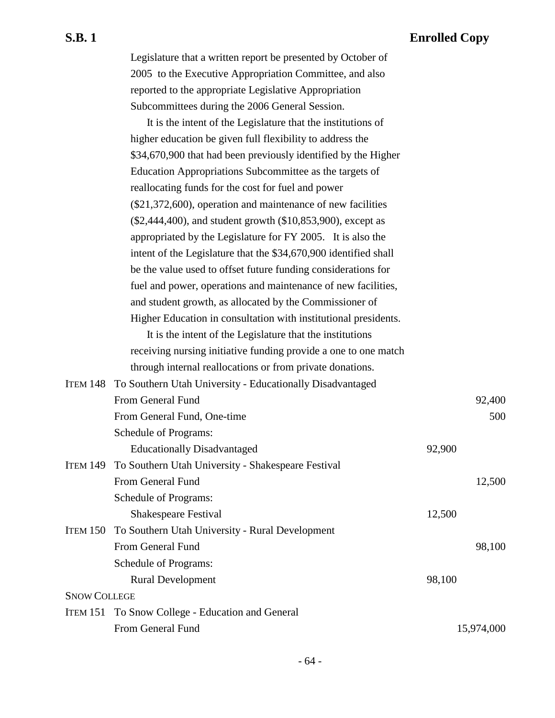Legislature that a written report be presented by October of 2005 to the Executive Appropriation Committee, and also reported to the appropriate Legislative Appropriation Subcommittees during the 2006 General Session.

It is the intent of the Legislature that the institutions of higher education be given full flexibility to address the \$34,670,900 that had been previously identified by the Higher Education Appropriations Subcommittee as the targets of reallocating funds for the cost for fuel and power (\$21,372,600), operation and maintenance of new facilities (\$2,444,400), and student growth (\$10,853,900), except as appropriated by the Legislature for FY 2005. It is also the intent of the Legislature that the \$34,670,900 identified shall be the value used to offset future funding considerations for fuel and power, operations and maintenance of new facilities, and student growth, as allocated by the Commissioner of Higher Education in consultation with institutional presidents.

It is the intent of the Legislature that the institutions receiving nursing initiative funding provide a one to one match through internal reallocations or from private donations.

|                     | ITEM 148 To Southern Utah University - Educationally Disadvantaged |        |            |
|---------------------|--------------------------------------------------------------------|--------|------------|
|                     | From General Fund                                                  |        | 92,400     |
|                     | From General Fund, One-time                                        |        | 500        |
|                     | <b>Schedule of Programs:</b>                                       |        |            |
|                     | <b>Educationally Disadvantaged</b>                                 | 92,900 |            |
| <b>ITEM 149</b>     | To Southern Utah University - Shakespeare Festival                 |        |            |
|                     | From General Fund                                                  |        | 12,500     |
|                     | Schedule of Programs:                                              |        |            |
|                     | Shakespeare Festival                                               | 12,500 |            |
|                     | ITEM 150 To Southern Utah University - Rural Development           |        |            |
|                     | From General Fund                                                  |        | 98,100     |
|                     | <b>Schedule of Programs:</b>                                       |        |            |
|                     | <b>Rural Development</b>                                           | 98,100 |            |
| <b>SNOW COLLEGE</b> |                                                                    |        |            |
|                     | ITEM 151 To Snow College - Education and General                   |        |            |
|                     | From General Fund                                                  |        | 15,974,000 |
|                     |                                                                    |        |            |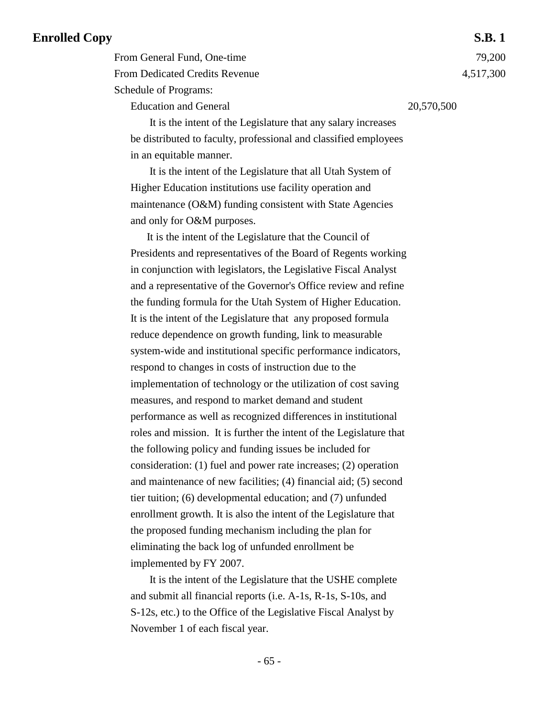From General Fund, One-time 79,200 From Dedicated Credits Revenue 4,517,300 Schedule of Programs:

Education and General 20,570,500

 It is the intent of the Legislature that any salary increases be distributed to faculty, professional and classified employees in an equitable manner.

 It is the intent of the Legislature that all Utah System of Higher Education institutions use facility operation and maintenance (O&M) funding consistent with State Agencies and only for O&M purposes.

It is the intent of the Legislature that the Council of Presidents and representatives of the Board of Regents working in conjunction with legislators, the Legislative Fiscal Analyst and a representative of the Governor's Office review and refine the funding formula for the Utah System of Higher Education. It is the intent of the Legislature that any proposed formula reduce dependence on growth funding, link to measurable system-wide and institutional specific performance indicators, respond to changes in costs of instruction due to the implementation of technology or the utilization of cost saving measures, and respond to market demand and student performance as well as recognized differences in institutional roles and mission. It is further the intent of the Legislature that the following policy and funding issues be included for consideration: (1) fuel and power rate increases; (2) operation and maintenance of new facilities; (4) financial aid; (5) second tier tuition; (6) developmental education; and (7) unfunded enrollment growth. It is also the intent of the Legislature that the proposed funding mechanism including the plan for eliminating the back log of unfunded enrollment be implemented by FY 2007.

 It is the intent of the Legislature that the USHE complete and submit all financial reports (i.e. A-1s, R-1s, S-10s, and S-12s, etc.) to the Office of the Legislative Fiscal Analyst by November 1 of each fiscal year.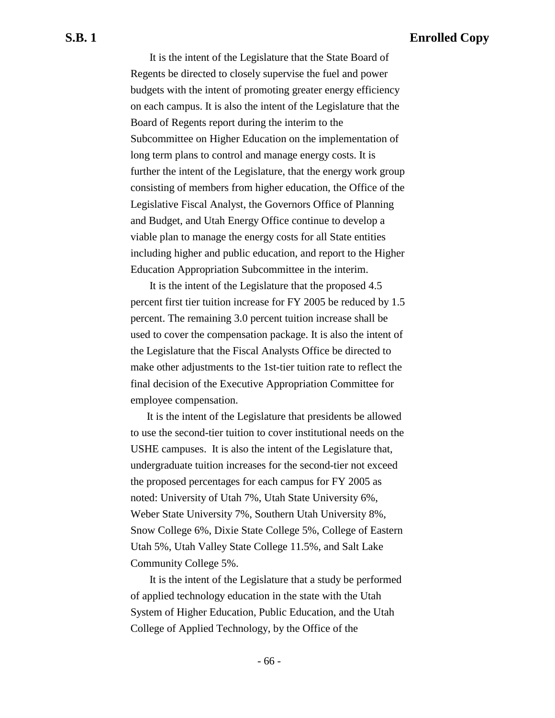It is the intent of the Legislature that the State Board of Regents be directed to closely supervise the fuel and power budgets with the intent of promoting greater energy efficiency on each campus. It is also the intent of the Legislature that the Board of Regents report during the interim to the Subcommittee on Higher Education on the implementation of long term plans to control and manage energy costs. It is further the intent of the Legislature, that the energy work group consisting of members from higher education, the Office of the Legislative Fiscal Analyst, the Governors Office of Planning and Budget, and Utah Energy Office continue to develop a viable plan to manage the energy costs for all State entities including higher and public education, and report to the Higher Education Appropriation Subcommittee in the interim.

 It is the intent of the Legislature that the proposed 4.5 percent first tier tuition increase for FY 2005 be reduced by 1.5 percent. The remaining 3.0 percent tuition increase shall be used to cover the compensation package. It is also the intent of the Legislature that the Fiscal Analysts Office be directed to make other adjustments to the 1st-tier tuition rate to reflect the final decision of the Executive Appropriation Committee for employee compensation.

It is the intent of the Legislature that presidents be allowed to use the second-tier tuition to cover institutional needs on the USHE campuses. It is also the intent of the Legislature that, undergraduate tuition increases for the second-tier not exceed the proposed percentages for each campus for FY 2005 as noted: University of Utah 7%, Utah State University 6%, Weber State University 7%, Southern Utah University 8%, Snow College 6%, Dixie State College 5%, College of Eastern Utah 5%, Utah Valley State College 11.5%, and Salt Lake Community College 5%.

 It is the intent of the Legislature that a study be performed of applied technology education in the state with the Utah System of Higher Education, Public Education, and the Utah College of Applied Technology, by the Office of the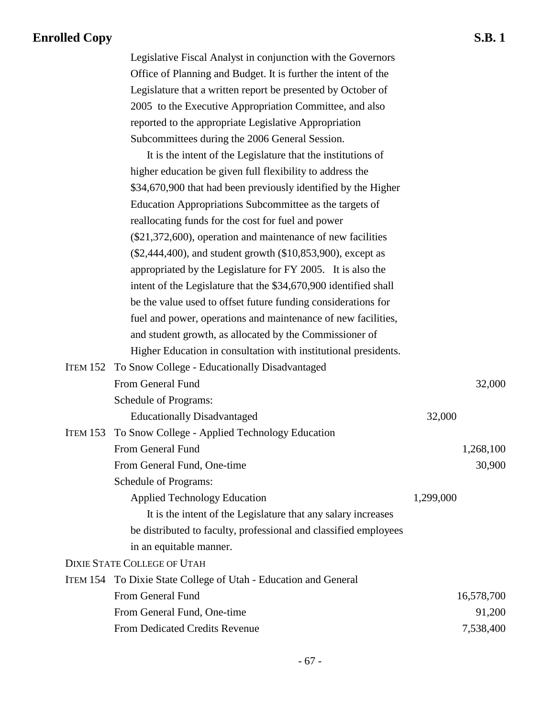Legislative Fiscal Analyst in conjunction with the Governors Office of Planning and Budget. It is further the intent of the Legislature that a written report be presented by October of 2005 to the Executive Appropriation Committee, and also reported to the appropriate Legislative Appropriation Subcommittees during the 2006 General Session.

| It is the intent of the Legislature that the institutions of     |           |            |
|------------------------------------------------------------------|-----------|------------|
| higher education be given full flexibility to address the        |           |            |
| \$34,670,900 that had been previously identified by the Higher   |           |            |
| Education Appropriations Subcommittee as the targets of          |           |            |
| reallocating funds for the cost for fuel and power               |           |            |
| $(\$21,372,600)$ , operation and maintenance of new facilities   |           |            |
| (\$2,444,400), and student growth (\$10,853,900), except as      |           |            |
| appropriated by the Legislature for FY 2005. It is also the      |           |            |
| intent of the Legislature that the \$34,670,900 identified shall |           |            |
| be the value used to offset future funding considerations for    |           |            |
| fuel and power, operations and maintenance of new facilities,    |           |            |
| and student growth, as allocated by the Commissioner of          |           |            |
| Higher Education in consultation with institutional presidents.  |           |            |
| <b>ITEM 152 To Snow College - Educationally Disadvantaged</b>    |           |            |
| From General Fund                                                |           | 32,000     |
| Schedule of Programs:                                            |           |            |
| <b>Educationally Disadvantaged</b>                               | 32,000    |            |
| ITEM 153 To Snow College - Applied Technology Education          |           |            |
| From General Fund                                                |           | 1,268,100  |
| From General Fund, One-time                                      |           | 30,900     |
| Schedule of Programs:                                            |           |            |
| <b>Applied Technology Education</b>                              | 1,299,000 |            |
| It is the intent of the Legislature that any salary increases    |           |            |
| be distributed to faculty, professional and classified employees |           |            |
| in an equitable manner.                                          |           |            |
| DIXIE STATE COLLEGE OF UTAH                                      |           |            |
| ITEM 154 To Dixie State College of Utah - Education and General  |           |            |
| From General Fund                                                |           | 16,578,700 |
| From General Fund, One-time                                      |           | 91,200     |
| From Dedicated Credits Revenue                                   |           | 7,538,400  |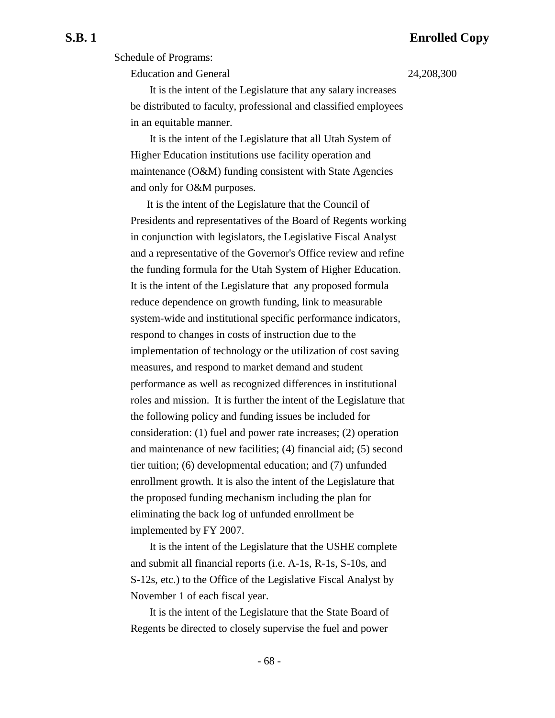Schedule of Programs:

Education and General 24,208,300

 It is the intent of the Legislature that any salary increases be distributed to faculty, professional and classified employees in an equitable manner.

 It is the intent of the Legislature that all Utah System of Higher Education institutions use facility operation and maintenance (O&M) funding consistent with State Agencies and only for O&M purposes.

It is the intent of the Legislature that the Council of Presidents and representatives of the Board of Regents working in conjunction with legislators, the Legislative Fiscal Analyst and a representative of the Governor's Office review and refine the funding formula for the Utah System of Higher Education. It is the intent of the Legislature that any proposed formula reduce dependence on growth funding, link to measurable system-wide and institutional specific performance indicators, respond to changes in costs of instruction due to the implementation of technology or the utilization of cost saving measures, and respond to market demand and student performance as well as recognized differences in institutional roles and mission. It is further the intent of the Legislature that the following policy and funding issues be included for consideration: (1) fuel and power rate increases; (2) operation and maintenance of new facilities; (4) financial aid; (5) second tier tuition; (6) developmental education; and (7) unfunded enrollment growth. It is also the intent of the Legislature that the proposed funding mechanism including the plan for eliminating the back log of unfunded enrollment be implemented by FY 2007.

 It is the intent of the Legislature that the USHE complete and submit all financial reports (i.e. A-1s, R-1s, S-10s, and S-12s, etc.) to the Office of the Legislative Fiscal Analyst by November 1 of each fiscal year.

 It is the intent of the Legislature that the State Board of Regents be directed to closely supervise the fuel and power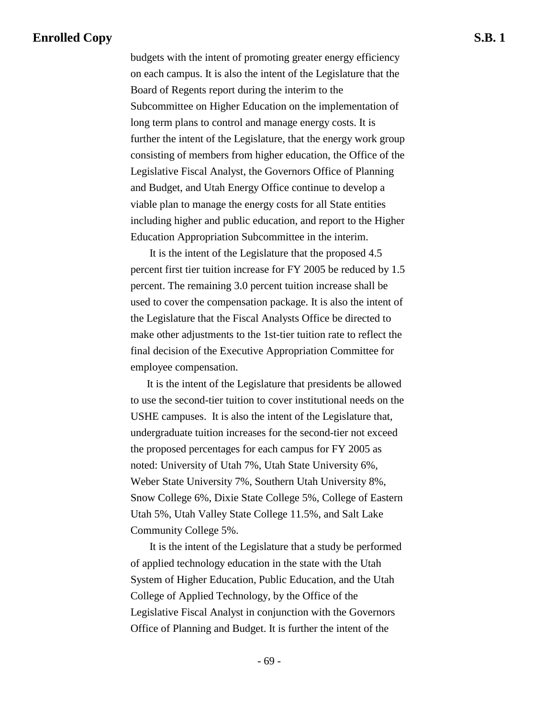budgets with the intent of promoting greater energy efficiency on each campus. It is also the intent of the Legislature that the Board of Regents report during the interim to the Subcommittee on Higher Education on the implementation of long term plans to control and manage energy costs. It is further the intent of the Legislature, that the energy work group consisting of members from higher education, the Office of the Legislative Fiscal Analyst, the Governors Office of Planning and Budget, and Utah Energy Office continue to develop a viable plan to manage the energy costs for all State entities including higher and public education, and report to the Higher Education Appropriation Subcommittee in the interim.

 It is the intent of the Legislature that the proposed 4.5 percent first tier tuition increase for FY 2005 be reduced by 1.5 percent. The remaining 3.0 percent tuition increase shall be used to cover the compensation package. It is also the intent of the Legislature that the Fiscal Analysts Office be directed to make other adjustments to the 1st-tier tuition rate to reflect the final decision of the Executive Appropriation Committee for employee compensation.

It is the intent of the Legislature that presidents be allowed to use the second-tier tuition to cover institutional needs on the USHE campuses. It is also the intent of the Legislature that, undergraduate tuition increases for the second-tier not exceed the proposed percentages for each campus for FY 2005 as noted: University of Utah 7%, Utah State University 6%, Weber State University 7%, Southern Utah University 8%, Snow College 6%, Dixie State College 5%, College of Eastern Utah 5%, Utah Valley State College 11.5%, and Salt Lake Community College 5%.

 It is the intent of the Legislature that a study be performed of applied technology education in the state with the Utah System of Higher Education, Public Education, and the Utah College of Applied Technology, by the Office of the Legislative Fiscal Analyst in conjunction with the Governors Office of Planning and Budget. It is further the intent of the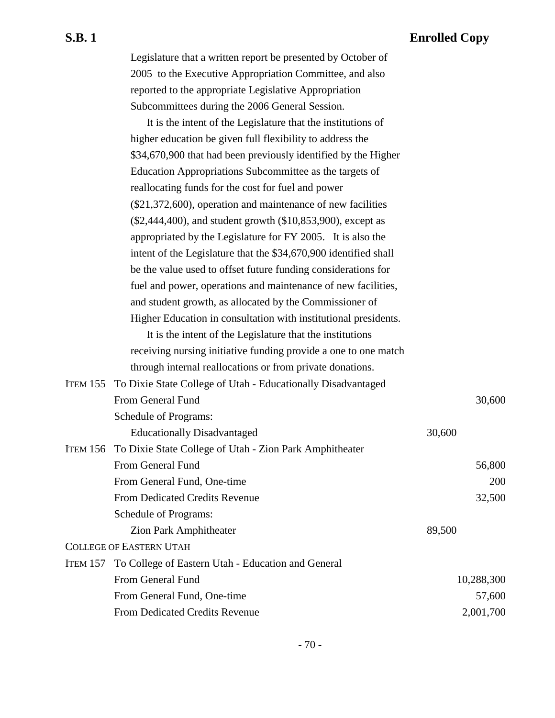Legislature that a written report be presented by October of 2005 to the Executive Appropriation Committee, and also reported to the appropriate Legislative Appropriation Subcommittees during the 2006 General Session.

It is the intent of the Legislature that the institutions of higher education be given full flexibility to address the \$34,670,900 that had been previously identified by the Higher Education Appropriations Subcommittee as the targets of reallocating funds for the cost for fuel and power (\$21,372,600), operation and maintenance of new facilities (\$2,444,400), and student growth (\$10,853,900), except as appropriated by the Legislature for FY 2005. It is also the intent of the Legislature that the \$34,670,900 identified shall be the value used to offset future funding considerations for fuel and power, operations and maintenance of new facilities, and student growth, as allocated by the Commissioner of Higher Education in consultation with institutional presidents.

It is the intent of the Legislature that the institutions receiving nursing initiative funding provide a one to one match through internal reallocations or from private donations.

| ITEM 155 To Dixie State College of Utah - Educationally Disadvantaged |            |
|-----------------------------------------------------------------------|------------|
| From General Fund                                                     | 30,600     |
| Schedule of Programs:                                                 |            |
| <b>Educationally Disadvantaged</b>                                    | 30,600     |
| ITEM 156 To Dixie State College of Utah - Zion Park Amphitheater      |            |
| From General Fund                                                     | 56,800     |
| From General Fund, One-time                                           | 200        |
| <b>From Dedicated Credits Revenue</b>                                 | 32,500     |
| Schedule of Programs:                                                 |            |
| <b>Zion Park Amphitheater</b>                                         | 89,500     |
| <b>COLLEGE OF EASTERN UTAH</b>                                        |            |
| ITEM 157 To College of Eastern Utah - Education and General           |            |
| From General Fund                                                     | 10,288,300 |
| From General Fund, One-time                                           | 57,600     |
| From Dedicated Credits Revenue                                        | 2,001,700  |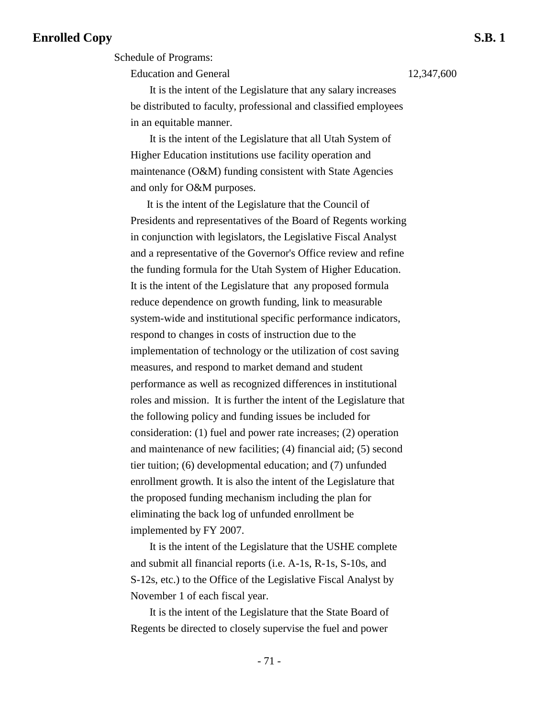Education and General 12,347,600

 It is the intent of the Legislature that any salary increases be distributed to faculty, professional and classified employees in an equitable manner.

 It is the intent of the Legislature that all Utah System of Higher Education institutions use facility operation and maintenance (O&M) funding consistent with State Agencies and only for O&M purposes.

It is the intent of the Legislature that the Council of Presidents and representatives of the Board of Regents working in conjunction with legislators, the Legislative Fiscal Analyst and a representative of the Governor's Office review and refine the funding formula for the Utah System of Higher Education. It is the intent of the Legislature that any proposed formula reduce dependence on growth funding, link to measurable system-wide and institutional specific performance indicators, respond to changes in costs of instruction due to the implementation of technology or the utilization of cost saving measures, and respond to market demand and student performance as well as recognized differences in institutional roles and mission. It is further the intent of the Legislature that the following policy and funding issues be included for consideration: (1) fuel and power rate increases; (2) operation and maintenance of new facilities; (4) financial aid; (5) second tier tuition; (6) developmental education; and (7) unfunded enrollment growth. It is also the intent of the Legislature that the proposed funding mechanism including the plan for eliminating the back log of unfunded enrollment be implemented by FY 2007.

 It is the intent of the Legislature that the USHE complete and submit all financial reports (i.e. A-1s, R-1s, S-10s, and S-12s, etc.) to the Office of the Legislative Fiscal Analyst by November 1 of each fiscal year.

 It is the intent of the Legislature that the State Board of Regents be directed to closely supervise the fuel and power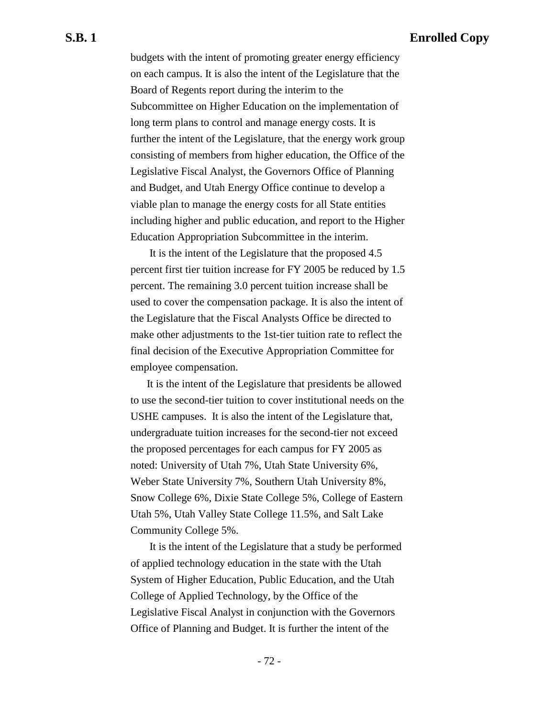budgets with the intent of promoting greater energy efficiency on each campus. It is also the intent of the Legislature that the Board of Regents report during the interim to the Subcommittee on Higher Education on the implementation of long term plans to control and manage energy costs. It is further the intent of the Legislature, that the energy work group consisting of members from higher education, the Office of the Legislative Fiscal Analyst, the Governors Office of Planning and Budget, and Utah Energy Office continue to develop a viable plan to manage the energy costs for all State entities including higher and public education, and report to the Higher Education Appropriation Subcommittee in the interim.

 It is the intent of the Legislature that the proposed 4.5 percent first tier tuition increase for FY 2005 be reduced by 1.5 percent. The remaining 3.0 percent tuition increase shall be used to cover the compensation package. It is also the intent of the Legislature that the Fiscal Analysts Office be directed to make other adjustments to the 1st-tier tuition rate to reflect the final decision of the Executive Appropriation Committee for employee compensation.

It is the intent of the Legislature that presidents be allowed to use the second-tier tuition to cover institutional needs on the USHE campuses. It is also the intent of the Legislature that, undergraduate tuition increases for the second-tier not exceed the proposed percentages for each campus for FY 2005 as noted: University of Utah 7%, Utah State University 6%, Weber State University 7%, Southern Utah University 8%, Snow College 6%, Dixie State College 5%, College of Eastern Utah 5%, Utah Valley State College 11.5%, and Salt Lake Community College 5%.

 It is the intent of the Legislature that a study be performed of applied technology education in the state with the Utah System of Higher Education, Public Education, and the Utah College of Applied Technology, by the Office of the Legislative Fiscal Analyst in conjunction with the Governors Office of Planning and Budget. It is further the intent of the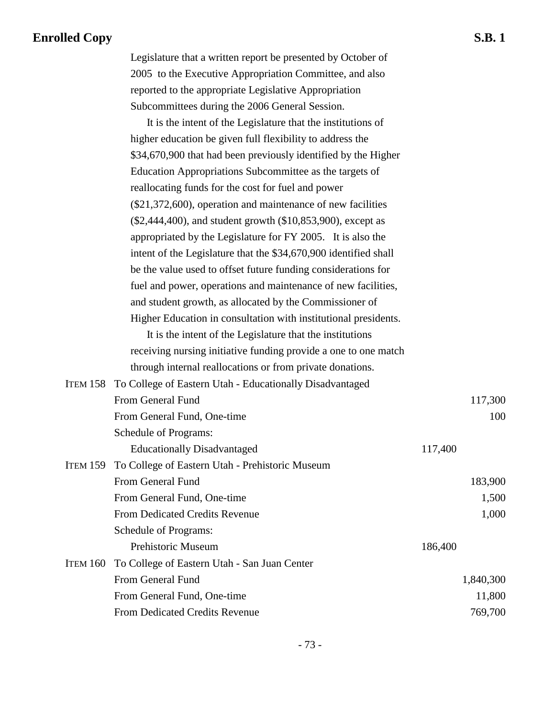Legislature that a written report be presented by October of 2005 to the Executive Appropriation Committee, and also reported to the appropriate Legislative Appropriation Subcommittees during the 2006 General Session.

It is the intent of the Legislature that the institutions of higher education be given full flexibility to address the \$34,670,900 that had been previously identified by the Higher Education Appropriations Subcommittee as the targets of reallocating funds for the cost for fuel and power (\$21,372,600), operation and maintenance of new facilities (\$2,444,400), and student growth (\$10,853,900), except as appropriated by the Legislature for FY 2005. It is also the intent of the Legislature that the \$34,670,900 identified shall be the value used to offset future funding considerations for fuel and power, operations and maintenance of new facilities, and student growth, as allocated by the Commissioner of Higher Education in consultation with institutional presidents.

It is the intent of the Legislature that the institutions receiving nursing initiative funding provide a one to one match through internal reallocations or from private donations.

|                 | ITEM 158 To College of Eastern Utah - Educationally Disadvantaged |           |
|-----------------|-------------------------------------------------------------------|-----------|
|                 | From General Fund                                                 | 117,300   |
|                 | From General Fund, One-time                                       | 100       |
|                 | Schedule of Programs:                                             |           |
|                 | <b>Educationally Disadvantaged</b>                                | 117,400   |
| <b>ITEM 159</b> | To College of Eastern Utah - Prehistoric Museum                   |           |
|                 | <b>From General Fund</b>                                          | 183,900   |
|                 | From General Fund, One-time                                       | 1,500     |
|                 | <b>From Dedicated Credits Revenue</b>                             | 1,000     |
|                 | Schedule of Programs:                                             |           |
|                 | <b>Prehistoric Museum</b>                                         | 186,400   |
| ITEM 160        | To College of Eastern Utah - San Juan Center                      |           |
|                 | From General Fund                                                 | 1,840,300 |
|                 | From General Fund, One-time                                       | 11,800    |
|                 | <b>From Dedicated Credits Revenue</b>                             | 769,700   |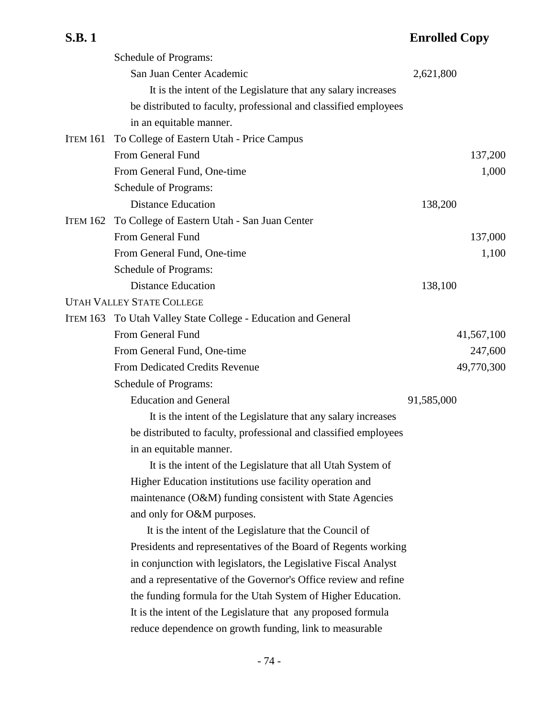|                 | Schedule of Programs:                                            |            |
|-----------------|------------------------------------------------------------------|------------|
|                 | San Juan Center Academic                                         | 2,621,800  |
|                 | It is the intent of the Legislature that any salary increases    |            |
|                 | be distributed to faculty, professional and classified employees |            |
|                 | in an equitable manner.                                          |            |
| <b>ITEM 161</b> | To College of Eastern Utah - Price Campus                        |            |
|                 | From General Fund                                                | 137,200    |
|                 | From General Fund, One-time                                      | 1,000      |
|                 | Schedule of Programs:                                            |            |
|                 | <b>Distance Education</b>                                        | 138,200    |
| <b>ITEM 162</b> | To College of Eastern Utah - San Juan Center                     |            |
|                 | From General Fund                                                | 137,000    |
|                 | From General Fund, One-time                                      | 1,100      |
|                 | Schedule of Programs:                                            |            |
|                 | <b>Distance Education</b>                                        | 138,100    |
|                 | <b>UTAH VALLEY STATE COLLEGE</b>                                 |            |
|                 | ITEM 163 To Utah Valley State College - Education and General    |            |
|                 | From General Fund                                                | 41,567,100 |
|                 | From General Fund, One-time                                      | 247,600    |
|                 | <b>From Dedicated Credits Revenue</b>                            | 49,770,300 |
|                 | Schedule of Programs:                                            |            |
|                 | <b>Education and General</b>                                     | 91,585,000 |
|                 | It is the intent of the Legislature that any salary increases    |            |
|                 | be distributed to faculty, professional and classified employees |            |
|                 | in an equitable manner.                                          |            |
|                 | It is the intent of the Legislature that all Utah System of      |            |
|                 | Higher Education institutions use facility operation and         |            |
|                 | maintenance (O&M) funding consistent with State Agencies         |            |
|                 | and only for O&M purposes.                                       |            |
|                 | It is the intent of the Legislature that the Council of          |            |
|                 | Presidents and representatives of the Board of Regents working   |            |
|                 | in conjunction with legislators, the Legislative Fiscal Analyst  |            |
|                 | and a representative of the Governor's Office review and refine  |            |
|                 | the funding formula for the Utah System of Higher Education.     |            |
|                 | It is the intent of the Legislature that any proposed formula    |            |

reduce dependence on growth funding, link to measurable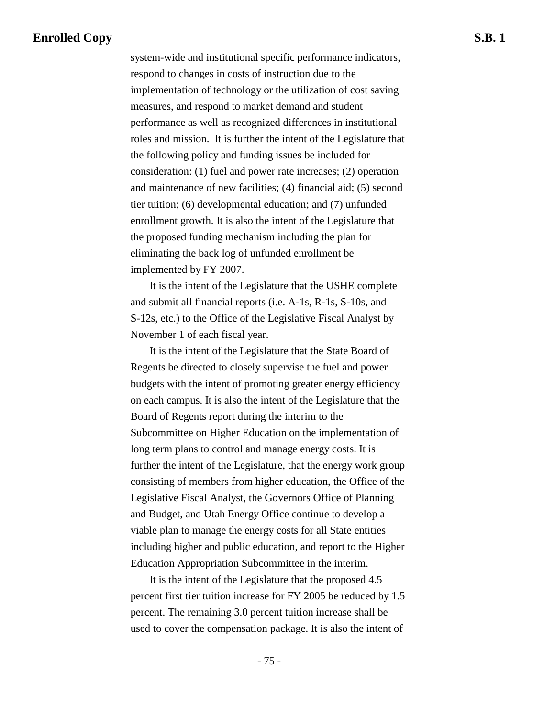system-wide and institutional specific performance indicators, respond to changes in costs of instruction due to the implementation of technology or the utilization of cost saving measures, and respond to market demand and student performance as well as recognized differences in institutional roles and mission. It is further the intent of the Legislature that the following policy and funding issues be included for consideration: (1) fuel and power rate increases; (2) operation and maintenance of new facilities; (4) financial aid; (5) second tier tuition; (6) developmental education; and (7) unfunded enrollment growth. It is also the intent of the Legislature that the proposed funding mechanism including the plan for eliminating the back log of unfunded enrollment be implemented by FY 2007.

 It is the intent of the Legislature that the USHE complete and submit all financial reports (i.e. A-1s, R-1s, S-10s, and S-12s, etc.) to the Office of the Legislative Fiscal Analyst by November 1 of each fiscal year.

 It is the intent of the Legislature that the State Board of Regents be directed to closely supervise the fuel and power budgets with the intent of promoting greater energy efficiency on each campus. It is also the intent of the Legislature that the Board of Regents report during the interim to the Subcommittee on Higher Education on the implementation of long term plans to control and manage energy costs. It is further the intent of the Legislature, that the energy work group consisting of members from higher education, the Office of the Legislative Fiscal Analyst, the Governors Office of Planning and Budget, and Utah Energy Office continue to develop a viable plan to manage the energy costs for all State entities including higher and public education, and report to the Higher Education Appropriation Subcommittee in the interim.

 It is the intent of the Legislature that the proposed 4.5 percent first tier tuition increase for FY 2005 be reduced by 1.5 percent. The remaining 3.0 percent tuition increase shall be used to cover the compensation package. It is also the intent of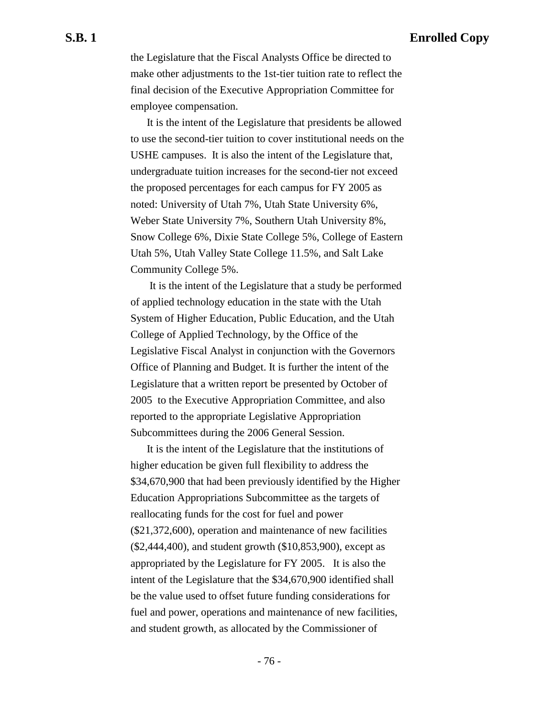the Legislature that the Fiscal Analysts Office be directed to make other adjustments to the 1st-tier tuition rate to reflect the final decision of the Executive Appropriation Committee for employee compensation.

It is the intent of the Legislature that presidents be allowed to use the second-tier tuition to cover institutional needs on the USHE campuses. It is also the intent of the Legislature that, undergraduate tuition increases for the second-tier not exceed the proposed percentages for each campus for FY 2005 as noted: University of Utah 7%, Utah State University 6%, Weber State University 7%, Southern Utah University 8%, Snow College 6%, Dixie State College 5%, College of Eastern Utah 5%, Utah Valley State College 11.5%, and Salt Lake Community College 5%.

 It is the intent of the Legislature that a study be performed of applied technology education in the state with the Utah System of Higher Education, Public Education, and the Utah College of Applied Technology, by the Office of the Legislative Fiscal Analyst in conjunction with the Governors Office of Planning and Budget. It is further the intent of the Legislature that a written report be presented by October of 2005 to the Executive Appropriation Committee, and also reported to the appropriate Legislative Appropriation Subcommittees during the 2006 General Session.

It is the intent of the Legislature that the institutions of higher education be given full flexibility to address the \$34,670,900 that had been previously identified by the Higher Education Appropriations Subcommittee as the targets of reallocating funds for the cost for fuel and power (\$21,372,600), operation and maintenance of new facilities (\$2,444,400), and student growth (\$10,853,900), except as appropriated by the Legislature for FY 2005. It is also the intent of the Legislature that the \$34,670,900 identified shall be the value used to offset future funding considerations for fuel and power, operations and maintenance of new facilities, and student growth, as allocated by the Commissioner of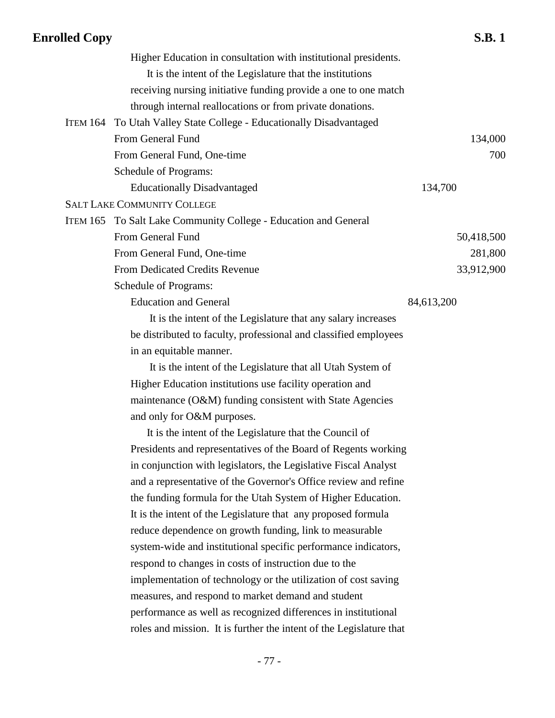| Higher Education in consultation with institutional presidents.     |            |
|---------------------------------------------------------------------|------------|
| It is the intent of the Legislature that the institutions           |            |
| receiving nursing initiative funding provide a one to one match     |            |
| through internal reallocations or from private donations.           |            |
| ITEM 164 To Utah Valley State College - Educationally Disadvantaged |            |
| From General Fund                                                   | 134,000    |
| From General Fund, One-time                                         | 700        |
| Schedule of Programs:                                               |            |
| <b>Educationally Disadvantaged</b>                                  | 134,700    |
| <b>SALT LAKE COMMUNITY COLLEGE</b>                                  |            |
| ITEM 165 To Salt Lake Community College - Education and General     |            |
| From General Fund                                                   | 50,418,500 |
| From General Fund, One-time                                         | 281,800    |
| From Dedicated Credits Revenue                                      | 33,912,900 |
| Schedule of Programs:                                               |            |
| <b>Education and General</b>                                        | 84,613,200 |
| It is the intent of the Legislature that any salary increases       |            |
| be distributed to faculty, professional and classified employees    |            |
| in an equitable manner.                                             |            |
| It is the intent of the Legislature that all Utah System of         |            |
| Higher Education institutions use facility operation and            |            |
| maintenance (O&M) funding consistent with State Agencies            |            |
| and only for O&M purposes.                                          |            |
| It is the intent of the Legislature that the Council of             |            |
| Presidents and representatives of the Board of Regents working      |            |
| in conjunction with legislators, the Legislative Fiscal Analyst     |            |
| and a representative of the Governor's Office review and refine     |            |
| the funding formula for the Utah System of Higher Education.        |            |
| It is the intent of the Legislature that any proposed formula       |            |
| reduce dependence on growth funding, link to measurable             |            |
| system-wide and institutional specific performance indicators,      |            |
| respond to changes in costs of instruction due to the               |            |
| implementation of technology or the utilization of cost saving      |            |
| measures, and respond to market demand and student                  |            |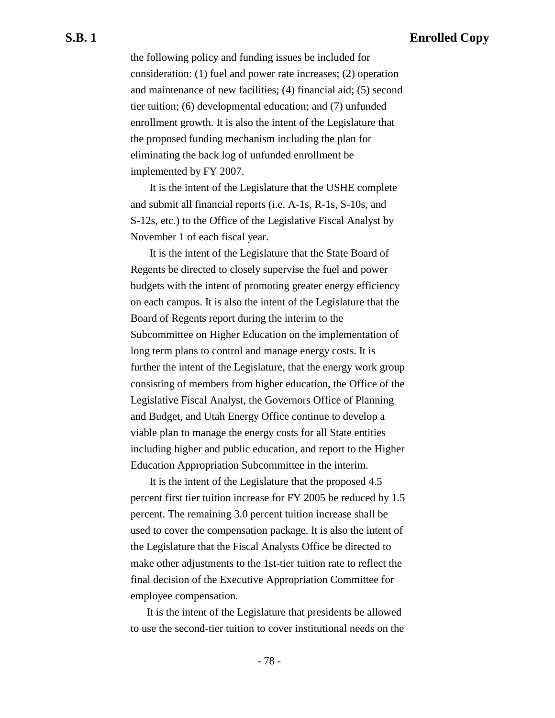the following policy and funding issues be included for consideration: (1) fuel and power rate increases; (2) operation and maintenance of new facilities; (4) financial aid; (5) second tier tuition; (6) developmental education; and (7) unfunded enrollment growth. It is also the intent of the Legislature that the proposed funding mechanism including the plan for eliminating the back log of unfunded enrollment be implemented by FY 2007.

 It is the intent of the Legislature that the USHE complete and submit all financial reports (i.e. A-1s, R-1s, S-10s, and S-12s, etc.) to the Office of the Legislative Fiscal Analyst by November 1 of each fiscal year.

 It is the intent of the Legislature that the State Board of Regents be directed to closely supervise the fuel and power budgets with the intent of promoting greater energy efficiency on each campus. It is also the intent of the Legislature that the Board of Regents report during the interim to the Subcommittee on Higher Education on the implementation of long term plans to control and manage energy costs. It is further the intent of the Legislature, that the energy work group consisting of members from higher education, the Office of the Legislative Fiscal Analyst, the Governors Office of Planning and Budget, and Utah Energy Office continue to develop a viable plan to manage the energy costs for all State entities including higher and public education, and report to the Higher Education Appropriation Subcommittee in the interim.

 It is the intent of the Legislature that the proposed 4.5 percent first tier tuition increase for FY 2005 be reduced by 1.5 percent. The remaining 3.0 percent tuition increase shall be used to cover the compensation package. It is also the intent of the Legislature that the Fiscal Analysts Office be directed to make other adjustments to the 1st-tier tuition rate to reflect the final decision of the Executive Appropriation Committee for employee compensation.

It is the intent of the Legislature that presidents be allowed to use the second-tier tuition to cover institutional needs on the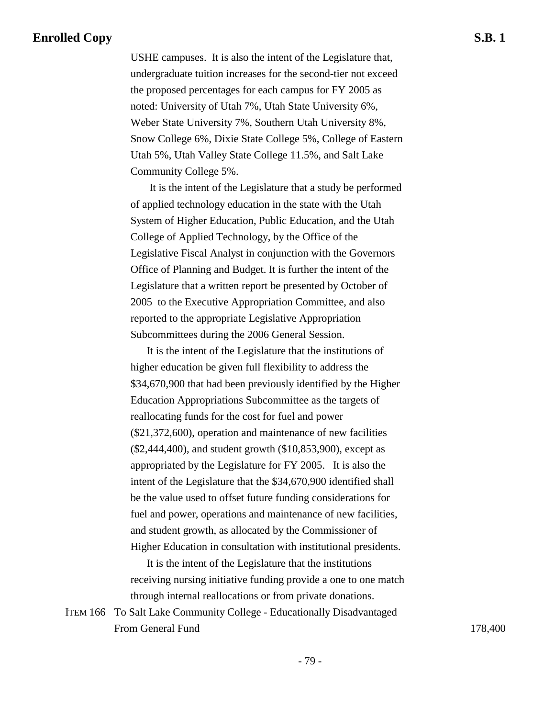USHE campuses. It is also the intent of the Legislature that, undergraduate tuition increases for the second-tier not exceed the proposed percentages for each campus for FY 2005 as noted: University of Utah 7%, Utah State University 6%, Weber State University 7%, Southern Utah University 8%, Snow College 6%, Dixie State College 5%, College of Eastern Utah 5%, Utah Valley State College 11.5%, and Salt Lake Community College 5%.

 It is the intent of the Legislature that a study be performed of applied technology education in the state with the Utah System of Higher Education, Public Education, and the Utah College of Applied Technology, by the Office of the Legislative Fiscal Analyst in conjunction with the Governors Office of Planning and Budget. It is further the intent of the Legislature that a written report be presented by October of 2005 to the Executive Appropriation Committee, and also reported to the appropriate Legislative Appropriation Subcommittees during the 2006 General Session.

It is the intent of the Legislature that the institutions of higher education be given full flexibility to address the \$34,670,900 that had been previously identified by the Higher Education Appropriations Subcommittee as the targets of reallocating funds for the cost for fuel and power (\$21,372,600), operation and maintenance of new facilities (\$2,444,400), and student growth (\$10,853,900), except as appropriated by the Legislature for FY 2005. It is also the intent of the Legislature that the \$34,670,900 identified shall be the value used to offset future funding considerations for fuel and power, operations and maintenance of new facilities, and student growth, as allocated by the Commissioner of Higher Education in consultation with institutional presidents.

It is the intent of the Legislature that the institutions receiving nursing initiative funding provide a one to one match through internal reallocations or from private donations.

ITEM 166 To Salt Lake Community College - Educationally Disadvantaged From General Fund 178,400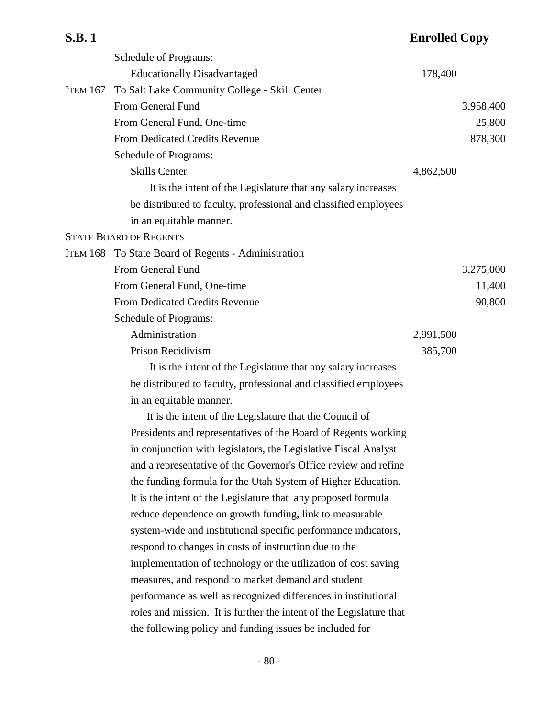|                 | Schedule of Programs:                                            |           |           |
|-----------------|------------------------------------------------------------------|-----------|-----------|
|                 | <b>Educationally Disadvantaged</b>                               | 178,400   |           |
| <b>ITEM 167</b> | To Salt Lake Community College - Skill Center                    |           |           |
|                 | From General Fund                                                |           | 3,958,400 |
|                 | From General Fund, One-time                                      |           | 25,800    |
|                 | <b>From Dedicated Credits Revenue</b>                            |           | 878,300   |
|                 | Schedule of Programs:                                            |           |           |
|                 | <b>Skills Center</b>                                             | 4,862,500 |           |
|                 | It is the intent of the Legislature that any salary increases    |           |           |
|                 | be distributed to faculty, professional and classified employees |           |           |
|                 | in an equitable manner.                                          |           |           |
|                 | <b>STATE BOARD OF REGENTS</b>                                    |           |           |
|                 | ITEM 168 To State Board of Regents - Administration              |           |           |
|                 | From General Fund                                                |           | 3,275,000 |
|                 | From General Fund, One-time                                      |           | 11,400    |
|                 | <b>From Dedicated Credits Revenue</b>                            |           | 90,800    |
|                 | Schedule of Programs:                                            |           |           |
|                 | Administration                                                   | 2,991,500 |           |
|                 | Prison Recidivism                                                | 385,700   |           |
|                 | It is the intent of the Legislature that any salary increases    |           |           |
|                 | be distributed to faculty, professional and classified employees |           |           |
|                 |                                                                  |           |           |

in an equitable manner.

It is the intent of the Legislature that the Council of Presidents and representatives of the Board of Regents working in conjunction with legislators, the Legislative Fiscal Analyst and a representative of the Governor's Office review and refine the funding formula for the Utah System of Higher Education. It is the intent of the Legislature that any proposed formula reduce dependence on growth funding, link to measurable system-wide and institutional specific performance indicators, respond to changes in costs of instruction due to the implementation of technology or the utilization of cost saving measures, and respond to market demand and student performance as well as recognized differences in institutional roles and mission. It is further the intent of the Legislature that the following policy and funding issues be included for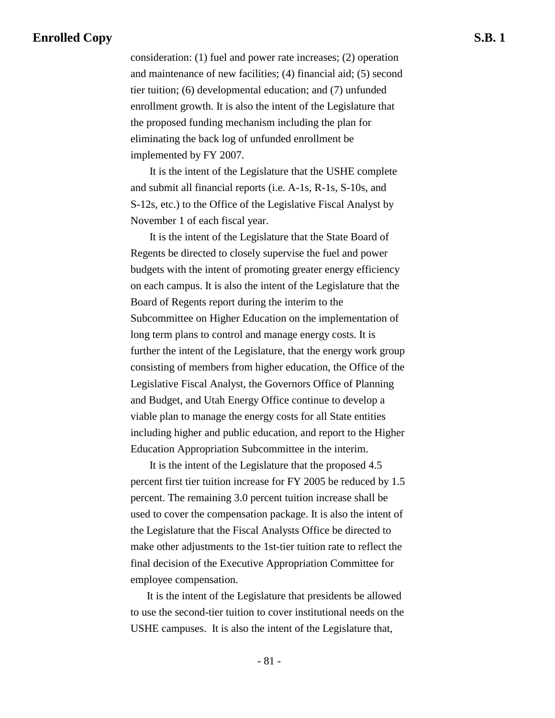consideration: (1) fuel and power rate increases; (2) operation and maintenance of new facilities; (4) financial aid; (5) second tier tuition; (6) developmental education; and (7) unfunded enrollment growth. It is also the intent of the Legislature that the proposed funding mechanism including the plan for eliminating the back log of unfunded enrollment be implemented by FY 2007.

 It is the intent of the Legislature that the USHE complete and submit all financial reports (i.e. A-1s, R-1s, S-10s, and S-12s, etc.) to the Office of the Legislative Fiscal Analyst by November 1 of each fiscal year.

 It is the intent of the Legislature that the State Board of Regents be directed to closely supervise the fuel and power budgets with the intent of promoting greater energy efficiency on each campus. It is also the intent of the Legislature that the Board of Regents report during the interim to the Subcommittee on Higher Education on the implementation of long term plans to control and manage energy costs. It is further the intent of the Legislature, that the energy work group consisting of members from higher education, the Office of the Legislative Fiscal Analyst, the Governors Office of Planning and Budget, and Utah Energy Office continue to develop a viable plan to manage the energy costs for all State entities including higher and public education, and report to the Higher Education Appropriation Subcommittee in the interim.

 It is the intent of the Legislature that the proposed 4.5 percent first tier tuition increase for FY 2005 be reduced by 1.5 percent. The remaining 3.0 percent tuition increase shall be used to cover the compensation package. It is also the intent of the Legislature that the Fiscal Analysts Office be directed to make other adjustments to the 1st-tier tuition rate to reflect the final decision of the Executive Appropriation Committee for employee compensation.

It is the intent of the Legislature that presidents be allowed to use the second-tier tuition to cover institutional needs on the USHE campuses. It is also the intent of the Legislature that,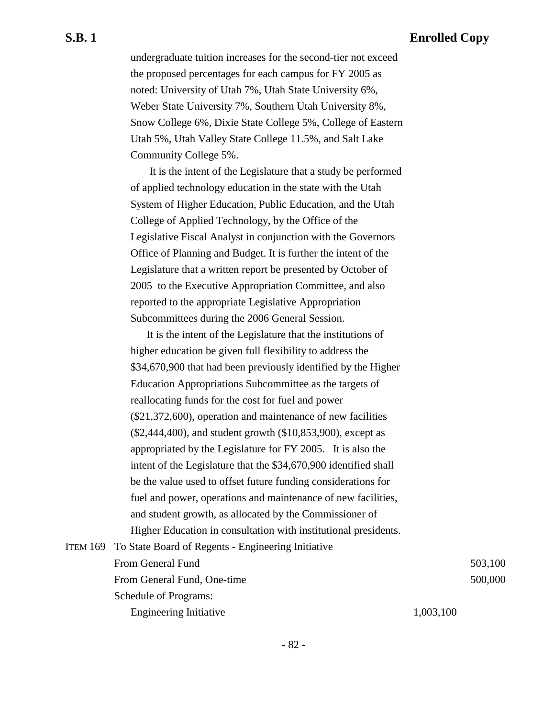undergraduate tuition increases for the second-tier not exceed the proposed percentages for each campus for FY 2005 as noted: University of Utah 7%, Utah State University 6%, Weber State University 7%, Southern Utah University 8%, Snow College 6%, Dixie State College 5%, College of Eastern Utah 5%, Utah Valley State College 11.5%, and Salt Lake Community College 5%.

 It is the intent of the Legislature that a study be performed of applied technology education in the state with the Utah System of Higher Education, Public Education, and the Utah College of Applied Technology, by the Office of the Legislative Fiscal Analyst in conjunction with the Governors Office of Planning and Budget. It is further the intent of the Legislature that a written report be presented by October of 2005 to the Executive Appropriation Committee, and also reported to the appropriate Legislative Appropriation Subcommittees during the 2006 General Session.

It is the intent of the Legislature that the institutions of higher education be given full flexibility to address the \$34,670,900 that had been previously identified by the Higher Education Appropriations Subcommittee as the targets of reallocating funds for the cost for fuel and power (\$21,372,600), operation and maintenance of new facilities (\$2,444,400), and student growth (\$10,853,900), except as appropriated by the Legislature for FY 2005. It is also the intent of the Legislature that the \$34,670,900 identified shall be the value used to offset future funding considerations for fuel and power, operations and maintenance of new facilities, and student growth, as allocated by the Commissioner of Higher Education in consultation with institutional presidents.

| ITEM 169 To State Board of Regents - Engineering Initiative |           |         |
|-------------------------------------------------------------|-----------|---------|
| From General Fund                                           |           | 503,100 |
| From General Fund, One-time                                 |           | 500,000 |
| Schedule of Programs:                                       |           |         |
| <b>Engineering Initiative</b>                               | 1,003,100 |         |
|                                                             |           |         |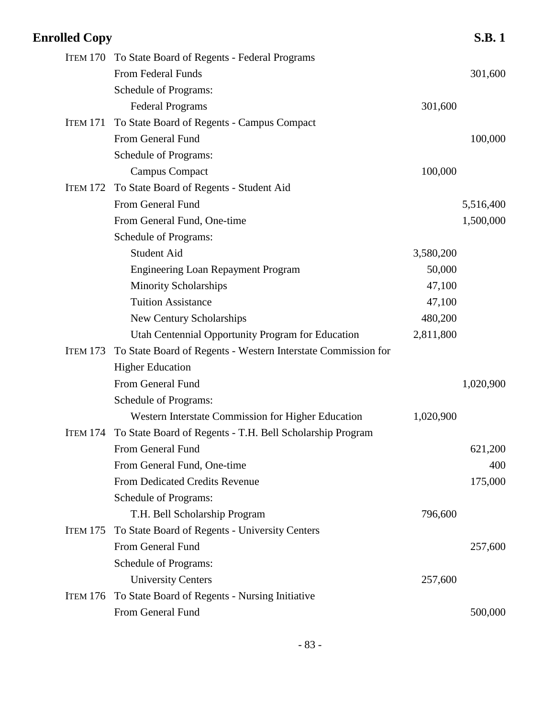| <b>Enrolled Copy</b> |                                                                    |           | <b>S.B.1</b> |
|----------------------|--------------------------------------------------------------------|-----------|--------------|
|                      | ITEM 170 To State Board of Regents - Federal Programs              |           |              |
|                      | From Federal Funds                                                 |           | 301,600      |
|                      | Schedule of Programs:                                              |           |              |
|                      | <b>Federal Programs</b>                                            | 301,600   |              |
| ITEM 171             | To State Board of Regents - Campus Compact                         |           |              |
|                      | From General Fund                                                  |           | 100,000      |
|                      | Schedule of Programs:                                              |           |              |
|                      | <b>Campus Compact</b>                                              | 100,000   |              |
| <b>ITEM 172</b>      | To State Board of Regents - Student Aid                            |           |              |
|                      | From General Fund                                                  |           | 5,516,400    |
|                      | From General Fund, One-time                                        |           | 1,500,000    |
|                      | Schedule of Programs:                                              |           |              |
|                      | Student Aid                                                        | 3,580,200 |              |
|                      | <b>Engineering Loan Repayment Program</b>                          | 50,000    |              |
|                      | <b>Minority Scholarships</b>                                       | 47,100    |              |
|                      | <b>Tuition Assistance</b>                                          | 47,100    |              |
|                      | New Century Scholarships                                           | 480,200   |              |
|                      | Utah Centennial Opportunity Program for Education                  | 2,811,800 |              |
| <b>ITEM 173</b>      | To State Board of Regents - Western Interstate Commission for      |           |              |
|                      | <b>Higher Education</b>                                            |           |              |
|                      | From General Fund                                                  |           | 1,020,900    |
|                      | Schedule of Programs:                                              |           |              |
|                      | Western Interstate Commission for Higher Education                 | 1,020,900 |              |
|                      | ITEM 174 To State Board of Regents - T.H. Bell Scholarship Program |           |              |
|                      | From General Fund                                                  |           | 621,200      |
|                      | From General Fund, One-time                                        |           | 400          |
|                      | From Dedicated Credits Revenue                                     |           | 175,000      |
|                      | Schedule of Programs:                                              |           |              |
|                      | T.H. Bell Scholarship Program                                      | 796,600   |              |
| <b>ITEM 175</b>      | To State Board of Regents - University Centers                     |           |              |
|                      | From General Fund                                                  |           | 257,600      |
|                      | Schedule of Programs:                                              |           |              |
|                      | <b>University Centers</b>                                          | 257,600   |              |
| <b>ITEM 176</b>      | To State Board of Regents - Nursing Initiative                     |           |              |
|                      | From General Fund                                                  |           | 500,000      |
|                      |                                                                    |           |              |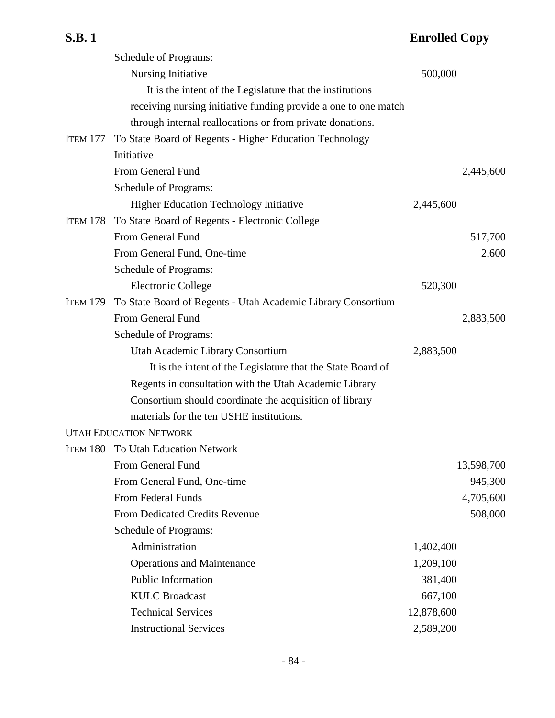|  | ۸<br>н<br>ι. |  |
|--|--------------|--|
|--|--------------|--|

## **Enrolled Copy**

|                 | Schedule of Programs:                                           |            |
|-----------------|-----------------------------------------------------------------|------------|
|                 | Nursing Initiative                                              | 500,000    |
|                 | It is the intent of the Legislature that the institutions       |            |
|                 | receiving nursing initiative funding provide a one to one match |            |
|                 | through internal reallocations or from private donations.       |            |
| <b>ITEM 177</b> | To State Board of Regents - Higher Education Technology         |            |
|                 | Initiative                                                      |            |
|                 | From General Fund                                               | 2,445,600  |
|                 | Schedule of Programs:                                           |            |
|                 | <b>Higher Education Technology Initiative</b>                   | 2,445,600  |
| <b>ITEM 178</b> | To State Board of Regents - Electronic College                  |            |
|                 | From General Fund                                               | 517,700    |
|                 | From General Fund, One-time                                     | 2,600      |
|                 | Schedule of Programs:                                           |            |
|                 | <b>Electronic College</b>                                       | 520,300    |
| <b>ITEM 179</b> | To State Board of Regents - Utah Academic Library Consortium    |            |
|                 | From General Fund                                               | 2,883,500  |
|                 | Schedule of Programs:                                           |            |
|                 | Utah Academic Library Consortium                                | 2,883,500  |
|                 | It is the intent of the Legislature that the State Board of     |            |
|                 | Regents in consultation with the Utah Academic Library          |            |
|                 | Consortium should coordinate the acquisition of library         |            |
|                 | materials for the ten USHE institutions.                        |            |
|                 | <b>UTAH EDUCATION NETWORK</b>                                   |            |
|                 | <b>ITEM 180 To Utah Education Network</b>                       |            |
|                 | From General Fund                                               | 13,598,700 |
|                 | From General Fund, One-time                                     | 945,300    |
|                 | From Federal Funds                                              | 4,705,600  |
|                 | From Dedicated Credits Revenue                                  | 508,000    |
|                 | Schedule of Programs:                                           |            |
|                 | Administration                                                  | 1,402,400  |
|                 | <b>Operations and Maintenance</b>                               | 1,209,100  |
|                 | Public Information                                              | 381,400    |
|                 | <b>KULC Broadcast</b>                                           | 667,100    |
|                 | <b>Technical Services</b>                                       | 12,878,600 |
|                 | <b>Instructional Services</b>                                   | 2,589,200  |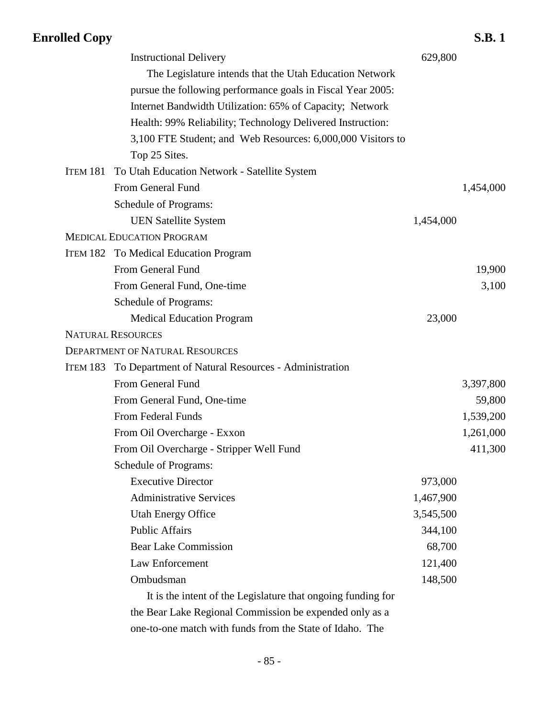|          | <b>Instructional Delivery</b>                                | 629,800   |           |
|----------|--------------------------------------------------------------|-----------|-----------|
|          | The Legislature intends that the Utah Education Network      |           |           |
|          | pursue the following performance goals in Fiscal Year 2005:  |           |           |
|          | Internet Bandwidth Utilization: 65% of Capacity; Network     |           |           |
|          | Health: 99% Reliability; Technology Delivered Instruction:   |           |           |
|          | 3,100 FTE Student; and Web Resources: 6,000,000 Visitors to  |           |           |
|          | Top 25 Sites.                                                |           |           |
| ITEM 181 | To Utah Education Network - Satellite System                 |           |           |
|          | From General Fund                                            |           | 1,454,000 |
|          | Schedule of Programs:                                        |           |           |
|          | <b>UEN Satellite System</b>                                  | 1,454,000 |           |
|          | <b>MEDICAL EDUCATION PROGRAM</b>                             |           |           |
|          | ITEM 182 To Medical Education Program                        |           |           |
|          | From General Fund                                            |           | 19,900    |
|          | From General Fund, One-time                                  |           | 3,100     |
|          | Schedule of Programs:                                        |           |           |
|          | <b>Medical Education Program</b>                             | 23,000    |           |
|          | <b>NATURAL RESOURCES</b>                                     |           |           |
|          | <b>DEPARTMENT OF NATURAL RESOURCES</b>                       |           |           |
| ITEM 183 | To Department of Natural Resources - Administration          |           |           |
|          | From General Fund                                            |           | 3,397,800 |
|          | From General Fund, One-time                                  |           | 59,800    |
|          | From Federal Funds                                           |           | 1,539,200 |
|          | From Oil Overcharge - Exxon                                  |           | 1,261,000 |
|          | From Oil Overcharge - Stripper Well Fund                     |           | 411,300   |
|          | Schedule of Programs:                                        |           |           |
|          | <b>Executive Director</b>                                    | 973,000   |           |
|          | <b>Administrative Services</b>                               | 1,467,900 |           |
|          | <b>Utah Energy Office</b>                                    | 3,545,500 |           |
|          | <b>Public Affairs</b>                                        | 344,100   |           |
|          | <b>Bear Lake Commission</b>                                  | 68,700    |           |
|          | Law Enforcement                                              | 121,400   |           |
|          | Ombudsman                                                    | 148,500   |           |
|          | It is the intent of the Legislature that ongoing funding for |           |           |
|          | the Bear Lake Regional Commission be expended only as a      |           |           |
|          | one-to-one match with funds from the State of Idaho. The     |           |           |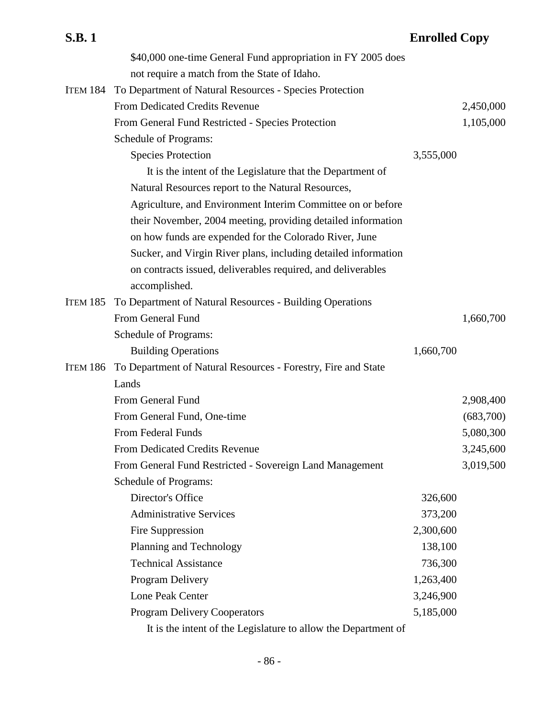| <b>S.B.1</b> |                                                              | <b>Enrolled Copy</b> |
|--------------|--------------------------------------------------------------|----------------------|
|              | \$40,000 one-time General Fund appropriation in FY 2005 does |                      |

not require a match from the State of Idaho.

|                 | ITEM 184 To Department of Natural Resources - Species Protection |           |           |
|-----------------|------------------------------------------------------------------|-----------|-----------|
|                 | From Dedicated Credits Revenue                                   |           | 2,450,000 |
|                 | From General Fund Restricted - Species Protection                |           | 1,105,000 |
|                 | Schedule of Programs:                                            |           |           |
|                 | <b>Species Protection</b>                                        | 3,555,000 |           |
|                 | It is the intent of the Legislature that the Department of       |           |           |
|                 | Natural Resources report to the Natural Resources,               |           |           |
|                 | Agriculture, and Environment Interim Committee on or before      |           |           |
|                 | their November, 2004 meeting, providing detailed information     |           |           |
|                 | on how funds are expended for the Colorado River, June           |           |           |
|                 | Sucker, and Virgin River plans, including detailed information   |           |           |
|                 | on contracts issued, deliverables required, and deliverables     |           |           |
|                 | accomplished.                                                    |           |           |
| <b>ITEM 185</b> | To Department of Natural Resources - Building Operations         |           |           |
|                 | From General Fund                                                |           | 1,660,700 |
|                 | Schedule of Programs:                                            |           |           |
|                 | <b>Building Operations</b>                                       | 1,660,700 |           |
| <b>ITEM 186</b> | To Department of Natural Resources - Forestry, Fire and State    |           |           |
|                 | Lands                                                            |           |           |
|                 | From General Fund                                                |           | 2,908,400 |
|                 | From General Fund, One-time                                      |           | (683,700) |
|                 | From Federal Funds                                               |           | 5,080,300 |
|                 | <b>From Dedicated Credits Revenue</b>                            |           | 3,245,600 |
|                 | From General Fund Restricted - Sovereign Land Management         |           | 3,019,500 |
|                 | Schedule of Programs:                                            |           |           |
|                 | Director's Office                                                | 326,600   |           |
|                 | <b>Administrative Services</b>                                   | 373,200   |           |
|                 | Fire Suppression                                                 | 2,300,600 |           |
|                 | Planning and Technology                                          | 138,100   |           |

- 86 -

It is the intent of the Legislature to allow the Department of

Technical Assistance 736,300 Program Delivery 1,263,400 Lone Peak Center 3,246,900 Program Delivery Cooperators 5,185,000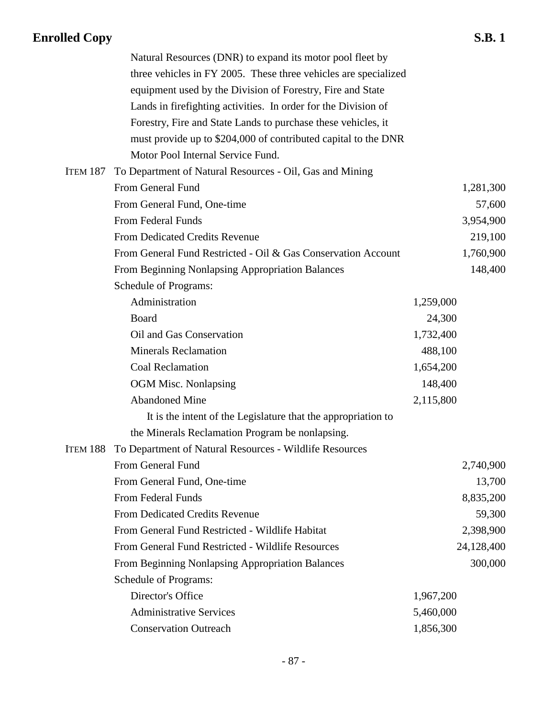|          | Natural Resources (DNR) to expand its motor pool fleet by        |           |            |
|----------|------------------------------------------------------------------|-----------|------------|
|          | three vehicles in FY 2005. These three vehicles are specialized  |           |            |
|          | equipment used by the Division of Forestry, Fire and State       |           |            |
|          | Lands in firefighting activities. In order for the Division of   |           |            |
|          | Forestry, Fire and State Lands to purchase these vehicles, it    |           |            |
|          | must provide up to \$204,000 of contributed capital to the DNR   |           |            |
|          | Motor Pool Internal Service Fund.                                |           |            |
| ITEM 187 | To Department of Natural Resources - Oil, Gas and Mining         |           |            |
|          | From General Fund                                                |           | 1,281,300  |
|          | From General Fund, One-time                                      |           | 57,600     |
|          | From Federal Funds                                               |           | 3,954,900  |
|          | From Dedicated Credits Revenue                                   |           | 219,100    |
|          | From General Fund Restricted - Oil & Gas Conservation Account    |           | 1,760,900  |
|          | From Beginning Nonlapsing Appropriation Balances                 |           | 148,400    |
|          | Schedule of Programs:                                            |           |            |
|          | Administration                                                   | 1,259,000 |            |
|          | Board                                                            | 24,300    |            |
|          | Oil and Gas Conservation                                         | 1,732,400 |            |
|          | <b>Minerals Reclamation</b>                                      | 488,100   |            |
|          | Coal Reclamation                                                 | 1,654,200 |            |
|          | <b>OGM Misc. Nonlapsing</b>                                      | 148,400   |            |
|          | <b>Abandoned Mine</b>                                            | 2,115,800 |            |
|          | It is the intent of the Legislature that the appropriation to    |           |            |
|          | the Minerals Reclamation Program be nonlapsing.                  |           |            |
|          | ITEM 188 To Department of Natural Resources - Wildlife Resources |           |            |
|          | From General Fund                                                |           | 2,740,900  |
|          | From General Fund, One-time                                      |           | 13,700     |
|          | From Federal Funds                                               |           | 8,835,200  |
|          | <b>From Dedicated Credits Revenue</b>                            |           | 59,300     |
|          | From General Fund Restricted - Wildlife Habitat                  |           | 2,398,900  |
|          | From General Fund Restricted - Wildlife Resources                |           | 24,128,400 |
|          | From Beginning Nonlapsing Appropriation Balances                 |           | 300,000    |
|          | Schedule of Programs:                                            |           |            |
|          | Director's Office                                                | 1,967,200 |            |
|          | <b>Administrative Services</b>                                   | 5,460,000 |            |
|          | <b>Conservation Outreach</b>                                     | 1,856,300 |            |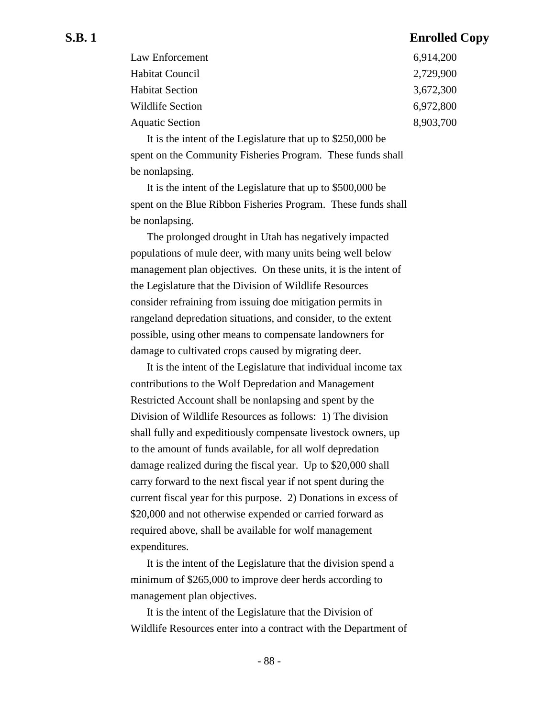| Law Enforcement        | 6,914,200 |
|------------------------|-----------|
| Habitat Council        | 2,729,900 |
| <b>Habitat Section</b> | 3,672,300 |
| Wildlife Section       | 6,972,800 |
| <b>Aquatic Section</b> | 8,903,700 |
|                        |           |

It is the intent of the Legislature that up to \$250,000 be spent on the Community Fisheries Program. These funds shall be nonlapsing.

It is the intent of the Legislature that up to \$500,000 be spent on the Blue Ribbon Fisheries Program. These funds shall be nonlapsing.

The prolonged drought in Utah has negatively impacted populations of mule deer, with many units being well below management plan objectives. On these units, it is the intent of the Legislature that the Division of Wildlife Resources consider refraining from issuing doe mitigation permits in rangeland depredation situations, and consider, to the extent possible, using other means to compensate landowners for damage to cultivated crops caused by migrating deer.

It is the intent of the Legislature that individual income tax contributions to the Wolf Depredation and Management Restricted Account shall be nonlapsing and spent by the Division of Wildlife Resources as follows: 1) The division shall fully and expeditiously compensate livestock owners, up to the amount of funds available, for all wolf depredation damage realized during the fiscal year. Up to \$20,000 shall carry forward to the next fiscal year if not spent during the current fiscal year for this purpose. 2) Donations in excess of \$20,000 and not otherwise expended or carried forward as required above, shall be available for wolf management expenditures.

It is the intent of the Legislature that the division spend a minimum of \$265,000 to improve deer herds according to management plan objectives.

It is the intent of the Legislature that the Division of Wildlife Resources enter into a contract with the Department of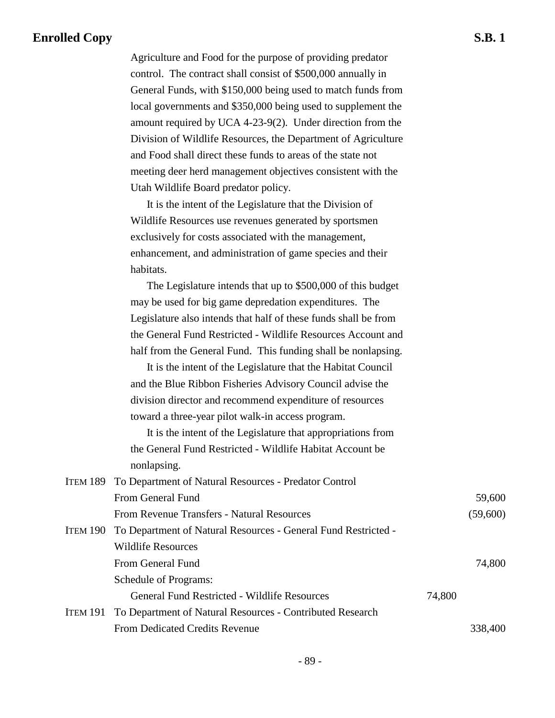Agriculture and Food for the purpose of providing predator control. The contract shall consist of \$500,000 annually in General Funds, with \$150,000 being used to match funds from local governments and \$350,000 being used to supplement the amount required by UCA 4-23-9(2). Under direction from the Division of Wildlife Resources, the Department of Agriculture and Food shall direct these funds to areas of the state not meeting deer herd management objectives consistent with the Utah Wildlife Board predator policy.

It is the intent of the Legislature that the Division of Wildlife Resources use revenues generated by sportsmen exclusively for costs associated with the management, enhancement, and administration of game species and their habitats.

The Legislature intends that up to \$500,000 of this budget may be used for big game depredation expenditures. The Legislature also intends that half of these funds shall be from the General Fund Restricted - Wildlife Resources Account and half from the General Fund. This funding shall be nonlapsing.

It is the intent of the Legislature that the Habitat Council and the Blue Ribbon Fisheries Advisory Council advise the division director and recommend expenditure of resources toward a three-year pilot walk-in access program.

It is the intent of the Legislature that appropriations from the General Fund Restricted - Wildlife Habitat Account be nonlapsing.

| ITEM 189 To Department of Natural Resources - Predator Control          |        |          |
|-------------------------------------------------------------------------|--------|----------|
| From General Fund                                                       |        | 59,600   |
| From Revenue Transfers - Natural Resources                              |        | (59,600) |
| ITEM 190 To Department of Natural Resources - General Fund Restricted - |        |          |
| Wildlife Resources                                                      |        |          |
| From General Fund                                                       |        | 74,800   |
| <b>Schedule of Programs:</b>                                            |        |          |
| General Fund Restricted - Wildlife Resources                            | 74,800 |          |
| ITEM 191 To Department of Natural Resources - Contributed Research      |        |          |
| <b>From Dedicated Credits Revenue</b>                                   |        | 338,400  |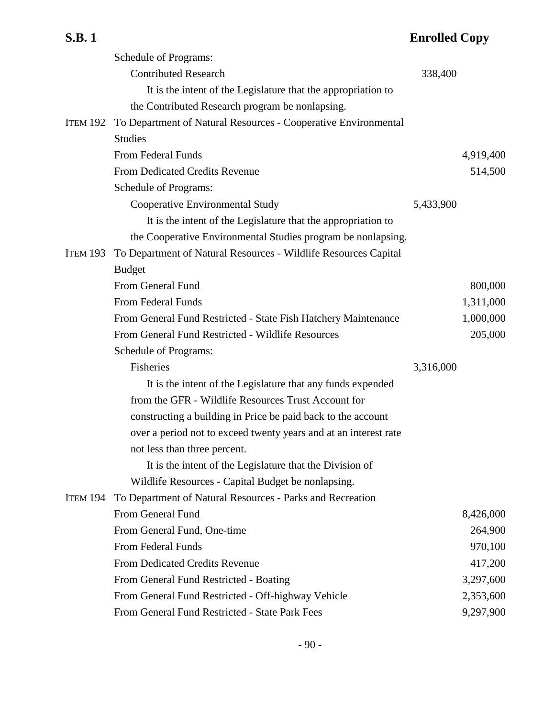|                 | Schedule of Programs:                                            |           |           |
|-----------------|------------------------------------------------------------------|-----------|-----------|
|                 | <b>Contributed Research</b>                                      | 338,400   |           |
|                 | It is the intent of the Legislature that the appropriation to    |           |           |
|                 | the Contributed Research program be nonlapsing.                  |           |           |
| <b>ITEM 192</b> | To Department of Natural Resources - Cooperative Environmental   |           |           |
|                 | <b>Studies</b>                                                   |           |           |
|                 | <b>From Federal Funds</b>                                        |           | 4,919,400 |
|                 | <b>From Dedicated Credits Revenue</b>                            |           | 514,500   |
|                 | Schedule of Programs:                                            |           |           |
|                 | Cooperative Environmental Study                                  | 5,433,900 |           |
|                 | It is the intent of the Legislature that the appropriation to    |           |           |
|                 | the Cooperative Environmental Studies program be nonlapsing.     |           |           |
| <b>ITEM 193</b> | To Department of Natural Resources - Wildlife Resources Capital  |           |           |
|                 | <b>Budget</b>                                                    |           |           |
|                 | From General Fund                                                |           | 800,000   |
|                 | <b>From Federal Funds</b>                                        |           | 1,311,000 |
|                 | From General Fund Restricted - State Fish Hatchery Maintenance   |           | 1,000,000 |
|                 | From General Fund Restricted - Wildlife Resources                |           | 205,000   |
|                 | <b>Schedule of Programs:</b>                                     |           |           |
|                 | Fisheries                                                        | 3,316,000 |           |
|                 | It is the intent of the Legislature that any funds expended      |           |           |
|                 | from the GFR - Wildlife Resources Trust Account for              |           |           |
|                 | constructing a building in Price be paid back to the account     |           |           |
|                 | over a period not to exceed twenty years and at an interest rate |           |           |
|                 | not less than three percent.                                     |           |           |
|                 | It is the intent of the Legislature that the Division of         |           |           |
|                 | Wildlife Resources - Capital Budget be nonlapsing.               |           |           |
| <b>ITEM 194</b> | To Department of Natural Resources - Parks and Recreation        |           |           |
|                 | From General Fund                                                |           | 8,426,000 |
|                 | From General Fund, One-time                                      |           | 264,900   |
|                 | From Federal Funds                                               |           | 970,100   |
|                 | <b>From Dedicated Credits Revenue</b>                            |           | 417,200   |
|                 | From General Fund Restricted - Boating                           |           | 3,297,600 |
|                 | From General Fund Restricted - Off-highway Vehicle               |           | 2,353,600 |
|                 | From General Fund Restricted - State Park Fees                   |           | 9,297,900 |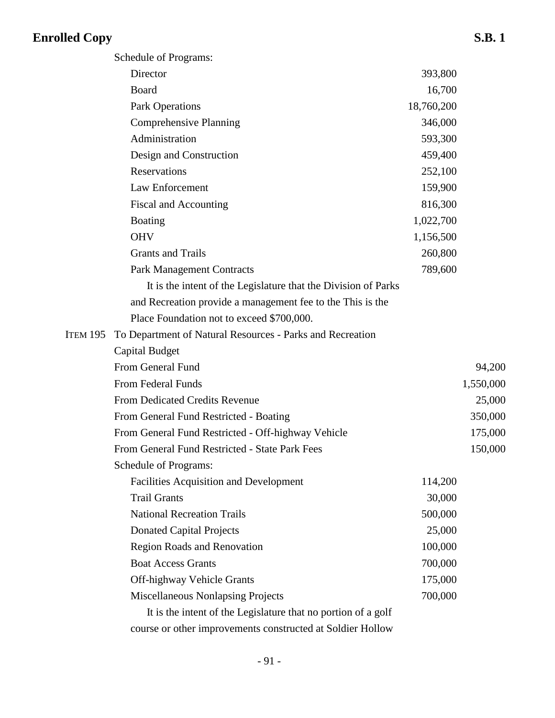ITEM 195

| Schedule of Programs:                                          |            |           |
|----------------------------------------------------------------|------------|-----------|
| Director                                                       | 393,800    |           |
| Board                                                          | 16,700     |           |
| <b>Park Operations</b>                                         | 18,760,200 |           |
| <b>Comprehensive Planning</b>                                  | 346,000    |           |
| Administration                                                 | 593,300    |           |
| Design and Construction                                        | 459,400    |           |
| <b>Reservations</b>                                            | 252,100    |           |
| Law Enforcement                                                | 159,900    |           |
| Fiscal and Accounting                                          | 816,300    |           |
| <b>Boating</b>                                                 | 1,022,700  |           |
| <b>OHV</b>                                                     | 1,156,500  |           |
| <b>Grants and Trails</b>                                       | 260,800    |           |
| <b>Park Management Contracts</b>                               | 789,600    |           |
| It is the intent of the Legislature that the Division of Parks |            |           |
| and Recreation provide a management fee to the This is the     |            |           |
| Place Foundation not to exceed \$700,000.                      |            |           |
| To Department of Natural Resources - Parks and Recreation      |            |           |
| Capital Budget                                                 |            |           |
| From General Fund                                              |            | 94,200    |
| From Federal Funds                                             |            | 1,550,000 |
| From Dedicated Credits Revenue                                 |            | 25,000    |
| From General Fund Restricted - Boating                         |            | 350,000   |
| From General Fund Restricted - Off-highway Vehicle             |            | 175,000   |
| From General Fund Restricted - State Park Fees                 |            | 150,000   |
| <b>Schedule of Programs:</b>                                   |            |           |
| <b>Facilities Acquisition and Development</b>                  | 114,200    |           |
| <b>Trail Grants</b>                                            | 30,000     |           |
| <b>National Recreation Trails</b>                              | 500,000    |           |
| <b>Donated Capital Projects</b>                                | 25,000     |           |
| <b>Region Roads and Renovation</b>                             | 100,000    |           |
| <b>Boat Access Grants</b>                                      | 700,000    |           |
| Off-highway Vehicle Grants                                     | 175,000    |           |
| <b>Miscellaneous Nonlapsing Projects</b>                       | 700,000    |           |
|                                                                |            |           |

It is the intent of the Legislature that no portion of a golf course or other improvements constructed at Soldier Hollow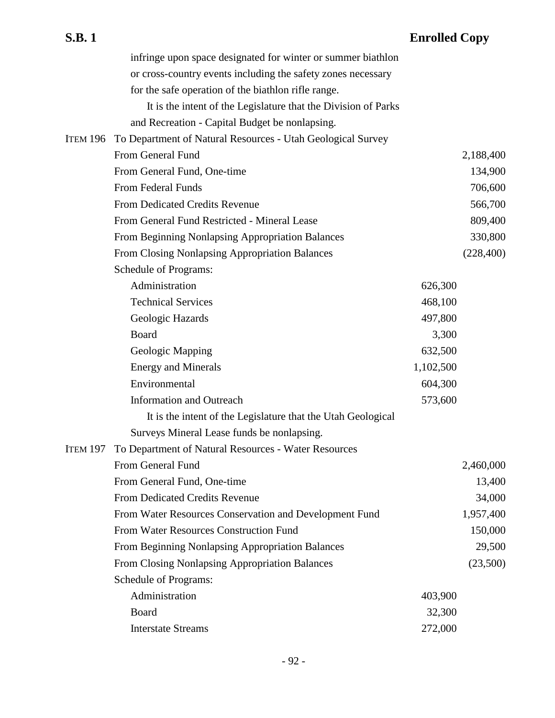|          | infringe upon space designated for winter or summer biathlon         |           |            |
|----------|----------------------------------------------------------------------|-----------|------------|
|          | or cross-country events including the safety zones necessary         |           |            |
|          | for the safe operation of the biathlon rifle range.                  |           |            |
|          | It is the intent of the Legislature that the Division of Parks       |           |            |
|          | and Recreation - Capital Budget be nonlapsing.                       |           |            |
| Item 196 | To Department of Natural Resources - Utah Geological Survey          |           |            |
|          | From General Fund                                                    |           | 2,188,400  |
|          | From General Fund, One-time                                          |           | 134,900    |
|          | From Federal Funds                                                   |           | 706,600    |
|          | <b>From Dedicated Credits Revenue</b>                                |           | 566,700    |
|          | From General Fund Restricted - Mineral Lease                         |           | 809,400    |
|          | From Beginning Nonlapsing Appropriation Balances                     |           | 330,800    |
|          | <b>From Closing Nonlapsing Appropriation Balances</b>                |           | (228, 400) |
|          | Schedule of Programs:                                                |           |            |
|          | Administration                                                       | 626,300   |            |
|          | <b>Technical Services</b>                                            | 468,100   |            |
|          | Geologic Hazards                                                     | 497,800   |            |
|          | Board                                                                | 3,300     |            |
|          | Geologic Mapping                                                     | 632,500   |            |
|          | <b>Energy and Minerals</b>                                           | 1,102,500 |            |
|          | Environmental                                                        | 604,300   |            |
|          | <b>Information and Outreach</b>                                      | 573,600   |            |
|          | It is the intent of the Legislature that the Utah Geological         |           |            |
|          | Surveys Mineral Lease funds be nonlapsing.                           |           |            |
|          | <b>ITEM 197 To Department of Natural Resources - Water Resources</b> |           |            |
|          | From General Fund                                                    |           | 2,460,000  |
|          | From General Fund, One-time                                          |           | 13,400     |
|          | <b>From Dedicated Credits Revenue</b>                                |           | 34,000     |
|          | From Water Resources Conservation and Development Fund               |           | 1,957,400  |
|          | From Water Resources Construction Fund                               |           | 150,000    |
|          | From Beginning Nonlapsing Appropriation Balances                     |           | 29,500     |
|          | From Closing Nonlapsing Appropriation Balances                       |           | (23,500)   |
|          | Schedule of Programs:                                                |           |            |
|          | Administration                                                       | 403,900   |            |
|          | Board                                                                | 32,300    |            |
|          | <b>Interstate Streams</b>                                            | 272,000   |            |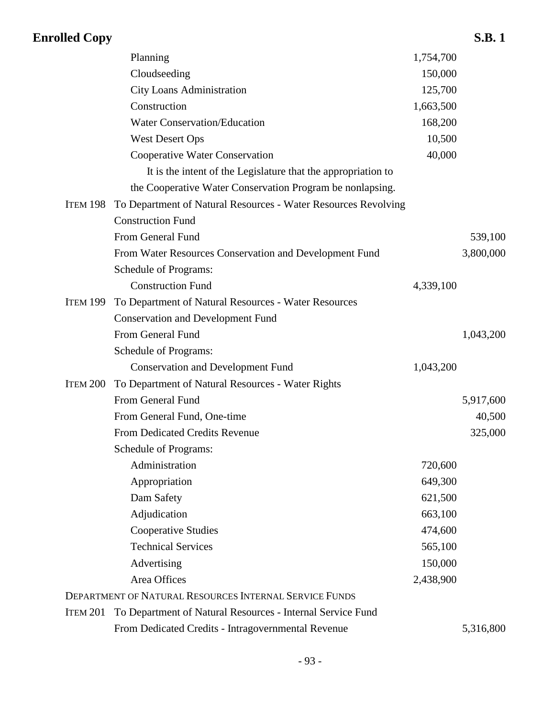|                 | Planning                                                       | 1,754,700 |           |
|-----------------|----------------------------------------------------------------|-----------|-----------|
|                 | Cloudseeding                                                   | 150,000   |           |
|                 | <b>City Loans Administration</b>                               | 125,700   |           |
|                 | Construction                                                   | 1,663,500 |           |
|                 | <b>Water Conservation/Education</b>                            | 168,200   |           |
|                 | <b>West Desert Ops</b>                                         | 10,500    |           |
|                 | Cooperative Water Conservation                                 | 40,000    |           |
|                 | It is the intent of the Legislature that the appropriation to  |           |           |
|                 | the Cooperative Water Conservation Program be nonlapsing.      |           |           |
| <b>ITEM 198</b> | To Department of Natural Resources - Water Resources Revolving |           |           |
|                 | <b>Construction Fund</b>                                       |           |           |
|                 | From General Fund                                              |           | 539,100   |
|                 | From Water Resources Conservation and Development Fund         |           | 3,800,000 |
|                 | Schedule of Programs:                                          |           |           |
|                 | <b>Construction Fund</b>                                       | 4,339,100 |           |
| <b>ITEM 199</b> | To Department of Natural Resources - Water Resources           |           |           |
|                 | <b>Conservation and Development Fund</b>                       |           |           |
|                 | From General Fund                                              |           | 1,043,200 |
|                 | Schedule of Programs:                                          |           |           |
|                 | <b>Conservation and Development Fund</b>                       | 1,043,200 |           |
| ITEM 200        | To Department of Natural Resources - Water Rights              |           |           |
|                 | From General Fund                                              |           | 5,917,600 |
|                 | From General Fund, One-time                                    |           | 40,500    |
|                 | <b>From Dedicated Credits Revenue</b>                          |           | 325,000   |
|                 | Schedule of Programs:                                          |           |           |
|                 | Administration                                                 | 720,600   |           |
|                 | Appropriation                                                  | 649,300   |           |
|                 | Dam Safety                                                     | 621,500   |           |
|                 | Adjudication                                                   | 663,100   |           |
|                 | <b>Cooperative Studies</b>                                     | 474,600   |           |
|                 | <b>Technical Services</b>                                      | 565,100   |           |
|                 | Advertising                                                    | 150,000   |           |
|                 | Area Offices                                                   | 2,438,900 |           |
|                 | DEPARTMENT OF NATURAL RESOURCES INTERNAL SERVICE FUNDS         |           |           |
| <b>ITEM 201</b> | To Department of Natural Resources - Internal Service Fund     |           |           |
|                 | From Dedicated Credits - Intragovernmental Revenue             |           | 5,316,800 |
|                 |                                                                |           |           |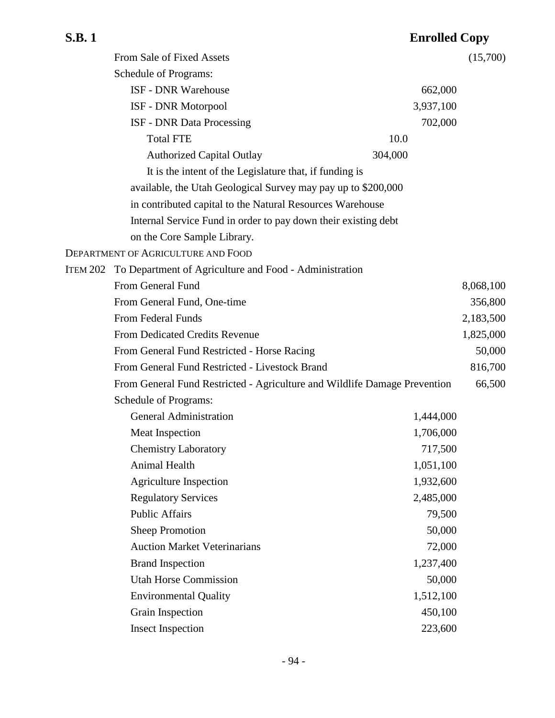|                 | From Sale of Fixed Assets                                                 |           | (15,700)  |
|-----------------|---------------------------------------------------------------------------|-----------|-----------|
|                 | Schedule of Programs:                                                     |           |           |
|                 | <b>ISF - DNR Warehouse</b>                                                | 662,000   |           |
|                 | ISF - DNR Motorpool                                                       | 3,937,100 |           |
|                 | <b>ISF - DNR Data Processing</b>                                          | 702,000   |           |
|                 | <b>Total FTE</b>                                                          | 10.0      |           |
|                 | <b>Authorized Capital Outlay</b>                                          | 304,000   |           |
|                 | It is the intent of the Legislature that, if funding is                   |           |           |
|                 | available, the Utah Geological Survey may pay up to \$200,000             |           |           |
|                 | in contributed capital to the Natural Resources Warehouse                 |           |           |
|                 | Internal Service Fund in order to pay down their existing debt            |           |           |
|                 | on the Core Sample Library.                                               |           |           |
|                 | DEPARTMENT OF AGRICULTURE AND FOOD                                        |           |           |
| <b>ITEM 202</b> | To Department of Agriculture and Food - Administration                    |           |           |
|                 | From General Fund                                                         |           | 8,068,100 |
|                 | From General Fund, One-time                                               |           | 356,800   |
|                 | <b>From Federal Funds</b>                                                 |           | 2,183,500 |
|                 | <b>From Dedicated Credits Revenue</b>                                     |           | 1,825,000 |
|                 | From General Fund Restricted - Horse Racing                               |           | 50,000    |
|                 | From General Fund Restricted - Livestock Brand                            |           | 816,700   |
|                 | From General Fund Restricted - Agriculture and Wildlife Damage Prevention |           | 66,500    |
|                 | Schedule of Programs:                                                     |           |           |
|                 | <b>General Administration</b>                                             | 1,444,000 |           |
|                 | <b>Meat Inspection</b>                                                    | 1,706,000 |           |
|                 | <b>Chemistry Laboratory</b>                                               | 717,500   |           |
|                 | Animal Health                                                             | 1,051,100 |           |
|                 | <b>Agriculture Inspection</b>                                             | 1,932,600 |           |
|                 | <b>Regulatory Services</b>                                                | 2,485,000 |           |
|                 | <b>Public Affairs</b>                                                     | 79,500    |           |
|                 | <b>Sheep Promotion</b>                                                    | 50,000    |           |
|                 | <b>Auction Market Veterinarians</b>                                       | 72,000    |           |
|                 | <b>Brand Inspection</b>                                                   | 1,237,400 |           |
|                 | <b>Utah Horse Commission</b>                                              | 50,000    |           |
|                 | <b>Environmental Quality</b>                                              | 1,512,100 |           |
|                 | Grain Inspection                                                          | 450,100   |           |
|                 | <b>Insect Inspection</b>                                                  | 223,600   |           |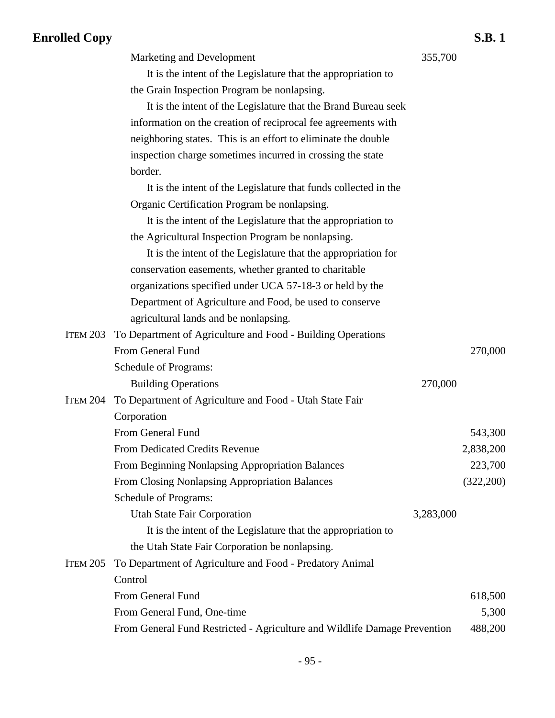|                 | Marketing and Development                                                 | 355,700   |           |
|-----------------|---------------------------------------------------------------------------|-----------|-----------|
|                 | It is the intent of the Legislature that the appropriation to             |           |           |
|                 | the Grain Inspection Program be nonlapsing.                               |           |           |
|                 | It is the intent of the Legislature that the Brand Bureau seek            |           |           |
|                 | information on the creation of reciprocal fee agreements with             |           |           |
|                 | neighboring states. This is an effort to eliminate the double             |           |           |
|                 | inspection charge sometimes incurred in crossing the state                |           |           |
|                 | border.                                                                   |           |           |
|                 | It is the intent of the Legislature that funds collected in the           |           |           |
|                 | Organic Certification Program be nonlapsing.                              |           |           |
|                 | It is the intent of the Legislature that the appropriation to             |           |           |
|                 | the Agricultural Inspection Program be nonlapsing.                        |           |           |
|                 | It is the intent of the Legislature that the appropriation for            |           |           |
|                 | conservation easements, whether granted to charitable                     |           |           |
|                 | organizations specified under UCA 57-18-3 or held by the                  |           |           |
|                 | Department of Agriculture and Food, be used to conserve                   |           |           |
|                 | agricultural lands and be nonlapsing.                                     |           |           |
| <b>ITEM 203</b> | To Department of Agriculture and Food - Building Operations               |           |           |
|                 | From General Fund                                                         |           | 270,000   |
|                 | Schedule of Programs:                                                     |           |           |
|                 | <b>Building Operations</b>                                                | 270,000   |           |
| <b>ITEM 204</b> | To Department of Agriculture and Food - Utah State Fair                   |           |           |
|                 | Corporation                                                               |           |           |
|                 | From General Fund                                                         |           | 543,300   |
|                 | <b>From Dedicated Credits Revenue</b>                                     |           | 2,838,200 |
|                 | From Beginning Nonlapsing Appropriation Balances                          |           | 223,700   |
|                 | From Closing Nonlapsing Appropriation Balances                            |           | (322,200) |
|                 | Schedule of Programs:                                                     |           |           |
|                 | <b>Utah State Fair Corporation</b>                                        | 3,283,000 |           |
|                 | It is the intent of the Legislature that the appropriation to             |           |           |
|                 | the Utah State Fair Corporation be nonlapsing.                            |           |           |
| <b>ITEM 205</b> | To Department of Agriculture and Food - Predatory Animal                  |           |           |
|                 | Control                                                                   |           |           |
|                 | From General Fund                                                         |           | 618,500   |
|                 | From General Fund, One-time                                               |           | 5,300     |
|                 | From General Fund Restricted - Agriculture and Wildlife Damage Prevention |           | 488,200   |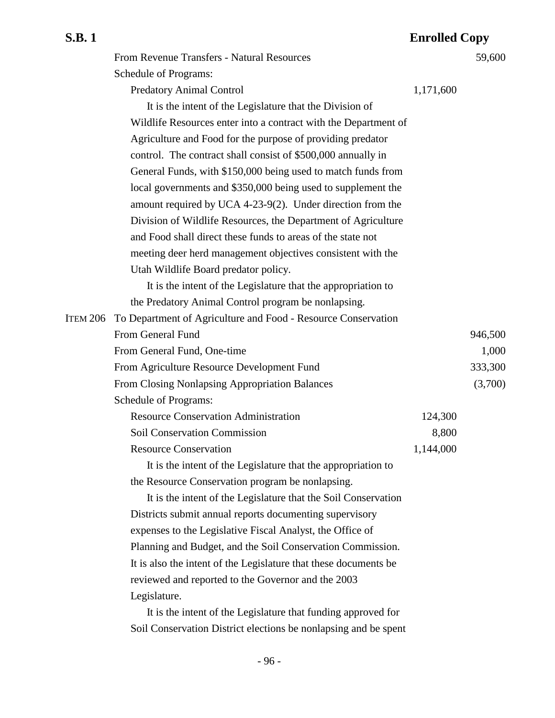|          | From Revenue Transfers - Natural Resources                       |           | 59,600  |
|----------|------------------------------------------------------------------|-----------|---------|
|          | Schedule of Programs:                                            |           |         |
|          | <b>Predatory Animal Control</b>                                  | 1,171,600 |         |
|          | It is the intent of the Legislature that the Division of         |           |         |
|          | Wildlife Resources enter into a contract with the Department of  |           |         |
|          | Agriculture and Food for the purpose of providing predator       |           |         |
|          | control. The contract shall consist of \$500,000 annually in     |           |         |
|          | General Funds, with \$150,000 being used to match funds from     |           |         |
|          | local governments and \$350,000 being used to supplement the     |           |         |
|          | amount required by UCA 4-23-9(2). Under direction from the       |           |         |
|          | Division of Wildlife Resources, the Department of Agriculture    |           |         |
|          | and Food shall direct these funds to areas of the state not      |           |         |
|          | meeting deer herd management objectives consistent with the      |           |         |
|          | Utah Wildlife Board predator policy.                             |           |         |
|          | It is the intent of the Legislature that the appropriation to    |           |         |
|          | the Predatory Animal Control program be nonlapsing.              |           |         |
| ITEM 206 | To Department of Agriculture and Food - Resource Conservation    |           |         |
|          | From General Fund                                                |           | 946,500 |
|          | From General Fund, One-time                                      |           | 1,000   |
|          | From Agriculture Resource Development Fund                       |           | 333,300 |
|          | From Closing Nonlapsing Appropriation Balances                   |           | (3,700) |
|          | Schedule of Programs:                                            |           |         |
|          | <b>Resource Conservation Administration</b>                      | 124,300   |         |
|          | <b>Soil Conservation Commission</b>                              | 8,800     |         |
|          | <b>Resource Conservation</b>                                     | 1,144,000 |         |
|          | It is the intent of the Legislature that the appropriation to    |           |         |
|          | the Resource Conservation program be nonlapsing.                 |           |         |
|          | It is the intent of the Legislature that the Soil Conservation   |           |         |
|          | Districts submit annual reports documenting supervisory          |           |         |
|          | expenses to the Legislative Fiscal Analyst, the Office of        |           |         |
|          | Planning and Budget, and the Soil Conservation Commission.       |           |         |
|          | It is also the intent of the Legislature that these documents be |           |         |
|          | reviewed and reported to the Governor and the 2003               |           |         |
|          | Legislature.                                                     |           |         |
|          | It is the intent of the Legislature that funding approved for    |           |         |

Soil Conservation District elections be nonlapsing and be spent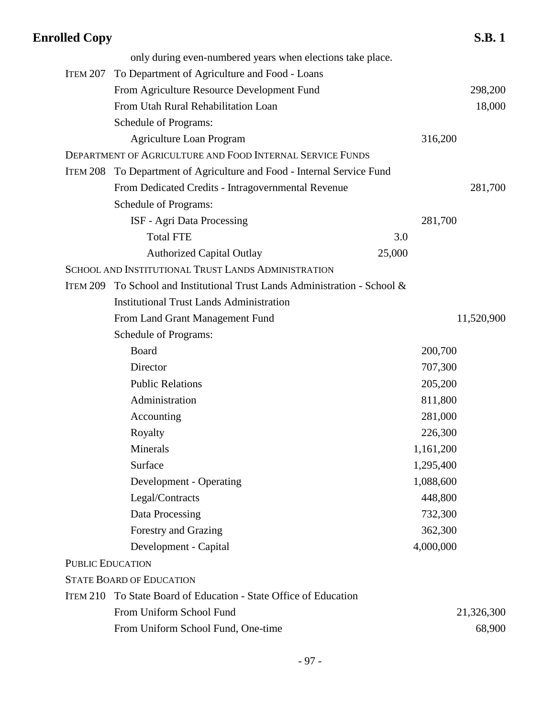| <b>Enrolled Copy</b> |                                                                        |        |           | <b>S.B.1</b> |
|----------------------|------------------------------------------------------------------------|--------|-----------|--------------|
|                      | only during even-numbered years when elections take place.             |        |           |              |
| ITEM 207             | To Department of Agriculture and Food - Loans                          |        |           |              |
|                      | From Agriculture Resource Development Fund                             |        |           | 298,200      |
|                      | From Utah Rural Rehabilitation Loan                                    |        |           | 18,000       |
|                      | Schedule of Programs:                                                  |        |           |              |
|                      | <b>Agriculture Loan Program</b>                                        |        | 316,200   |              |
|                      | DEPARTMENT OF AGRICULTURE AND FOOD INTERNAL SERVICE FUNDS              |        |           |              |
|                      | ITEM 208 To Department of Agriculture and Food - Internal Service Fund |        |           |              |
|                      | From Dedicated Credits - Intragovernmental Revenue                     |        |           | 281,700      |
|                      | Schedule of Programs:                                                  |        |           |              |
|                      | ISF - Agri Data Processing                                             |        | 281,700   |              |
|                      | <b>Total FTE</b>                                                       | 3.0    |           |              |
|                      | <b>Authorized Capital Outlay</b>                                       | 25,000 |           |              |
|                      | SCHOOL AND INSTITUTIONAL TRUST LANDS ADMINISTRATION                    |        |           |              |
| ITEM 209             | To School and Institutional Trust Lands Administration - School &      |        |           |              |
|                      | <b>Institutional Trust Lands Administration</b>                        |        |           |              |
|                      | From Land Grant Management Fund                                        |        |           | 11,520,900   |
|                      | <b>Schedule of Programs:</b>                                           |        |           |              |
|                      | Board                                                                  |        | 200,700   |              |
|                      | Director                                                               |        | 707,300   |              |
|                      | <b>Public Relations</b>                                                |        | 205,200   |              |
|                      | Administration                                                         |        | 811,800   |              |
|                      | Accounting                                                             |        | 281,000   |              |
|                      | Royalty                                                                |        | 226,300   |              |
|                      | Minerals                                                               |        | 1,161,200 |              |
|                      | Surface                                                                |        | 1,295,400 |              |
|                      | Development - Operating                                                |        | 1,088,600 |              |
|                      | Legal/Contracts                                                        |        | 448,800   |              |
|                      | Data Processing                                                        |        | 732,300   |              |
|                      | Forestry and Grazing                                                   |        | 362,300   |              |
|                      | Development - Capital                                                  |        | 4,000,000 |              |
|                      | <b>PUBLIC EDUCATION</b>                                                |        |           |              |
|                      | <b>STATE BOARD OF EDUCATION</b>                                        |        |           |              |
| <b>ITEM 210</b>      | To State Board of Education - State Office of Education                |        |           |              |
|                      | From Uniform School Fund                                               |        |           | 21,326,300   |
|                      | From Uniform School Fund, One-time                                     |        |           | 68,900       |
|                      |                                                                        |        |           |              |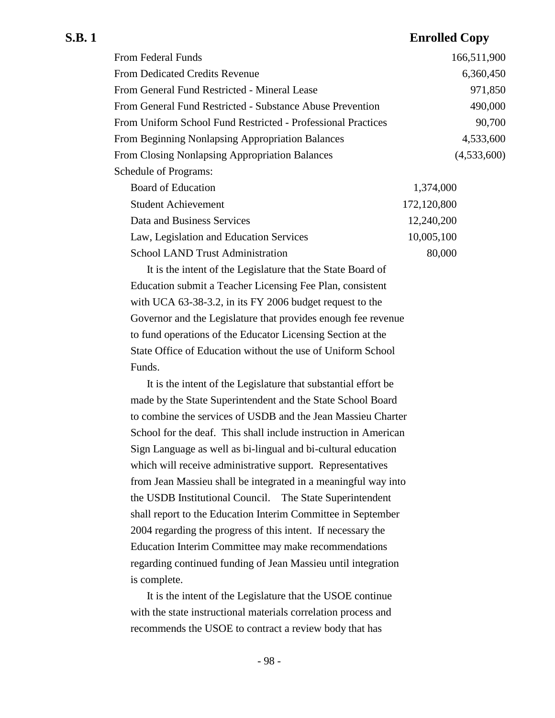| From Federal Funds                                           | 166,511,900 |
|--------------------------------------------------------------|-------------|
| From Dedicated Credits Revenue                               | 6,360,450   |
| From General Fund Restricted - Mineral Lease                 | 971,850     |
| From General Fund Restricted - Substance Abuse Prevention    | 490,000     |
| From Uniform School Fund Restricted - Professional Practices | 90,700      |
| <b>From Beginning Nonlapsing Appropriation Balances</b>      | 4,533,600   |
| <b>From Closing Nonlapsing Appropriation Balances</b>        | (4,533,600) |
| <b>Schedule of Programs:</b>                                 |             |
| <b>Board of Education</b>                                    | 1,374,000   |
| <b>Student Achievement</b>                                   | 172,120,800 |
| $\mathbf{D}$ in a f                                          | 10.210.000  |

| Data and Business Services              | 12,240,200 |
|-----------------------------------------|------------|
| Law, Legislation and Education Services | 10,005,100 |
| School LAND Trust Administration        | 80,000     |

It is the intent of the Legislature that the State Board of Education submit a Teacher Licensing Fee Plan, consistent with UCA 63-38-3.2, in its FY 2006 budget request to the Governor and the Legislature that provides enough fee revenue to fund operations of the Educator Licensing Section at the State Office of Education without the use of Uniform School Funds.

It is the intent of the Legislature that substantial effort be made by the State Superintendent and the State School Board to combine the services of USDB and the Jean Massieu Charter School for the deaf. This shall include instruction in American Sign Language as well as bi-lingual and bi-cultural education which will receive administrative support. Representatives from Jean Massieu shall be integrated in a meaningful way into the USDB Institutional Council. The State Superintendent shall report to the Education Interim Committee in September 2004 regarding the progress of this intent. If necessary the Education Interim Committee may make recommendations regarding continued funding of Jean Massieu until integration is complete.

It is the intent of the Legislature that the USOE continue with the state instructional materials correlation process and recommends the USOE to contract a review body that has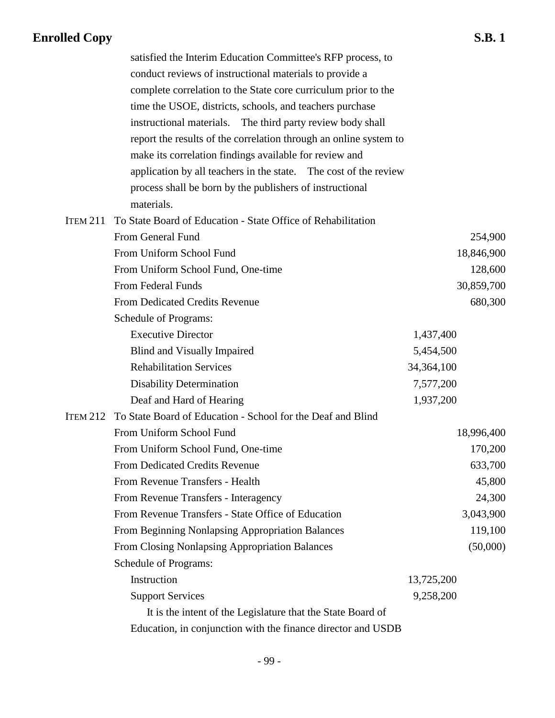|                 | satisfied the Interim Education Committee's RFP process, to          |            |
|-----------------|----------------------------------------------------------------------|------------|
|                 | conduct reviews of instructional materials to provide a              |            |
|                 | complete correlation to the State core curriculum prior to the       |            |
|                 | time the USOE, districts, schools, and teachers purchase             |            |
|                 | instructional materials. The third party review body shall           |            |
|                 | report the results of the correlation through an online system to    |            |
|                 | make its correlation findings available for review and               |            |
|                 | application by all teachers in the state. The cost of the review     |            |
|                 | process shall be born by the publishers of instructional             |            |
|                 | materials.                                                           |            |
| <b>ITEM 211</b> | To State Board of Education - State Office of Rehabilitation         |            |
|                 | From General Fund                                                    | 254,900    |
|                 | From Uniform School Fund                                             | 18,846,900 |
|                 | From Uniform School Fund, One-time                                   | 128,600    |
|                 | <b>From Federal Funds</b>                                            | 30,859,700 |
|                 | From Dedicated Credits Revenue                                       | 680,300    |
|                 | Schedule of Programs:                                                |            |
|                 | <b>Executive Director</b>                                            | 1,437,400  |
|                 | Blind and Visually Impaired                                          | 5,454,500  |
|                 | <b>Rehabilitation Services</b>                                       | 34,364,100 |
|                 | <b>Disability Determination</b>                                      | 7,577,200  |
|                 | Deaf and Hard of Hearing                                             | 1,937,200  |
|                 | ITEM 212 To State Board of Education - School for the Deaf and Blind |            |
|                 | From Uniform School Fund                                             | 18,996,400 |
|                 | From Uniform School Fund, One-time                                   | 170,200    |
|                 | <b>From Dedicated Credits Revenue</b>                                | 633,700    |
|                 | From Revenue Transfers - Health                                      | 45,800     |
|                 | From Revenue Transfers - Interagency                                 | 24,300     |
|                 | From Revenue Transfers - State Office of Education                   | 3,043,900  |
|                 | From Beginning Nonlapsing Appropriation Balances                     | 119,100    |
|                 | From Closing Nonlapsing Appropriation Balances                       | (50,000)   |
|                 | Schedule of Programs:                                                |            |
|                 | Instruction                                                          | 13,725,200 |
|                 | <b>Support Services</b>                                              | 9,258,200  |
|                 | It is the intent of the Legislature that the State Board of          |            |
|                 | Education, in conjunction with the finance director and USDB         |            |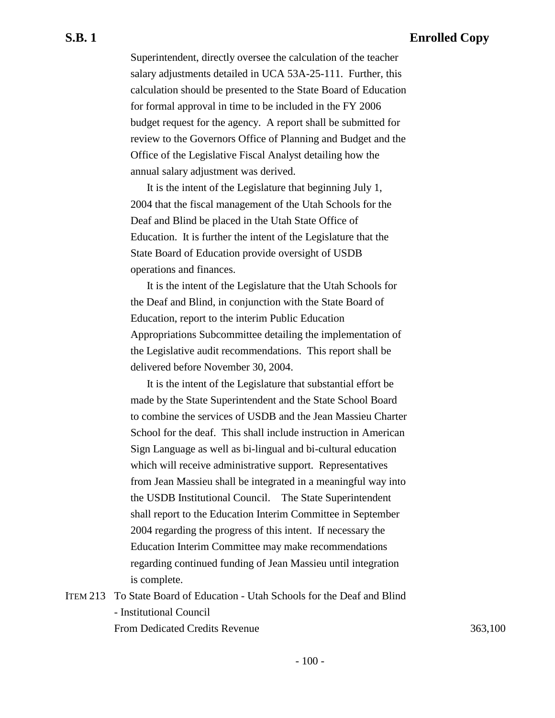Superintendent, directly oversee the calculation of the teacher salary adjustments detailed in UCA 53A-25-111. Further, this calculation should be presented to the State Board of Education for formal approval in time to be included in the FY 2006 budget request for the agency. A report shall be submitted for review to the Governors Office of Planning and Budget and the Office of the Legislative Fiscal Analyst detailing how the annual salary adjustment was derived.

It is the intent of the Legislature that beginning July 1, 2004 that the fiscal management of the Utah Schools for the Deaf and Blind be placed in the Utah State Office of Education. It is further the intent of the Legislature that the State Board of Education provide oversight of USDB operations and finances.

It is the intent of the Legislature that the Utah Schools for the Deaf and Blind, in conjunction with the State Board of Education, report to the interim Public Education Appropriations Subcommittee detailing the implementation of the Legislative audit recommendations. This report shall be delivered before November 30, 2004.

It is the intent of the Legislature that substantial effort be made by the State Superintendent and the State School Board to combine the services of USDB and the Jean Massieu Charter School for the deaf. This shall include instruction in American Sign Language as well as bi-lingual and bi-cultural education which will receive administrative support. Representatives from Jean Massieu shall be integrated in a meaningful way into the USDB Institutional Council. The State Superintendent shall report to the Education Interim Committee in September 2004 regarding the progress of this intent. If necessary the Education Interim Committee may make recommendations regarding continued funding of Jean Massieu until integration is complete.

ITEM 213 To State Board of Education - Utah Schools for the Deaf and Blind - Institutional Council From Dedicated Credits Revenue 363,100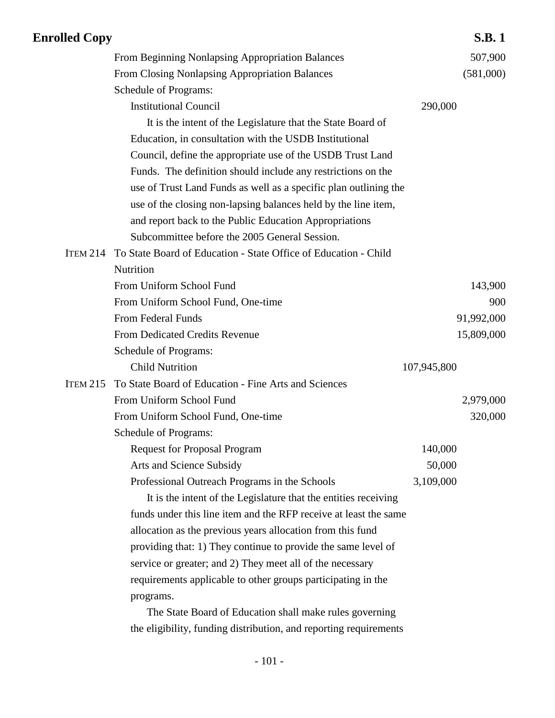| <b>Enrolled Copy</b> |                                                                  |             | <b>S.B.1</b> |
|----------------------|------------------------------------------------------------------|-------------|--------------|
|                      | From Beginning Nonlapsing Appropriation Balances                 |             | 507,900      |
|                      | From Closing Nonlapsing Appropriation Balances                   |             | (581,000)    |
|                      | Schedule of Programs:                                            |             |              |
|                      | <b>Institutional Council</b>                                     | 290,000     |              |
|                      | It is the intent of the Legislature that the State Board of      |             |              |
|                      | Education, in consultation with the USDB Institutional           |             |              |
|                      | Council, define the appropriate use of the USDB Trust Land       |             |              |
|                      | Funds. The definition should include any restrictions on the     |             |              |
|                      | use of Trust Land Funds as well as a specific plan outlining the |             |              |
|                      | use of the closing non-lapsing balances held by the line item,   |             |              |
|                      | and report back to the Public Education Appropriations           |             |              |
|                      | Subcommittee before the 2005 General Session.                    |             |              |
| <b>ITEM 214</b>      | To State Board of Education - State Office of Education - Child  |             |              |
|                      | Nutrition                                                        |             |              |
|                      | From Uniform School Fund                                         |             | 143,900      |
|                      | From Uniform School Fund, One-time                               |             | 900          |
|                      | From Federal Funds                                               |             | 91,992,000   |
|                      | From Dedicated Credits Revenue                                   |             | 15,809,000   |
|                      | Schedule of Programs:                                            |             |              |
|                      | <b>Child Nutrition</b>                                           | 107,945,800 |              |
| <b>ITEM 215</b>      | To State Board of Education - Fine Arts and Sciences             |             |              |
|                      | From Uniform School Fund                                         |             | 2,979,000    |
|                      | From Uniform School Fund, One-time                               |             | 320,000      |
|                      | Schedule of Programs:                                            |             |              |
|                      | <b>Request for Proposal Program</b>                              | 140,000     |              |
|                      | Arts and Science Subsidy                                         | 50,000      |              |
|                      | Professional Outreach Programs in the Schools                    | 3,109,000   |              |
|                      | It is the intent of the Legislature that the entities receiving  |             |              |
|                      | funds under this line item and the RFP receive at least the same |             |              |
|                      | allocation as the previous years allocation from this fund       |             |              |
|                      | providing that: 1) They continue to provide the same level of    |             |              |
|                      | service or greater; and 2) They meet all of the necessary        |             |              |
|                      | requirements applicable to other groups participating in the     |             |              |
|                      | programs.                                                        |             |              |
|                      | The State Board of Education shall make rules governing          |             |              |

the eligibility, funding distribution, and reporting requirements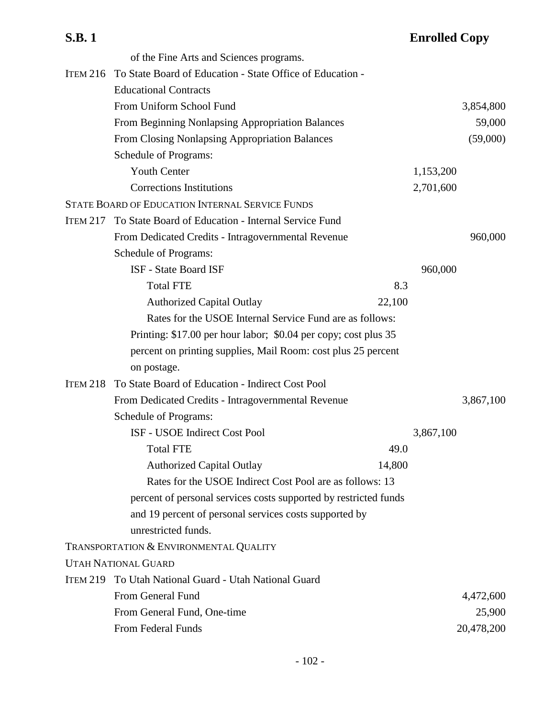| <b>S.B.1</b>    |                                                                    |        | <b>Enrolled Copy</b> |            |
|-----------------|--------------------------------------------------------------------|--------|----------------------|------------|
|                 | of the Fine Arts and Sciences programs.                            |        |                      |            |
|                 | ITEM 216 To State Board of Education - State Office of Education - |        |                      |            |
|                 | <b>Educational Contracts</b>                                       |        |                      |            |
|                 | From Uniform School Fund                                           |        |                      | 3,854,800  |
|                 | From Beginning Nonlapsing Appropriation Balances                   |        |                      | 59,000     |
|                 | From Closing Nonlapsing Appropriation Balances                     |        |                      | (59,000)   |
|                 | <b>Schedule of Programs:</b>                                       |        |                      |            |
|                 | <b>Youth Center</b>                                                |        | 1,153,200            |            |
|                 | <b>Corrections Institutions</b>                                    |        | 2,701,600            |            |
|                 | <b>STATE BOARD OF EDUCATION INTERNAL SERVICE FUNDS</b>             |        |                      |            |
| <b>ITEM 217</b> | To State Board of Education - Internal Service Fund                |        |                      |            |
|                 | From Dedicated Credits - Intragovernmental Revenue                 |        |                      | 960,000    |
|                 | <b>Schedule of Programs:</b>                                       |        |                      |            |
|                 | <b>ISF</b> - State Board ISF                                       |        | 960,000              |            |
|                 | <b>Total FTE</b>                                                   | 8.3    |                      |            |
|                 | <b>Authorized Capital Outlay</b>                                   | 22,100 |                      |            |
|                 | Rates for the USOE Internal Service Fund are as follows:           |        |                      |            |
|                 | Printing: \$17.00 per hour labor; \$0.04 per copy; cost plus 35    |        |                      |            |
|                 | percent on printing supplies, Mail Room: cost plus 25 percent      |        |                      |            |
|                 | on postage.                                                        |        |                      |            |
| <b>ITEM 218</b> | To State Board of Education - Indirect Cost Pool                   |        |                      |            |
|                 | From Dedicated Credits - Intragovernmental Revenue                 |        |                      | 3,867,100  |
|                 | <b>Schedule of Programs:</b>                                       |        |                      |            |
|                 | ISF - USOE Indirect Cost Pool                                      |        | 3,867,100            |            |
|                 | <b>Total FTE</b>                                                   | 49.0   |                      |            |
|                 | <b>Authorized Capital Outlay</b>                                   | 14,800 |                      |            |
|                 | Rates for the USOE Indirect Cost Pool are as follows: 13           |        |                      |            |
|                 | percent of personal services costs supported by restricted funds   |        |                      |            |
|                 | and 19 percent of personal services costs supported by             |        |                      |            |
|                 | unrestricted funds.                                                |        |                      |            |
|                 | TRANSPORTATION & ENVIRONMENTAL QUALITY                             |        |                      |            |
|                 | <b>UTAH NATIONAL GUARD</b>                                         |        |                      |            |
|                 | ITEM 219 To Utah National Guard - Utah National Guard              |        |                      |            |
|                 | From General Fund                                                  |        |                      | 4,472,600  |
|                 | From General Fund, One-time                                        |        |                      | 25,900     |
|                 | From Federal Funds                                                 |        |                      | 20,478,200 |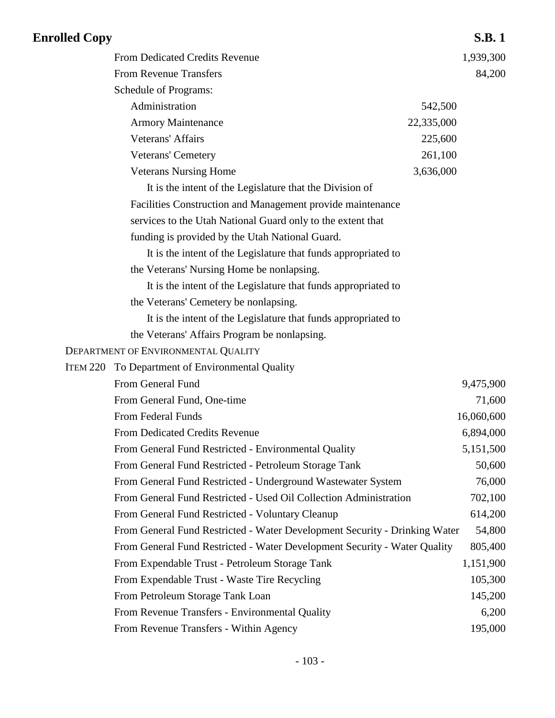| <b>Enrolled Copy</b> |                                                                            |            | <b>S.B.1</b> |
|----------------------|----------------------------------------------------------------------------|------------|--------------|
|                      | From Dedicated Credits Revenue                                             |            | 1,939,300    |
|                      | <b>From Revenue Transfers</b>                                              |            | 84,200       |
|                      | Schedule of Programs:                                                      |            |              |
|                      | Administration                                                             | 542,500    |              |
|                      | <b>Armory Maintenance</b>                                                  | 22,335,000 |              |
|                      | <b>Veterans' Affairs</b>                                                   | 225,600    |              |
|                      | Veterans' Cemetery                                                         | 261,100    |              |
|                      | <b>Veterans Nursing Home</b>                                               | 3,636,000  |              |
|                      | It is the intent of the Legislature that the Division of                   |            |              |
|                      | Facilities Construction and Management provide maintenance                 |            |              |
|                      | services to the Utah National Guard only to the extent that                |            |              |
|                      | funding is provided by the Utah National Guard.                            |            |              |
|                      | It is the intent of the Legislature that funds appropriated to             |            |              |
|                      | the Veterans' Nursing Home be nonlapsing.                                  |            |              |
|                      | It is the intent of the Legislature that funds appropriated to             |            |              |
|                      | the Veterans' Cemetery be nonlapsing.                                      |            |              |
|                      | It is the intent of the Legislature that funds appropriated to             |            |              |
|                      | the Veterans' Affairs Program be nonlapsing.                               |            |              |
|                      | DEPARTMENT OF ENVIRONMENTAL QUALITY                                        |            |              |
|                      | ITEM 220 To Department of Environmental Quality                            |            |              |
|                      | From General Fund                                                          |            | 9,475,900    |
|                      | From General Fund, One-time                                                |            | 71,600       |
|                      | From Federal Funds                                                         |            | 16,060,600   |
|                      | From Dedicated Credits Revenue                                             |            | 6,894,000    |
|                      | From General Fund Restricted - Environmental Quality                       |            | 5,151,500    |
|                      | From General Fund Restricted - Petroleum Storage Tank                      |            | 50,600       |
|                      | From General Fund Restricted - Underground Wastewater System               |            | 76,000       |
|                      | From General Fund Restricted - Used Oil Collection Administration          |            | 702,100      |
|                      | From General Fund Restricted - Voluntary Cleanup                           |            | 614,200      |
|                      | From General Fund Restricted - Water Development Security - Drinking Water |            | 54,800       |
|                      | From General Fund Restricted - Water Development Security - Water Quality  |            | 805,400      |
|                      | From Expendable Trust - Petroleum Storage Tank                             |            | 1,151,900    |
|                      | From Expendable Trust - Waste Tire Recycling                               |            | 105,300      |
|                      | From Petroleum Storage Tank Loan                                           |            | 145,200      |
|                      | From Revenue Transfers - Environmental Quality                             |            | 6,200        |
|                      | From Revenue Transfers - Within Agency                                     |            | 195,000      |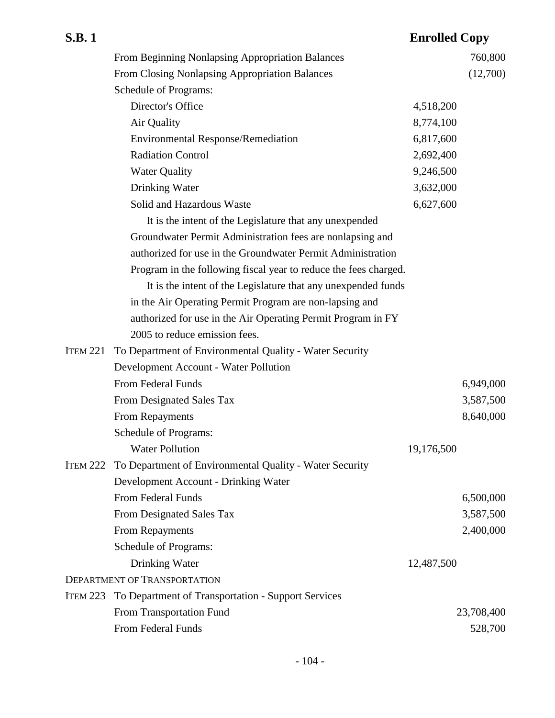| <b>S.B.1</b>    |                                                                  | <b>Enrolled Copy</b> |            |
|-----------------|------------------------------------------------------------------|----------------------|------------|
|                 | From Beginning Nonlapsing Appropriation Balances                 |                      | 760,800    |
|                 | From Closing Nonlapsing Appropriation Balances                   |                      | (12,700)   |
|                 | Schedule of Programs:                                            |                      |            |
|                 | Director's Office                                                | 4,518,200            |            |
|                 | Air Quality                                                      | 8,774,100            |            |
|                 | <b>Environmental Response/Remediation</b>                        | 6,817,600            |            |
|                 | <b>Radiation Control</b>                                         | 2,692,400            |            |
|                 | <b>Water Quality</b>                                             | 9,246,500            |            |
|                 | Drinking Water                                                   | 3,632,000            |            |
|                 | Solid and Hazardous Waste                                        | 6,627,600            |            |
|                 | It is the intent of the Legislature that any unexpended          |                      |            |
|                 | Groundwater Permit Administration fees are nonlapsing and        |                      |            |
|                 | authorized for use in the Groundwater Permit Administration      |                      |            |
|                 | Program in the following fiscal year to reduce the fees charged. |                      |            |
|                 | It is the intent of the Legislature that any unexpended funds    |                      |            |
|                 | in the Air Operating Permit Program are non-lapsing and          |                      |            |
|                 | authorized for use in the Air Operating Permit Program in FY     |                      |            |
|                 | 2005 to reduce emission fees.                                    |                      |            |
| <b>ITEM 221</b> | To Department of Environmental Quality - Water Security          |                      |            |
|                 | Development Account - Water Pollution                            |                      |            |
|                 | From Federal Funds                                               |                      | 6,949,000  |
|                 | From Designated Sales Tax                                        |                      | 3,587,500  |
|                 | From Repayments                                                  |                      | 8,640,000  |
|                 | Schedule of Programs:                                            |                      |            |
|                 | <b>Water Pollution</b>                                           | 19,176,500           |            |
| <b>ITEM 222</b> | To Department of Environmental Quality - Water Security          |                      |            |
|                 | Development Account - Drinking Water                             |                      |            |
|                 | From Federal Funds                                               |                      | 6,500,000  |
|                 | From Designated Sales Tax                                        |                      | 3,587,500  |
|                 | From Repayments                                                  |                      | 2,400,000  |
|                 | <b>Schedule of Programs:</b>                                     |                      |            |
|                 | Drinking Water                                                   | 12,487,500           |            |
|                 | <b>DEPARTMENT OF TRANSPORTATION</b>                              |                      |            |
| <b>ITEM 223</b> | To Department of Transportation - Support Services               |                      |            |
|                 | From Transportation Fund                                         |                      | 23,708,400 |
|                 | From Federal Funds                                               |                      | 528,700    |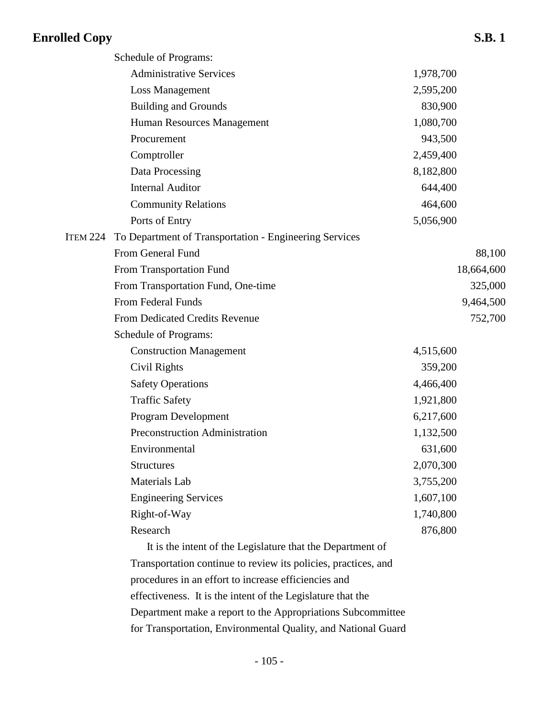|          | Schedule of Programs:                                      |           |            |
|----------|------------------------------------------------------------|-----------|------------|
|          | <b>Administrative Services</b>                             | 1,978,700 |            |
|          | <b>Loss Management</b>                                     | 2,595,200 |            |
|          | <b>Building and Grounds</b>                                | 830,900   |            |
|          | Human Resources Management                                 | 1,080,700 |            |
|          | Procurement                                                | 943,500   |            |
|          | Comptroller                                                | 2,459,400 |            |
|          | Data Processing                                            | 8,182,800 |            |
|          | <b>Internal Auditor</b>                                    | 644,400   |            |
|          | <b>Community Relations</b>                                 | 464,600   |            |
|          | Ports of Entry                                             | 5,056,900 |            |
| ITEM 224 | To Department of Transportation - Engineering Services     |           |            |
|          | From General Fund                                          |           | 88,100     |
|          | From Transportation Fund                                   |           | 18,664,600 |
|          | From Transportation Fund, One-time                         |           | 325,000    |
|          | From Federal Funds                                         |           | 9,464,500  |
|          | <b>From Dedicated Credits Revenue</b>                      |           | 752,700    |
|          | Schedule of Programs:                                      |           |            |
|          | <b>Construction Management</b>                             | 4,515,600 |            |
|          | Civil Rights                                               | 359,200   |            |
|          | <b>Safety Operations</b>                                   | 4,466,400 |            |
|          | <b>Traffic Safety</b>                                      | 1,921,800 |            |
|          | Program Development                                        | 6,217,600 |            |
|          | Preconstruction Administration                             | 1,132,500 |            |
|          | Environmental                                              | 631,600   |            |
|          | <b>Structures</b>                                          | 2,070,300 |            |
|          | Materials Lab                                              | 3,755,200 |            |
|          | <b>Engineering Services</b>                                | 1,607,100 |            |
|          | Right-of-Way                                               | 1,740,800 |            |
|          | Research                                                   | 876,800   |            |
|          | It is the intent of the Legislature that the Department of |           |            |
|          |                                                            |           |            |

Transportation continue to review its policies, practices, and procedures in an effort to increase efficiencies and effectiveness. It is the intent of the Legislature that the Department make a report to the Appropriations Subcommittee for Transportation, Environmental Quality, and National Guard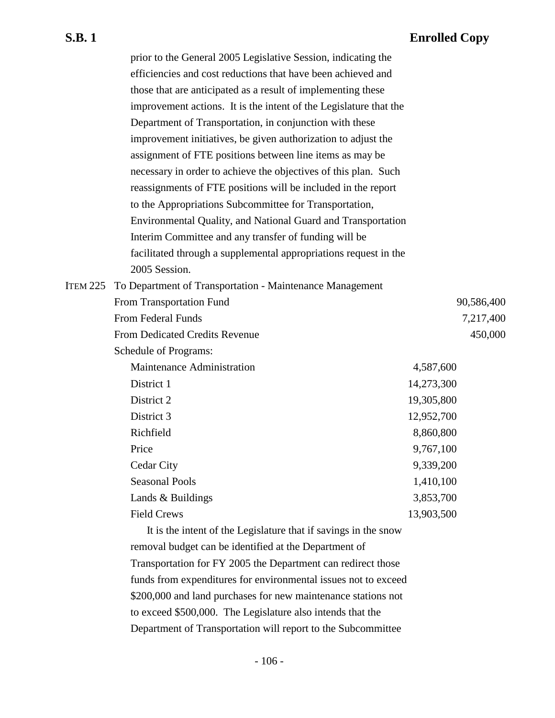|                 | prior to the General 2005 Legislative Session, indicating the     |            |            |
|-----------------|-------------------------------------------------------------------|------------|------------|
|                 | efficiencies and cost reductions that have been achieved and      |            |            |
|                 | those that are anticipated as a result of implementing these      |            |            |
|                 | improvement actions. It is the intent of the Legislature that the |            |            |
|                 | Department of Transportation, in conjunction with these           |            |            |
|                 | improvement initiatives, be given authorization to adjust the     |            |            |
|                 | assignment of FTE positions between line items as may be          |            |            |
|                 | necessary in order to achieve the objectives of this plan. Such   |            |            |
|                 | reassignments of FTE positions will be included in the report     |            |            |
|                 | to the Appropriations Subcommittee for Transportation,            |            |            |
|                 | Environmental Quality, and National Guard and Transportation      |            |            |
|                 | Interim Committee and any transfer of funding will be             |            |            |
|                 | facilitated through a supplemental appropriations request in the  |            |            |
|                 | 2005 Session.                                                     |            |            |
| <b>ITEM 225</b> | To Department of Transportation - Maintenance Management          |            |            |
|                 | From Transportation Fund                                          |            | 90,586,400 |
|                 | <b>From Federal Funds</b>                                         |            | 7,217,400  |
|                 | <b>From Dedicated Credits Revenue</b>                             |            | 450,000    |
|                 | Schedule of Programs:                                             |            |            |
|                 | Maintenance Administration                                        | 4,587,600  |            |
|                 | District 1                                                        | 14,273,300 |            |
|                 | District 2                                                        | 19,305,800 |            |
|                 | District 3                                                        | 12,952,700 |            |
|                 | Richfield                                                         | 8,860,800  |            |
|                 | Price                                                             | 9,767,100  |            |
|                 | <b>Cedar City</b>                                                 | 9,339,200  |            |
|                 | <b>Seasonal Pools</b>                                             | 1,410,100  |            |
|                 | Lands & Buildings                                                 | 3,853,700  |            |
|                 | <b>Field Crews</b>                                                | 13,903,500 |            |

It is the intent of the Legislature that if savings in the snow removal budget can be identified at the Department of Transportation for FY 2005 the Department can redirect those funds from expenditures for environmental issues not to exceed \$200,000 and land purchases for new maintenance stations not to exceed \$500,000. The Legislature also intends that the Department of Transportation will report to the Subcommittee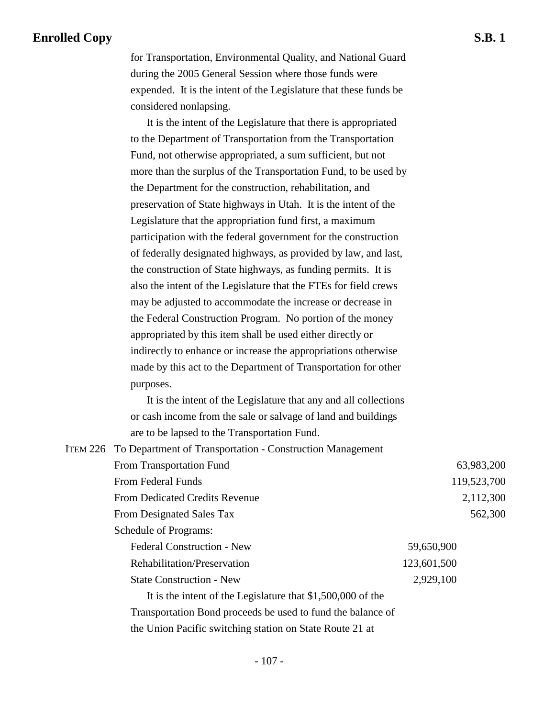for Transportation, Environmental Quality, and National Guard during the 2005 General Session where those funds were expended. It is the intent of the Legislature that these funds be considered nonlapsing.

It is the intent of the Legislature that there is appropriated to the Department of Transportation from the Transportation Fund, not otherwise appropriated, a sum sufficient, but not more than the surplus of the Transportation Fund, to be used by the Department for the construction, rehabilitation, and preservation of State highways in Utah. It is the intent of the Legislature that the appropriation fund first, a maximum participation with the federal government for the construction of federally designated highways, as provided by law, and last, the construction of State highways, as funding permits. It is also the intent of the Legislature that the FTEs for field crews may be adjusted to accommodate the increase or decrease in the Federal Construction Program. No portion of the money appropriated by this item shall be used either directly or indirectly to enhance or increase the appropriations otherwise made by this act to the Department of Transportation for other purposes.

It is the intent of the Legislature that any and all collections or cash income from the sale or salvage of land and buildings are to be lapsed to the Transportation Fund.

|  | <b>ITEM 226 To Department of Transportation - Construction Management</b> |             |
|--|---------------------------------------------------------------------------|-------------|
|  | From Transportation Fund                                                  | 63,983,200  |
|  | From Federal Funds                                                        | 119,523,700 |
|  | <b>From Dedicated Credits Revenue</b>                                     | 2,112,300   |
|  | From Designated Sales Tax                                                 | 562,300     |
|  | Schedule of Programs:                                                     |             |
|  | <b>Federal Construction - New</b>                                         | 59,650,900  |
|  | Rehabilitation/Preservation                                               | 123,601,500 |
|  | <b>State Construction - New</b>                                           | 2,929,100   |
|  | It is the intent of the Legislature that $$1,500,000$ of the              |             |
|  | Transportation Bond proceeds be used to fund the balance of               |             |
|  | the Union Pacific switching station on State Route 21 at                  |             |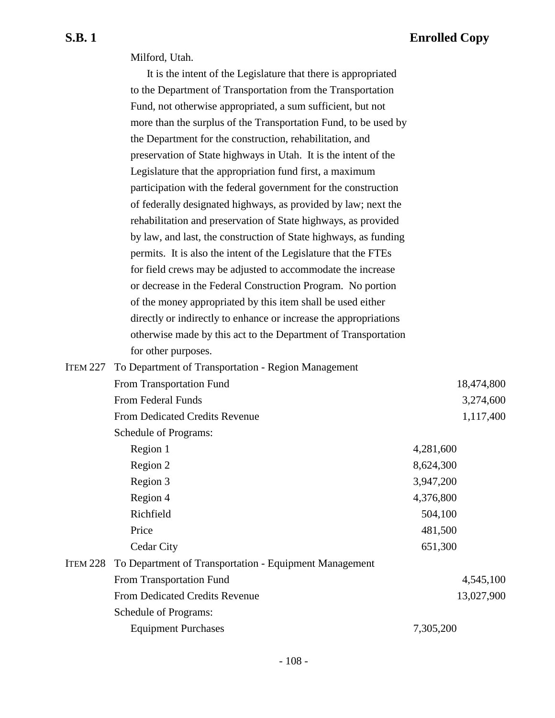Milford, Utah.

|                 | It is the intent of the Legislature that there is appropriated   |           |            |
|-----------------|------------------------------------------------------------------|-----------|------------|
|                 | to the Department of Transportation from the Transportation      |           |            |
|                 | Fund, not otherwise appropriated, a sum sufficient, but not      |           |            |
|                 | more than the surplus of the Transportation Fund, to be used by  |           |            |
|                 | the Department for the construction, rehabilitation, and         |           |            |
|                 | preservation of State highways in Utah. It is the intent of the  |           |            |
|                 | Legislature that the appropriation fund first, a maximum         |           |            |
|                 | participation with the federal government for the construction   |           |            |
|                 | of federally designated highways, as provided by law; next the   |           |            |
|                 | rehabilitation and preservation of State highways, as provided   |           |            |
|                 | by law, and last, the construction of State highways, as funding |           |            |
|                 | permits. It is also the intent of the Legislature that the FTEs  |           |            |
|                 | for field crews may be adjusted to accommodate the increase      |           |            |
|                 | or decrease in the Federal Construction Program. No portion      |           |            |
|                 | of the money appropriated by this item shall be used either      |           |            |
|                 | directly or indirectly to enhance or increase the appropriations |           |            |
|                 | otherwise made by this act to the Department of Transportation   |           |            |
|                 | for other purposes.                                              |           |            |
| ITEM 227        | To Department of Transportation - Region Management              |           |            |
|                 | From Transportation Fund                                         |           | 18,474,800 |
|                 | From Federal Funds                                               |           | 3,274,600  |
|                 | From Dedicated Credits Revenue                                   |           | 1,117,400  |
|                 | Schedule of Programs:                                            |           |            |
|                 | Region 1                                                         | 4,281,600 |            |
|                 | Region 2                                                         | 8,624,300 |            |
|                 | Region 3                                                         | 3,947,200 |            |
|                 | Region 4                                                         | 4,376,800 |            |
|                 | Richfield                                                        | 504,100   |            |
|                 | Price                                                            | 481,500   |            |
|                 | Cedar City                                                       | 651,300   |            |
| <b>ITEM 228</b> | To Department of Transportation - Equipment Management           |           |            |
|                 | From Transportation Fund                                         |           | 4,545,100  |
|                 | From Dedicated Credits Revenue                                   |           | 13,027,900 |
|                 | Schedule of Programs:                                            |           |            |
|                 | <b>Equipment Purchases</b>                                       | 7,305,200 |            |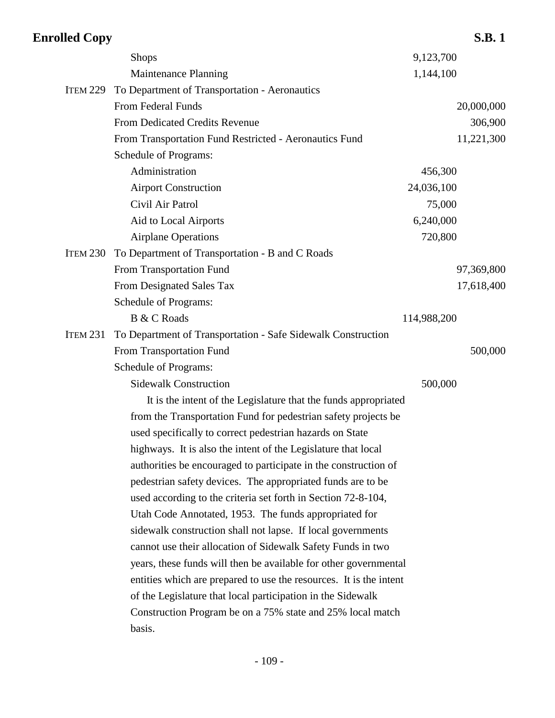### **Enrolled Copy S.B. 1** Shops 9,123,700 Maintenance Planning 1,144,100 ITEM 229 To Department of Transportation - Aeronautics From Federal Funds 20,000,000 20,000,000 From Dedicated Credits Revenue 306,900 From Transportation Fund Restricted - Aeronautics Fund 11,221,300 Schedule of Programs: Administration 456,300 Airport Construction 24,036,100 Civil Air Patrol 75,000 Aid to Local Airports 6,240,000 Airplane Operations 720,800 ITEM 230 To Department of Transportation - B and C Roads From Transportation Fund 97,369,800 From Designated Sales Tax 17,618,400 Schedule of Programs: B & C Roads 114,988,200 ITEM 231 To Department of Transportation - Safe Sidewalk Construction From Transportation Fund 500,000 500,000 500,000 500,000 500,000 500,000 500,000 500,000 500,000 500,000 500,000 500,000 500,000 500,000 500,000 500,000 500,000 500,000 500,000 500,000 500,000 500,000 500,000 500,000 500,0 Schedule of Programs: Sidewalk Construction 500,000 It is the intent of the Legislature that the funds appropriated from the Transportation Fund for pedestrian safety projects be used specifically to correct pedestrian hazards on State highways. It is also the intent of the Legislature that local authorities be encouraged to participate in the construction of pedestrian safety devices. The appropriated funds are to be used according to the criteria set forth in Section 72-8-104, Utah Code Annotated, 1953. The funds appropriated for sidewalk construction shall not lapse. If local governments cannot use their allocation of Sidewalk Safety Funds in two years, these funds will then be available for other governmental entities which are prepared to use the resources. It is the intent of the Legislature that local participation in the Sidewalk Construction Program be on a 75% state and 25% local match basis.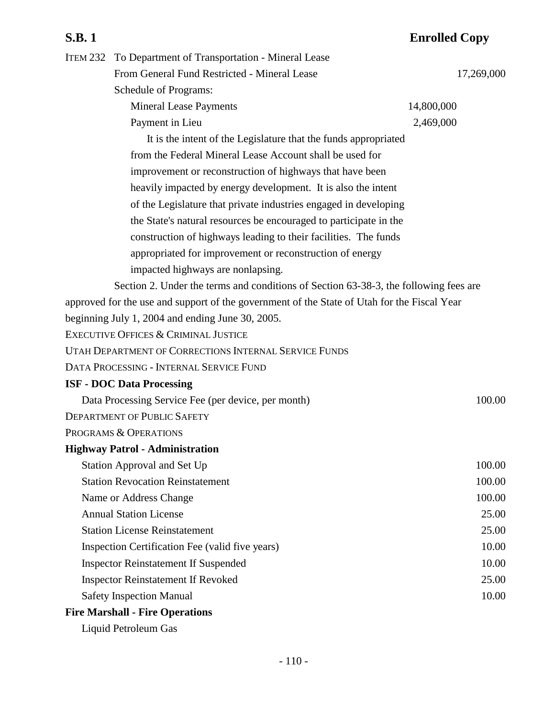### **S.B. 1 Enrolled Copy** ITEM 232 To Department of Transportation - Mineral Lease From General Fund Restricted - Mineral Lease 17,269,000 Schedule of Programs: Mineral Lease Payments 14,800,000 Payment in Lieu 2,469,000 It is the intent of the Legislature that the funds appropriated from the Federal Mineral Lease Account shall be used for improvement or reconstruction of highways that have been heavily impacted by energy development. It is also the intent of the Legislature that private industries engaged in developing the State's natural resources be encouraged to participate in the construction of highways leading to their facilities. The funds appropriated for improvement or reconstruction of energy impacted highways are nonlapsing. Section 2. Under the terms and conditions of Section 63-38-3, the following fees are approved for the use and support of the government of the State of Utah for the Fiscal Year beginning July 1, 2004 and ending June 30, 2005. EXECUTIVE OFFICES & CRIMINAL JUSTICE UTAH DEPARTMENT OF CORRECTIONS INTERNAL SERVICE FUNDS DATA PROCESSING - INTERNAL SERVICE FUND **ISF - DOC Data Processing** Data Processing Service Fee (per device, per month) 100.00 DEPARTMENT OF PUBLIC SAFETY PROGRAMS & OPERATIONS **Highway Patrol - Administration** Station Approval and Set Up 100.00 Station Revocation Reinstatement 100.00 Name or Address Change 100.00 Annual Station License 25.00 Station License Reinstatement 25.00 Inspection Certification Fee (valid five years) 10.00 Inspector Reinstatement If Suspended 10.00 Inspector Reinstatement If Revoked 25.00

Safety Inspection Manual 10.00

### **Fire Marshall - Fire Operations**

Liquid Petroleum Gas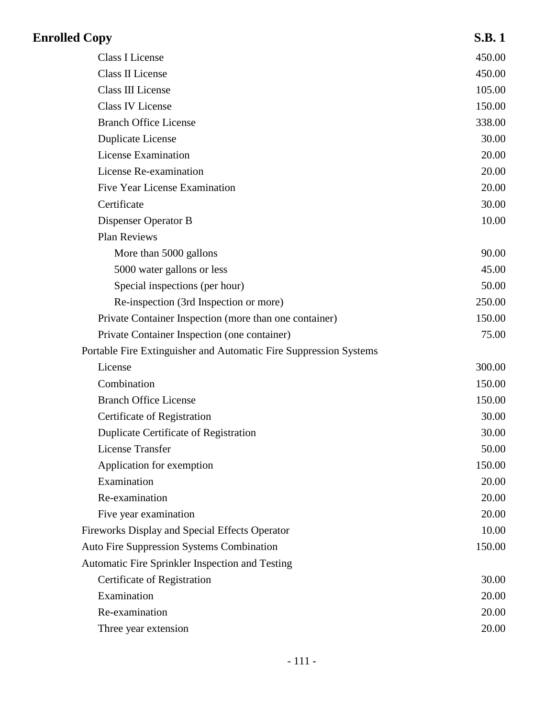| <b>Enrolled Copy</b> |                                                                   | <b>S.B.1</b> |
|----------------------|-------------------------------------------------------------------|--------------|
|                      | <b>Class I License</b>                                            | 450.00       |
|                      | <b>Class II License</b>                                           | 450.00       |
|                      | <b>Class III License</b>                                          | 105.00       |
|                      | <b>Class IV License</b>                                           | 150.00       |
|                      | <b>Branch Office License</b>                                      | 338.00       |
|                      | <b>Duplicate License</b>                                          | 30.00        |
|                      | <b>License Examination</b>                                        | 20.00        |
|                      | License Re-examination                                            | 20.00        |
|                      | <b>Five Year License Examination</b>                              | 20.00        |
|                      | Certificate                                                       | 30.00        |
|                      | Dispenser Operator B                                              | 10.00        |
|                      | <b>Plan Reviews</b>                                               |              |
|                      | More than 5000 gallons                                            | 90.00        |
|                      | 5000 water gallons or less                                        | 45.00        |
|                      | Special inspections (per hour)                                    | 50.00        |
|                      | Re-inspection (3rd Inspection or more)                            | 250.00       |
|                      | Private Container Inspection (more than one container)            | 150.00       |
|                      | Private Container Inspection (one container)                      | 75.00        |
|                      | Portable Fire Extinguisher and Automatic Fire Suppression Systems |              |
|                      | License                                                           | 300.00       |
|                      | Combination                                                       | 150.00       |
|                      | <b>Branch Office License</b>                                      | 150.00       |
|                      | Certificate of Registration                                       | 30.00        |
|                      | Duplicate Certificate of Registration                             | 30.00        |
|                      | <b>License Transfer</b>                                           | 50.00        |
|                      | Application for exemption                                         | 150.00       |
|                      | Examination                                                       | 20.00        |
|                      | Re-examination                                                    | 20.00        |
|                      | Five year examination                                             | 20.00        |
|                      | Fireworks Display and Special Effects Operator                    | 10.00        |
|                      | <b>Auto Fire Suppression Systems Combination</b>                  | 150.00       |
|                      | Automatic Fire Sprinkler Inspection and Testing                   |              |
|                      | Certificate of Registration                                       | 30.00        |
|                      | Examination                                                       | 20.00        |
|                      | Re-examination                                                    | 20.00        |
|                      | Three year extension                                              | 20.00        |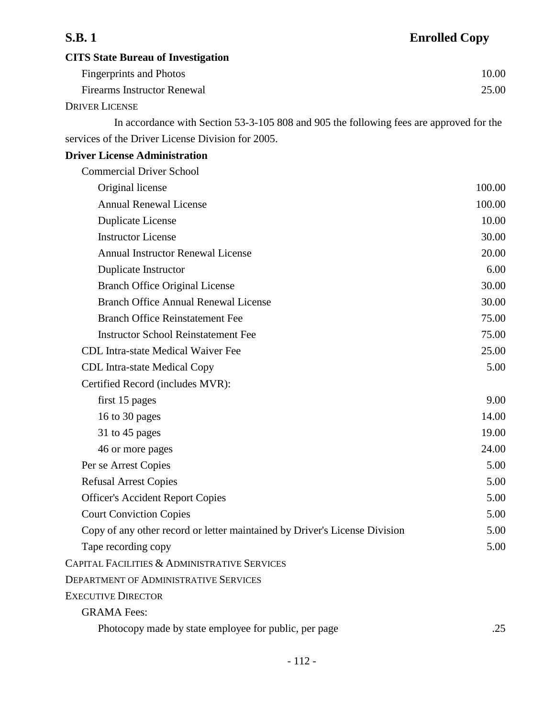# **S.B. 1 Enrolled Copy CITS State Bureau of Investigation** Fingerprints and Photos 10.00 Firearms Instructor Renewal 25.00

DRIVER LICENSE

In accordance with Section 53-3-105 808 and 905 the following fees are approved for the services of the Driver License Division for 2005.

### **Driver License Administration**

| <b>Commercial Driver School</b>                                            |        |
|----------------------------------------------------------------------------|--------|
| Original license                                                           | 100.00 |
| <b>Annual Renewal License</b>                                              | 100.00 |
| <b>Duplicate License</b>                                                   | 10.00  |
| <b>Instructor License</b>                                                  | 30.00  |
| <b>Annual Instructor Renewal License</b>                                   | 20.00  |
| Duplicate Instructor                                                       | 6.00   |
| <b>Branch Office Original License</b>                                      | 30.00  |
| <b>Branch Office Annual Renewal License</b>                                | 30.00  |
| <b>Branch Office Reinstatement Fee</b>                                     | 75.00  |
| <b>Instructor School Reinstatement Fee</b>                                 | 75.00  |
| CDL Intra-state Medical Waiver Fee                                         | 25.00  |
| <b>CDL</b> Intra-state Medical Copy                                        | 5.00   |
| Certified Record (includes MVR):                                           |        |
| first 15 pages                                                             | 9.00   |
| 16 to 30 pages                                                             | 14.00  |
| 31 to 45 pages                                                             | 19.00  |
| 46 or more pages                                                           | 24.00  |
| Per se Arrest Copies                                                       | 5.00   |
| <b>Refusal Arrest Copies</b>                                               | 5.00   |
| <b>Officer's Accident Report Copies</b>                                    | 5.00   |
| <b>Court Conviction Copies</b>                                             | 5.00   |
| Copy of any other record or letter maintained by Driver's License Division | 5.00   |
| Tape recording copy                                                        | 5.00   |
| CAPITAL FACILITIES & ADMINISTRATIVE SERVICES                               |        |
| <b>DEPARTMENT OF ADMINISTRATIVE SERVICES</b>                               |        |
| <b>EXECUTIVE DIRECTOR</b>                                                  |        |
| <b>GRAMA</b> Fees:                                                         |        |
| Photocopy made by state employee for public, per page                      | .25    |
|                                                                            |        |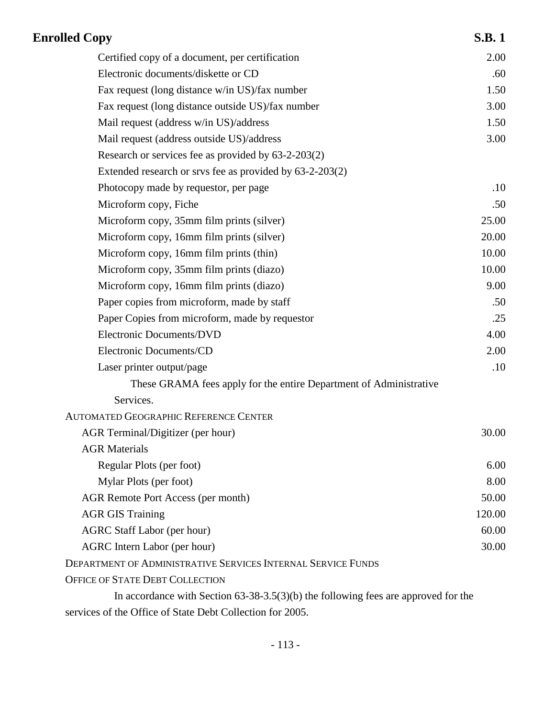| <b>Enrolled Copy</b>                                                                                                                                                                                                                                                                                                                                                                                              | <b>S.B.1</b> |
|-------------------------------------------------------------------------------------------------------------------------------------------------------------------------------------------------------------------------------------------------------------------------------------------------------------------------------------------------------------------------------------------------------------------|--------------|
| Certified copy of a document, per certification                                                                                                                                                                                                                                                                                                                                                                   | 2.00         |
| Electronic documents/diskette or CD                                                                                                                                                                                                                                                                                                                                                                               | .60          |
| Fax request (long distance w/in US)/fax number                                                                                                                                                                                                                                                                                                                                                                    | 1.50         |
| Fax request (long distance outside US)/fax number                                                                                                                                                                                                                                                                                                                                                                 | 3.00         |
| Mail request (address w/in US)/address                                                                                                                                                                                                                                                                                                                                                                            | 1.50         |
| Mail request (address outside US)/address                                                                                                                                                                                                                                                                                                                                                                         | 3.00         |
| Research or services fee as provided by $63-2-203(2)$                                                                                                                                                                                                                                                                                                                                                             |              |
| Extended research or srvs fee as provided by 63-2-203(2)                                                                                                                                                                                                                                                                                                                                                          |              |
| Photocopy made by requestor, per page                                                                                                                                                                                                                                                                                                                                                                             | .10          |
| Microform copy, Fiche                                                                                                                                                                                                                                                                                                                                                                                             | .50          |
| Microform copy, 35mm film prints (silver)                                                                                                                                                                                                                                                                                                                                                                         | 25.00        |
| Microform copy, 16mm film prints (silver)                                                                                                                                                                                                                                                                                                                                                                         | 20.00        |
| Microform copy, 16mm film prints (thin)                                                                                                                                                                                                                                                                                                                                                                           | 10.00        |
| Microform copy, 35mm film prints (diazo)                                                                                                                                                                                                                                                                                                                                                                          | 10.00        |
| Microform copy, 16mm film prints (diazo)                                                                                                                                                                                                                                                                                                                                                                          | 9.00         |
| Paper copies from microform, made by staff                                                                                                                                                                                                                                                                                                                                                                        | .50          |
| Paper Copies from microform, made by requestor                                                                                                                                                                                                                                                                                                                                                                    | .25          |
| <b>Electronic Documents/DVD</b>                                                                                                                                                                                                                                                                                                                                                                                   | 4.00         |
| Electronic Documents/CD                                                                                                                                                                                                                                                                                                                                                                                           | 2.00         |
| Laser printer output/page                                                                                                                                                                                                                                                                                                                                                                                         | .10          |
| These GRAMA fees apply for the entire Department of Administrative                                                                                                                                                                                                                                                                                                                                                |              |
| Services.                                                                                                                                                                                                                                                                                                                                                                                                         |              |
| <b>AUTOMATED GEOGRAPHIC REFERENCE CENTER</b>                                                                                                                                                                                                                                                                                                                                                                      |              |
| AGR Terminal/Digitizer (per hour)                                                                                                                                                                                                                                                                                                                                                                                 | 30.00        |
| <b>AGR Materials</b>                                                                                                                                                                                                                                                                                                                                                                                              |              |
| Regular Plots (per foot)                                                                                                                                                                                                                                                                                                                                                                                          | 6.00         |
| Mylar Plots (per foot)                                                                                                                                                                                                                                                                                                                                                                                            | 8.00         |
| <b>AGR Remote Port Access (per month)</b>                                                                                                                                                                                                                                                                                                                                                                         | 50.00        |
| <b>AGR GIS Training</b>                                                                                                                                                                                                                                                                                                                                                                                           | 120.00       |
| <b>AGRC Staff Labor (per hour)</b>                                                                                                                                                                                                                                                                                                                                                                                | 60.00        |
| <b>AGRC</b> Intern Labor (per hour)                                                                                                                                                                                                                                                                                                                                                                               | 30.00        |
| DEPARTMENT OF ADMINISTRATIVE SERVICES INTERNAL SERVICE FUNDS                                                                                                                                                                                                                                                                                                                                                      |              |
| OFFICE OF STATE DEBT COLLECTION                                                                                                                                                                                                                                                                                                                                                                                   |              |
| In accordance with Section $63-38-3.5(3)(b)$ the following fees are approved for the                                                                                                                                                                                                                                                                                                                              |              |
| $\mathcal{C}(\mathcal{C})$ $\mathcal{D}(\mathcal{C})$ $\mathcal{D}(\mathcal{C})$ $\mathcal{D}(\mathcal{C})$ $\mathcal{D}(\mathcal{C})$ $\mathcal{D}(\mathcal{C})$ $\mathcal{D}(\mathcal{C})$ $\mathcal{D}(\mathcal{C})$ $\mathcal{D}(\mathcal{C})$ $\mathcal{D}(\mathcal{C})$ $\mathcal{D}(\mathcal{C})$ $\mathcal{D}(\mathcal{C})$ $\mathcal{D}(\mathcal{C})$ $\mathcal{D}(\mathcal{C})$ $\mathcal{D}(\mathcal{$ |              |

services of the Office of State Debt Collection for 2005.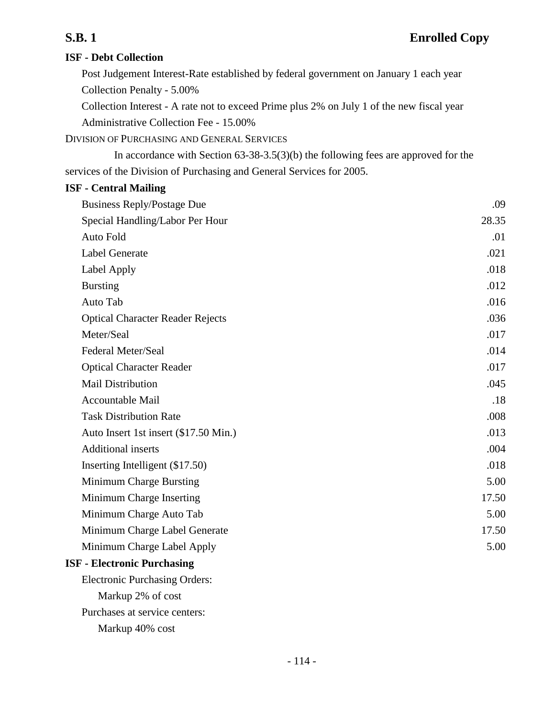### **ISF - Debt Collection**

Post Judgement Interest-Rate established by federal government on January 1 each year Collection Penalty - 5.00%

Collection Interest - A rate not to exceed Prime plus 2% on July 1 of the new fiscal year Administrative Collection Fee - 15.00%

DIVISION OF PURCHASING AND GENERAL SERVICES

In accordance with Section 63-38-3.5(3)(b) the following fees are approved for the services of the Division of Purchasing and General Services for 2005.

### **ISF - Central Mailing**

| <b>Business Reply/Postage Due</b>       | .09   |
|-----------------------------------------|-------|
| Special Handling/Labor Per Hour         | 28.35 |
| Auto Fold                               | .01   |
| <b>Label Generate</b>                   | .021  |
| Label Apply                             | .018  |
| <b>Bursting</b>                         | .012  |
| Auto Tab                                | .016  |
| <b>Optical Character Reader Rejects</b> | .036  |
| Meter/Seal                              | .017  |
| Federal Meter/Seal                      | .014  |
| <b>Optical Character Reader</b>         | .017  |
| <b>Mail Distribution</b>                | .045  |
| <b>Accountable Mail</b>                 | .18   |
| <b>Task Distribution Rate</b>           | .008  |
| Auto Insert 1st insert (\$17.50 Min.)   | .013  |
| <b>Additional inserts</b>               | .004  |
| Inserting Intelligent (\$17.50)         | .018  |
| Minimum Charge Bursting                 | 5.00  |
| Minimum Charge Inserting                | 17.50 |
| Minimum Charge Auto Tab                 | 5.00  |
| Minimum Charge Label Generate           | 17.50 |
| Minimum Charge Label Apply              | 5.00  |
| <b>ISF - Electronic Purchasing</b>      |       |
| <b>Electronic Purchasing Orders:</b>    |       |
| Markup 2% of cost                       |       |

Purchases at service centers:

Markup 40% cost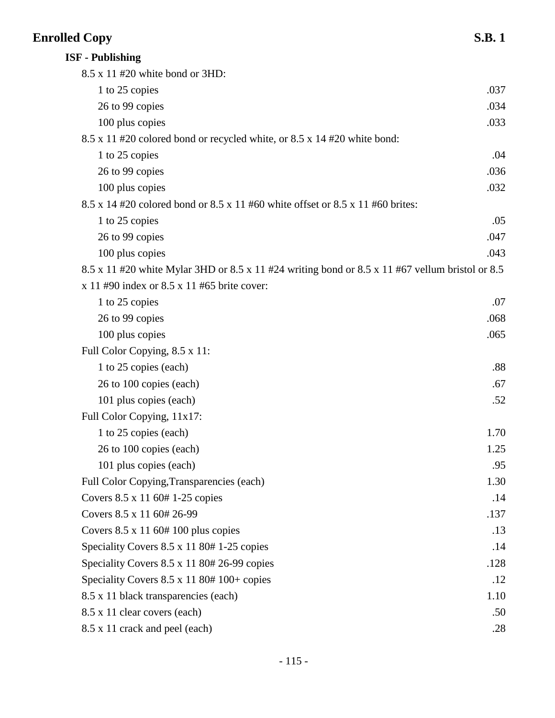# **Enrolled Copy** S.B. 1

| <b>ISF - Publishing</b>                                                                         |      |
|-------------------------------------------------------------------------------------------------|------|
| 8.5 x 11 #20 white bond or 3HD:                                                                 |      |
| 1 to 25 copies                                                                                  | .037 |
| 26 to 99 copies                                                                                 | .034 |
| 100 plus copies                                                                                 | .033 |
| 8.5 x 11 #20 colored bond or recycled white, or 8.5 x 14 #20 white bond:                        |      |
| 1 to 25 copies                                                                                  | .04  |
| 26 to 99 copies                                                                                 | .036 |
| 100 plus copies                                                                                 | .032 |
| 8.5 x 14 #20 colored bond or 8.5 x 11 #60 white offset or 8.5 x 11 #60 brites:                  |      |
| 1 to 25 copies                                                                                  | .05  |
| 26 to 99 copies                                                                                 | .047 |
| 100 plus copies                                                                                 | .043 |
| 8.5 x 11 #20 white Mylar 3HD or 8.5 x 11 #24 writing bond or 8.5 x 11 #67 vellum bristol or 8.5 |      |
| $x 11 #90$ index or 8.5 x 11 #65 brite cover:                                                   |      |
| 1 to 25 copies                                                                                  | .07  |
| 26 to 99 copies                                                                                 | .068 |
| 100 plus copies                                                                                 | .065 |
| Full Color Copying, 8.5 x 11:                                                                   |      |
| 1 to 25 copies (each)                                                                           | .88  |
| 26 to 100 copies (each)                                                                         | .67  |
| 101 plus copies (each)                                                                          | .52  |
| Full Color Copying, 11x17:                                                                      |      |
| 1 to 25 copies (each)                                                                           | 1.70 |
| 26 to 100 copies (each)                                                                         | 1.25 |
| 101 plus copies (each)                                                                          | .95  |
| Full Color Copying, Transparencies (each)                                                       | 1.30 |
| Covers 8.5 x 11 60# 1-25 copies                                                                 | .14  |
| Covers 8.5 x 11 60# 26-99                                                                       | .137 |
| Covers $8.5 \times 1160# 100$ plus copies                                                       | .13  |
| Speciality Covers 8.5 x 11 80# 1-25 copies                                                      | .14  |
| Speciality Covers 8.5 x 11 80# 26-99 copies                                                     | .128 |
| Speciality Covers 8.5 x 11 80# 100+ copies                                                      | .12  |
| 8.5 x 11 black transparencies (each)                                                            | 1.10 |
| 8.5 x 11 clear covers (each)                                                                    | .50  |
| 8.5 x 11 crack and peel (each)                                                                  | .28  |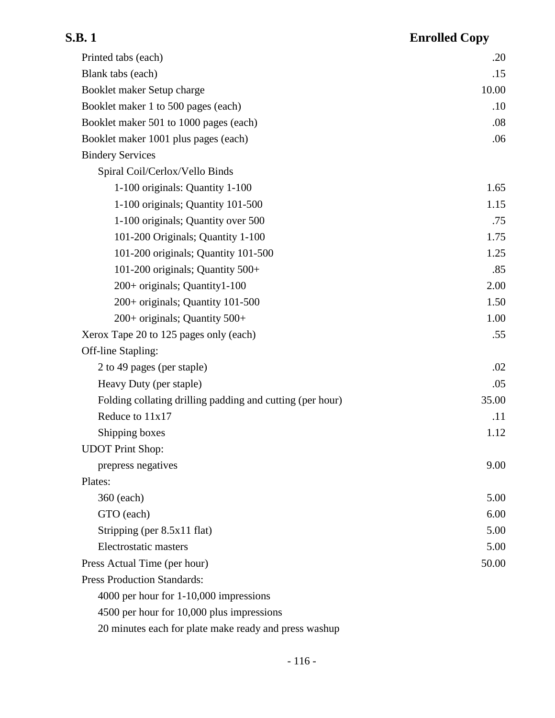# **S.B. 1 Enrolled Copy** Printed tabs (each) .20 Blank tabs (each) .15 Booklet maker Setup charge 10.00 Booklet maker 1 to 500 pages (each) .10

| Booklet maker 501 to 1000 pages (each)                    | .08   |
|-----------------------------------------------------------|-------|
| Booklet maker 1001 plus pages (each)                      | .06   |
| <b>Bindery Services</b>                                   |       |
| Spiral Coil/Cerlox/Vello Binds                            |       |
| 1-100 originals: Quantity 1-100                           | 1.65  |
| 1-100 originals; Quantity 101-500                         | 1.15  |
| 1-100 originals; Quantity over 500                        | .75   |
| 101-200 Originals; Quantity 1-100                         | 1.75  |
| 101-200 originals; Quantity 101-500                       | 1.25  |
| 101-200 originals; Quantity 500+                          | .85   |
| 200+ originals; Quantity1-100                             | 2.00  |
| 200+ originals; Quantity 101-500                          | 1.50  |
| 200+ originals; Quantity 500+                             | 1.00  |
| Xerox Tape 20 to 125 pages only (each)                    | .55   |
| Off-line Stapling:                                        |       |
| 2 to 49 pages (per staple)                                | .02   |
| Heavy Duty (per staple)                                   | .05   |
| Folding collating drilling padding and cutting (per hour) | 35.00 |
| Reduce to 11x17                                           | .11   |
| Shipping boxes                                            | 1.12  |
| <b>UDOT</b> Print Shop:                                   |       |
| prepress negatives                                        | 9.00  |
| Plates:                                                   |       |
| 360 (each)                                                | 5.00  |
| GTO (each)                                                | 6.00  |
| Stripping (per 8.5x11 flat)                               | 5.00  |
| Electrostatic masters                                     | 5.00  |

Press Production Standards:

4000 per hour for 1-10,000 impressions

4500 per hour for 10,000 plus impressions

20 minutes each for plate make ready and press washup

Press Actual Time (per hour) 50.00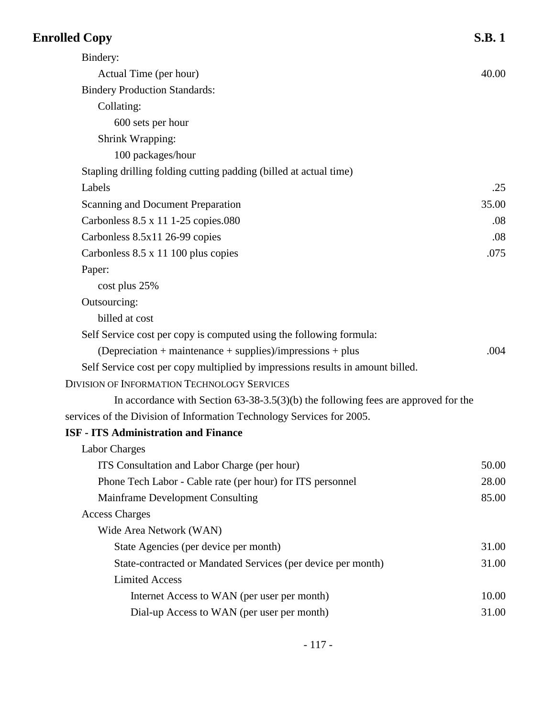| <b>Enrolled Copy</b>                                                                 | <b>S.B.1</b> |
|--------------------------------------------------------------------------------------|--------------|
| Bindery:                                                                             |              |
| Actual Time (per hour)                                                               | 40.00        |
| <b>Bindery Production Standards:</b>                                                 |              |
| Collating:                                                                           |              |
| 600 sets per hour                                                                    |              |
| Shrink Wrapping:                                                                     |              |
| 100 packages/hour                                                                    |              |
| Stapling drilling folding cutting padding (billed at actual time)                    |              |
| Labels                                                                               | .25          |
| <b>Scanning and Document Preparation</b>                                             | 35.00        |
| Carbonless 8.5 x 11 1-25 copies.080                                                  | .08          |
| Carbonless 8.5x11 26-99 copies                                                       | .08          |
| Carbonless 8.5 x 11 100 plus copies                                                  | .075         |
| Paper:                                                                               |              |
| cost plus 25%                                                                        |              |
| Outsourcing:                                                                         |              |
| billed at cost                                                                       |              |
| Self Service cost per copy is computed using the following formula:                  |              |
| $(Depreciation + maintenance + supplies)/impressions + plus$                         | .004         |
| Self Service cost per copy multiplied by impressions results in amount billed.       |              |
| <b>DIVISION OF INFORMATION TECHNOLOGY SERVICES</b>                                   |              |
| In accordance with Section $63-38-3.5(3)(b)$ the following fees are approved for the |              |
| services of the Division of Information Technology Services for 2005.                |              |
| <b>ISF - ITS Administration and Finance</b>                                          |              |
| Labor Charges                                                                        |              |
| ITS Consultation and Labor Charge (per hour)                                         | 50.00        |
| Phone Tech Labor - Cable rate (per hour) for ITS personnel                           | 28.00        |
| Mainframe Development Consulting                                                     | 85.00        |
| <b>Access Charges</b>                                                                |              |
| Wide Area Network (WAN)                                                              |              |
| State Agencies (per device per month)                                                | 31.00        |
| State-contracted or Mandated Services (per device per month)                         | 31.00        |
| <b>Limited Access</b>                                                                |              |
| Internet Access to WAN (per user per month)                                          | 10.00        |
| Dial-up Access to WAN (per user per month)                                           | 31.00        |
|                                                                                      |              |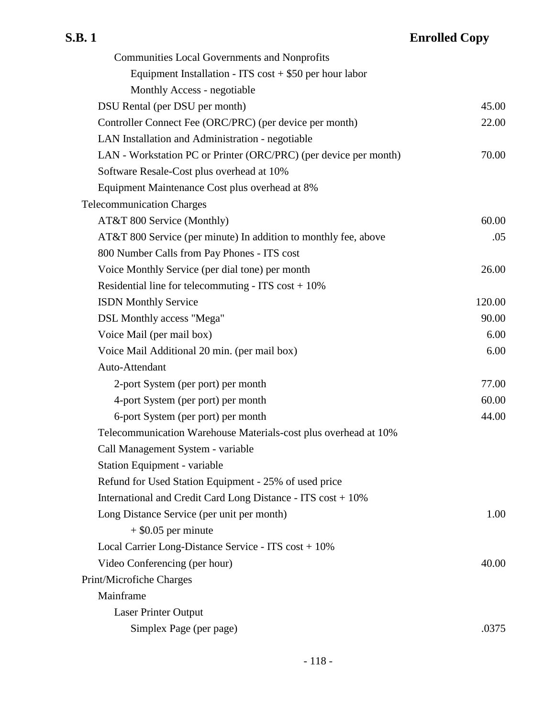| <b>Communities Local Governments and Nonprofits</b>              |        |
|------------------------------------------------------------------|--------|
| Equipment Installation - ITS $cost + $50$ per hour labor         |        |
| Monthly Access - negotiable                                      |        |
| DSU Rental (per DSU per month)                                   | 45.00  |
| Controller Connect Fee (ORC/PRC) (per device per month)          | 22.00  |
| LAN Installation and Administration - negotiable                 |        |
| LAN - Workstation PC or Printer (ORC/PRC) (per device per month) | 70.00  |
| Software Resale-Cost plus overhead at 10%                        |        |
| Equipment Maintenance Cost plus overhead at 8%                   |        |
| <b>Telecommunication Charges</b>                                 |        |
| AT&T 800 Service (Monthly)                                       | 60.00  |
| AT&T 800 Service (per minute) In addition to monthly fee, above  | .05    |
| 800 Number Calls from Pay Phones - ITS cost                      |        |
| Voice Monthly Service (per dial tone) per month                  | 26.00  |
| Residential line for telecommuting - ITS $cost + 10\%$           |        |
| <b>ISDN</b> Monthly Service                                      | 120.00 |
| DSL Monthly access "Mega"                                        | 90.00  |
| Voice Mail (per mail box)                                        | 6.00   |
| Voice Mail Additional 20 min. (per mail box)                     | 6.00   |
| Auto-Attendant                                                   |        |
| 2-port System (per port) per month                               | 77.00  |
| 4-port System (per port) per month                               | 60.00  |
| 6-port System (per port) per month                               | 44.00  |
| Telecommunication Warehouse Materials-cost plus overhead at 10%  |        |
| Call Management System - variable                                |        |
| Station Equipment - variable                                     |        |
| Refund for Used Station Equipment - 25% of used price            |        |
| International and Credit Card Long Distance - ITS cost + 10%     |        |
| Long Distance Service (per unit per month)                       | 1.00   |
| $+$ \$0.05 per minute                                            |        |
| Local Carrier Long-Distance Service - ITS cost + 10%             |        |
| Video Conferencing (per hour)                                    | 40.00  |
| Print/Microfiche Charges                                         |        |
| Mainframe                                                        |        |
| Laser Printer Output                                             |        |
| Simplex Page (per page)                                          | .0375  |
|                                                                  |        |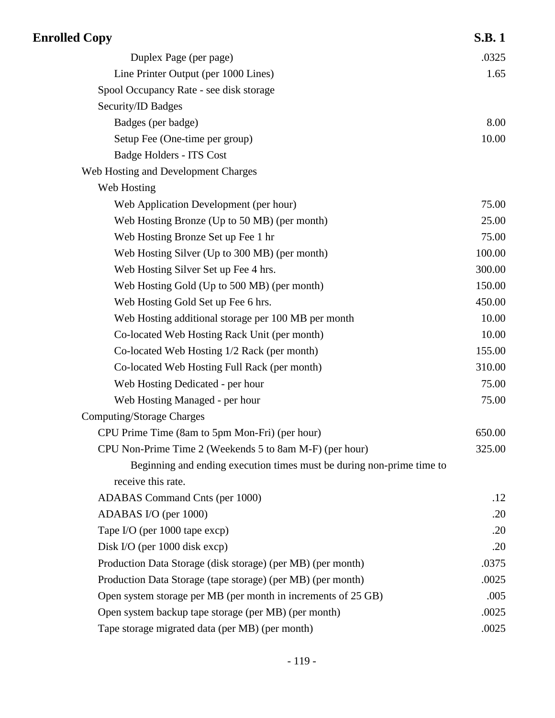| <b>Enrolled Copy</b>                                                  | <b>S.B.1</b> |
|-----------------------------------------------------------------------|--------------|
| Duplex Page (per page)                                                | .0325        |
| Line Printer Output (per 1000 Lines)                                  | 1.65         |
| Spool Occupancy Rate - see disk storage                               |              |
| Security/ID Badges                                                    |              |
| Badges (per badge)                                                    | 8.00         |
| Setup Fee (One-time per group)                                        | 10.00        |
| Badge Holders - ITS Cost                                              |              |
| Web Hosting and Development Charges                                   |              |
| Web Hosting                                                           |              |
| Web Application Development (per hour)                                | 75.00        |
| Web Hosting Bronze (Up to 50 MB) (per month)                          | 25.00        |
| Web Hosting Bronze Set up Fee 1 hr                                    | 75.00        |
| Web Hosting Silver (Up to 300 MB) (per month)                         | 100.00       |
| Web Hosting Silver Set up Fee 4 hrs.                                  | 300.00       |
| Web Hosting Gold (Up to 500 MB) (per month)                           | 150.00       |
| Web Hosting Gold Set up Fee 6 hrs.                                    | 450.00       |
| Web Hosting additional storage per 100 MB per month                   | 10.00        |
| Co-located Web Hosting Rack Unit (per month)                          | 10.00        |
| Co-located Web Hosting 1/2 Rack (per month)                           | 155.00       |
| Co-located Web Hosting Full Rack (per month)                          | 310.00       |
| Web Hosting Dedicated - per hour                                      | 75.00        |
| Web Hosting Managed - per hour                                        | 75.00        |
| <b>Computing/Storage Charges</b>                                      |              |
| CPU Prime Time (8am to 5pm Mon-Fri) (per hour)                        | 650.00       |
| CPU Non-Prime Time 2 (Weekends 5 to 8am M-F) (per hour)               | 325.00       |
| Beginning and ending execution times must be during non-prime time to |              |
| receive this rate.                                                    |              |
| ADABAS Command Cnts (per 1000)                                        | .12          |
| ADABAS I/O (per 1000)                                                 | .20          |
| Tape I/O (per 1000 tape excp)                                         | .20          |
| Disk I/O (per 1000 disk excp)                                         | .20          |
| Production Data Storage (disk storage) (per MB) (per month)           | .0375        |
| Production Data Storage (tape storage) (per MB) (per month)           | .0025        |
| Open system storage per MB (per month in increments of 25 GB)         | .005         |
| Open system backup tape storage (per MB) (per month)                  | .0025        |
| Tape storage migrated data (per MB) (per month)                       | .0025        |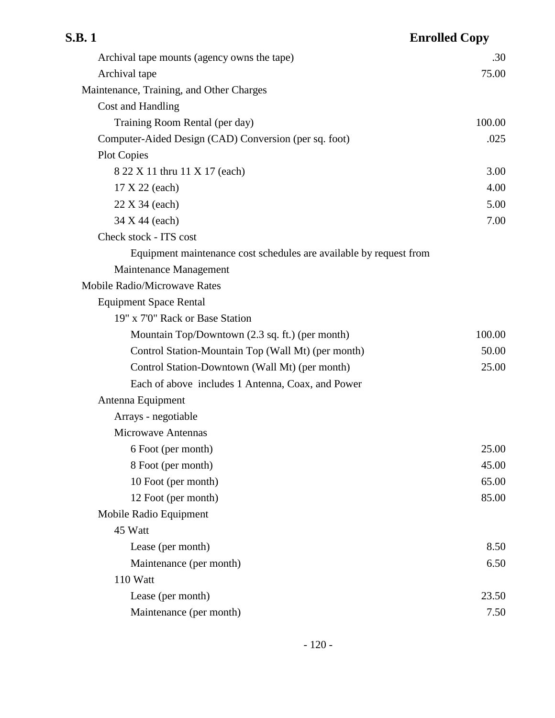| S.B. 1                                                             | <b>Enrolled Copy</b> |
|--------------------------------------------------------------------|----------------------|
| Archival tape mounts (agency owns the tape)                        | .30                  |
| Archival tape                                                      | 75.00                |
| Maintenance, Training, and Other Charges                           |                      |
| Cost and Handling                                                  |                      |
| Training Room Rental (per day)                                     | 100.00               |
| Computer-Aided Design (CAD) Conversion (per sq. foot)              | .025                 |
| <b>Plot Copies</b>                                                 |                      |
| 8 22 X 11 thru 11 X 17 (each)                                      | 3.00                 |
| 17 X 22 (each)                                                     | 4.00                 |
| 22 X 34 (each)                                                     | 5.00                 |
| 34 X 44 (each)                                                     | 7.00                 |
| Check stock - ITS cost                                             |                      |
| Equipment maintenance cost schedules are available by request from |                      |
| Maintenance Management                                             |                      |
| <b>Mobile Radio/Microwave Rates</b>                                |                      |
| <b>Equipment Space Rental</b>                                      |                      |
| 19" x 7'0" Rack or Base Station                                    |                      |
| Mountain Top/Downtown (2.3 sq. ft.) (per month)                    | 100.00               |
| Control Station-Mountain Top (Wall Mt) (per month)                 | 50.00                |
| Control Station-Downtown (Wall Mt) (per month)                     | 25.00                |
| Each of above includes 1 Antenna, Coax, and Power                  |                      |
| Antenna Equipment                                                  |                      |
| Arrays - negotiable                                                |                      |
| <b>Microwave Antennas</b>                                          |                      |
| 6 Foot (per month)                                                 | 25.00                |
| 8 Foot (per month)                                                 | 45.00                |
| 10 Foot (per month)                                                | 65.00                |
| 12 Foot (per month)                                                | 85.00                |
| Mobile Radio Equipment                                             |                      |
| 45 Watt                                                            |                      |
| Lease (per month)                                                  | 8.50                 |
| Maintenance (per month)                                            | 6.50                 |
| 110 Watt                                                           |                      |
| Lease (per month)                                                  | 23.50                |
| Maintenance (per month)                                            | 7.50                 |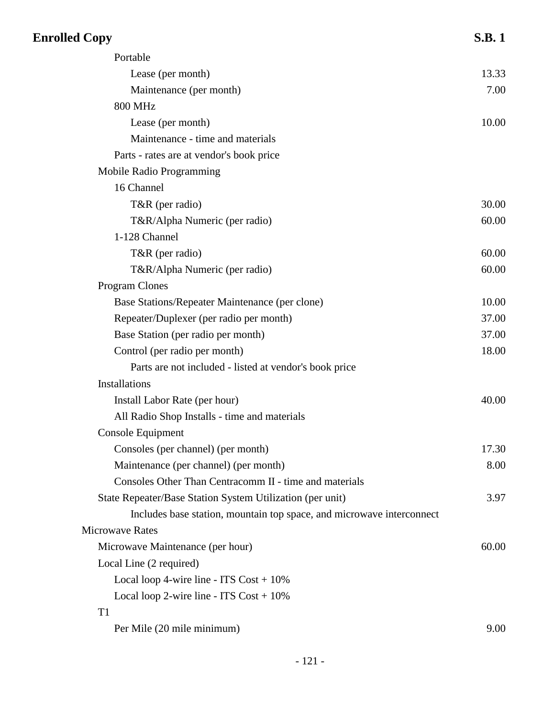| <b>Enrolled Copy</b>                                                  | <b>S.B.1</b> |
|-----------------------------------------------------------------------|--------------|
| Portable                                                              |              |
| Lease (per month)                                                     | 13.33        |
| Maintenance (per month)                                               | 7.00         |
| <b>800 MHz</b>                                                        |              |
| Lease (per month)                                                     | 10.00        |
| Maintenance - time and materials                                      |              |
| Parts - rates are at vendor's book price                              |              |
| Mobile Radio Programming                                              |              |
| 16 Channel                                                            |              |
| T&R (per radio)                                                       | 30.00        |
| T&R/Alpha Numeric (per radio)                                         | 60.00        |
| 1-128 Channel                                                         |              |
| T&R (per radio)                                                       | 60.00        |
| T&R/Alpha Numeric (per radio)                                         | 60.00        |
| <b>Program Clones</b>                                                 |              |
| Base Stations/Repeater Maintenance (per clone)                        | 10.00        |
| Repeater/Duplexer (per radio per month)                               | 37.00        |
| Base Station (per radio per month)                                    | 37.00        |
| Control (per radio per month)                                         | 18.00        |
| Parts are not included - listed at vendor's book price                |              |
| Installations                                                         |              |
| Install Labor Rate (per hour)                                         | 40.00        |
| All Radio Shop Installs - time and materials                          |              |
| Console Equipment                                                     |              |
| Consoles (per channel) (per month)                                    | 17.30        |
| Maintenance (per channel) (per month)                                 | 8.00         |
| Consoles Other Than Centracomm II - time and materials                |              |
| State Repeater/Base Station System Utilization (per unit)             | 3.97         |
| Includes base station, mountain top space, and microwave interconnect |              |
| <b>Microwave Rates</b>                                                |              |
| Microwave Maintenance (per hour)                                      | 60.00        |
| Local Line (2 required)                                               |              |
| Local loop 4-wire line - ITS $Cost + 10\%$                            |              |
| Local loop 2-wire line - ITS $Cost + 10\%$                            |              |
| T <sub>1</sub>                                                        |              |
| Per Mile (20 mile minimum)                                            | 9.00         |
|                                                                       |              |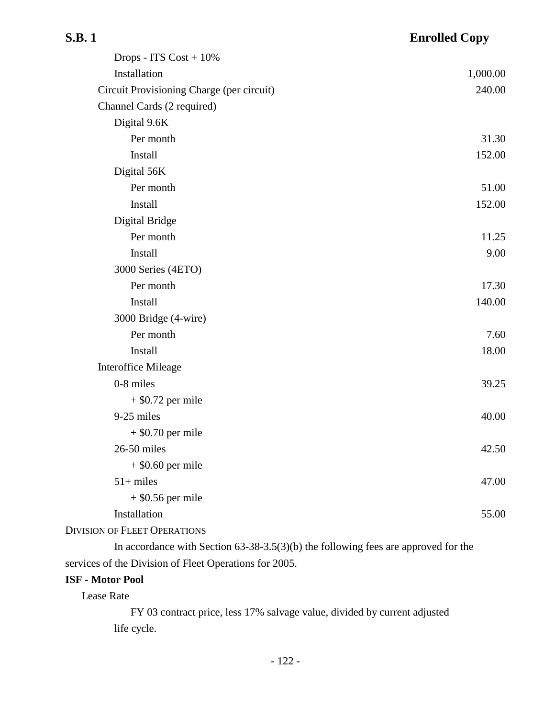| . |  |
|---|--|
|---|--|

| Drops - ITS $Cost + 10\%$                 |          |
|-------------------------------------------|----------|
| Installation                              | 1,000.00 |
| Circuit Provisioning Charge (per circuit) | 240.00   |
| Channel Cards (2 required)                |          |
| Digital 9.6K                              |          |
| Per month                                 | 31.30    |
| Install                                   | 152.00   |
| Digital 56K                               |          |
| Per month                                 | 51.00    |
| Install                                   | 152.00   |
| Digital Bridge                            |          |
| Per month                                 | 11.25    |
| Install                                   | 9.00     |
| 3000 Series (4ETO)                        |          |
| Per month                                 | 17.30    |
| Install                                   | 140.00   |
| 3000 Bridge (4-wire)                      |          |
| Per month                                 | 7.60     |
| Install                                   | 18.00    |
| <b>Interoffice Mileage</b>                |          |
| 0-8 miles                                 | 39.25    |
| $+$ \$0.72 per mile                       |          |
| 9-25 miles                                | 40.00    |
| $+$ \$0.70 per mile                       |          |
| 26-50 miles                               | 42.50    |
| $+$ \$0.60 per mile                       |          |
| $51+$ miles                               | 47.00    |
| $+$ \$0.56 per mile                       |          |
| Installation                              | 55.00    |
| <b>DIVISION OF FLEET OPERATIONS</b>       |          |

In accordance with Section 63-38-3.5(3)(b) the following fees are approved for the services of the Division of Fleet Operations for 2005.

### **ISF - Motor Pool**

Lease Rate

FY 03 contract price, less 17% salvage value, divided by current adjusted life cycle.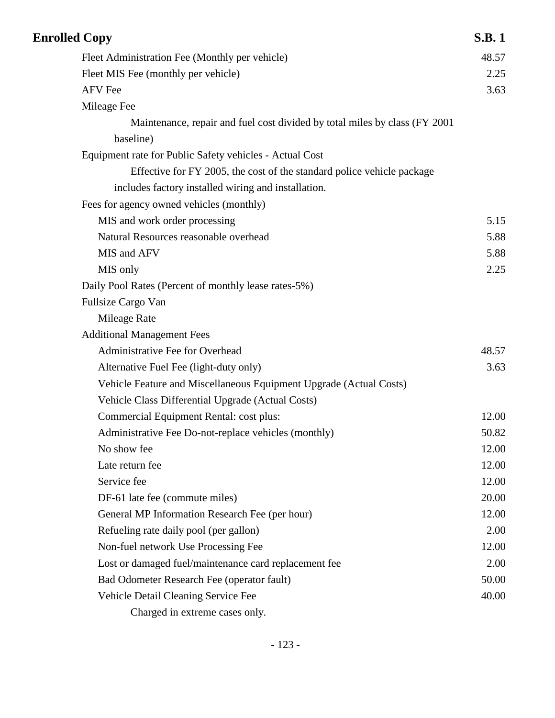| <b>Enrolled Copy</b>                                                        | <b>S.B.1</b> |
|-----------------------------------------------------------------------------|--------------|
| Fleet Administration Fee (Monthly per vehicle)                              | 48.57        |
| Fleet MIS Fee (monthly per vehicle)                                         | 2.25         |
| <b>AFV</b> Fee                                                              | 3.63         |
| Mileage Fee                                                                 |              |
| Maintenance, repair and fuel cost divided by total miles by class (FY 2001) |              |
| baseline)                                                                   |              |
| Equipment rate for Public Safety vehicles - Actual Cost                     |              |
| Effective for FY 2005, the cost of the standard police vehicle package      |              |
| includes factory installed wiring and installation.                         |              |
| Fees for agency owned vehicles (monthly)                                    |              |
| MIS and work order processing                                               | 5.15         |
| Natural Resources reasonable overhead                                       | 5.88         |
| MIS and AFV                                                                 | 5.88         |
| MIS only                                                                    | 2.25         |
| Daily Pool Rates (Percent of monthly lease rates-5%)                        |              |
| Fullsize Cargo Van                                                          |              |
| Mileage Rate                                                                |              |
| <b>Additional Management Fees</b>                                           |              |
| Administrative Fee for Overhead                                             | 48.57        |
| Alternative Fuel Fee (light-duty only)                                      | 3.63         |
| Vehicle Feature and Miscellaneous Equipment Upgrade (Actual Costs)          |              |
| Vehicle Class Differential Upgrade (Actual Costs)                           |              |
| Commercial Equipment Rental: cost plus:                                     | 12.00        |
| Administrative Fee Do-not-replace vehicles (monthly)                        | 50.82        |
| No show fee                                                                 | 12.00        |
| Late return fee                                                             | 12.00        |
| Service fee                                                                 | 12.00        |
| DF-61 late fee (commute miles)                                              | 20.00        |
| General MP Information Research Fee (per hour)                              | 12.00        |
| Refueling rate daily pool (per gallon)                                      | 2.00         |
| Non-fuel network Use Processing Fee                                         | 12.00        |
| Lost or damaged fuel/maintenance card replacement fee                       | 2.00         |
| Bad Odometer Research Fee (operator fault)                                  | 50.00        |
| Vehicle Detail Cleaning Service Fee                                         | 40.00        |
| Charged in extreme cases only.                                              |              |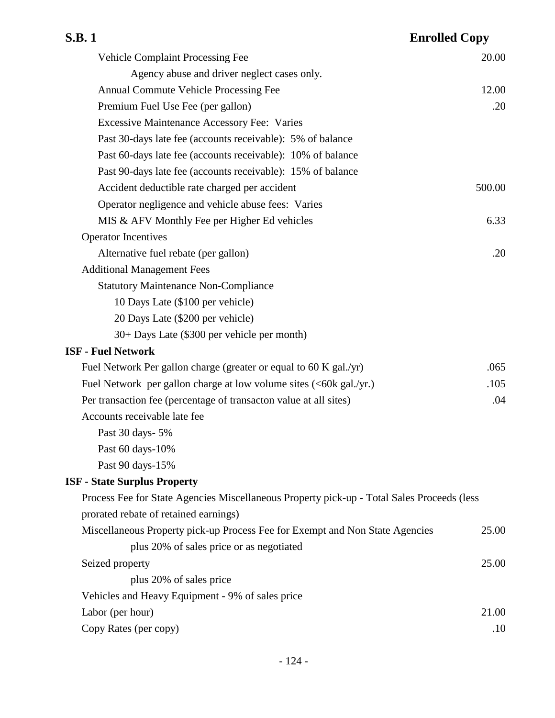| S.B. 1                                                                                     | <b>Enrolled Copy</b> |
|--------------------------------------------------------------------------------------------|----------------------|
| <b>Vehicle Complaint Processing Fee</b>                                                    | 20.00                |
| Agency abuse and driver neglect cases only.                                                |                      |
| Annual Commute Vehicle Processing Fee                                                      | 12.00                |
| Premium Fuel Use Fee (per gallon)                                                          | .20                  |
| <b>Excessive Maintenance Accessory Fee: Varies</b>                                         |                      |
| Past 30-days late fee (accounts receivable): 5% of balance                                 |                      |
| Past 60-days late fee (accounts receivable): 10% of balance                                |                      |
| Past 90-days late fee (accounts receivable): 15% of balance                                |                      |
| Accident deductible rate charged per accident                                              | 500.00               |
| Operator negligence and vehicle abuse fees: Varies                                         |                      |
| MIS & AFV Monthly Fee per Higher Ed vehicles                                               | 6.33                 |
| <b>Operator Incentives</b>                                                                 |                      |
| Alternative fuel rebate (per gallon)                                                       | .20                  |
| <b>Additional Management Fees</b>                                                          |                      |
| <b>Statutory Maintenance Non-Compliance</b>                                                |                      |
| 10 Days Late (\$100 per vehicle)                                                           |                      |
| 20 Days Late (\$200 per vehicle)                                                           |                      |
| 30+ Days Late (\$300 per vehicle per month)                                                |                      |
| <b>ISF - Fuel Network</b>                                                                  |                      |
| Fuel Network Per gallon charge (greater or equal to 60 K gal./yr)                          | .065                 |
| Fuel Network per gallon charge at low volume sites (<60k gal./yr.)                         | .105                 |
| Per transaction fee (percentage of transacton value at all sites)                          | .04                  |
| Accounts receivable late fee                                                               |                      |
| Past 30 days - 5%                                                                          |                      |
| Past 60 days-10%                                                                           |                      |
| Past 90 days-15%                                                                           |                      |
| <b>ISF - State Surplus Property</b>                                                        |                      |
| Process Fee for State Agencies Miscellaneous Property pick-up - Total Sales Proceeds (less |                      |
| prorated rebate of retained earnings)                                                      |                      |
| Miscellaneous Property pick-up Process Fee for Exempt and Non State Agencies               | 25.00                |
| plus 20% of sales price or as negotiated                                                   |                      |
| Seized property                                                                            | 25.00                |
| plus 20% of sales price                                                                    |                      |
| Vehicles and Heavy Equipment - 9% of sales price                                           |                      |
| Labor (per hour)                                                                           | 21.00                |
| Copy Rates (per copy)                                                                      | .10                  |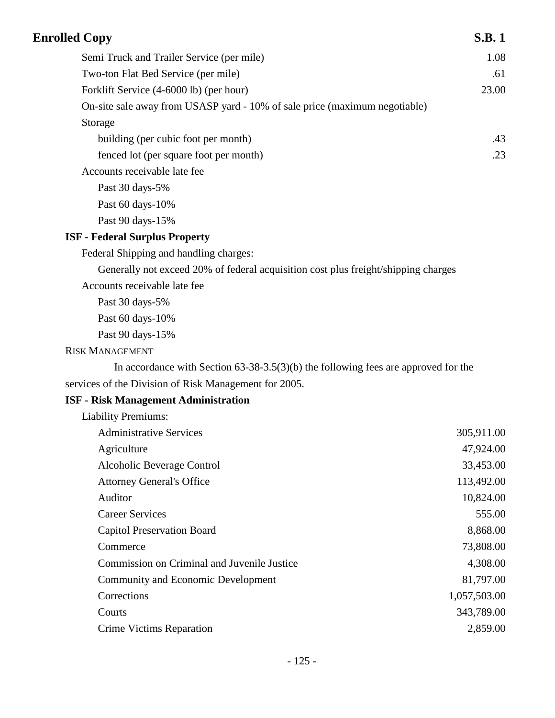| <b>Enrolled Copy</b>                                                                 | <b>S.B.1</b> |
|--------------------------------------------------------------------------------------|--------------|
| Semi Truck and Trailer Service (per mile)                                            | 1.08         |
| Two-ton Flat Bed Service (per mile)                                                  | .61          |
| Forklift Service (4-6000 lb) (per hour)                                              | 23.00        |
| On-site sale away from USASP yard - 10% of sale price (maximum negotiable)           |              |
| Storage                                                                              |              |
| building (per cubic foot per month)                                                  | .43          |
| fenced lot (per square foot per month)                                               | .23          |
| Accounts receivable late fee                                                         |              |
| Past 30 days-5%                                                                      |              |
| Past 60 days-10%                                                                     |              |
| Past 90 days-15%                                                                     |              |
| <b>ISF - Federal Surplus Property</b>                                                |              |
| Federal Shipping and handling charges:                                               |              |
| Generally not exceed 20% of federal acquisition cost plus freight/shipping charges   |              |
| Accounts receivable late fee                                                         |              |
| Past 30 days-5%                                                                      |              |
| Past 60 days-10%                                                                     |              |
| Past 90 days-15%                                                                     |              |
| <b>RISK MANAGEMENT</b>                                                               |              |
| In accordance with Section $63-38-3.5(3)(b)$ the following fees are approved for the |              |
| services of the Division of Risk Management for 2005.                                |              |
| <b>ISF - Risk Management Administration</b>                                          |              |
| <b>Liability Premiums:</b>                                                           |              |
| <b>Administrative Services</b>                                                       | 305,911.00   |
| Agriculture                                                                          | 47,924.00    |
| Alcoholic Beverage Control                                                           | 33,453.00    |
| <b>Attorney General's Office</b>                                                     | 113,492.00   |
| Auditor                                                                              | 10,824.00    |
| <b>Career Services</b>                                                               | 555.00       |
| <b>Capitol Preservation Board</b>                                                    | 8,868.00     |
| Commerce                                                                             | 73,808.00    |
| Commission on Criminal and Juvenile Justice                                          | 4,308.00     |
| <b>Community and Economic Development</b>                                            | 81,797.00    |
| Corrections                                                                          | 1,057,503.00 |
| Courts                                                                               | 343,789.00   |

Crime Victims Reparation 2,859.00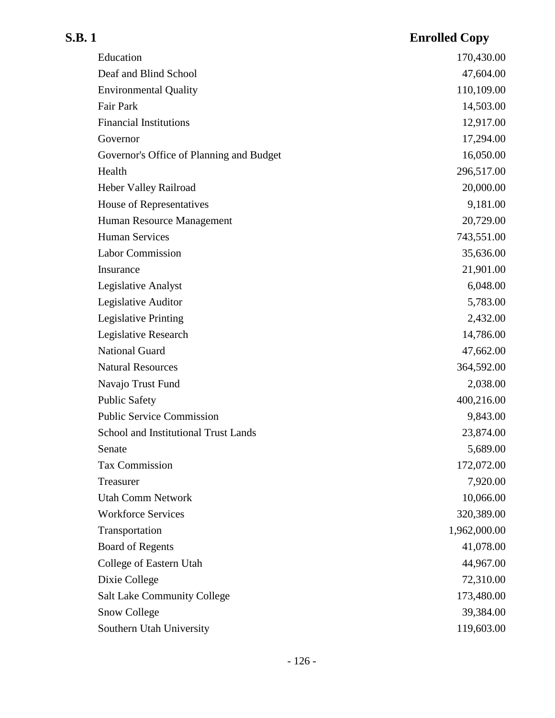| Education                                   | 170,430.00   |
|---------------------------------------------|--------------|
| Deaf and Blind School                       | 47,604.00    |
| <b>Environmental Quality</b>                | 110,109.00   |
| Fair Park                                   | 14,503.00    |
| <b>Financial Institutions</b>               | 12,917.00    |
| Governor                                    | 17,294.00    |
| Governor's Office of Planning and Budget    | 16,050.00    |
| Health                                      | 296,517.00   |
| Heber Valley Railroad                       | 20,000.00    |
| House of Representatives                    | 9,181.00     |
| Human Resource Management                   | 20,729.00    |
| <b>Human Services</b>                       | 743,551.00   |
| <b>Labor Commission</b>                     | 35,636.00    |
| Insurance                                   | 21,901.00    |
| Legislative Analyst                         | 6,048.00     |
| Legislative Auditor                         | 5,783.00     |
| Legislative Printing                        | 2,432.00     |
| Legislative Research                        | 14,786.00    |
| <b>National Guard</b>                       | 47,662.00    |
| <b>Natural Resources</b>                    | 364,592.00   |
| Navajo Trust Fund                           | 2,038.00     |
| <b>Public Safety</b>                        | 400,216.00   |
| <b>Public Service Commission</b>            | 9,843.00     |
| <b>School and Institutional Trust Lands</b> | 23,874.00    |
| Senate                                      | 5,689.00     |
| <b>Tax Commission</b>                       | 172,072.00   |
| Treasurer                                   | 7,920.00     |
| <b>Utah Comm Network</b>                    | 10,066.00    |
| <b>Workforce Services</b>                   | 320,389.00   |
| Transportation                              | 1,962,000.00 |
| <b>Board of Regents</b>                     | 41,078.00    |
| College of Eastern Utah                     | 44,967.00    |
| Dixie College                               | 72,310.00    |
| <b>Salt Lake Community College</b>          | 173,480.00   |
| <b>Snow College</b>                         | 39,384.00    |
| Southern Utah University                    | 119,603.00   |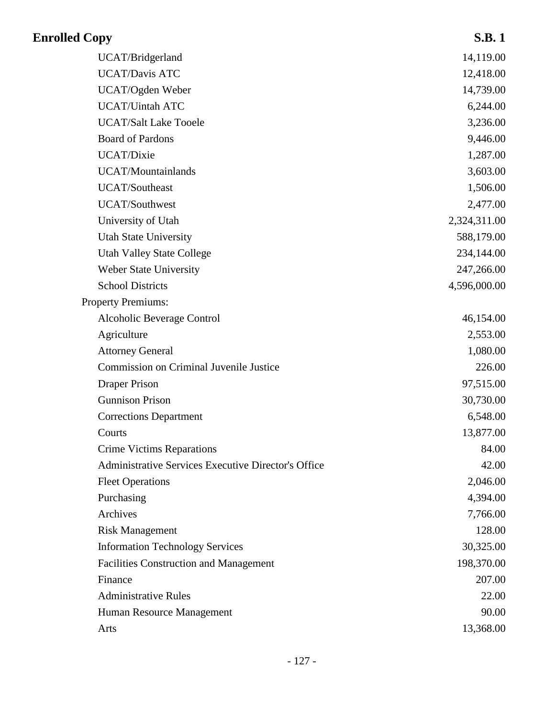| <b>Enrolled Copy</b>                                       | <b>S.B.1</b> |
|------------------------------------------------------------|--------------|
| UCAT/Bridgerland                                           | 14,119.00    |
| <b>UCAT/Davis ATC</b>                                      | 12,418.00    |
| UCAT/Ogden Weber                                           | 14,739.00    |
| <b>UCAT/Uintah ATC</b>                                     | 6,244.00     |
| <b>UCAT/Salt Lake Tooele</b>                               | 3,236.00     |
| <b>Board of Pardons</b>                                    | 9,446.00     |
| UCAT/Dixie                                                 | 1,287.00     |
| <b>UCAT/Mountainlands</b>                                  | 3,603.00     |
| <b>UCAT/Southeast</b>                                      | 1,506.00     |
| <b>UCAT/Southwest</b>                                      | 2,477.00     |
| University of Utah                                         | 2,324,311.00 |
| <b>Utah State University</b>                               | 588,179.00   |
| <b>Utah Valley State College</b>                           | 234,144.00   |
| Weber State University                                     | 247,266.00   |
| <b>School Districts</b>                                    | 4,596,000.00 |
| <b>Property Premiums:</b>                                  |              |
| Alcoholic Beverage Control                                 | 46,154.00    |
| Agriculture                                                | 2,553.00     |
| <b>Attorney General</b>                                    | 1,080.00     |
| Commission on Criminal Juvenile Justice                    | 226.00       |
| <b>Draper Prison</b>                                       | 97,515.00    |
| <b>Gunnison Prison</b>                                     | 30,730.00    |
| <b>Corrections Department</b>                              | 6,548.00     |
| Courts                                                     | 13,877.00    |
| <b>Crime Victims Reparations</b>                           | 84.00        |
| <b>Administrative Services Executive Director's Office</b> | 42.00        |
| <b>Fleet Operations</b>                                    | 2,046.00     |
| Purchasing                                                 | 4,394.00     |
| Archives                                                   | 7,766.00     |
| <b>Risk Management</b>                                     | 128.00       |
| <b>Information Technology Services</b>                     | 30,325.00    |
| <b>Facilities Construction and Management</b>              | 198,370.00   |
| Finance                                                    | 207.00       |
| <b>Administrative Rules</b>                                | 22.00        |
| Human Resource Management                                  | 90.00        |
| Arts                                                       | 13,368.00    |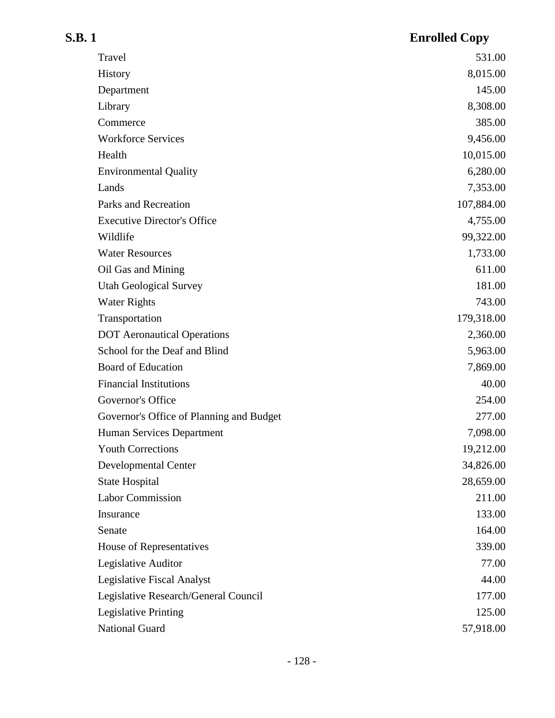| S.B. 1                                   | <b>Enrolled Copy</b> |
|------------------------------------------|----------------------|
| Travel                                   | 531.00               |
| History                                  | 8,015.00             |
| Department                               | 145.00               |
| Library                                  | 8,308.00             |
| Commerce                                 | 385.00               |
| <b>Workforce Services</b>                | 9,456.00             |
| Health                                   | 10,015.00            |
| <b>Environmental Quality</b>             | 6,280.00             |
| Lands                                    | 7,353.00             |
| Parks and Recreation                     | 107,884.00           |
| <b>Executive Director's Office</b>       | 4,755.00             |
| Wildlife                                 | 99,322.00            |
| <b>Water Resources</b>                   | 1,733.00             |
| Oil Gas and Mining                       | 611.00               |
| <b>Utah Geological Survey</b>            | 181.00               |
| <b>Water Rights</b>                      | 743.00               |
| Transportation                           | 179,318.00           |
| <b>DOT</b> Aeronautical Operations       | 2,360.00             |
| School for the Deaf and Blind            | 5,963.00             |
| <b>Board of Education</b>                | 7,869.00             |
| <b>Financial Institutions</b>            | 40.00                |
| Governor's Office                        | 254.00               |
| Governor's Office of Planning and Budget | 277.00               |
| Human Services Department                | 7,098.00             |
| <b>Youth Corrections</b>                 | 19,212.00            |
| <b>Developmental Center</b>              | 34,826.00            |
| <b>State Hospital</b>                    | 28,659.00            |
| <b>Labor Commission</b>                  | 211.00               |
| Insurance                                | 133.00               |
| Senate                                   | 164.00               |
| House of Representatives                 | 339.00               |
| Legislative Auditor                      | 77.00                |
| <b>Legislative Fiscal Analyst</b>        | 44.00                |
| Legislative Research/General Council     | 177.00               |
| <b>Legislative Printing</b>              | 125.00               |
| National Guard                           | 57,918.00            |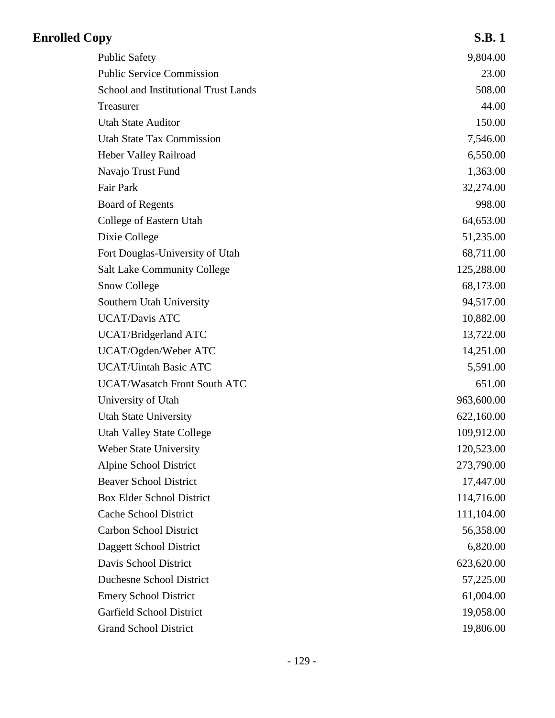| <b>Enrolled Copy</b>                 | <b>S.B.1</b> |
|--------------------------------------|--------------|
| <b>Public Safety</b>                 | 9,804.00     |
| <b>Public Service Commission</b>     | 23.00        |
| School and Institutional Trust Lands | 508.00       |
| Treasurer                            | 44.00        |
| <b>Utah State Auditor</b>            | 150.00       |
| <b>Utah State Tax Commission</b>     | 7,546.00     |
| Heber Valley Railroad                | 6,550.00     |
| Navajo Trust Fund                    | 1,363.00     |
| <b>Fair Park</b>                     | 32,274.00    |
| <b>Board of Regents</b>              | 998.00       |
| College of Eastern Utah              | 64,653.00    |
| Dixie College                        | 51,235.00    |
| Fort Douglas-University of Utah      | 68,711.00    |
| <b>Salt Lake Community College</b>   | 125,288.00   |
| <b>Snow College</b>                  | 68,173.00    |
| Southern Utah University             | 94,517.00    |
| <b>UCAT/Davis ATC</b>                | 10,882.00    |
| UCAT/Bridgerland ATC                 | 13,722.00    |
| UCAT/Ogden/Weber ATC                 | 14,251.00    |
| <b>UCAT/Uintah Basic ATC</b>         | 5,591.00     |
| <b>UCAT/Wasatch Front South ATC</b>  | 651.00       |
| University of Utah                   | 963,600.00   |
| <b>Utah State University</b>         | 622,160.00   |
| <b>Utah Valley State College</b>     | 109,912.00   |
| <b>Weber State University</b>        | 120,523.00   |
| Alpine School District               | 273,790.00   |
| <b>Beaver School District</b>        | 17,447.00    |
| <b>Box Elder School District</b>     | 114,716.00   |
| Cache School District                | 111,104.00   |
| <b>Carbon School District</b>        | 56,358.00    |
| Daggett School District              | 6,820.00     |
| Davis School District                | 623,620.00   |
| <b>Duchesne School District</b>      | 57,225.00    |
| <b>Emery School District</b>         | 61,004.00    |
| <b>Garfield School District</b>      | 19,058.00    |
| <b>Grand School District</b>         | 19,806.00    |
|                                      |              |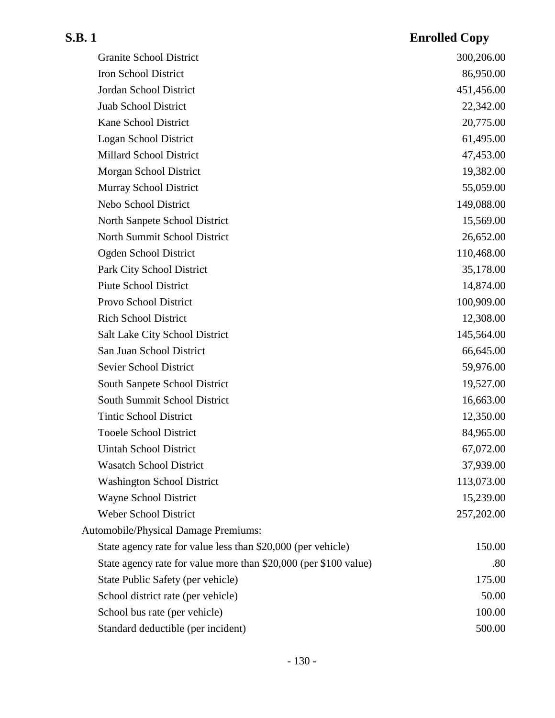### **S.B. 1 Enrolled Copy** Granite School District 300,206.00 Iron School District 86,950.00 Jordan School District 451,456.00 Juab School District 22,342.00 Kane School District 20,775.00 Logan School District 61,495.00 Millard School District 47,453.00 Morgan School District 19,382.00 Murray School District 55,059.00 Nebo School District 149,088.00 North Sanpete School District 15,569.00 North Summit School District 26,652.00 Ogden School District 110,468.00 Park City School District 35,178.00 Piute School District 14,874.00 Provo School District 100,909.00 Rich School District 12,308.00 Salt Lake City School District 145,564.00 San Juan School District 66,645.00 Sevier School District 59,976.00 South Sanpete School District 19,527.00 South Summit School District 16,663.00 Tintic School District 12,350.00 Tooele School District 84,965.00 Uintah School District 67,072.00 Wasatch School District 37,939.00 Washington School District 113,073.00 Wayne School District 15,239.00 Weber School District 257,202.00 Automobile/Physical Damage Premiums: State agency rate for value less than \$20,000 (per vehicle) 150.00 State agency rate for value more than \$20,000 (per \$100 value) .80 State Public Safety (per vehicle) 175.00 School district rate (per vehicle) 50.00 School bus rate (per vehicle) 100.00 Standard deductible (per incident) 500.00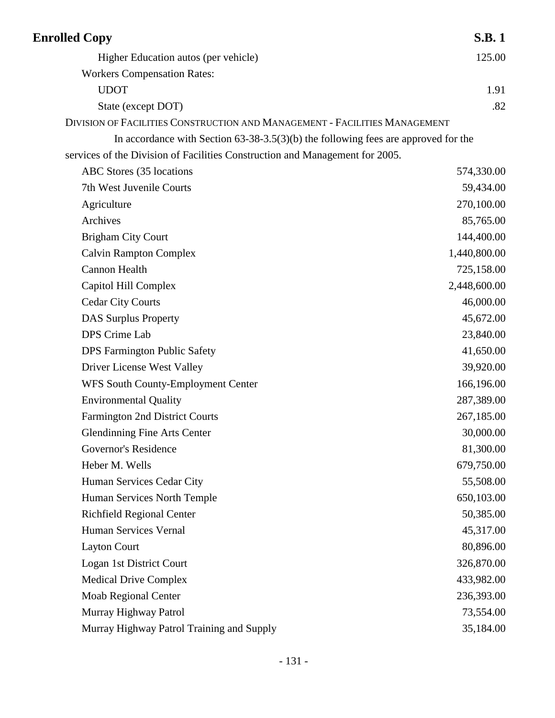| <b>Enrolled Copy</b>                                                                 | <b>S.B.1</b> |
|--------------------------------------------------------------------------------------|--------------|
| Higher Education autos (per vehicle)                                                 | 125.00       |
| <b>Workers Compensation Rates:</b>                                                   |              |
| <b>UDOT</b>                                                                          | 1.91         |
| State (except DOT)                                                                   | .82          |
| DIVISION OF FACILITIES CONSTRUCTION AND MANAGEMENT - FACILITIES MANAGEMENT           |              |
| In accordance with Section $63-38-3.5(3)(b)$ the following fees are approved for the |              |
| services of the Division of Facilities Construction and Management for 2005.         |              |
| ABC Stores (35 locations                                                             | 574,330.00   |
| 7th West Juvenile Courts                                                             | 59,434.00    |
| Agriculture                                                                          | 270,100.00   |
| Archives                                                                             | 85,765.00    |
| <b>Brigham City Court</b>                                                            | 144,400.00   |
| <b>Calvin Rampton Complex</b>                                                        | 1,440,800.00 |
| <b>Cannon Health</b>                                                                 | 725,158.00   |
| Capitol Hill Complex                                                                 | 2,448,600.00 |
| <b>Cedar City Courts</b>                                                             | 46,000.00    |
| <b>DAS Surplus Property</b>                                                          | 45,672.00    |
| DPS Crime Lab                                                                        | 23,840.00    |
| <b>DPS</b> Farmington Public Safety                                                  | 41,650.00    |
| Driver License West Valley                                                           | 39,920.00    |
| WFS South County-Employment Center                                                   | 166,196.00   |
| <b>Environmental Quality</b>                                                         | 287,389.00   |
| <b>Farmington 2nd District Courts</b>                                                | 267,185.00   |
| <b>Glendinning Fine Arts Center</b>                                                  | 30,000.00    |
| Governor's Residence                                                                 | 81,300.00    |
| Heber M. Wells                                                                       | 679,750.00   |
| Human Services Cedar City                                                            | 55,508.00    |
| Human Services North Temple                                                          | 650,103.00   |
| <b>Richfield Regional Center</b>                                                     | 50,385.00    |
| Human Services Vernal                                                                | 45,317.00    |
| <b>Layton Court</b>                                                                  | 80,896.00    |
| Logan 1st District Court                                                             | 326,870.00   |
| <b>Medical Drive Complex</b>                                                         | 433,982.00   |
| <b>Moab Regional Center</b>                                                          | 236,393.00   |
| Murray Highway Patrol                                                                | 73,554.00    |
| Murray Highway Patrol Training and Supply                                            | 35,184.00    |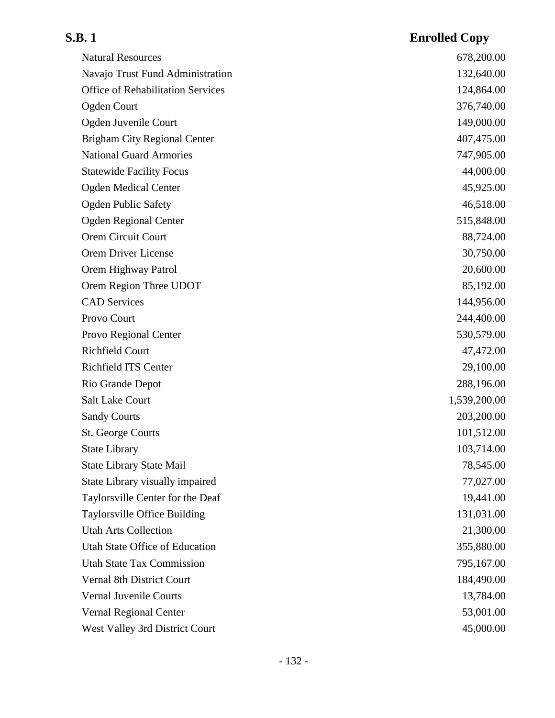| <b>Natural Resources</b>                 | 678,200.00   |
|------------------------------------------|--------------|
| Navajo Trust Fund Administration         | 132,640.00   |
| <b>Office of Rehabilitation Services</b> | 124,864.00   |
| <b>Ogden Court</b>                       | 376,740.00   |
| Ogden Juvenile Court                     | 149,000.00   |
| <b>Brigham City Regional Center</b>      | 407,475.00   |
| <b>National Guard Armories</b>           | 747,905.00   |
| <b>Statewide Facility Focus</b>          | 44,000.00    |
| <b>Ogden Medical Center</b>              | 45,925.00    |
| <b>Ogden Public Safety</b>               | 46,518.00    |
| <b>Ogden Regional Center</b>             | 515,848.00   |
| Orem Circuit Court                       | 88,724.00    |
| Orem Driver License                      | 30,750.00    |
| Orem Highway Patrol                      | 20,600.00    |
| Orem Region Three UDOT                   | 85,192.00    |
| <b>CAD</b> Services                      | 144,956.00   |
| Provo Court                              | 244,400.00   |
| Provo Regional Center                    | 530,579.00   |
| <b>Richfield Court</b>                   | 47,472.00    |
| Richfield ITS Center                     | 29,100.00    |
| Rio Grande Depot                         | 288,196.00   |
| <b>Salt Lake Court</b>                   | 1,539,200.00 |
| <b>Sandy Courts</b>                      | 203,200.00   |
| St. George Courts                        | 101,512.00   |
| <b>State Library</b>                     | 103,714.00   |
| <b>State Library State Mail</b>          | 78,545.00    |
| State Library visually impaired          | 77,027.00    |
| Taylorsville Center for the Deaf         | 19,441.00    |
| Taylorsville Office Building             | 131,031.00   |
| <b>Utah Arts Collection</b>              | 21,300.00    |
| Utah State Office of Education           | 355,880.00   |
| <b>Utah State Tax Commission</b>         | 795,167.00   |
| Vernal 8th District Court                | 184,490.00   |
| Vernal Juvenile Courts                   | 13,784.00    |
| Vernal Regional Center                   | 53,001.00    |
| West Valley 3rd District Court           | 45,000.00    |
|                                          |              |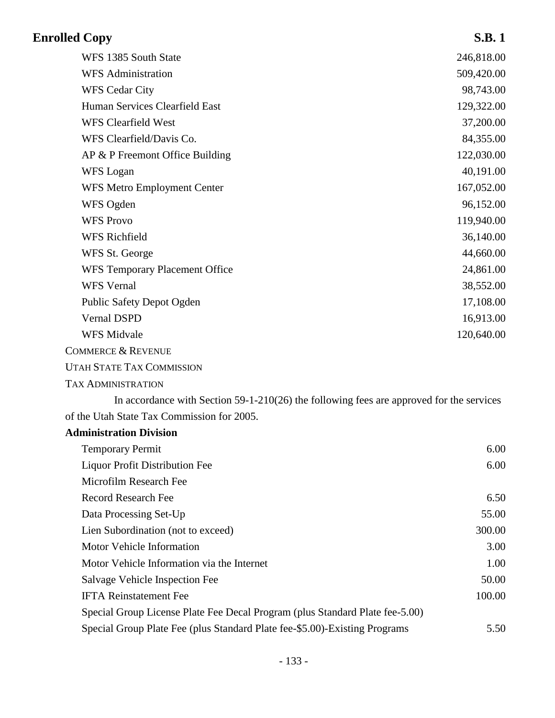| <b>Enrolled Copy</b>                                                                       | <b>S.B.1</b> |
|--------------------------------------------------------------------------------------------|--------------|
| WFS 1385 South State                                                                       | 246,818.00   |
| <b>WFS</b> Administration                                                                  | 509,420.00   |
| <b>WFS Cedar City</b>                                                                      | 98,743.00    |
| Human Services Clearfield East                                                             | 129,322.00   |
| <b>WFS Clearfield West</b>                                                                 | 37,200.00    |
| WFS Clearfield/Davis Co.                                                                   | 84,355.00    |
| AP & P Freemont Office Building                                                            | 122,030.00   |
| WFS Logan                                                                                  | 40,191.00    |
| <b>WFS Metro Employment Center</b>                                                         | 167,052.00   |
| WFS Ogden                                                                                  | 96,152.00    |
| <b>WFS Provo</b>                                                                           | 119,940.00   |
| <b>WFS Richfield</b>                                                                       | 36,140.00    |
| WFS St. George                                                                             | 44,660.00    |
| WFS Temporary Placement Office                                                             | 24,861.00    |
| <b>WFS</b> Vernal                                                                          | 38,552.00    |
| Public Safety Depot Ogden                                                                  | 17,108.00    |
| <b>Vernal DSPD</b>                                                                         | 16,913.00    |
| <b>WFS Midvale</b>                                                                         | 120,640.00   |
| <b>COMMERCE &amp; REVENUE</b>                                                              |              |
| <b>UTAH STATE TAX COMMISSION</b>                                                           |              |
| <b>TAX ADMINISTRATION</b>                                                                  |              |
| In accordance with Section $59-1-210(26)$ the following fees are approved for the services |              |
| of the Utah State Tax Commission for 2005.                                                 |              |
| <b>Administration Division</b>                                                             |              |
| <b>Temporary Permit</b>                                                                    | 6.00         |
| <b>Liquor Profit Distribution Fee</b>                                                      | 6.00         |
| Microfilm Research Fee                                                                     |              |
| <b>Record Research Fee</b>                                                                 | 6.50         |
| Data Processing Set-Up                                                                     | 55.00        |
| Lien Subordination (not to exceed)                                                         | 300.00       |
| Motor Vehicle Information                                                                  | 3.00         |
| Motor Vehicle Information via the Internet                                                 | 1.00         |
| Salvage Vehicle Inspection Fee                                                             | 50.00        |
| <b>IFTA Reinstatement Fee</b>                                                              | 100.00       |
| Special Group License Plate Fee Decal Program (plus Standard Plate fee-5.00)               |              |
| Special Group Plate Fee (plus Standard Plate fee-\$5.00)-Existing Programs                 | 5.50         |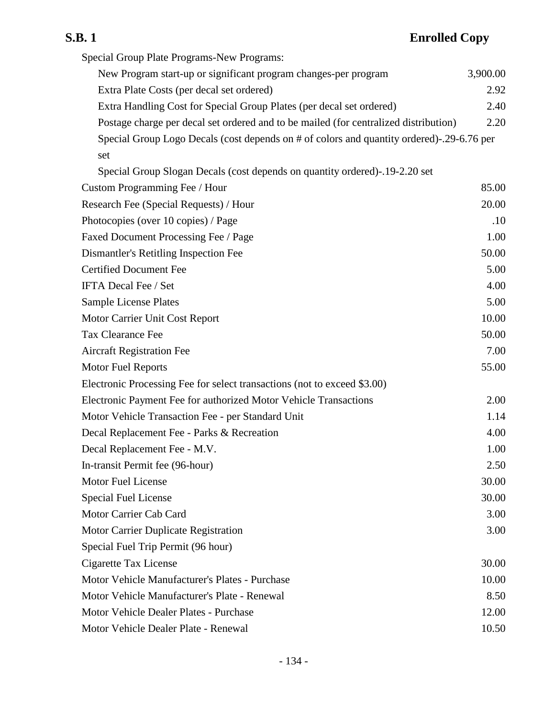Special Group Plate Programs-New Programs: New Program start-up or significant program changes-per program 3,900.00 Extra Plate Costs (per decal set ordered) 2.92 Extra Handling Cost for Special Group Plates (per decal set ordered) 2.40 Postage charge per decal set ordered and to be mailed (for centralized distribution) 2.20 Special Group Logo Decals (cost depends on # of colors and quantity ordered)-.29-6.76 per set Special Group Slogan Decals (cost depends on quantity ordered)-.19-2.20 set Custom Programming Fee / Hour 85.00 Research Fee (Special Requests) / Hour 20.00 Photocopies (over 10 copies) / Page .10 Faxed Document Processing Fee / Page 1.00 Dismantler's Retitling Inspection Fee 50.00 Certified Document Fee 5.00 IFTA Decal Fee / Set 4.00 Sample License Plates 5.00 Motor Carrier Unit Cost Report 10.00 Tax Clearance Fee 50.00 Aircraft Registration Fee 7.00 Motor Fuel Reports 55.00 Electronic Processing Fee for select transactions (not to exceed \$3.00) Electronic Payment Fee for authorized Motor Vehicle Transactions 2.00 Motor Vehicle Transaction Fee - per Standard Unit 1.14 Decal Replacement Fee - Parks & Recreation 4.00 Decal Replacement Fee - M.V. 1.00 In-transit Permit fee (96-hour) 2.50 Motor Fuel License 30.00 Special Fuel License 30.00 Motor Carrier Cab Card 3.00 Motor Carrier Duplicate Registration 3.00 Special Fuel Trip Permit (96 hour) Cigarette Tax License 30.00 Motor Vehicle Manufacturer's Plates - Purchase 10.00 Motor Vehicle Manufacturer's Plate - Renewal 8.50 Motor Vehicle Dealer Plates - Purchase 12.00 Motor Vehicle Dealer Plate - Renewal 10.50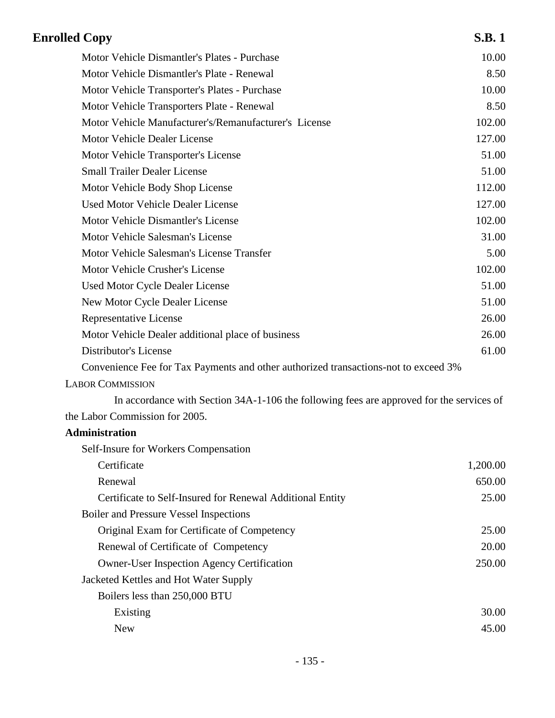| <b>Enrolled Copy</b>                                                                     | <b>S.B.1</b> |
|------------------------------------------------------------------------------------------|--------------|
| Motor Vehicle Dismantler's Plates - Purchase                                             | 10.00        |
| Motor Vehicle Dismantler's Plate - Renewal                                               | 8.50         |
| Motor Vehicle Transporter's Plates - Purchase                                            | 10.00        |
| Motor Vehicle Transporters Plate - Renewal                                               | 8.50         |
| Motor Vehicle Manufacturer's/Remanufacturer's License                                    | 102.00       |
| Motor Vehicle Dealer License                                                             | 127.00       |
| Motor Vehicle Transporter's License                                                      | 51.00        |
| <b>Small Trailer Dealer License</b>                                                      | 51.00        |
| Motor Vehicle Body Shop License                                                          | 112.00       |
| <b>Used Motor Vehicle Dealer License</b>                                                 | 127.00       |
| Motor Vehicle Dismantler's License                                                       | 102.00       |
| Motor Vehicle Salesman's License                                                         | 31.00        |
| Motor Vehicle Salesman's License Transfer                                                | 5.00         |
| Motor Vehicle Crusher's License                                                          | 102.00       |
| <b>Used Motor Cycle Dealer License</b>                                                   | 51.00        |
| New Motor Cycle Dealer License                                                           | 51.00        |
| Representative License                                                                   | 26.00        |
| Motor Vehicle Dealer additional place of business                                        | 26.00        |
| Distributor's License                                                                    | 61.00        |
| Convenience Fee for Tax Payments and other authorized transactions-not to exceed 3%      |              |
| <b>LABOR COMMISSION</b>                                                                  |              |
| In accordance with Section 34A-1-106 the following fees are approved for the services of |              |
| the Labor Commission for 2005.                                                           |              |
| Administration                                                                           |              |
| Self-Insure for Workers Compensation                                                     |              |
| Certificate                                                                              | 1,200.00     |
| Renewal                                                                                  | 650.00       |
| Certificate to Self-Insured for Renewal Additional Entity                                | 25.00        |
| <b>Boiler and Pressure Vessel Inspections</b>                                            |              |
| Original Exam for Certificate of Competency                                              | 25.00        |
| Renewal of Certificate of Competency                                                     | 20.00        |
| <b>Owner-User Inspection Agency Certification</b>                                        | 250.00       |
| Jacketed Kettles and Hot Water Supply                                                    |              |
| Boilers less than 250,000 BTU                                                            |              |
| Existing                                                                                 | 30.00        |
| <b>New</b>                                                                               | 45.00        |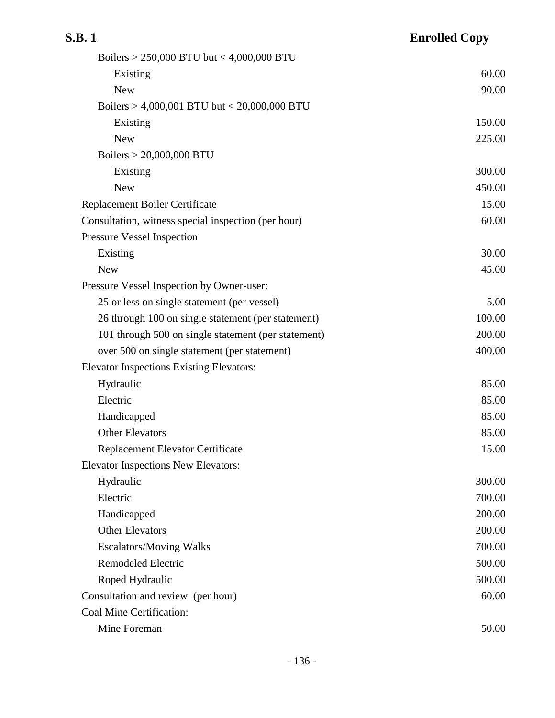| Boilers > 250,000 BTU but < 4,000,000 BTU           |        |
|-----------------------------------------------------|--------|
| Existing                                            | 60.00  |
| <b>New</b>                                          | 90.00  |
| Boilers > 4,000,001 BTU but < 20,000,000 BTU        |        |
| Existing                                            | 150.00 |
| <b>New</b>                                          | 225.00 |
| Boilers > 20,000,000 BTU                            |        |
| Existing                                            | 300.00 |
| <b>New</b>                                          | 450.00 |
| Replacement Boiler Certificate                      | 15.00  |
| Consultation, witness special inspection (per hour) | 60.00  |
| <b>Pressure Vessel Inspection</b>                   |        |
| Existing                                            | 30.00  |
| <b>New</b>                                          | 45.00  |
| Pressure Vessel Inspection by Owner-user:           |        |
| 25 or less on single statement (per vessel)         | 5.00   |
| 26 through 100 on single statement (per statement)  | 100.00 |
| 101 through 500 on single statement (per statement) | 200.00 |
| over 500 on single statement (per statement)        | 400.00 |
| <b>Elevator Inspections Existing Elevators:</b>     |        |
| Hydraulic                                           | 85.00  |
| Electric                                            | 85.00  |
| Handicapped                                         | 85.00  |
| <b>Other Elevators</b>                              | 85.00  |
| Replacement Elevator Certificate                    | 15.00  |
| <b>Elevator Inspections New Elevators:</b>          |        |
| Hydraulic                                           | 300.00 |
| Electric                                            | 700.00 |
| Handicapped                                         | 200.00 |
| <b>Other Elevators</b>                              | 200.00 |
| <b>Escalators/Moving Walks</b>                      | 700.00 |
| <b>Remodeled Electric</b>                           | 500.00 |
| Roped Hydraulic                                     | 500.00 |
| Consultation and review (per hour)                  | 60.00  |
| <b>Coal Mine Certification:</b>                     |        |
| Mine Foreman                                        | 50.00  |
|                                                     |        |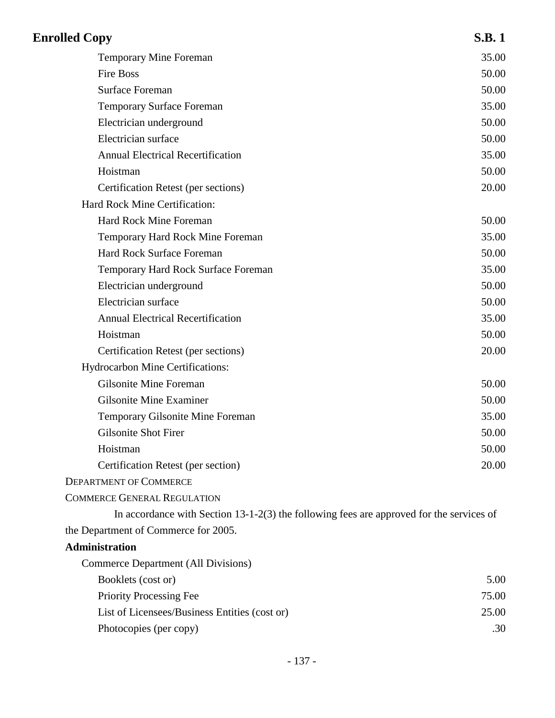| <b>Enrolled Copy</b>                                                                       | <b>S.B.1</b> |
|--------------------------------------------------------------------------------------------|--------------|
| <b>Temporary Mine Foreman</b>                                                              | 35.00        |
| <b>Fire Boss</b>                                                                           | 50.00        |
| <b>Surface Foreman</b>                                                                     | 50.00        |
| <b>Temporary Surface Foreman</b>                                                           | 35.00        |
| Electrician underground                                                                    | 50.00        |
| Electrician surface                                                                        | 50.00        |
| <b>Annual Electrical Recertification</b>                                                   | 35.00        |
| Hoistman                                                                                   | 50.00        |
| Certification Retest (per sections)                                                        | 20.00        |
| Hard Rock Mine Certification:                                                              |              |
| <b>Hard Rock Mine Foreman</b>                                                              | 50.00        |
| Temporary Hard Rock Mine Foreman                                                           | 35.00        |
| <b>Hard Rock Surface Foreman</b>                                                           | 50.00        |
| Temporary Hard Rock Surface Foreman                                                        | 35.00        |
| Electrician underground                                                                    | 50.00        |
| Electrician surface                                                                        | 50.00        |
| <b>Annual Electrical Recertification</b>                                                   | 35.00        |
| Hoistman                                                                                   | 50.00        |
| Certification Retest (per sections)                                                        | 20.00        |
| Hydrocarbon Mine Certifications:                                                           |              |
| Gilsonite Mine Foreman                                                                     | 50.00        |
| <b>Gilsonite Mine Examiner</b>                                                             | 50.00        |
| Temporary Gilsonite Mine Foreman                                                           | 35.00        |
| <b>Gilsonite Shot Firer</b>                                                                | 50.00        |
| Hoistman                                                                                   | 50.00        |
| Certification Retest (per section)                                                         | 20.00        |
| <b>DEPARTMENT OF COMMERCE</b>                                                              |              |
| <b>COMMERCE GENERAL REGULATION</b>                                                         |              |
| In accordance with Section $13-1-2(3)$ the following fees are approved for the services of |              |
| the Department of Commerce for 2005.                                                       |              |
| <b>Administration</b>                                                                      |              |
| Commerce Department (All Divisions)                                                        |              |
| Booklets (cost or)                                                                         | 5.00         |
| <b>Priority Processing Fee</b>                                                             | 75.00        |
| List of Licensees/Business Entities (cost or)                                              | 25.00        |
| Photocopies (per copy)                                                                     | .30          |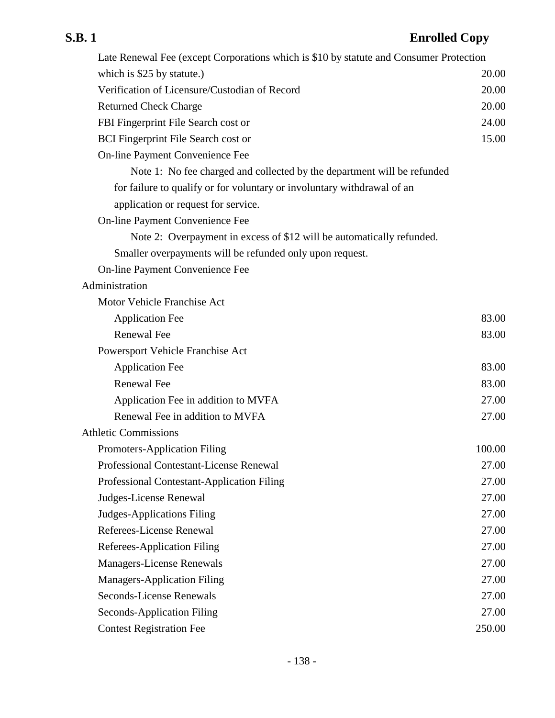| Late Renewal Fee (except Corporations which is \$10 by statute and Consumer Protection |        |
|----------------------------------------------------------------------------------------|--------|
| which is \$25 by statute.)                                                             | 20.00  |
| Verification of Licensure/Custodian of Record                                          | 20.00  |
| <b>Returned Check Charge</b>                                                           | 20.00  |
| FBI Fingerprint File Search cost or                                                    | 24.00  |
| <b>BCI</b> Fingerprint File Search cost or                                             | 15.00  |
| On-line Payment Convenience Fee                                                        |        |
| Note 1: No fee charged and collected by the department will be refunded                |        |
| for failure to qualify or for voluntary or involuntary withdrawal of an                |        |
| application or request for service.                                                    |        |
| On-line Payment Convenience Fee                                                        |        |
| Note 2: Overpayment in excess of \$12 will be automatically refunded.                  |        |
| Smaller overpayments will be refunded only upon request.                               |        |
| On-line Payment Convenience Fee                                                        |        |
| Administration                                                                         |        |
| Motor Vehicle Franchise Act                                                            |        |
| <b>Application Fee</b>                                                                 | 83.00  |
| <b>Renewal Fee</b>                                                                     | 83.00  |
| Powersport Vehicle Franchise Act                                                       |        |
| <b>Application Fee</b>                                                                 | 83.00  |
| <b>Renewal Fee</b>                                                                     | 83.00  |
| Application Fee in addition to MVFA                                                    | 27.00  |
| Renewal Fee in addition to MVFA                                                        | 27.00  |
| <b>Athletic Commissions</b>                                                            |        |
| Promoters-Application Filing                                                           | 100.00 |
| <b>Professional Contestant-License Renewal</b>                                         | 27.00  |
| Professional Contestant-Application Filing                                             | 27.00  |
| Judges-License Renewal                                                                 | 27.00  |
| Judges-Applications Filing                                                             | 27.00  |
| Referees-License Renewal                                                               | 27.00  |
| <b>Referees-Application Filing</b>                                                     | 27.00  |
| <b>Managers-License Renewals</b>                                                       | 27.00  |
| <b>Managers-Application Filing</b>                                                     | 27.00  |
| <b>Seconds-License Renewals</b>                                                        | 27.00  |
| <b>Seconds-Application Filing</b>                                                      | 27.00  |
| <b>Contest Registration Fee</b>                                                        | 250.00 |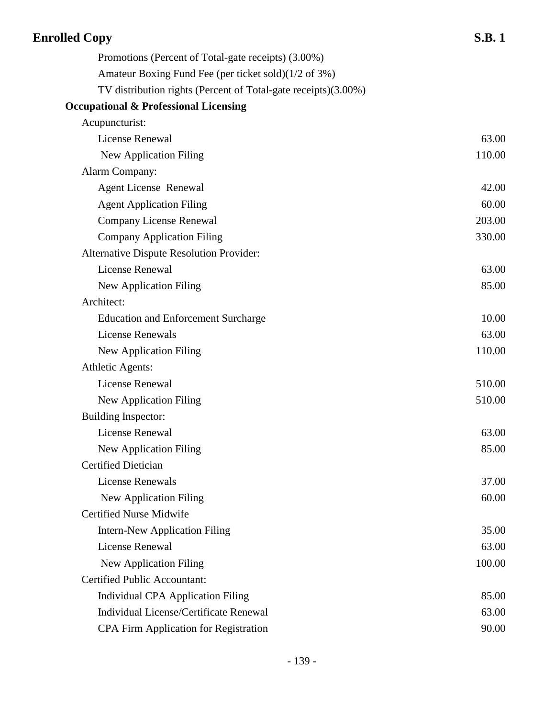| <b>Enrolled Copy</b>                                           | <b>S.B.1</b> |
|----------------------------------------------------------------|--------------|
| Promotions (Percent of Total-gate receipts) (3.00%)            |              |
| Amateur Boxing Fund Fee (per ticket sold)(1/2 of 3%)           |              |
| TV distribution rights (Percent of Total-gate receipts)(3.00%) |              |
| <b>Occupational &amp; Professional Licensing</b>               |              |
| Acupuncturist:                                                 |              |
| License Renewal                                                | 63.00        |
| New Application Filing                                         | 110.00       |
| Alarm Company:                                                 |              |
| <b>Agent License Renewal</b>                                   | 42.00        |
| <b>Agent Application Filing</b>                                | 60.00        |
| <b>Company License Renewal</b>                                 | 203.00       |
| <b>Company Application Filing</b>                              | 330.00       |
| Alternative Dispute Resolution Provider:                       |              |
| License Renewal                                                | 63.00        |
| New Application Filing                                         | 85.00        |
| Architect:                                                     |              |
| <b>Education and Enforcement Surcharge</b>                     | 10.00        |
| <b>License Renewals</b>                                        | 63.00        |
| New Application Filing                                         | 110.00       |
| <b>Athletic Agents:</b>                                        |              |
| License Renewal                                                | 510.00       |
| New Application Filing                                         | 510.00       |
| <b>Building Inspector:</b>                                     |              |
| License Renewal                                                | 63.00        |
| New Application Filing                                         | 85.00        |
| <b>Certified Dietician</b>                                     |              |
| <b>License Renewals</b>                                        | 37.00        |
| New Application Filing                                         | 60.00        |
| <b>Certified Nurse Midwife</b>                                 |              |
| <b>Intern-New Application Filing</b>                           | 35.00        |
| License Renewal                                                | 63.00        |
| New Application Filing                                         | 100.00       |
| <b>Certified Public Accountant:</b>                            |              |
| <b>Individual CPA Application Filing</b>                       | 85.00        |
| Individual License/Certificate Renewal                         | 63.00        |
| <b>CPA Firm Application for Registration</b>                   | 90.00        |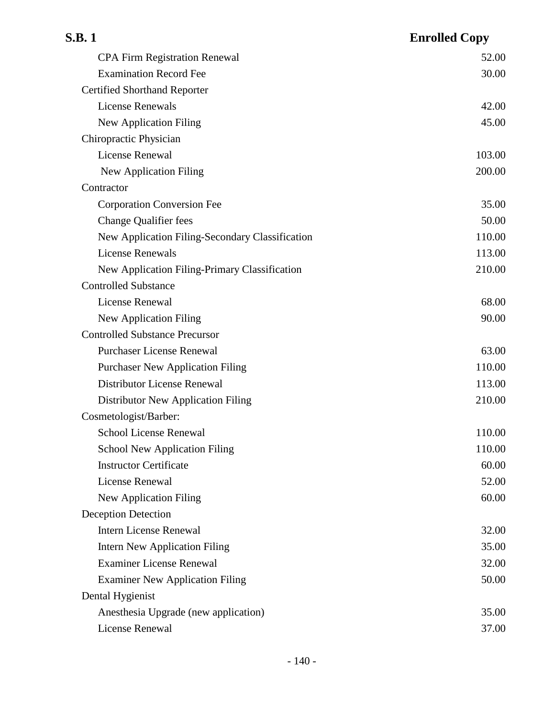| S.B. 1                                          | <b>Enrolled Copy</b> |
|-------------------------------------------------|----------------------|
| <b>CPA Firm Registration Renewal</b>            | 52.00                |
| <b>Examination Record Fee</b>                   | 30.00                |
| <b>Certified Shorthand Reporter</b>             |                      |
| <b>License Renewals</b>                         | 42.00                |
| <b>New Application Filing</b>                   | 45.00                |
| Chiropractic Physician                          |                      |
| <b>License Renewal</b>                          | 103.00               |
| New Application Filing                          | 200.00               |
| Contractor                                      |                      |
| <b>Corporation Conversion Fee</b>               | 35.00                |
| <b>Change Qualifier fees</b>                    | 50.00                |
| New Application Filing-Secondary Classification | 110.00               |
| <b>License Renewals</b>                         | 113.00               |
| New Application Filing-Primary Classification   | 210.00               |
| <b>Controlled Substance</b>                     |                      |
| License Renewal                                 | 68.00                |
| New Application Filing                          | 90.00                |
| <b>Controlled Substance Precursor</b>           |                      |
| <b>Purchaser License Renewal</b>                | 63.00                |
| <b>Purchaser New Application Filing</b>         | 110.00               |
| Distributor License Renewal                     | 113.00               |
| Distributor New Application Filing              | 210.00               |
| Cosmetologist/Barber:                           |                      |
| School License Renewal                          | 110.00               |
| <b>School New Application Filing</b>            | 110.00               |
| <b>Instructor Certificate</b>                   | 60.00                |
| License Renewal                                 | 52.00                |
| New Application Filing                          | 60.00                |
| <b>Deception Detection</b>                      |                      |
| <b>Intern License Renewal</b>                   | 32.00                |
| <b>Intern New Application Filing</b>            | 35.00                |
| <b>Examiner License Renewal</b>                 | 32.00                |
| <b>Examiner New Application Filing</b>          | 50.00                |
| Dental Hygienist                                |                      |
| Anesthesia Upgrade (new application)            | 35.00                |
| <b>License Renewal</b>                          | 37.00                |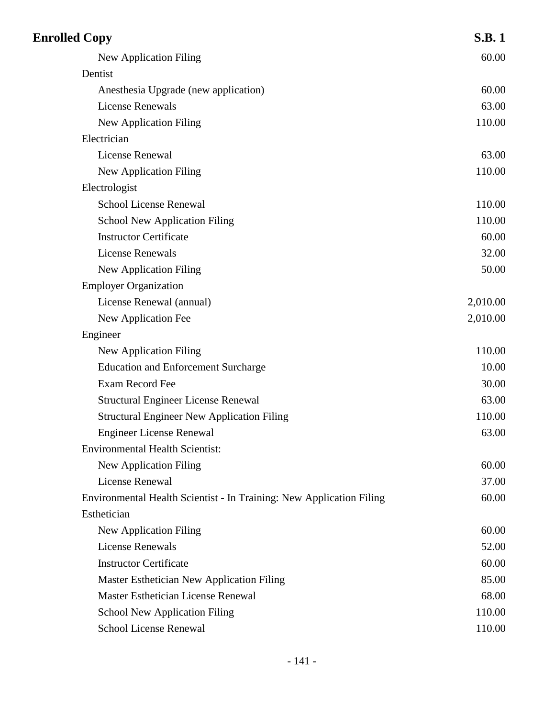| <b>Enrolled Copy</b>                                                 | <b>S.B.1</b> |
|----------------------------------------------------------------------|--------------|
| New Application Filing                                               | 60.00        |
| Dentist                                                              |              |
| Anesthesia Upgrade (new application)                                 | 60.00        |
| <b>License Renewals</b>                                              | 63.00        |
| <b>New Application Filing</b>                                        | 110.00       |
| Electrician                                                          |              |
| License Renewal                                                      | 63.00        |
| New Application Filing                                               | 110.00       |
| Electrologist                                                        |              |
| <b>School License Renewal</b>                                        | 110.00       |
| <b>School New Application Filing</b>                                 | 110.00       |
| <b>Instructor Certificate</b>                                        | 60.00        |
| License Renewals                                                     | 32.00        |
| <b>New Application Filing</b>                                        | 50.00        |
| <b>Employer Organization</b>                                         |              |
| License Renewal (annual)                                             | 2,010.00     |
| New Application Fee                                                  | 2,010.00     |
| Engineer                                                             |              |
| New Application Filing                                               | 110.00       |
| <b>Education and Enforcement Surcharge</b>                           | 10.00        |
| Exam Record Fee                                                      | 30.00        |
| <b>Structural Engineer License Renewal</b>                           | 63.00        |
| <b>Structural Engineer New Application Filing</b>                    | 110.00       |
| <b>Engineer License Renewal</b>                                      | 63.00        |
| <b>Environmental Health Scientist:</b>                               |              |
| New Application Filing                                               | 60.00        |
| License Renewal                                                      | 37.00        |
| Environmental Health Scientist - In Training: New Application Filing | 60.00        |
| Esthetician                                                          |              |
| New Application Filing                                               | 60.00        |
| <b>License Renewals</b>                                              | 52.00        |
| <b>Instructor Certificate</b>                                        | 60.00        |
| Master Esthetician New Application Filing                            | 85.00        |
| <b>Master Esthetician License Renewal</b>                            | 68.00        |
| <b>School New Application Filing</b>                                 | 110.00       |
| <b>School License Renewal</b>                                        | 110.00       |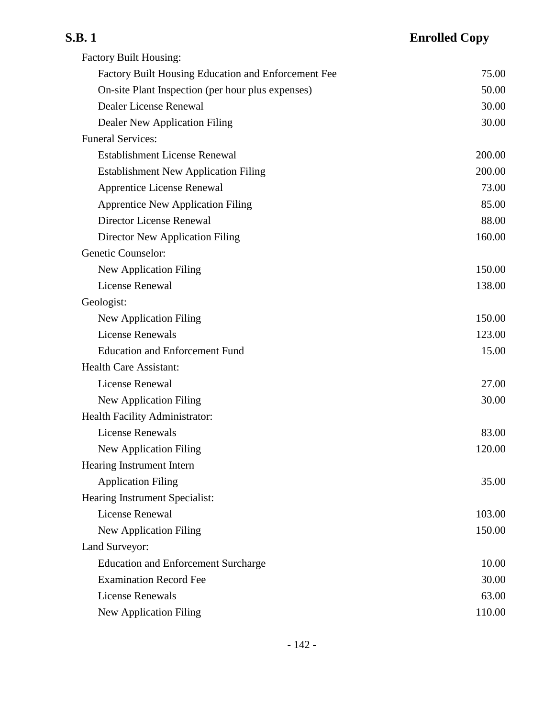| <b>Factory Built Housing:</b>                       |        |
|-----------------------------------------------------|--------|
| Factory Built Housing Education and Enforcement Fee | 75.00  |
| On-site Plant Inspection (per hour plus expenses)   | 50.00  |
| Dealer License Renewal                              | 30.00  |
| Dealer New Application Filing                       | 30.00  |
| <b>Funeral Services:</b>                            |        |
| <b>Establishment License Renewal</b>                | 200.00 |
| <b>Establishment New Application Filing</b>         | 200.00 |
| <b>Apprentice License Renewal</b>                   | 73.00  |
| <b>Apprentice New Application Filing</b>            | 85.00  |
| Director License Renewal                            | 88.00  |
| Director New Application Filing                     | 160.00 |
| Genetic Counselor:                                  |        |
| <b>New Application Filing</b>                       | 150.00 |
| License Renewal                                     | 138.00 |
| Geologist:                                          |        |
| New Application Filing                              | 150.00 |
| <b>License Renewals</b>                             | 123.00 |
| <b>Education and Enforcement Fund</b>               | 15.00  |
| <b>Health Care Assistant:</b>                       |        |
| <b>License Renewal</b>                              | 27.00  |
| <b>New Application Filing</b>                       | 30.00  |
| Health Facility Administrator:                      |        |
| <b>License Renewals</b>                             | 83.00  |
| New Application Filing                              | 120.00 |
| Hearing Instrument Intern                           |        |
| <b>Application Filing</b>                           | 35.00  |
| Hearing Instrument Specialist:                      |        |
| <b>License Renewal</b>                              | 103.00 |
| <b>New Application Filing</b>                       | 150.00 |
| Land Surveyor:                                      |        |
| <b>Education and Enforcement Surcharge</b>          | 10.00  |
| <b>Examination Record Fee</b>                       | 30.00  |
| <b>License Renewals</b>                             | 63.00  |
| New Application Filing                              | 110.00 |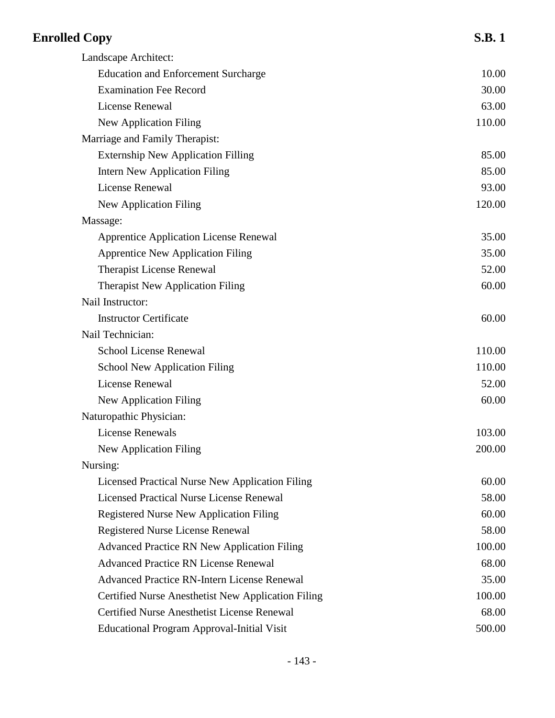| <b>Enrolled Copy</b>                               | <b>S.B.1</b> |
|----------------------------------------------------|--------------|
| Landscape Architect:                               |              |
| <b>Education and Enforcement Surcharge</b>         | 10.00        |
| <b>Examination Fee Record</b>                      | 30.00        |
| License Renewal                                    | 63.00        |
| <b>New Application Filing</b>                      | 110.00       |
| Marriage and Family Therapist:                     |              |
| <b>Externship New Application Filling</b>          | 85.00        |
| <b>Intern New Application Filing</b>               | 85.00        |
| License Renewal                                    | 93.00        |
| <b>New Application Filing</b>                      | 120.00       |
| Massage:                                           |              |
| <b>Apprentice Application License Renewal</b>      | 35.00        |
| <b>Apprentice New Application Filing</b>           | 35.00        |
| <b>Therapist License Renewal</b>                   | 52.00        |
| <b>Therapist New Application Filing</b>            | 60.00        |
| Nail Instructor:                                   |              |
| <b>Instructor Certificate</b>                      | 60.00        |
| Nail Technician:                                   |              |
| <b>School License Renewal</b>                      | 110.00       |
| <b>School New Application Filing</b>               | 110.00       |
| <b>License Renewal</b>                             | 52.00        |
| <b>New Application Filing</b>                      | 60.00        |
| Naturopathic Physician:                            |              |
| <b>License Renewals</b>                            | 103.00       |
| <b>New Application Filing</b>                      | 200.00       |
| Nursing:                                           |              |
| Licensed Practical Nurse New Application Filing    | 60.00        |
| <b>Licensed Practical Nurse License Renewal</b>    | 58.00        |
| <b>Registered Nurse New Application Filing</b>     | 60.00        |
| <b>Registered Nurse License Renewal</b>            | 58.00        |
| <b>Advanced Practice RN New Application Filing</b> | 100.00       |
| <b>Advanced Practice RN License Renewal</b>        | 68.00        |
| <b>Advanced Practice RN-Intern License Renewal</b> | 35.00        |
| Certified Nurse Anesthetist New Application Filing | 100.00       |
| <b>Certified Nurse Anesthetist License Renewal</b> | 68.00        |
| <b>Educational Program Approval-Initial Visit</b>  | 500.00       |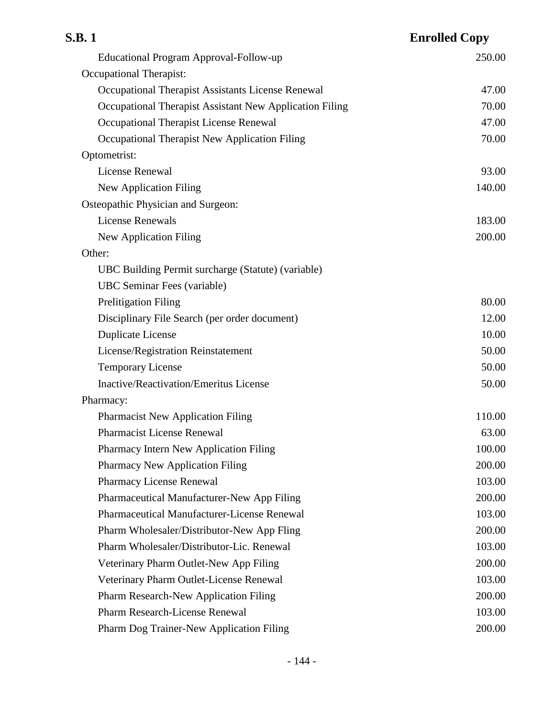| S.B. 1                                                  | <b>Enrolled Copy</b> |
|---------------------------------------------------------|----------------------|
| Educational Program Approval-Follow-up                  | 250.00               |
| Occupational Therapist:                                 |                      |
| Occupational Therapist Assistants License Renewal       | 47.00                |
| Occupational Therapist Assistant New Application Filing | 70.00                |
| Occupational Therapist License Renewal                  | 47.00                |
| Occupational Therapist New Application Filing           | 70.00                |
| Optometrist:                                            |                      |
| <b>License Renewal</b>                                  | 93.00                |
| <b>New Application Filing</b>                           | 140.00               |
| Osteopathic Physician and Surgeon:                      |                      |
| <b>License Renewals</b>                                 | 183.00               |
| <b>New Application Filing</b>                           | 200.00               |
| Other:                                                  |                      |
| UBC Building Permit surcharge (Statute) (variable)      |                      |
| <b>UBC</b> Seminar Fees (variable)                      |                      |
| <b>Prelitigation Filing</b>                             | 80.00                |
| Disciplinary File Search (per order document)           | 12.00                |
| <b>Duplicate License</b>                                | 10.00                |
| License/Registration Reinstatement                      | 50.00                |
| <b>Temporary License</b>                                | 50.00                |
| <b>Inactive/Reactivation/Emeritus License</b>           | 50.00                |
| Pharmacy:                                               |                      |
| <b>Pharmacist New Application Filing</b>                | 110.00               |
| <b>Pharmacist License Renewal</b>                       | 63.00                |
| Pharmacy Intern New Application Filing                  | 100.00               |
| <b>Pharmacy New Application Filing</b>                  | 200.00               |
| <b>Pharmacy License Renewal</b>                         | 103.00               |
| Pharmaceutical Manufacturer-New App Filing              | 200.00               |
| Pharmaceutical Manufacturer-License Renewal             | 103.00               |
| Pharm Wholesaler/Distributor-New App Fling              | 200.00               |
| Pharm Wholesaler/Distributor-Lic. Renewal               | 103.00               |
| Veterinary Pharm Outlet-New App Filing                  | 200.00               |
| Veterinary Pharm Outlet-License Renewal                 | 103.00               |
| Pharm Research-New Application Filing                   | 200.00               |
| Pharm Research-License Renewal                          | 103.00               |
| Pharm Dog Trainer-New Application Filing                | 200.00               |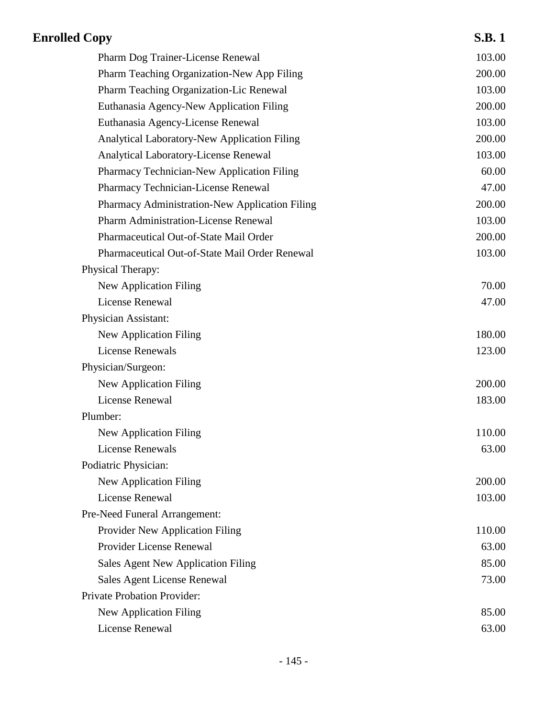| <b>Enrolled Copy</b>                                | <b>S.B.1</b> |
|-----------------------------------------------------|--------------|
| Pharm Dog Trainer-License Renewal                   | 103.00       |
| Pharm Teaching Organization-New App Filing          | 200.00       |
| Pharm Teaching Organization-Lic Renewal             | 103.00       |
| Euthanasia Agency-New Application Filing            | 200.00       |
| Euthanasia Agency-License Renewal                   | 103.00       |
| <b>Analytical Laboratory-New Application Filing</b> | 200.00       |
| Analytical Laboratory-License Renewal               | 103.00       |
| Pharmacy Technician-New Application Filing          | 60.00        |
| Pharmacy Technician-License Renewal                 | 47.00        |
| Pharmacy Administration-New Application Filing      | 200.00       |
| <b>Pharm Administration-License Renewal</b>         | 103.00       |
| Pharmaceutical Out-of-State Mail Order              | 200.00       |
| Pharmaceutical Out-of-State Mail Order Renewal      | 103.00       |
| Physical Therapy:                                   |              |
| <b>New Application Filing</b>                       | 70.00        |
| License Renewal                                     | 47.00        |
| Physician Assistant:                                |              |
| New Application Filing                              | 180.00       |
| <b>License Renewals</b>                             | 123.00       |
| Physician/Surgeon:                                  |              |
| <b>New Application Filing</b>                       | 200.00       |
| <b>License Renewal</b>                              | 183.00       |
| Plumber:                                            |              |
| New Application Filing                              | 110.00       |
| <b>License Renewals</b>                             | 63.00        |
| Podiatric Physician:                                |              |
| <b>New Application Filing</b>                       | 200.00       |
| License Renewal                                     | 103.00       |
| Pre-Need Funeral Arrangement:                       |              |
| Provider New Application Filing                     | 110.00       |
| Provider License Renewal                            | 63.00        |
| Sales Agent New Application Filing                  | 85.00        |
| Sales Agent License Renewal                         | 73.00        |
| Private Probation Provider:                         |              |
| <b>New Application Filing</b>                       | 85.00        |
| License Renewal                                     | 63.00        |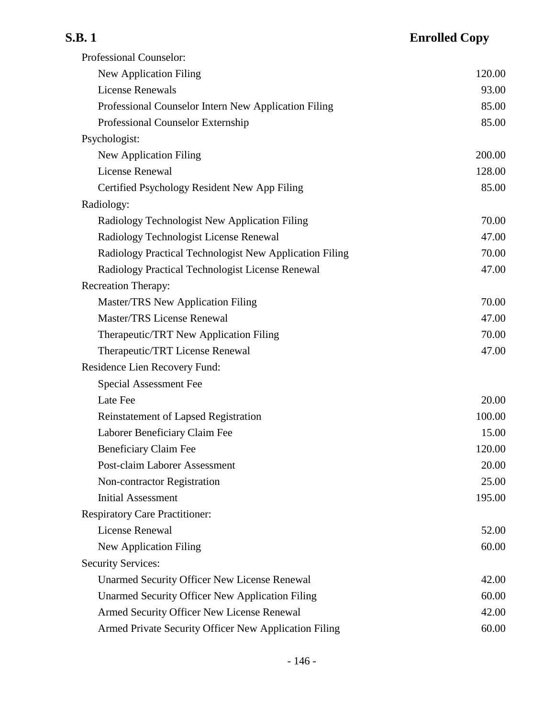| <b>S.B.1</b>                                            | <b>Enrolled Copy</b> |
|---------------------------------------------------------|----------------------|
| Professional Counselor:                                 |                      |
| New Application Filing                                  | 120.00               |
| <b>License Renewals</b>                                 | 93.00                |
| Professional Counselor Intern New Application Filing    | 85.00                |
| Professional Counselor Externship                       | 85.00                |
| Psychologist:                                           |                      |
| New Application Filing                                  | 200.00               |
| License Renewal                                         | 128.00               |
| Certified Psychology Resident New App Filing            | 85.00                |
| Radiology:                                              |                      |
| Radiology Technologist New Application Filing           | 70.00                |
| Radiology Technologist License Renewal                  | 47.00                |
| Radiology Practical Technologist New Application Filing | 70.00                |
| Radiology Practical Technologist License Renewal        | 47.00                |
| <b>Recreation Therapy:</b>                              |                      |
| Master/TRS New Application Filing                       | 70.00                |
| <b>Master/TRS License Renewal</b>                       | 47.00                |
| Therapeutic/TRT New Application Filing                  | 70.00                |
| Therapeutic/TRT License Renewal                         | 47.00                |
| Residence Lien Recovery Fund:                           |                      |
| Special Assessment Fee                                  |                      |
| Late Fee                                                | 20.00                |
|                                                         |                      |

Reinstatement of Lapsed Registration 100.00 Laborer Beneficiary Claim Fee 15.00 Beneficiary Claim Fee 120.00 Post-claim Laborer Assessment 20.00 Non-contractor Registration 25.00 Initial Assessment 195.00 Respiratory Care Practitioner: License Renewal 52.00 New Application Filing 60.00

Security Services: Unarmed Security Officer New License Renewal 42.00 Unarmed Security Officer New Application Filing 60.00 Armed Security Officer New License Renewal 42.00 Armed Private Security Officer New Application Filing 60.00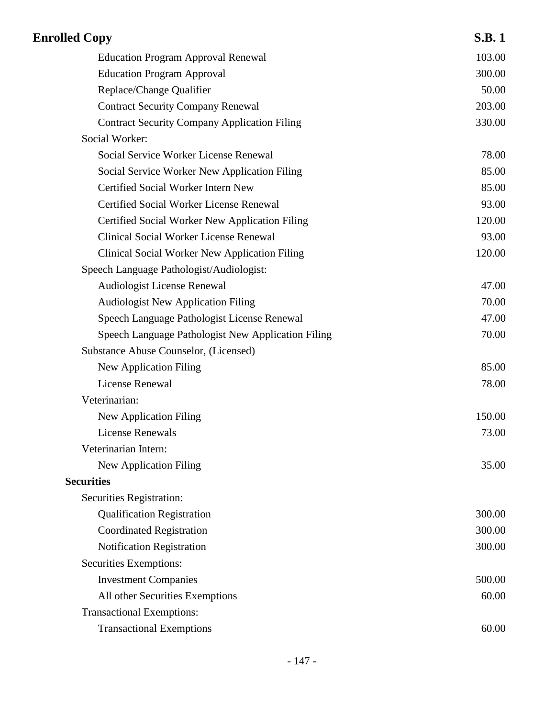| <b>Enrolled Copy</b>                                 | <b>S.B.1</b> |
|------------------------------------------------------|--------------|
| <b>Education Program Approval Renewal</b>            | 103.00       |
| <b>Education Program Approval</b>                    | 300.00       |
| Replace/Change Qualifier                             | 50.00        |
| <b>Contract Security Company Renewal</b>             | 203.00       |
| <b>Contract Security Company Application Filing</b>  | 330.00       |
| Social Worker:                                       |              |
| Social Service Worker License Renewal                | 78.00        |
| Social Service Worker New Application Filing         | 85.00        |
| Certified Social Worker Intern New                   | 85.00        |
| Certified Social Worker License Renewal              | 93.00        |
| Certified Social Worker New Application Filing       | 120.00       |
| <b>Clinical Social Worker License Renewal</b>        | 93.00        |
| <b>Clinical Social Worker New Application Filing</b> | 120.00       |
| Speech Language Pathologist/Audiologist:             |              |
| Audiologist License Renewal                          | 47.00        |
| <b>Audiologist New Application Filing</b>            | 70.00        |
| Speech Language Pathologist License Renewal          | 47.00        |
| Speech Language Pathologist New Application Filing   | 70.00        |
| Substance Abuse Counselor, (Licensed)                |              |
| New Application Filing                               | 85.00        |
| License Renewal                                      | 78.00        |
| Veterinarian:                                        |              |
| New Application Filing                               | 150.00       |
| License Renewals                                     | 73.00        |
| Veterinarian Intern:                                 |              |
| New Application Filing                               | 35.00        |
| <b>Securities</b>                                    |              |
| Securities Registration:                             |              |
| <b>Qualification Registration</b>                    | 300.00       |
| <b>Coordinated Registration</b>                      | 300.00       |
| Notification Registration                            | 300.00       |
| Securities Exemptions:                               |              |
| <b>Investment Companies</b>                          | 500.00       |
| All other Securities Exemptions                      | 60.00        |
| <b>Transactional Exemptions:</b>                     |              |
| <b>Transactional Exemptions</b>                      | 60.00        |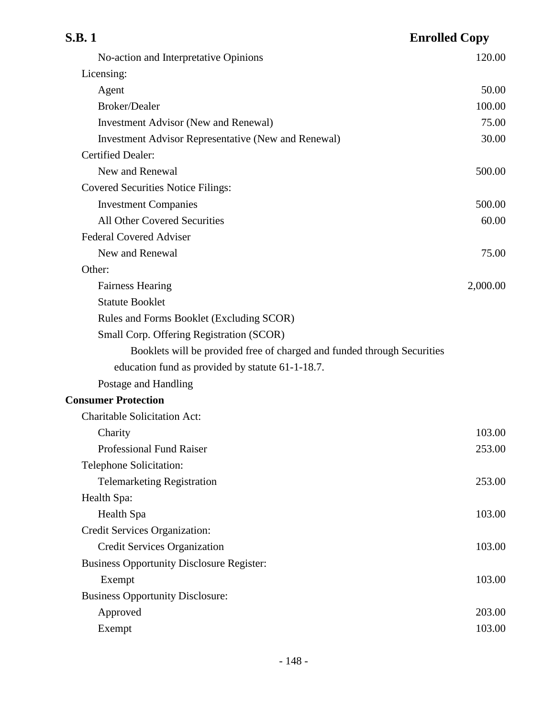| <b>S.B.1</b><br><b>Enrolled Copy</b>                                    |          |
|-------------------------------------------------------------------------|----------|
| No-action and Interpretative Opinions                                   | 120.00   |
| Licensing:                                                              |          |
| Agent                                                                   | 50.00    |
| Broker/Dealer                                                           | 100.00   |
| <b>Investment Advisor (New and Renewal)</b>                             | 75.00    |
| <b>Investment Advisor Representative (New and Renewal)</b>              | 30.00    |
| <b>Certified Dealer:</b>                                                |          |
| New and Renewal                                                         | 500.00   |
| <b>Covered Securities Notice Filings:</b>                               |          |
| <b>Investment Companies</b>                                             | 500.00   |
| <b>All Other Covered Securities</b>                                     | 60.00    |
| <b>Federal Covered Adviser</b>                                          |          |
| New and Renewal                                                         | 75.00    |
| Other:                                                                  |          |
| <b>Fairness Hearing</b>                                                 | 2,000.00 |
| <b>Statute Booklet</b>                                                  |          |
| Rules and Forms Booklet (Excluding SCOR)                                |          |
| Small Corp. Offering Registration (SCOR)                                |          |
| Booklets will be provided free of charged and funded through Securities |          |
| education fund as provided by statute 61-1-18.7.                        |          |
| Postage and Handling                                                    |          |
| <b>Consumer Protection</b>                                              |          |
| <b>Charitable Solicitation Act:</b>                                     |          |
| Charity                                                                 | 103.00   |
| <b>Professional Fund Raiser</b>                                         | 253.00   |
| Telephone Solicitation:                                                 |          |
| <b>Telemarketing Registration</b>                                       | 253.00   |
| Health Spa:                                                             |          |
| Health Spa                                                              | 103.00   |
| Credit Services Organization:                                           |          |
| <b>Credit Services Organization</b>                                     | 103.00   |
| <b>Business Opportunity Disclosure Register:</b>                        |          |
| Exempt                                                                  | 103.00   |
| <b>Business Opportunity Disclosure:</b>                                 |          |
| Approved                                                                | 203.00   |
| Exempt                                                                  | 103.00   |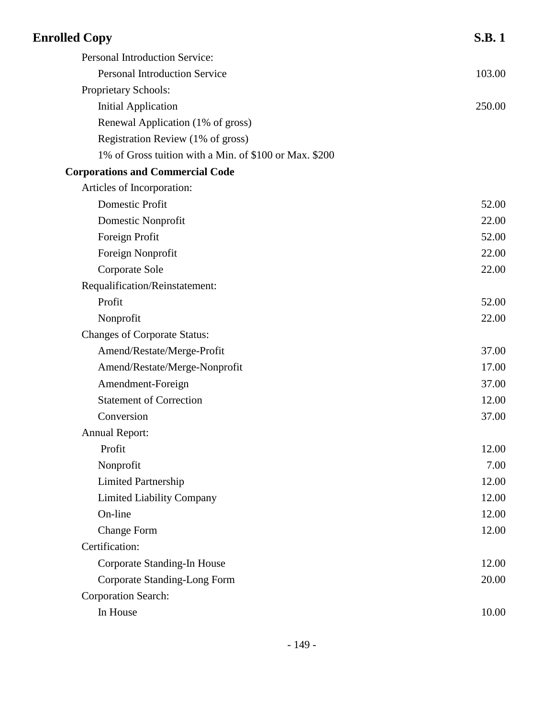| <b>Enrolled Copy</b>                                   | <b>S.B.1</b> |
|--------------------------------------------------------|--------------|
| Personal Introduction Service:                         |              |
| <b>Personal Introduction Service</b>                   | 103.00       |
| Proprietary Schools:                                   |              |
| <b>Initial Application</b>                             | 250.00       |
| Renewal Application (1% of gross)                      |              |
| Registration Review (1% of gross)                      |              |
| 1% of Gross tuition with a Min. of \$100 or Max. \$200 |              |
| <b>Corporations and Commercial Code</b>                |              |
| Articles of Incorporation:                             |              |
| Domestic Profit                                        | 52.00        |
| Domestic Nonprofit                                     | 22.00        |
| Foreign Profit                                         | 52.00        |
| Foreign Nonprofit                                      | 22.00        |
| Corporate Sole                                         | 22.00        |
| Requalification/Reinstatement:                         |              |
| Profit                                                 | 52.00        |
| Nonprofit                                              | 22.00        |
| <b>Changes of Corporate Status:</b>                    |              |
| Amend/Restate/Merge-Profit                             | 37.00        |
| Amend/Restate/Merge-Nonprofit                          | 17.00        |
| Amendment-Foreign                                      | 37.00        |
| <b>Statement of Correction</b>                         | 12.00        |
| Conversion                                             | 37.00        |
| <b>Annual Report:</b>                                  |              |
| Profit                                                 | 12.00        |
| Nonprofit                                              | 7.00         |
| <b>Limited Partnership</b>                             | 12.00        |
| <b>Limited Liability Company</b>                       | 12.00        |
| On-line                                                | 12.00        |
| <b>Change Form</b>                                     | 12.00        |
| Certification:                                         |              |
| Corporate Standing-In House                            | 12.00        |
| <b>Corporate Standing-Long Form</b>                    | 20.00        |
| <b>Corporation Search:</b>                             |              |
| In House                                               | 10.00        |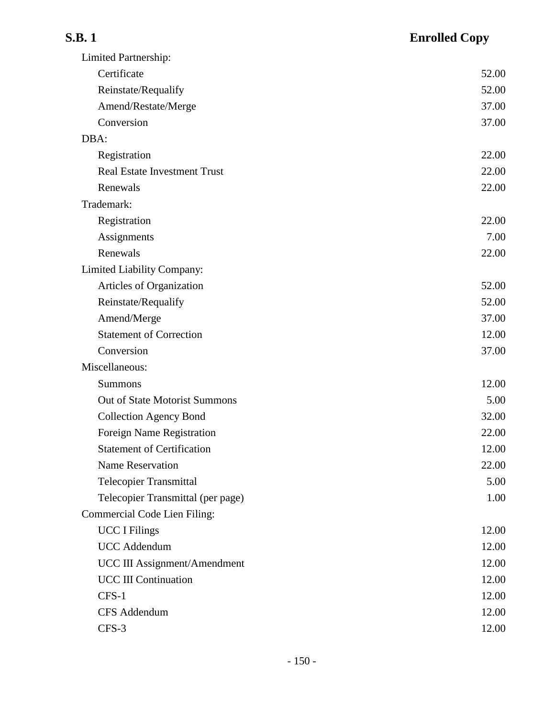## **S.B. 1 Enrolled Copy** Limited Partnership: Certificate 52.00 Reinstate/Requalify 52.00 Amend/Restate/Merge 37.00 Conversion 37.00 DBA: Registration 22.00 Real Estate Investment Trust 22.00 Renewals 22.00 Trademark: Registration 22.00 Assignments 7.00 Renewals 22.00 Limited Liability Company: Articles of Organization 52.00 Reinstate/Requalify 52.00 Amend/Merge 37.00 Statement of Correction 12.00 Conversion 37.00 Miscellaneous: Summons 12.00 Out of State Motorist Summons 5.00 Collection Agency Bond 32.00 Foreign Name Registration 22.00 Statement of Certification 12.00 Name Reservation 22.00 Telecopier Transmittal 5.00 Telecopier Transmittal (per page) 1.00

| Commercial Code Lien Filing: |       |
|------------------------------|-------|
| <b>UCC</b> I Filings         | 12.00 |
| <b>UCC</b> Addendum          | 12.00 |
| UCC III Assignment/Amendment | 12.00 |
| <b>UCC III Continuation</b>  | 12.00 |
| $CFS-1$                      | 12.00 |
| <b>CFS</b> Addendum          | 12.00 |
| $CFS-3$                      | 12.00 |
|                              |       |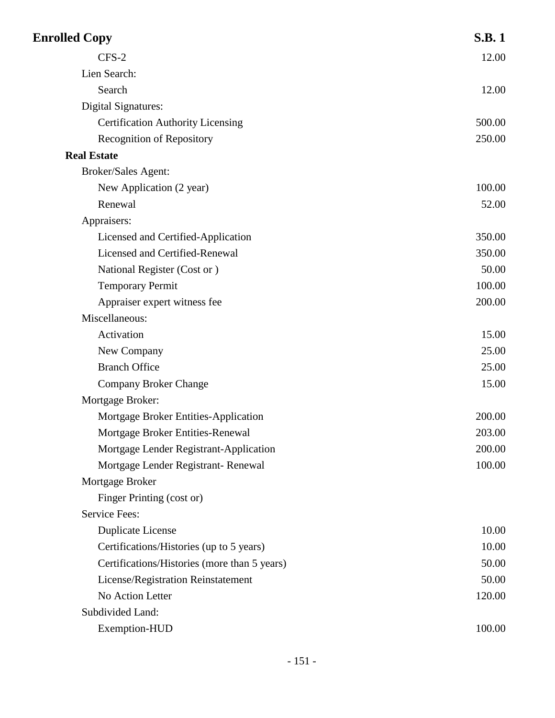| <b>Enrolled Copy</b>                         | <b>S.B.1</b> |
|----------------------------------------------|--------------|
| CFS-2                                        | 12.00        |
| Lien Search:                                 |              |
| Search                                       | 12.00        |
| <b>Digital Signatures:</b>                   |              |
| <b>Certification Authority Licensing</b>     | 500.00       |
| <b>Recognition of Repository</b>             | 250.00       |
| <b>Real Estate</b>                           |              |
| Broker/Sales Agent:                          |              |
| New Application (2 year)                     | 100.00       |
| Renewal                                      | 52.00        |
| Appraisers:                                  |              |
| Licensed and Certified-Application           | 350.00       |
| Licensed and Certified-Renewal               | 350.00       |
| National Register (Cost or)                  | 50.00        |
| <b>Temporary Permit</b>                      | 100.00       |
| Appraiser expert witness fee                 | 200.00       |
| Miscellaneous:                               |              |
| Activation                                   | 15.00        |
| New Company                                  | 25.00        |
| <b>Branch Office</b>                         | 25.00        |
| <b>Company Broker Change</b>                 | 15.00        |
| Mortgage Broker:                             |              |
| Mortgage Broker Entities-Application         | 200.00       |
| Mortgage Broker Entities-Renewal             | 203.00       |
| Mortgage Lender Registrant-Application       | 200.00       |
| Mortgage Lender Registrant-Renewal           | 100.00       |
| Mortgage Broker                              |              |
| Finger Printing (cost or)                    |              |
| <b>Service Fees:</b>                         |              |
| <b>Duplicate License</b>                     | 10.00        |
| Certifications/Histories (up to 5 years)     | 10.00        |
| Certifications/Histories (more than 5 years) | 50.00        |
| License/Registration Reinstatement           | 50.00        |
| No Action Letter                             | 120.00       |
| Subdivided Land:                             |              |
| Exemption-HUD                                | 100.00       |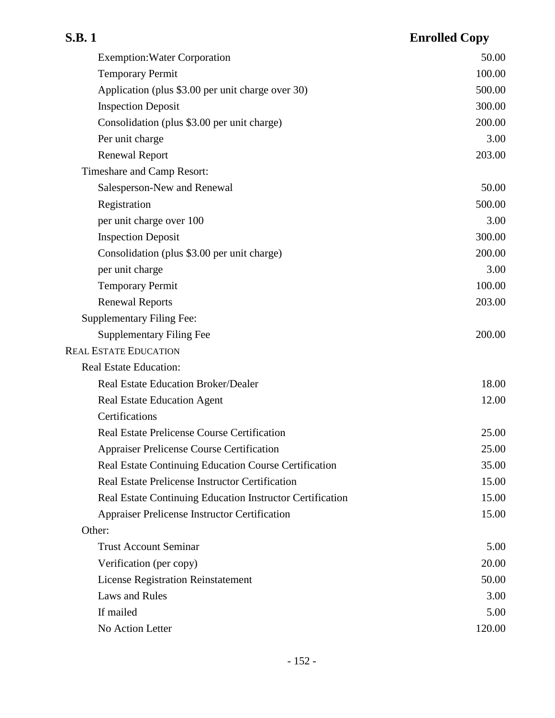| <b>S.B.1</b>                                              | <b>Enrolled Copy</b> |
|-----------------------------------------------------------|----------------------|
| <b>Exemption: Water Corporation</b>                       | 50.00                |
| <b>Temporary Permit</b>                                   | 100.00               |
| Application (plus \$3.00 per unit charge over 30)         | 500.00               |
| <b>Inspection Deposit</b>                                 | 300.00               |
| Consolidation (plus \$3.00 per unit charge)               | 200.00               |
| Per unit charge                                           | 3.00                 |
| <b>Renewal Report</b>                                     | 203.00               |
| Timeshare and Camp Resort:                                |                      |
| Salesperson-New and Renewal                               | 50.00                |
| Registration                                              | 500.00               |
| per unit charge over 100                                  | 3.00                 |
| <b>Inspection Deposit</b>                                 | 300.00               |
| Consolidation (plus \$3.00 per unit charge)               | 200.00               |
| per unit charge                                           | 3.00                 |
| <b>Temporary Permit</b>                                   | 100.00               |
| <b>Renewal Reports</b>                                    | 203.00               |
| <b>Supplementary Filing Fee:</b>                          |                      |
| <b>Supplementary Filing Fee</b>                           | 200.00               |
| <b>REAL ESTATE EDUCATION</b>                              |                      |
| <b>Real Estate Education:</b>                             |                      |
| <b>Real Estate Education Broker/Dealer</b>                | 18.00                |
| <b>Real Estate Education Agent</b>                        | 12.00                |
| Certifications                                            |                      |
| <b>Real Estate Prelicense Course Certification</b>        | 25.00                |
| <b>Appraiser Prelicense Course Certification</b>          | 25.00                |
| Real Estate Continuing Education Course Certification     | 35.00                |
| Real Estate Prelicense Instructor Certification           | 15.00                |
| Real Estate Continuing Education Instructor Certification | 15.00                |
| <b>Appraiser Prelicense Instructor Certification</b>      | 15.00                |
| Other:                                                    |                      |
| <b>Trust Account Seminar</b>                              | 5.00                 |
| Verification (per copy)                                   | 20.00                |
| <b>License Registration Reinstatement</b>                 | 50.00                |
| <b>Laws and Rules</b>                                     | 3.00                 |
| If mailed                                                 | 5.00                 |
| No Action Letter                                          | 120.00               |

## - 152 -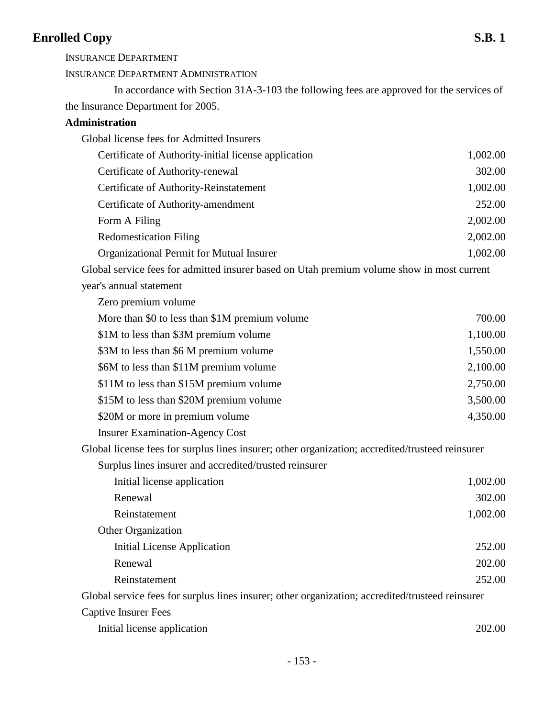INSURANCE DEPARTMENT

INSURANCE DEPARTMENT ADMINISTRATION

In accordance with Section 31A-3-103 the following fees are approved for the services of the Insurance Department for 2005.

## **Administration**

| Global license fees for Admitted Insurers                                                        |          |
|--------------------------------------------------------------------------------------------------|----------|
| Certificate of Authority-initial license application                                             | 1,002.00 |
| Certificate of Authority-renewal                                                                 | 302.00   |
| Certificate of Authority-Reinstatement                                                           | 1,002.00 |
| Certificate of Authority-amendment                                                               | 252.00   |
| Form A Filing                                                                                    | 2,002.00 |
| <b>Redomestication Filing</b>                                                                    | 2,002.00 |
| Organizational Permit for Mutual Insurer                                                         | 1,002.00 |
| Global service fees for admitted insurer based on Utah premium volume show in most current       |          |
| year's annual statement                                                                          |          |
| Zero premium volume                                                                              |          |
| More than \$0 to less than \$1M premium volume                                                   | 700.00   |
| \$1M to less than \$3M premium volume                                                            | 1,100.00 |
| \$3M to less than \$6 M premium volume                                                           | 1,550.00 |
| \$6M to less than \$11M premium volume                                                           | 2,100.00 |
| \$11M to less than \$15M premium volume                                                          | 2,750.00 |
| \$15M to less than \$20M premium volume                                                          | 3,500.00 |
| \$20M or more in premium volume                                                                  | 4,350.00 |
| <b>Insurer Examination-Agency Cost</b>                                                           |          |
| Global license fees for surplus lines insurer; other organization; accredited/trusteed reinsurer |          |
| Surplus lines insurer and accredited/trusted reinsurer                                           |          |
| Initial license application                                                                      | 1,002.00 |
| Renewal                                                                                          | 302.00   |
| Reinstatement                                                                                    | 1,002.00 |
| Other Organization                                                                               |          |
| <b>Initial License Application</b>                                                               | 252.00   |
| Renewal                                                                                          | 202.00   |
| Reinstatement                                                                                    | 252.00   |
| Global service fees for surplus lines insurer; other organization; accredited/trusteed reinsurer |          |
| <b>Captive Insurer Fees</b>                                                                      |          |
| Initial license application                                                                      | 202.00   |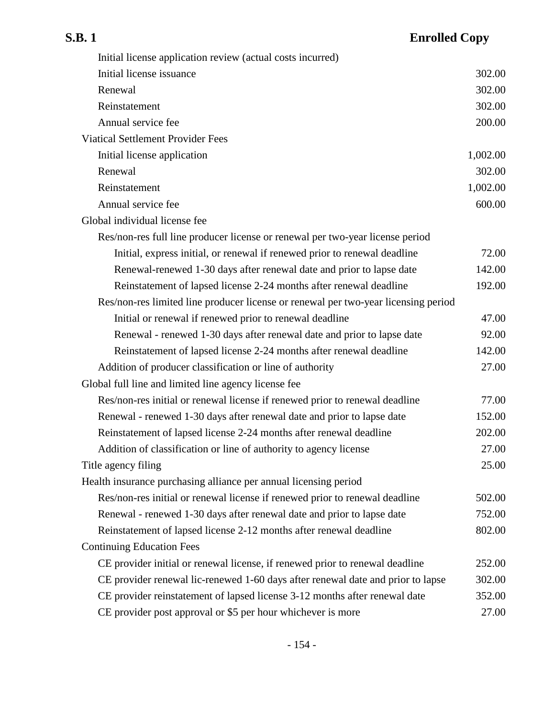| Initial license application review (actual costs incurred)                         |          |
|------------------------------------------------------------------------------------|----------|
| Initial license issuance                                                           | 302.00   |
| Renewal                                                                            | 302.00   |
| Reinstatement                                                                      | 302.00   |
| Annual service fee                                                                 | 200.00   |
| <b>Viatical Settlement Provider Fees</b>                                           |          |
| Initial license application                                                        | 1,002.00 |
| Renewal                                                                            | 302.00   |
| Reinstatement                                                                      | 1,002.00 |
| Annual service fee                                                                 | 600.00   |
| Global individual license fee                                                      |          |
| Res/non-res full line producer license or renewal per two-year license period      |          |
| Initial, express initial, or renewal if renewed prior to renewal deadline          | 72.00    |
| Renewal-renewed 1-30 days after renewal date and prior to lapse date               | 142.00   |
| Reinstatement of lapsed license 2-24 months after renewal deadline                 | 192.00   |
| Res/non-res limited line producer license or renewal per two-year licensing period |          |
| Initial or renewal if renewed prior to renewal deadline                            | 47.00    |
| Renewal - renewed 1-30 days after renewal date and prior to lapse date             | 92.00    |
| Reinstatement of lapsed license 2-24 months after renewal deadline                 | 142.00   |
| Addition of producer classification or line of authority                           | 27.00    |
| Global full line and limited line agency license fee                               |          |
| Res/non-res initial or renewal license if renewed prior to renewal deadline        | 77.00    |
| Renewal - renewed 1-30 days after renewal date and prior to lapse date             | 152.00   |
| Reinstatement of lapsed license 2-24 months after renewal deadline                 | 202.00   |
| Addition of classification or line of authority to agency license                  | 27.00    |
| Title agency filing                                                                | 25.00    |
| Health insurance purchasing alliance per annual licensing period                   |          |
| Res/non-res initial or renewal license if renewed prior to renewal deadline        | 502.00   |
| Renewal - renewed 1-30 days after renewal date and prior to lapse date             | 752.00   |
| Reinstatement of lapsed license 2-12 months after renewal deadline                 | 802.00   |
| <b>Continuing Education Fees</b>                                                   |          |
| CE provider initial or renewal license, if renewed prior to renewal deadline       | 252.00   |
| CE provider renewal lic-renewed 1-60 days after renewal date and prior to lapse    | 302.00   |
| CE provider reinstatement of lapsed license 3-12 months after renewal date         | 352.00   |
| CE provider post approval or \$5 per hour whichever is more                        | 27.00    |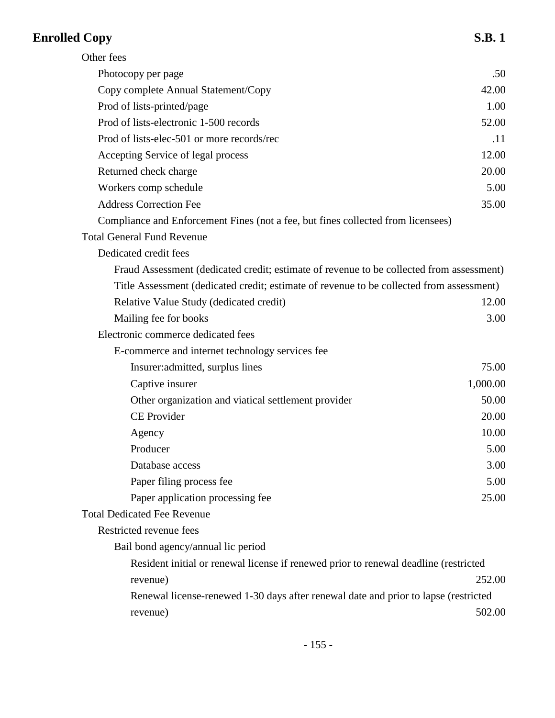| Other fees                                                                               |          |
|------------------------------------------------------------------------------------------|----------|
| Photocopy per page                                                                       | .50      |
| Copy complete Annual Statement/Copy                                                      | 42.00    |
| Prod of lists-printed/page                                                               | 1.00     |
| Prod of lists-electronic 1-500 records                                                   | 52.00    |
| Prod of lists-elec-501 or more records/rec                                               | .11      |
| Accepting Service of legal process                                                       | 12.00    |
| Returned check charge                                                                    | 20.00    |
| Workers comp schedule                                                                    | 5.00     |
| <b>Address Correction Fee</b>                                                            | 35.00    |
| Compliance and Enforcement Fines (not a fee, but fines collected from licensees)         |          |
| <b>Total General Fund Revenue</b>                                                        |          |
| Dedicated credit fees                                                                    |          |
| Fraud Assessment (dedicated credit; estimate of revenue to be collected from assessment) |          |
| Title Assessment (dedicated credit; estimate of revenue to be collected from assessment) |          |
| Relative Value Study (dedicated credit)                                                  | 12.00    |
| Mailing fee for books                                                                    | 3.00     |
| Electronic commerce dedicated fees                                                       |          |
| E-commerce and internet technology services fee                                          |          |
| Insurer: admitted, surplus lines                                                         | 75.00    |
| Captive insurer                                                                          | 1,000.00 |
| Other organization and viatical settlement provider                                      | 50.00    |
| <b>CE</b> Provider                                                                       | 20.00    |
| Agency                                                                                   | 10.00    |
| Producer                                                                                 | 5.00     |
| Database access                                                                          | 3.00     |
| Paper filing process fee                                                                 | 5.00     |
| Paper application processing fee                                                         | 25.00    |
| <b>Total Dedicated Fee Revenue</b>                                                       |          |
| Restricted revenue fees                                                                  |          |
| Bail bond agency/annual lic period                                                       |          |
| Resident initial or renewal license if renewed prior to renewal deadline (restricted     |          |
| revenue)                                                                                 | 252.00   |
| Renewal license-renewed 1-30 days after renewal date and prior to lapse (restricted      |          |
| revenue)                                                                                 | 502.00   |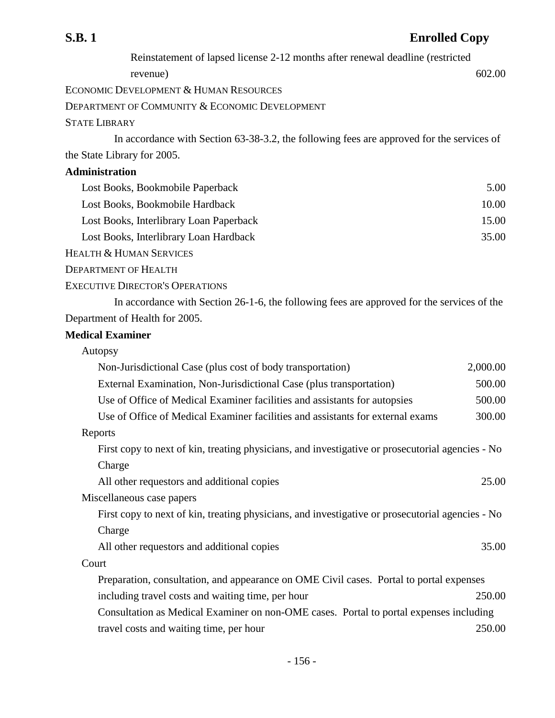Reinstatement of lapsed license 2-12 months after renewal deadline (restricted

revenue) 602.00

ECONOMIC DEVELOPMENT & HUMAN RESOURCES

DEPARTMENT OF COMMUNITY & ECONOMIC DEVELOPMENT

STATE LIBRARY

In accordance with Section 63-38-3.2, the following fees are approved for the services of the State Library for 2005.

### **Administration**

| Lost Books, Bookmobile Paperback        | 5.00  |
|-----------------------------------------|-------|
| Lost Books, Bookmobile Hardback         | 10.00 |
| Lost Books, Interlibrary Loan Paperback | 15.00 |
| Lost Books, Interlibrary Loan Hardback  | 35.00 |
|                                         |       |

HEALTH & HUMAN SERVICES

DEPARTMENT OF HEALTH

### EXECUTIVE DIRECTOR'S OPERATIONS

In accordance with Section 26-1-6, the following fees are approved for the services of the Department of Health for 2005.

### **Medical Examiner**

| Autopsy                                                                                          |          |
|--------------------------------------------------------------------------------------------------|----------|
| Non-Jurisdictional Case (plus cost of body transportation)                                       | 2,000.00 |
| External Examination, Non-Jurisdictional Case (plus transportation)                              | 500.00   |
| Use of Office of Medical Examiner facilities and assistants for autopsies                        | 500.00   |
| Use of Office of Medical Examiner facilities and assistants for external exams                   | 300.00   |
| Reports                                                                                          |          |
| First copy to next of kin, treating physicians, and investigative or prosecutorial agencies - No |          |
| Charge                                                                                           |          |
| All other requestors and additional copies                                                       | 25.00    |
| Miscellaneous case papers                                                                        |          |
| First copy to next of kin, treating physicians, and investigative or prosecutorial agencies - No |          |
| Charge                                                                                           |          |
| All other requestors and additional copies                                                       | 35.00    |
| Court                                                                                            |          |
| Preparation, consultation, and appearance on OME Civil cases. Portal to portal expenses          |          |
| including travel costs and waiting time, per hour                                                | 250.00   |
| Consultation as Medical Examiner on non-OME cases. Portal to portal expenses including           |          |
| travel costs and waiting time, per hour                                                          | 250.00   |
|                                                                                                  |          |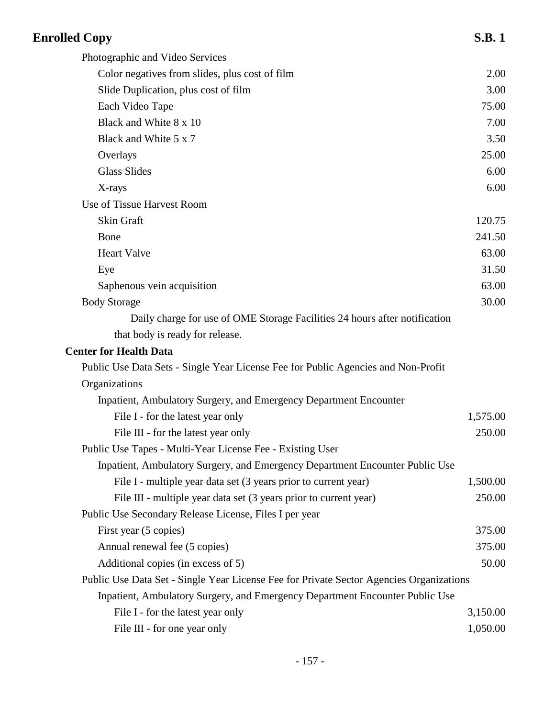| <b>Enrolled Copy</b>                                                                    | <b>S.B.1</b> |
|-----------------------------------------------------------------------------------------|--------------|
| Photographic and Video Services                                                         |              |
| Color negatives from slides, plus cost of film                                          | 2.00         |
| Slide Duplication, plus cost of film                                                    | 3.00         |
| Each Video Tape                                                                         | 75.00        |
| Black and White 8 x 10                                                                  | 7.00         |
| Black and White 5 x 7                                                                   | 3.50         |
| Overlays                                                                                | 25.00        |
| <b>Glass Slides</b>                                                                     | 6.00         |
| X-rays                                                                                  | 6.00         |
| Use of Tissue Harvest Room                                                              |              |
| Skin Graft                                                                              | 120.75       |
| Bone                                                                                    | 241.50       |
| <b>Heart Valve</b>                                                                      | 63.00        |
| Eye                                                                                     | 31.50        |
| Saphenous vein acquisition                                                              | 63.00        |
| <b>Body Storage</b>                                                                     | 30.00        |
| Daily charge for use of OME Storage Facilities 24 hours after notification              |              |
| that body is ready for release.                                                         |              |
| <b>Center for Health Data</b>                                                           |              |
| Public Use Data Sets - Single Year License Fee for Public Agencies and Non-Profit       |              |
| Organizations                                                                           |              |
| Inpatient, Ambulatory Surgery, and Emergency Department Encounter                       |              |
| File I - for the latest year only                                                       | 1,575.00     |
| File III - for the latest year only                                                     | 250.00       |
| Public Use Tapes - Multi-Year License Fee - Existing User                               |              |
| Inpatient, Ambulatory Surgery, and Emergency Department Encounter Public Use            |              |
| File I - multiple year data set (3 years prior to current year)                         | 1,500.00     |
| File III - multiple year data set (3 years prior to current year)                       | 250.00       |
| Public Use Secondary Release License, Files I per year                                  |              |
| First year (5 copies)                                                                   | 375.00       |
| Annual renewal fee (5 copies)                                                           | 375.00       |
| Additional copies (in excess of 5)                                                      | 50.00        |
| Public Use Data Set - Single Year License Fee for Private Sector Agencies Organizations |              |
| Inpatient, Ambulatory Surgery, and Emergency Department Encounter Public Use            |              |
| File I - for the latest year only                                                       | 3,150.00     |
| File III - for one year only                                                            | 1,050.00     |
|                                                                                         |              |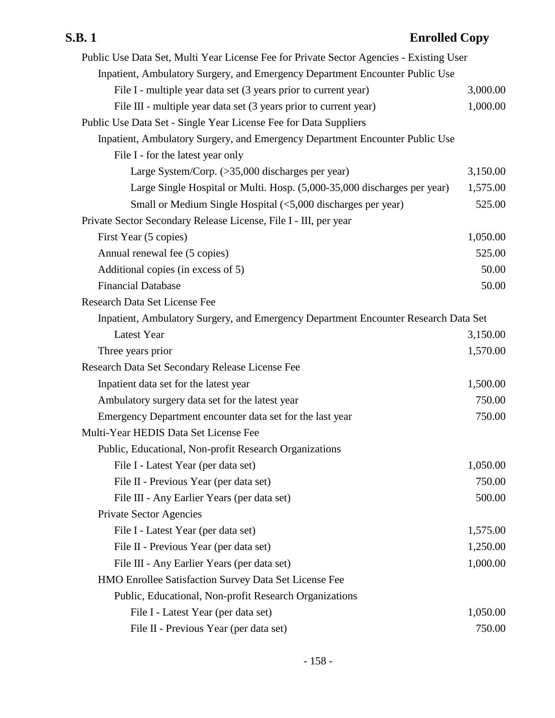| Public Use Data Set, Multi Year License Fee for Private Sector Agencies - Existing User |          |
|-----------------------------------------------------------------------------------------|----------|
| Inpatient, Ambulatory Surgery, and Emergency Department Encounter Public Use            |          |
| File I - multiple year data set (3 years prior to current year)                         | 3,000.00 |
| File III - multiple year data set (3 years prior to current year)                       | 1,000.00 |
| Public Use Data Set - Single Year License Fee for Data Suppliers                        |          |
| Inpatient, Ambulatory Surgery, and Emergency Department Encounter Public Use            |          |
| File I - for the latest year only                                                       |          |
| Large System/Corp. (>35,000 discharges per year)                                        | 3,150.00 |
| Large Single Hospital or Multi. Hosp. (5,000-35,000 discharges per year)                | 1,575.00 |
| Small or Medium Single Hospital (<5,000 discharges per year)                            | 525.00   |
| Private Sector Secondary Release License, File I - III, per year                        |          |
| First Year (5 copies)                                                                   | 1,050.00 |
| Annual renewal fee (5 copies)                                                           | 525.00   |
| Additional copies (in excess of 5)                                                      | 50.00    |
| <b>Financial Database</b>                                                               | 50.00    |
| Research Data Set License Fee                                                           |          |
| Inpatient, Ambulatory Surgery, and Emergency Department Encounter Research Data Set     |          |
| <b>Latest Year</b>                                                                      | 3,150.00 |
| Three years prior                                                                       | 1,570.00 |
| Research Data Set Secondary Release License Fee                                         |          |
| Inpatient data set for the latest year                                                  | 1,500.00 |
| Ambulatory surgery data set for the latest year                                         | 750.00   |
| Emergency Department encounter data set for the last year                               | 750.00   |
| Multi-Year HEDIS Data Set License Fee                                                   |          |
| Public, Educational, Non-profit Research Organizations                                  |          |
| File I - Latest Year (per data set)                                                     | 1,050.00 |
| File II - Previous Year (per data set)                                                  | 750.00   |
| File III - Any Earlier Years (per data set)                                             | 500.00   |
| <b>Private Sector Agencies</b>                                                          |          |
| File I - Latest Year (per data set)                                                     | 1,575.00 |
| File II - Previous Year (per data set)                                                  | 1,250.00 |
| File III - Any Earlier Years (per data set)                                             | 1,000.00 |
| HMO Enrollee Satisfaction Survey Data Set License Fee                                   |          |
| Public, Educational, Non-profit Research Organizations                                  |          |
| File I - Latest Year (per data set)                                                     | 1,050.00 |
| File II - Previous Year (per data set)                                                  | 750.00   |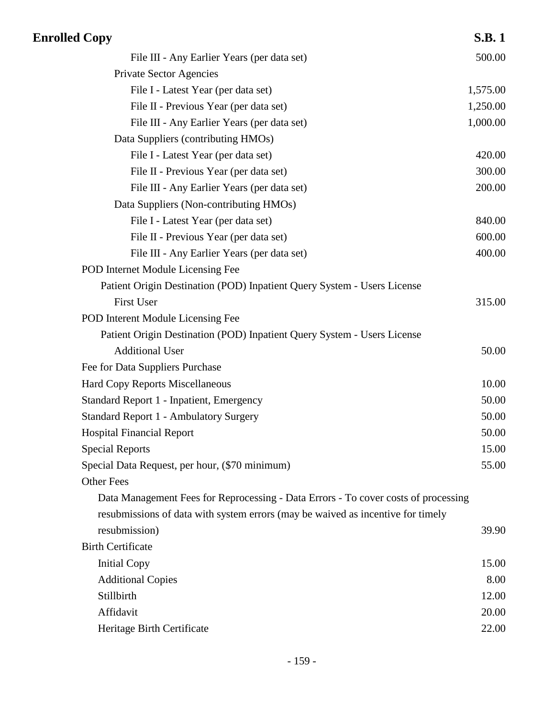| <b>Enrolled Copy</b>                                                               | <b>S.B.1</b> |
|------------------------------------------------------------------------------------|--------------|
| File III - Any Earlier Years (per data set)                                        | 500.00       |
| <b>Private Sector Agencies</b>                                                     |              |
| File I - Latest Year (per data set)                                                | 1,575.00     |
| File II - Previous Year (per data set)                                             | 1,250.00     |
| File III - Any Earlier Years (per data set)                                        | 1,000.00     |
| Data Suppliers (contributing HMOs)                                                 |              |
| File I - Latest Year (per data set)                                                | 420.00       |
| File II - Previous Year (per data set)                                             | 300.00       |
| File III - Any Earlier Years (per data set)                                        | 200.00       |
| Data Suppliers (Non-contributing HMOs)                                             |              |
| File I - Latest Year (per data set)                                                | 840.00       |
| File II - Previous Year (per data set)                                             | 600.00       |
| File III - Any Earlier Years (per data set)                                        | 400.00       |
| POD Internet Module Licensing Fee                                                  |              |
| Patient Origin Destination (POD) Inpatient Query System - Users License            |              |
| First User                                                                         | 315.00       |
| POD Interent Module Licensing Fee                                                  |              |
| Patient Origin Destination (POD) Inpatient Query System - Users License            |              |
| <b>Additional User</b>                                                             | 50.00        |
| Fee for Data Suppliers Purchase                                                    |              |
| Hard Copy Reports Miscellaneous                                                    | 10.00        |
| <b>Standard Report 1 - Inpatient, Emergency</b>                                    | 50.00        |
| <b>Standard Report 1 - Ambulatory Surgery</b>                                      | 50.00        |
| <b>Hospital Financial Report</b>                                                   | 50.00        |
| <b>Special Reports</b>                                                             | 15.00        |
| Special Data Request, per hour, (\$70 minimum)                                     | 55.00        |
| <b>Other Fees</b>                                                                  |              |
| Data Management Fees for Reprocessing - Data Errors - To cover costs of processing |              |
| resubmissions of data with system errors (may be waived as incentive for timely    |              |
| resubmission)                                                                      | 39.90        |
| <b>Birth Certificate</b>                                                           |              |
| <b>Initial Copy</b>                                                                | 15.00        |
| <b>Additional Copies</b>                                                           | 8.00         |
| Stillbirth                                                                         | 12.00        |
| Affidavit                                                                          | 20.00        |
| Heritage Birth Certificate                                                         | 22.00        |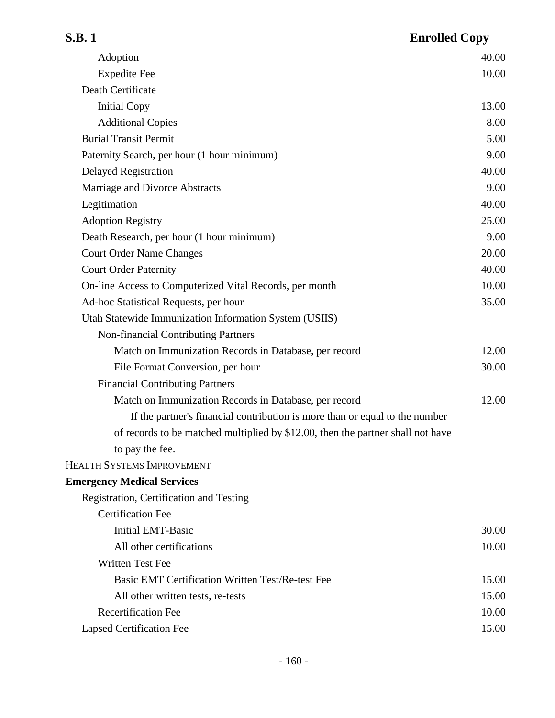| S.B. 1                                                                          | <b>Enrolled Copy</b> |
|---------------------------------------------------------------------------------|----------------------|
| Adoption                                                                        | 40.00                |
| <b>Expedite Fee</b>                                                             | 10.00                |
| Death Certificate                                                               |                      |
| <b>Initial Copy</b>                                                             | 13.00                |
| <b>Additional Copies</b>                                                        | 8.00                 |
| <b>Burial Transit Permit</b>                                                    | 5.00                 |
| Paternity Search, per hour (1 hour minimum)                                     | 9.00                 |
| <b>Delayed Registration</b>                                                     | 40.00                |
| Marriage and Divorce Abstracts                                                  | 9.00                 |
| Legitimation                                                                    | 40.00                |
| <b>Adoption Registry</b>                                                        | 25.00                |
| Death Research, per hour (1 hour minimum)                                       | 9.00                 |
| <b>Court Order Name Changes</b>                                                 | 20.00                |
| <b>Court Order Paternity</b>                                                    | 40.00                |
| On-line Access to Computerized Vital Records, per month                         | 10.00                |
| Ad-hoc Statistical Requests, per hour                                           | 35.00                |
| Utah Statewide Immunization Information System (USIIS)                          |                      |
| <b>Non-financial Contributing Partners</b>                                      |                      |
| Match on Immunization Records in Database, per record                           | 12.00                |
| File Format Conversion, per hour                                                | 30.00                |
| <b>Financial Contributing Partners</b>                                          |                      |
| Match on Immunization Records in Database, per record                           | 12.00                |
| If the partner's financial contribution is more than or equal to the number     |                      |
| of records to be matched multiplied by \$12.00, then the partner shall not have |                      |
| to pay the fee.                                                                 |                      |
| <b>HEALTH SYSTEMS IMPROVEMENT</b>                                               |                      |
| <b>Emergency Medical Services</b>                                               |                      |
| Registration, Certification and Testing                                         |                      |
| <b>Certification Fee</b>                                                        |                      |
| <b>Initial EMT-Basic</b>                                                        | 30.00                |
| All other certifications                                                        | 10.00                |
| <b>Written Test Fee</b>                                                         |                      |
| <b>Basic EMT Certification Written Test/Re-test Fee</b>                         | 15.00                |
| All other written tests, re-tests                                               | 15.00                |
| <b>Recertification Fee</b>                                                      | 10.00                |
| Lapsed Certification Fee                                                        | 15.00                |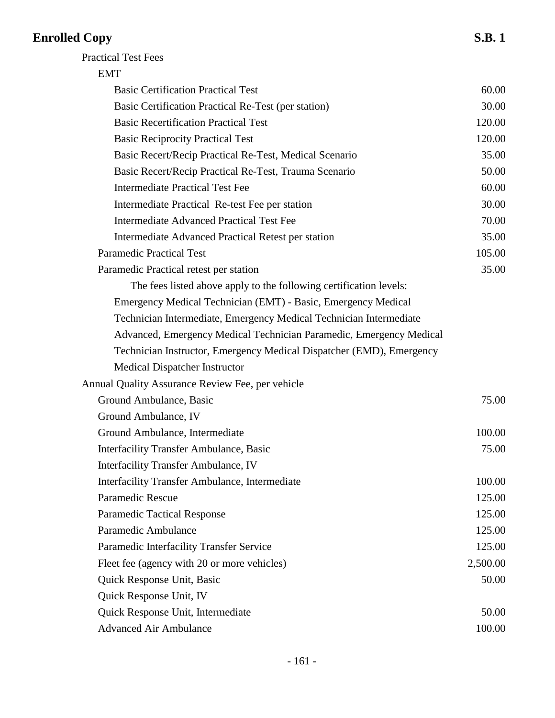| <b>EMT</b>                                                           |          |
|----------------------------------------------------------------------|----------|
| <b>Basic Certification Practical Test</b>                            | 60.00    |
| Basic Certification Practical Re-Test (per station)                  | 30.00    |
| <b>Basic Recertification Practical Test</b>                          | 120.00   |
| <b>Basic Reciprocity Practical Test</b>                              | 120.00   |
| Basic Recert/Recip Practical Re-Test, Medical Scenario               | 35.00    |
| Basic Recert/Recip Practical Re-Test, Trauma Scenario                | 50.00    |
| <b>Intermediate Practical Test Fee</b>                               | 60.00    |
| Intermediate Practical Re-test Fee per station                       | 30.00    |
| <b>Intermediate Advanced Practical Test Fee</b>                      | 70.00    |
| <b>Intermediate Advanced Practical Retest per station</b>            | 35.00    |
| <b>Paramedic Practical Test</b>                                      | 105.00   |
| Paramedic Practical retest per station                               | 35.00    |
| The fees listed above apply to the following certification levels:   |          |
| Emergency Medical Technician (EMT) - Basic, Emergency Medical        |          |
| Technician Intermediate, Emergency Medical Technician Intermediate   |          |
| Advanced, Emergency Medical Technician Paramedic, Emergency Medical  |          |
| Technician Instructor, Emergency Medical Dispatcher (EMD), Emergency |          |
| Medical Dispatcher Instructor                                        |          |
| Annual Quality Assurance Review Fee, per vehicle                     |          |
| Ground Ambulance, Basic                                              | 75.00    |
| Ground Ambulance, IV                                                 |          |
| Ground Ambulance, Intermediate                                       | 100.00   |
| Interfacility Transfer Ambulance, Basic                              | 75.00    |
| Interfacility Transfer Ambulance, IV                                 |          |
| <b>Interfacility Transfer Ambulance, Intermediate</b>                | 100.00   |
| Paramedic Rescue                                                     | 125.00   |
| <b>Paramedic Tactical Response</b>                                   | 125.00   |
| Paramedic Ambulance                                                  | 125.00   |
| Paramedic Interfacility Transfer Service                             | 125.00   |
| Fleet fee (agency with 20 or more vehicles)                          | 2,500.00 |
| Quick Response Unit, Basic                                           | 50.00    |
| Quick Response Unit, IV                                              |          |
| Quick Response Unit, Intermediate                                    | 50.00    |
| <b>Advanced Air Ambulance</b>                                        | 100.00   |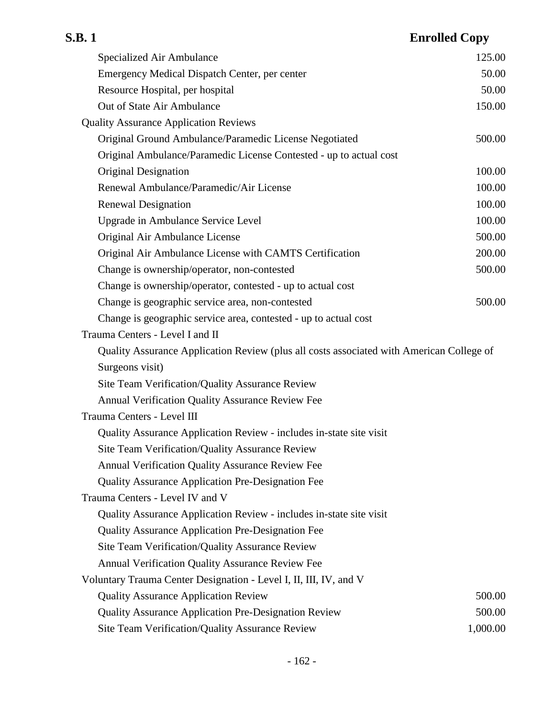| Specialized Air Ambulance                                                                | 125.00   |
|------------------------------------------------------------------------------------------|----------|
| Emergency Medical Dispatch Center, per center                                            | 50.00    |
| Resource Hospital, per hospital                                                          | 50.00    |
| Out of State Air Ambulance                                                               | 150.00   |
| <b>Quality Assurance Application Reviews</b>                                             |          |
| Original Ground Ambulance/Paramedic License Negotiated                                   | 500.00   |
| Original Ambulance/Paramedic License Contested - up to actual cost                       |          |
| Original Designation                                                                     | 100.00   |
| Renewal Ambulance/Paramedic/Air License                                                  | 100.00   |
| <b>Renewal Designation</b>                                                               | 100.00   |
| <b>Upgrade in Ambulance Service Level</b>                                                | 100.00   |
| Original Air Ambulance License                                                           | 500.00   |
| Original Air Ambulance License with CAMTS Certification                                  | 200.00   |
| Change is ownership/operator, non-contested                                              | 500.00   |
| Change is ownership/operator, contested - up to actual cost                              |          |
| Change is geographic service area, non-contested                                         | 500.00   |
| Change is geographic service area, contested - up to actual cost                         |          |
| Trauma Centers - Level I and II                                                          |          |
| Quality Assurance Application Review (plus all costs associated with American College of |          |
| Surgeons visit)                                                                          |          |
| Site Team Verification/Quality Assurance Review                                          |          |
| Annual Verification Quality Assurance Review Fee                                         |          |
| Trauma Centers - Level III                                                               |          |
| Quality Assurance Application Review - includes in-state site visit                      |          |
| Site Team Verification/Quality Assurance Review                                          |          |
| <b>Annual Verification Quality Assurance Review Fee</b>                                  |          |
| <b>Quality Assurance Application Pre-Designation Fee</b>                                 |          |
| Trauma Centers - Level IV and V                                                          |          |
| Quality Assurance Application Review - includes in-state site visit                      |          |
| <b>Quality Assurance Application Pre-Designation Fee</b>                                 |          |
| Site Team Verification/Quality Assurance Review                                          |          |
| <b>Annual Verification Quality Assurance Review Fee</b>                                  |          |
| Voluntary Trauma Center Designation - Level I, II, III, IV, and V                        |          |
| <b>Quality Assurance Application Review</b>                                              | 500.00   |
| <b>Quality Assurance Application Pre-Designation Review</b>                              | 500.00   |
| Site Team Verification/Quality Assurance Review                                          | 1,000.00 |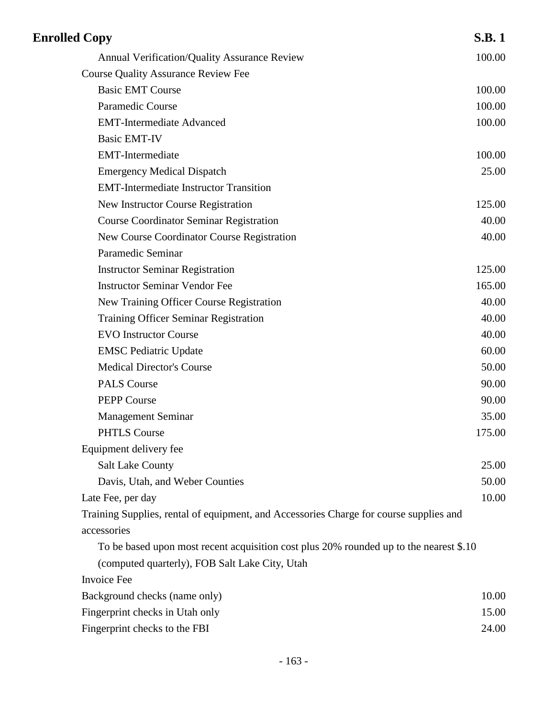| <b>Enrolled Copy</b>                                                                   | <b>S.B.1</b> |
|----------------------------------------------------------------------------------------|--------------|
| <b>Annual Verification/Quality Assurance Review</b>                                    | 100.00       |
| <b>Course Quality Assurance Review Fee</b>                                             |              |
| <b>Basic EMT Course</b>                                                                | 100.00       |
| <b>Paramedic Course</b>                                                                | 100.00       |
| <b>EMT-Intermediate Advanced</b>                                                       | 100.00       |
| <b>Basic EMT-IV</b>                                                                    |              |
| <b>EMT-Intermediate</b>                                                                | 100.00       |
| <b>Emergency Medical Dispatch</b>                                                      | 25.00        |
| <b>EMT-Intermediate Instructor Transition</b>                                          |              |
| <b>New Instructor Course Registration</b>                                              | 125.00       |
| <b>Course Coordinator Seminar Registration</b>                                         | 40.00        |
| New Course Coordinator Course Registration                                             | 40.00        |
| Paramedic Seminar                                                                      |              |
| <b>Instructor Seminar Registration</b>                                                 | 125.00       |
| <b>Instructor Seminar Vendor Fee</b>                                                   | 165.00       |
| New Training Officer Course Registration                                               | 40.00        |
| <b>Training Officer Seminar Registration</b>                                           | 40.00        |
| <b>EVO Instructor Course</b>                                                           | 40.00        |
| <b>EMSC</b> Pediatric Update                                                           | 60.00        |
| <b>Medical Director's Course</b>                                                       | 50.00        |
| <b>PALS Course</b>                                                                     | 90.00        |
| <b>PEPP Course</b>                                                                     | 90.00        |
| <b>Management Seminar</b>                                                              | 35.00        |
| <b>PHTLS Course</b>                                                                    | 175.00       |
| Equipment delivery fee                                                                 |              |
| <b>Salt Lake County</b>                                                                | 25.00        |
| Davis, Utah, and Weber Counties                                                        | 50.00        |
| Late Fee, per day                                                                      | 10.00        |
| Training Supplies, rental of equipment, and Accessories Charge for course supplies and |              |
| accessories                                                                            |              |
| To be based upon most recent acquisition cost plus 20% rounded up to the nearest \$.10 |              |
| (computed quarterly), FOB Salt Lake City, Utah                                         |              |
| <b>Invoice Fee</b>                                                                     |              |
| Background checks (name only)                                                          | 10.00        |
| Fingerprint checks in Utah only                                                        | 15.00        |
| Fingerprint checks to the FBI                                                          | 24.00        |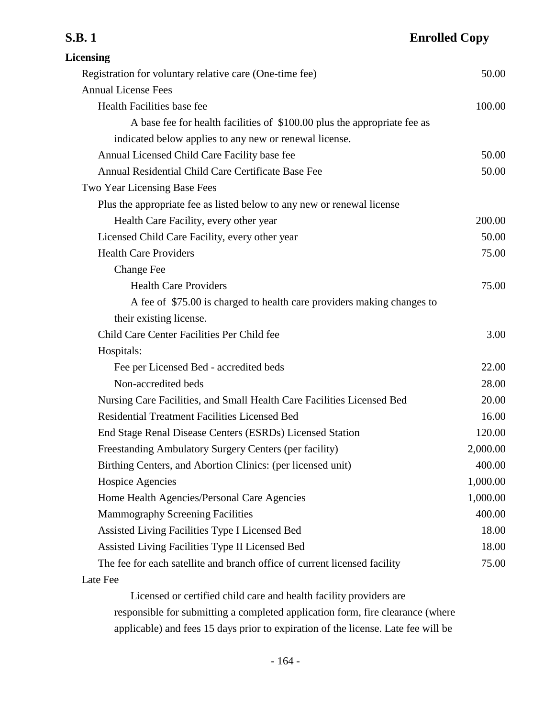| <b>Licensing</b>                                                          |          |
|---------------------------------------------------------------------------|----------|
| Registration for voluntary relative care (One-time fee)                   | 50.00    |
| <b>Annual License Fees</b>                                                |          |
| Health Facilities base fee                                                | 100.00   |
| A base fee for health facilities of \$100.00 plus the appropriate fee as  |          |
| indicated below applies to any new or renewal license.                    |          |
| Annual Licensed Child Care Facility base fee                              | 50.00    |
| Annual Residential Child Care Certificate Base Fee                        | 50.00    |
| Two Year Licensing Base Fees                                              |          |
| Plus the appropriate fee as listed below to any new or renewal license    |          |
| Health Care Facility, every other year                                    | 200.00   |
| Licensed Child Care Facility, every other year                            | 50.00    |
| <b>Health Care Providers</b>                                              | 75.00    |
| <b>Change Fee</b>                                                         |          |
| <b>Health Care Providers</b>                                              | 75.00    |
| A fee of \$75.00 is charged to health care providers making changes to    |          |
| their existing license.                                                   |          |
| Child Care Center Facilities Per Child fee                                | 3.00     |
| Hospitals:                                                                |          |
| Fee per Licensed Bed - accredited beds                                    | 22.00    |
| Non-accredited beds                                                       | 28.00    |
| Nursing Care Facilities, and Small Health Care Facilities Licensed Bed    | 20.00    |
| <b>Residential Treatment Facilities Licensed Bed</b>                      | 16.00    |
| End Stage Renal Disease Centers (ESRDs) Licensed Station                  | 120.00   |
| Freestanding Ambulatory Surgery Centers (per facility)                    | 2,000.00 |
| Birthing Centers, and Abortion Clinics: (per licensed unit)               | 400.00   |
| <b>Hospice Agencies</b>                                                   | 1,000.00 |
| Home Health Agencies/Personal Care Agencies                               | 1,000.00 |
| <b>Mammography Screening Facilities</b>                                   | 400.00   |
| Assisted Living Facilities Type I Licensed Bed                            | 18.00    |
| Assisted Living Facilities Type II Licensed Bed                           | 18.00    |
| The fee for each satellite and branch office of current licensed facility | 75.00    |
| Late Fee                                                                  |          |
|                                                                           |          |

Licensed or certified child care and health facility providers are responsible for submitting a completed application form, fire clearance (where applicable) and fees 15 days prior to expiration of the license. Late fee will be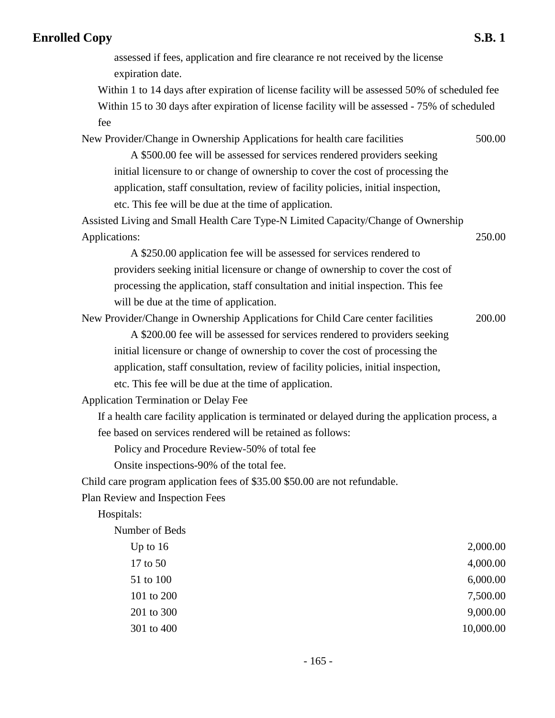assessed if fees, application and fire clearance re not received by the license expiration date.

Within 1 to 14 days after expiration of license facility will be assessed 50% of scheduled fee Within 15 to 30 days after expiration of license facility will be assessed - 75% of scheduled fee

New Provider/Change in Ownership Applications for health care facilities 500.00

A \$500.00 fee will be assessed for services rendered providers seeking initial licensure to or change of ownership to cover the cost of processing the application, staff consultation, review of facility policies, initial inspection, etc. This fee will be due at the time of application.

Assisted Living and Small Health Care Type-N Limited Capacity/Change of Ownership Applications: 250.00

A \$250.00 application fee will be assessed for services rendered to providers seeking initial licensure or change of ownership to cover the cost of processing the application, staff consultation and initial inspection. This fee will be due at the time of application.

New Provider/Change in Ownership Applications for Child Care center facilities 200.00

A \$200.00 fee will be assessed for services rendered to providers seeking initial licensure or change of ownership to cover the cost of processing the application, staff consultation, review of facility policies, initial inspection, etc. This fee will be due at the time of application.

Application Termination or Delay Fee

If a health care facility application is terminated or delayed during the application process, a fee based on services rendered will be retained as follows:

Policy and Procedure Review-50% of total fee

Onsite inspections-90% of the total fee.

Child care program application fees of \$35.00 \$50.00 are not refundable.

Plan Review and Inspection Fees

Hospitals:

Number of Beds Up to  $16$  2,000.00 17 to 50 4,000.00 51 to 100 6,000.00 101 to 200 7,500.00 201 to 300 9,000.00 301 to 400 10,000.00 10,000.00 10,000.00 10,000.00 10,000.00 10,000.00 10,000.00 10,000.00 10,000.00 10,000 10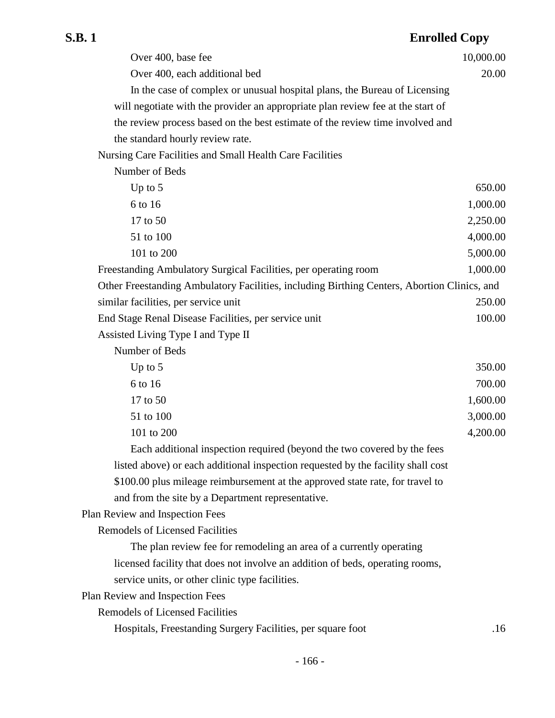| Over 400, base fee                                                                          | 10,000.00 |
|---------------------------------------------------------------------------------------------|-----------|
| Over 400, each additional bed                                                               | 20.00     |
| In the case of complex or unusual hospital plans, the Bureau of Licensing                   |           |
| will negotiate with the provider an appropriate plan review fee at the start of             |           |
| the review process based on the best estimate of the review time involved and               |           |
| the standard hourly review rate.                                                            |           |
| Nursing Care Facilities and Small Health Care Facilities                                    |           |
| Number of Beds                                                                              |           |
| Up to $5$                                                                                   | 650.00    |
| 6 to 16                                                                                     | 1,000.00  |
| 17 to 50                                                                                    | 2,250.00  |
| 51 to 100                                                                                   | 4,000.00  |
| 101 to 200                                                                                  | 5,000.00  |
| Freestanding Ambulatory Surgical Facilities, per operating room                             | 1,000.00  |
| Other Freestanding Ambulatory Facilities, including Birthing Centers, Abortion Clinics, and |           |
| similar facilities, per service unit                                                        | 250.00    |
| End Stage Renal Disease Facilities, per service unit                                        | 100.00    |
| Assisted Living Type I and Type II                                                          |           |
| Number of Beds                                                                              |           |
| Up to $5$                                                                                   | 350.00    |
| 6 to 16                                                                                     | 700.00    |
| 17 to 50                                                                                    | 1,600.00  |
| 51 to 100                                                                                   | 3,000.00  |
| 101 to 200                                                                                  | 4,200.00  |
| Each additional inspection required (beyond the two covered by the fees                     |           |
| listed above) or each additional inspection requested by the facility shall cost            |           |
| \$100.00 plus mileage reimbursement at the approved state rate, for travel to               |           |
| and from the site by a Department representative.                                           |           |
| Plan Review and Inspection Fees                                                             |           |
| <b>Remodels of Licensed Facilities</b>                                                      |           |
| The plan review fee for remodeling an area of a currently operating                         |           |
| licensed facility that does not involve an addition of beds, operating rooms,               |           |
| service units, or other clinic type facilities.                                             |           |
| Plan Review and Inspection Fees                                                             |           |
| <b>Remodels of Licensed Facilities</b>                                                      |           |
| Hospitals, Freestanding Surgery Facilities, per square foot                                 | .16       |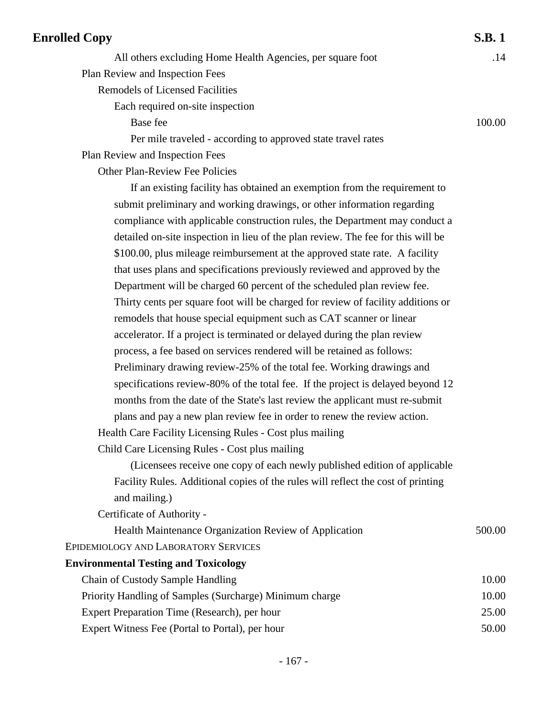| <b>Enrolled Copy</b>                                                             | <b>S.B.1</b> |
|----------------------------------------------------------------------------------|--------------|
| All others excluding Home Health Agencies, per square foot                       | .14          |
| Plan Review and Inspection Fees                                                  |              |
| <b>Remodels of Licensed Facilities</b>                                           |              |
| Each required on-site inspection                                                 |              |
| Base fee                                                                         | 100.00       |
| Per mile traveled - according to approved state travel rates                     |              |
| Plan Review and Inspection Fees                                                  |              |
| <b>Other Plan-Review Fee Policies</b>                                            |              |
| If an existing facility has obtained an exemption from the requirement to        |              |
| submit preliminary and working drawings, or other information regarding          |              |
| compliance with applicable construction rules, the Department may conduct a      |              |
| detailed on-site inspection in lieu of the plan review. The fee for this will be |              |
| \$100.00, plus mileage reimbursement at the approved state rate. A facility      |              |
| that uses plans and specifications previously reviewed and approved by the       |              |
| Department will be charged 60 percent of the scheduled plan review fee.          |              |
| Thirty cents per square foot will be charged for review of facility additions or |              |
| remodels that house special equipment such as CAT scanner or linear              |              |
| accelerator. If a project is terminated or delayed during the plan review        |              |
| process, a fee based on services rendered will be retained as follows:           |              |
| Preliminary drawing review-25% of the total fee. Working drawings and            |              |
| specifications review-80% of the total fee. If the project is delayed beyond 12  |              |
| months from the date of the State's last review the applicant must re-submit     |              |
| plans and pay a new plan review fee in order to renew the review action.         |              |
| Health Care Facility Licensing Rules - Cost plus mailing                         |              |
| Child Care Licensing Rules - Cost plus mailing                                   |              |
| (Licensees receive one copy of each newly published edition of applicable        |              |
| Facility Rules. Additional copies of the rules will reflect the cost of printing |              |
| and mailing.)                                                                    |              |
| Certificate of Authority -                                                       |              |
| Health Maintenance Organization Review of Application                            | 500.00       |
| <b>EPIDEMIOLOGY AND LABORATORY SERVICES</b>                                      |              |
| <b>Environmental Testing and Toxicology</b>                                      |              |
| Chain of Custody Sample Handling                                                 | 10.00        |
| Priority Handling of Samples (Surcharge) Minimum charge                          | 10.00        |
| Expert Preparation Time (Research), per hour                                     | 25.00        |
| Expert Witness Fee (Portal to Portal), per hour                                  | 50.00        |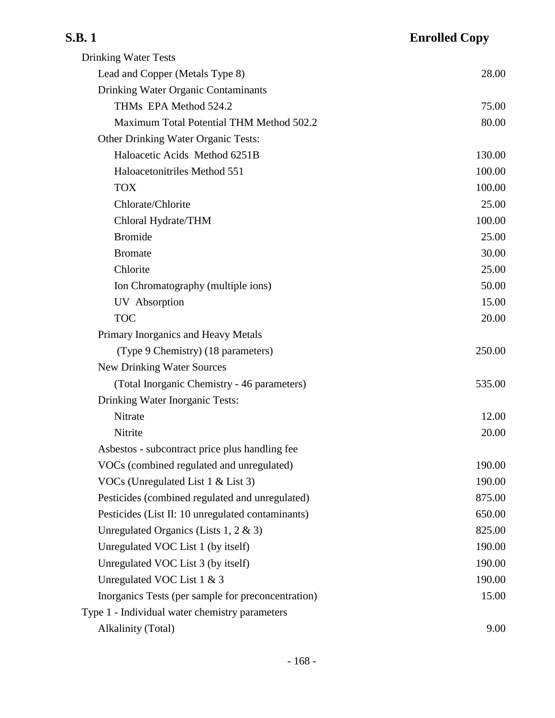| <b>Drinking Water Tests</b>                        |        |
|----------------------------------------------------|--------|
| Lead and Copper (Metals Type 8)                    | 28.00  |
| Drinking Water Organic Contaminants                |        |
| THMs EPA Method 524.2                              | 75.00  |
| Maximum Total Potential THM Method 502.2           | 80.00  |
| Other Drinking Water Organic Tests:                |        |
| Haloacetic Acids Method 6251B                      | 130.00 |
| Haloacetonitriles Method 551                       | 100.00 |
| <b>TOX</b>                                         | 100.00 |
| Chlorate/Chlorite                                  | 25.00  |
| Chloral Hydrate/THM                                | 100.00 |
| <b>Bromide</b>                                     | 25.00  |
| <b>Bromate</b>                                     | 30.00  |
| Chlorite                                           | 25.00  |
| Ion Chromatography (multiple ions)                 | 50.00  |
| UV Absorption                                      | 15.00  |
| <b>TOC</b>                                         | 20.00  |
| Primary Inorganics and Heavy Metals                |        |
| (Type 9 Chemistry) (18 parameters)                 | 250.00 |
| <b>New Drinking Water Sources</b>                  |        |
| (Total Inorganic Chemistry - 46 parameters)        | 535.00 |
| Drinking Water Inorganic Tests:                    |        |
| Nitrate                                            | 12.00  |
| Nitrite                                            | 20.00  |
| Asbestos - subcontract price plus handling fee     |        |
| VOCs (combined regulated and unregulated)          | 190.00 |
| VOCs (Unregulated List 1 & List 3)                 | 190.00 |
| Pesticides (combined regulated and unregulated)    | 875.00 |
| Pesticides (List II: 10 unregulated contaminants)  | 650.00 |
| Unregulated Organics (Lists 1, 2 & 3)              | 825.00 |
| Unregulated VOC List 1 (by itself)                 | 190.00 |
| Unregulated VOC List 3 (by itself)                 | 190.00 |
| Unregulated VOC List $1 \& 3$                      | 190.00 |
| Inorganics Tests (per sample for preconcentration) | 15.00  |
| Type 1 - Individual water chemistry parameters     |        |
| <b>Alkalinity (Total)</b>                          | 9.00   |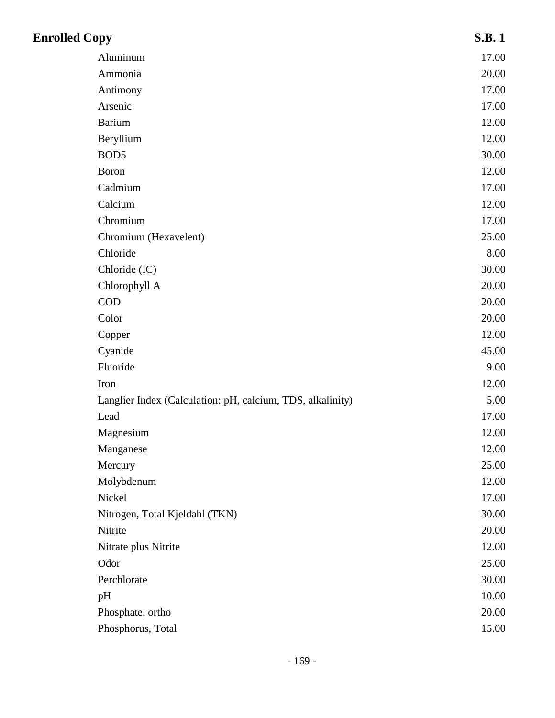| <b>Enrolled Copy</b>                                       | <b>S.B.1</b> |
|------------------------------------------------------------|--------------|
| Aluminum                                                   | 17.00        |
| Ammonia                                                    | 20.00        |
| Antimony                                                   | 17.00        |
| Arsenic                                                    | 17.00        |
| <b>Barium</b>                                              | 12.00        |
| Beryllium                                                  | 12.00        |
| BOD <sub>5</sub>                                           | 30.00        |
| <b>Boron</b>                                               | 12.00        |
| Cadmium                                                    | 17.00        |
| Calcium                                                    | 12.00        |
| Chromium                                                   | 17.00        |
| Chromium (Hexavelent)                                      | 25.00        |
| Chloride                                                   | 8.00         |
| Chloride (IC)                                              | 30.00        |
| Chlorophyll A                                              | 20.00        |
| <b>COD</b>                                                 | 20.00        |
| Color                                                      | 20.00        |
| Copper                                                     | 12.00        |
| Cyanide                                                    | 45.00        |
| Fluoride                                                   | 9.00         |
| Iron                                                       | 12.00        |
| Langlier Index (Calculation: pH, calcium, TDS, alkalinity) | 5.00         |
| Lead                                                       | 17.00        |
| Magnesium                                                  | 12.00        |
| Manganese                                                  | 12.00        |
| Mercury                                                    | 25.00        |
| Molybdenum                                                 | 12.00        |
| Nickel                                                     | 17.00        |
| Nitrogen, Total Kjeldahl (TKN)                             | 30.00        |
| Nitrite                                                    | 20.00        |
| Nitrate plus Nitrite                                       | 12.00        |
| Odor                                                       | 25.00        |
| Perchlorate                                                | 30.00        |
| pH                                                         | 10.00        |
| Phosphate, ortho                                           | 20.00        |
| Phosphorus, Total                                          | 15.00        |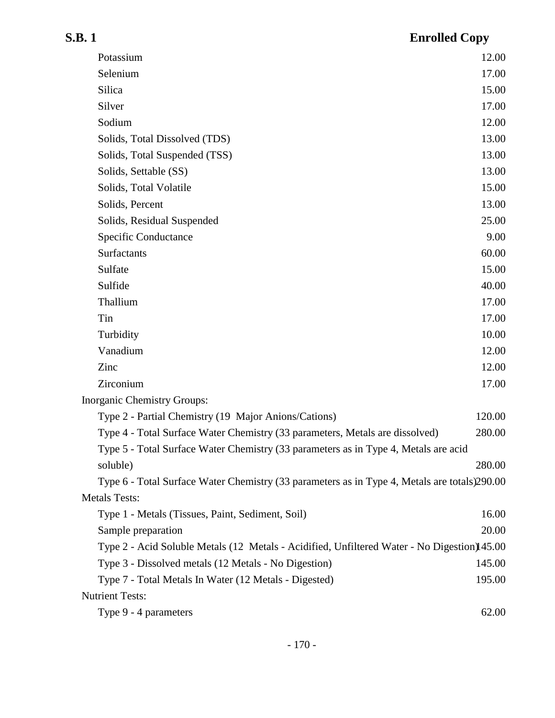| Potassium                                                                                     | 12.00  |
|-----------------------------------------------------------------------------------------------|--------|
| Selenium                                                                                      | 17.00  |
| Silica                                                                                        | 15.00  |
| Silver                                                                                        | 17.00  |
| Sodium                                                                                        | 12.00  |
| Solids, Total Dissolved (TDS)                                                                 | 13.00  |
| Solids, Total Suspended (TSS)                                                                 | 13.00  |
| Solids, Settable (SS)                                                                         | 13.00  |
| Solids, Total Volatile                                                                        | 15.00  |
| Solids, Percent                                                                               | 13.00  |
| Solids, Residual Suspended                                                                    | 25.00  |
| Specific Conductance                                                                          | 9.00   |
| Surfactants                                                                                   | 60.00  |
| Sulfate                                                                                       | 15.00  |
| Sulfide                                                                                       | 40.00  |
| Thallium                                                                                      | 17.00  |
| Tin                                                                                           | 17.00  |
| Turbidity                                                                                     | 10.00  |
| Vanadium                                                                                      | 12.00  |
| Zinc                                                                                          | 12.00  |
| Zirconium                                                                                     | 17.00  |
| Inorganic Chemistry Groups:                                                                   |        |
| Type 2 - Partial Chemistry (19 Major Anions/Cations)                                          | 120.00 |
| Type 4 - Total Surface Water Chemistry (33 parameters, Metals are dissolved)                  | 280.00 |
| Type 5 - Total Surface Water Chemistry (33 parameters as in Type 4, Metals are acid           |        |
| soluble)                                                                                      | 280.00 |
| Type 6 - Total Surface Water Chemistry (33 parameters as in Type 4, Metals are totals) 290.00 |        |
| <b>Metals Tests:</b>                                                                          |        |
| Type 1 - Metals (Tissues, Paint, Sediment, Soil)                                              | 16.00  |
| Sample preparation                                                                            | 20.00  |
| Type 2 - Acid Soluble Metals (12 Metals - Acidified, Unfiltered Water - No Digestion) 45.00   |        |
| Type 3 - Dissolved metals (12 Metals - No Digestion)                                          | 145.00 |
| Type 7 - Total Metals In Water (12 Metals - Digested)                                         | 195.00 |
| <b>Nutrient Tests:</b>                                                                        |        |
| Type 9 - 4 parameters                                                                         | 62.00  |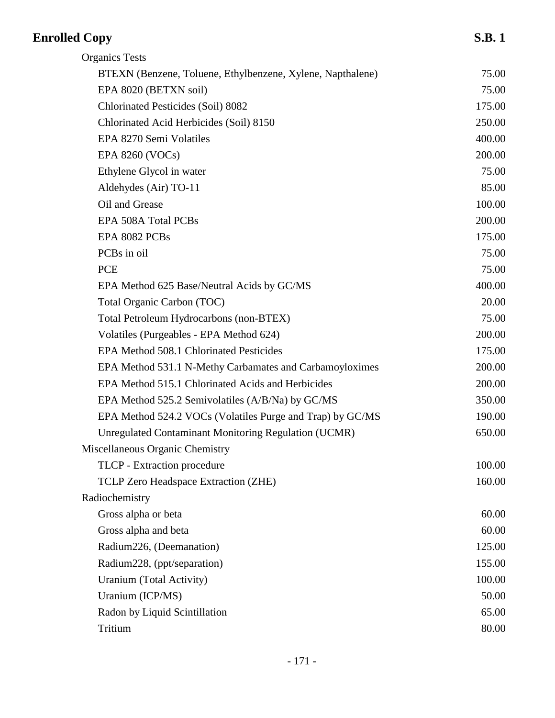| <b>Organics Tests</b>                                       |        |
|-------------------------------------------------------------|--------|
| BTEXN (Benzene, Toluene, Ethylbenzene, Xylene, Napthalene)  | 75.00  |
| EPA 8020 (BETXN soil)                                       | 75.00  |
| Chlorinated Pesticides (Soil) 8082                          | 175.00 |
| Chlorinated Acid Herbicides (Soil) 8150                     | 250.00 |
| EPA 8270 Semi Volatiles                                     | 400.00 |
| EPA 8260 (VOCs)                                             | 200.00 |
| Ethylene Glycol in water                                    | 75.00  |
| Aldehydes (Air) TO-11                                       | 85.00  |
| Oil and Grease                                              | 100.00 |
| EPA 508A Total PCBs                                         | 200.00 |
| EPA 8082 PCBs                                               | 175.00 |
| PCBs in oil                                                 | 75.00  |
| <b>PCE</b>                                                  | 75.00  |
| EPA Method 625 Base/Neutral Acids by GC/MS                  | 400.00 |
| Total Organic Carbon (TOC)                                  | 20.00  |
| Total Petroleum Hydrocarbons (non-BTEX)                     | 75.00  |
| Volatiles (Purgeables - EPA Method 624)                     | 200.00 |
| EPA Method 508.1 Chlorinated Pesticides                     | 175.00 |
| EPA Method 531.1 N-Methy Carbamates and Carbamoyloximes     | 200.00 |
| EPA Method 515.1 Chlorinated Acids and Herbicides           | 200.00 |
| EPA Method 525.2 Semivolatiles (A/B/Na) by GC/MS            | 350.00 |
| EPA Method 524.2 VOCs (Volatiles Purge and Trap) by GC/MS   | 190.00 |
| <b>Unregulated Contaminant Monitoring Regulation (UCMR)</b> | 650.00 |
| Miscellaneous Organic Chemistry                             |        |
| TLCP - Extraction procedure                                 | 100.00 |
| TCLP Zero Headspace Extraction (ZHE)                        | 160.00 |
| Radiochemistry                                              |        |
| Gross alpha or beta                                         | 60.00  |
| Gross alpha and beta                                        | 60.00  |
| Radium226, (Deemanation)                                    | 125.00 |
| Radium228, (ppt/separation)                                 | 155.00 |
| Uranium (Total Activity)                                    | 100.00 |
| Uranium (ICP/MS)                                            | 50.00  |
| Radon by Liquid Scintillation                               | 65.00  |
| Tritium                                                     | 80.00  |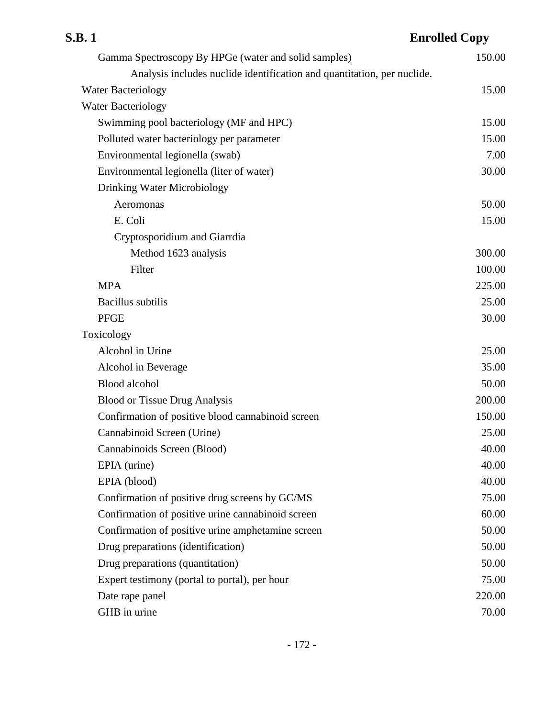## **S.B. 1 Enrolled Copy** Gamma Spectroscopy By HPGe (water and solid samples) 150.00 Analysis includes nuclide identification and quantitation, per nuclide. Water Bacteriology 15.00 Water Bacteriology Swimming pool bacteriology (MF and HPC) 15.00 Polluted water bacteriology per parameter 15.00 Environmental legionella (swab) 7.00 Environmental legionella (liter of water) 30.00 Drinking Water Microbiology Aeromonas 50.00 E. Coli 15.00 Cryptosporidium and Giarrdia Method 1623 analysis 300.00 Filter 100.00  $MPA$  225.00 Bacillus subtilis 25.00 PFGE 30.00 Toxicology Alcohol in Urine 25.00 Alcohol in Beverage 35.00 Blood alcohol 50.00 Blood or Tissue Drug Analysis 200.00 Confirmation of positive blood cannabinoid screen 150.00 Cannabinoid Screen (Urine) 25.00 Cannabinoids Screen (Blood) 40.00 EPIA (urine) 40.00 EPIA (blood) 40.00 Confirmation of positive drug screens by GC/MS 75.00 Confirmation of positive urine cannabinoid screen 60.00 Confirmation of positive urine amphetamine screen 50.00 Drug preparations (identification) 50.00 Drug preparations (quantitation) 50.00 Expert testimony (portal to portal), per hour 75.00 Date rape panel 220.00 GHB in urine 70.00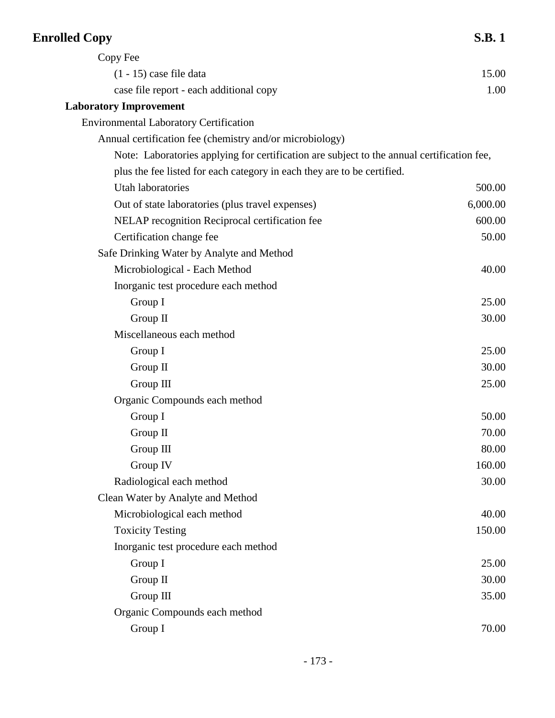| <b>Enrolled Copy</b>                                                                       | <b>S.B.1</b> |
|--------------------------------------------------------------------------------------------|--------------|
| Copy Fee                                                                                   |              |
| $(1 - 15)$ case file data                                                                  | 15.00        |
| case file report - each additional copy                                                    | 1.00         |
| <b>Laboratory Improvement</b>                                                              |              |
| <b>Environmental Laboratory Certification</b>                                              |              |
| Annual certification fee (chemistry and/or microbiology)                                   |              |
| Note: Laboratories applying for certification are subject to the annual certification fee, |              |
| plus the fee listed for each category in each they are to be certified.                    |              |
| <b>Utah laboratories</b>                                                                   | 500.00       |
| Out of state laboratories (plus travel expenses)                                           | 6,000.00     |
| NELAP recognition Reciprocal certification fee                                             | 600.00       |
| Certification change fee                                                                   | 50.00        |
| Safe Drinking Water by Analyte and Method                                                  |              |
| Microbiological - Each Method                                                              | 40.00        |
| Inorganic test procedure each method                                                       |              |
| Group I                                                                                    | 25.00        |
| Group II                                                                                   | 30.00        |
| Miscellaneous each method                                                                  |              |
| Group I                                                                                    | 25.00        |
| Group $\Pi$                                                                                | 30.00        |
| Group III                                                                                  | 25.00        |
| Organic Compounds each method                                                              |              |
| Group I                                                                                    | 50.00        |
| Group II                                                                                   | 70.00        |
| Group III                                                                                  | 80.00        |
| Group IV                                                                                   | 160.00       |
| Radiological each method                                                                   | 30.00        |
| Clean Water by Analyte and Method                                                          |              |
| Microbiological each method                                                                | 40.00        |
| <b>Toxicity Testing</b>                                                                    | 150.00       |
| Inorganic test procedure each method                                                       |              |
| Group I                                                                                    | 25.00        |
| Group II                                                                                   | 30.00        |
| Group III                                                                                  | 35.00        |
| Organic Compounds each method                                                              |              |
| Group I                                                                                    | 70.00        |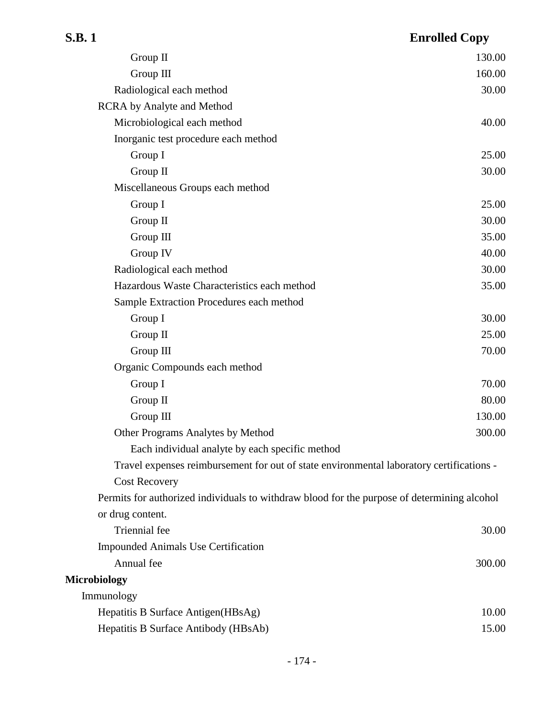| Group II                                                                                    | 130.00 |
|---------------------------------------------------------------------------------------------|--------|
| Group III                                                                                   | 160.00 |
| Radiological each method                                                                    | 30.00  |
| <b>RCRA</b> by Analyte and Method                                                           |        |
| Microbiological each method                                                                 | 40.00  |
| Inorganic test procedure each method                                                        |        |
| Group I                                                                                     | 25.00  |
| Group II                                                                                    | 30.00  |
| Miscellaneous Groups each method                                                            |        |
| Group I                                                                                     | 25.00  |
| Group II                                                                                    | 30.00  |
| Group III                                                                                   | 35.00  |
| Group IV                                                                                    | 40.00  |
| Radiological each method                                                                    | 30.00  |
| Hazardous Waste Characteristics each method                                                 | 35.00  |
| Sample Extraction Procedures each method                                                    |        |
| Group I                                                                                     | 30.00  |
| Group II                                                                                    | 25.00  |
| Group III                                                                                   | 70.00  |
| Organic Compounds each method                                                               |        |
| Group I                                                                                     | 70.00  |
| Group II                                                                                    | 80.00  |
| Group III                                                                                   | 130.00 |
| Other Programs Analytes by Method                                                           | 300.00 |
| Each individual analyte by each specific method                                             |        |
| Travel expenses reimbursement for out of state environmental laboratory certifications -    |        |
| <b>Cost Recovery</b>                                                                        |        |
| Permits for authorized individuals to withdraw blood for the purpose of determining alcohol |        |
| or drug content.                                                                            |        |
| Triennial fee                                                                               | 30.00  |
| <b>Impounded Animals Use Certification</b>                                                  |        |
| Annual fee                                                                                  | 300.00 |
| <b>Microbiology</b>                                                                         |        |
| Immunology                                                                                  |        |
| Hepatitis B Surface Antigen (HBsAg)                                                         | 10.00  |
| Hepatitis B Surface Antibody (HBsAb)                                                        | 15.00  |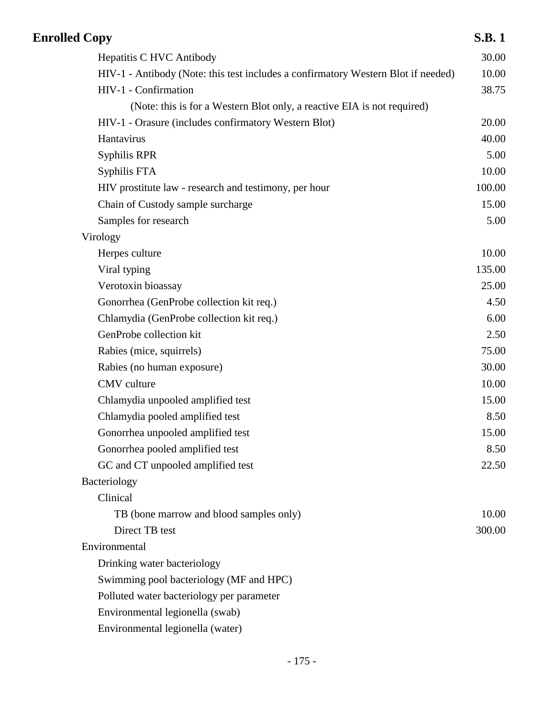| <b>Enrolled Copy</b>                                                              | <b>S.B.1</b> |
|-----------------------------------------------------------------------------------|--------------|
| Hepatitis C HVC Antibody                                                          | 30.00        |
| HIV-1 - Antibody (Note: this test includes a confirmatory Western Blot if needed) | 10.00        |
| HIV-1 - Confirmation                                                              | 38.75        |
| (Note: this is for a Western Blot only, a reactive EIA is not required)           |              |
| HIV-1 - Orasure (includes confirmatory Western Blot)                              | 20.00        |
| Hantavirus                                                                        | 40.00        |
| <b>Syphilis RPR</b>                                                               | 5.00         |
| Syphilis FTA                                                                      | 10.00        |
| HIV prostitute law - research and testimony, per hour                             | 100.00       |
| Chain of Custody sample surcharge                                                 | 15.00        |
| Samples for research                                                              | 5.00         |
| Virology                                                                          |              |
| Herpes culture                                                                    | 10.00        |
| Viral typing                                                                      | 135.00       |
| Verotoxin bioassay                                                                | 25.00        |
| Gonorrhea (GenProbe collection kit req.)                                          | 4.50         |
| Chlamydia (GenProbe collection kit req.)                                          | 6.00         |
| GenProbe collection kit                                                           | 2.50         |
| Rabies (mice, squirrels)                                                          | 75.00        |
| Rabies (no human exposure)                                                        | 30.00        |
| CMV culture                                                                       | 10.00        |
| Chlamydia unpooled amplified test                                                 | 15.00        |
| Chlamydia pooled amplified test                                                   | 8.50         |
| Gonorrhea unpooled amplified test                                                 | 15.00        |
| Gonorrhea pooled amplified test                                                   | 8.50         |
| GC and CT unpooled amplified test                                                 | 22.50        |
| Bacteriology                                                                      |              |
| Clinical                                                                          |              |
| TB (bone marrow and blood samples only)                                           | 10.00        |
| Direct TB test                                                                    | 300.00       |
| Environmental                                                                     |              |
| Drinking water bacteriology                                                       |              |
| Swimming pool bacteriology (MF and HPC)                                           |              |
| Polluted water bacteriology per parameter                                         |              |
| Environmental legionella (swab)                                                   |              |
| Environmental legionella (water)                                                  |              |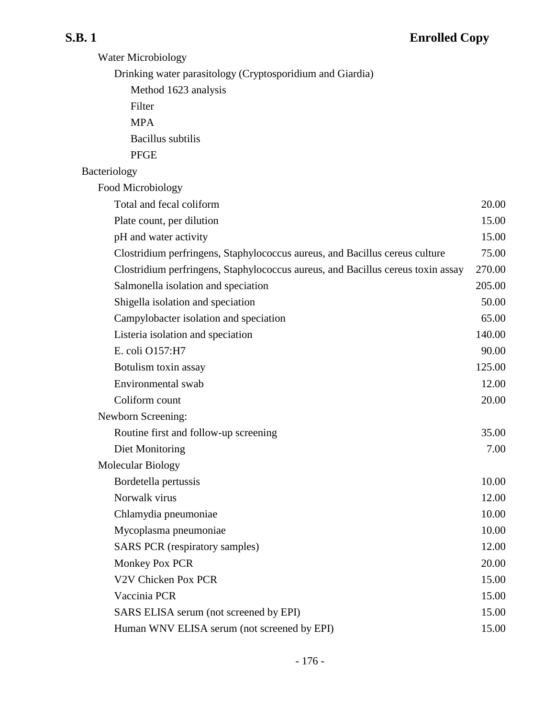| <b>Water Microbiology</b>                                                       |        |
|---------------------------------------------------------------------------------|--------|
| Drinking water parasitology (Cryptosporidium and Giardia)                       |        |
| Method 1623 analysis                                                            |        |
| Filter                                                                          |        |
| <b>MPA</b>                                                                      |        |
| <b>Bacillus</b> subtilis                                                        |        |
| <b>PFGE</b>                                                                     |        |
| Bacteriology                                                                    |        |
| Food Microbiology                                                               |        |
| Total and fecal coliform                                                        | 20.00  |
| Plate count, per dilution                                                       | 15.00  |
| pH and water activity                                                           | 15.00  |
| Clostridium perfringens, Staphylococcus aureus, and Bacillus cereus culture     | 75.00  |
| Clostridium perfringens, Staphylococcus aureus, and Bacillus cereus toxin assay | 270.00 |
| Salmonella isolation and speciation                                             | 205.00 |
| Shigella isolation and speciation                                               | 50.00  |
| Campylobacter isolation and speciation                                          | 65.00  |
| Listeria isolation and speciation                                               | 140.00 |
| E. coli O157:H7                                                                 | 90.00  |
| Botulism toxin assay                                                            | 125.00 |
| Environmental swab                                                              | 12.00  |
| Coliform count                                                                  | 20.00  |
| Newborn Screening:                                                              |        |
| Routine first and follow-up screening                                           | 35.00  |
| Diet Monitoring                                                                 | 7.00   |
| Molecular Biology                                                               |        |
| Bordetella pertussis                                                            | 10.00  |
| Norwalk virus                                                                   | 12.00  |
| Chlamydia pneumoniae                                                            | 10.00  |
| Mycoplasma pneumoniae                                                           | 10.00  |
| <b>SARS PCR</b> (respiratory samples)                                           | 12.00  |
| Monkey Pox PCR                                                                  | 20.00  |
| V2V Chicken Pox PCR                                                             | 15.00  |
| Vaccinia PCR                                                                    | 15.00  |
| SARS ELISA serum (not screened by EPI)                                          | 15.00  |
| Human WNV ELISA serum (not screened by EPI)                                     | 15.00  |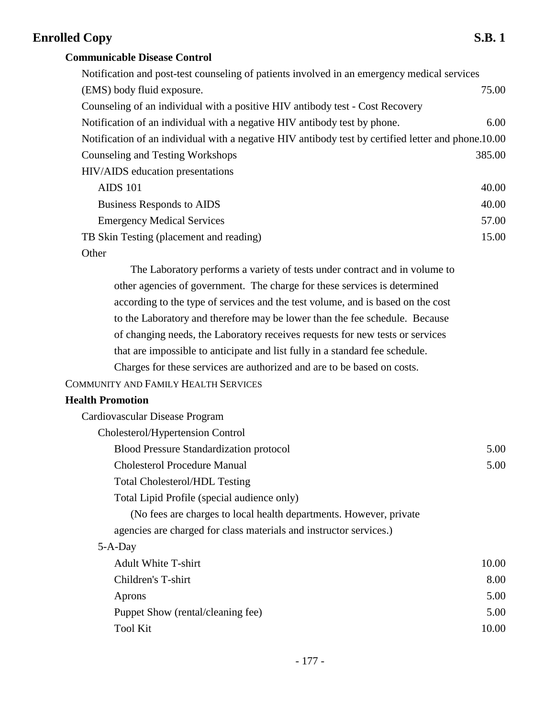## **Communicable Disease Control**

| Notification and post-test counseling of patients involved in an emergency medical services         |        |
|-----------------------------------------------------------------------------------------------------|--------|
| (EMS) body fluid exposure.                                                                          | 75.00  |
| Counseling of an individual with a positive HIV antibody test - Cost Recovery                       |        |
| Notification of an individual with a negative HIV antibody test by phone.                           | 6.00   |
| Notification of an individual with a negative HIV antibody test by certified letter and phone.10.00 |        |
| Counseling and Testing Workshops                                                                    | 385.00 |
| HIV/AIDS education presentations                                                                    |        |
| <b>AIDS 101</b>                                                                                     | 40.00  |
| Business Responds to AIDS                                                                           | 40.00  |
| <b>Emergency Medical Services</b>                                                                   | 57.00  |
| TB Skin Testing (placement and reading)                                                             | 15.00  |
| $\bigcap_{\alpha}$                                                                                  |        |

Other

The Laboratory performs a variety of tests under contract and in volume to other agencies of government. The charge for these services is determined according to the type of services and the test volume, and is based on the cost to the Laboratory and therefore may be lower than the fee schedule. Because of changing needs, the Laboratory receives requests for new tests or services that are impossible to anticipate and list fully in a standard fee schedule. Charges for these services are authorized and are to be based on costs.

### COMMUNITY AND FAMILY HEALTH SERVICES

### **Health Promotion**

| Cardiovascular Disease Program                                     |       |
|--------------------------------------------------------------------|-------|
| Cholesterol/Hypertension Control                                   |       |
| <b>Blood Pressure Standardization protocol</b>                     | 5.00  |
| <b>Cholesterol Procedure Manual</b>                                | 5.00  |
| <b>Total Cholesterol/HDL Testing</b>                               |       |
| Total Lipid Profile (special audience only)                        |       |
| (No fees are charges to local health departments. However, private |       |
| agencies are charged for class materials and instructor services.) |       |
| $5-A-Day$                                                          |       |
| <b>Adult White T-shirt</b>                                         | 10.00 |
| Children's T-shirt                                                 | 8.00  |
| Aprons                                                             | 5.00  |
| Puppet Show (rental/cleaning fee)                                  | 5.00  |
| <b>Tool Kit</b>                                                    | 10.00 |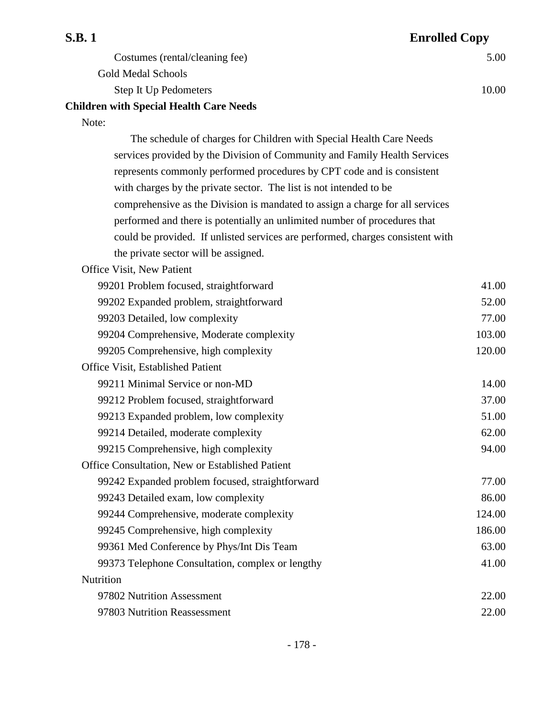| <b>S.B.1</b>                                                                   | <b>Enrolled Copy</b> |
|--------------------------------------------------------------------------------|----------------------|
| Costumes (rental/cleaning fee)                                                 | 5.00                 |
| <b>Gold Medal Schools</b>                                                      |                      |
| Step It Up Pedometers                                                          | 10.00                |
| <b>Children with Special Health Care Needs</b>                                 |                      |
| Note:                                                                          |                      |
| The schedule of charges for Children with Special Health Care Needs            |                      |
| services provided by the Division of Community and Family Health Services      |                      |
| represents commonly performed procedures by CPT code and is consistent         |                      |
| with charges by the private sector. The list is not intended to be             |                      |
| comprehensive as the Division is mandated to assign a charge for all services  |                      |
| performed and there is potentially an unlimited number of procedures that      |                      |
| could be provided. If unlisted services are performed, charges consistent with |                      |
| the private sector will be assigned.                                           |                      |
| Office Visit, New Patient                                                      |                      |
| 99201 Problem focused, straightforward                                         | 41.00                |
| 99202 Expanded problem, straightforward                                        | 52.00                |
| 99203 Detailed, low complexity                                                 | 77.00                |
| 99204 Comprehensive, Moderate complexity                                       | 103.00               |
| 99205 Comprehensive, high complexity                                           | 120.00               |
| Office Visit, Established Patient                                              |                      |
| $0.0211 \text{ N}$ $\cdots$ $1.0$ $\cdots$                                     | 1.00                 |

| 99211 Minimal Service or non-MD                        | 14.00  |
|--------------------------------------------------------|--------|
| 99212 Problem focused, straightforward                 | 37.00  |
| 99213 Expanded problem, low complexity                 | 51.00  |
| 99214 Detailed, moderate complexity                    | 62.00  |
| 99215 Comprehensive, high complexity                   | 94.00  |
| <b>Office Consultation, New or Established Patient</b> |        |
| 99242 Expanded problem focused, straightforward        | 77.00  |
| 99243 Detailed exam, low complexity                    | 86.00  |
| 99244 Comprehensive, moderate complexity               | 124.00 |
| 99245 Comprehensive, high complexity                   | 186.00 |
| 99361 Med Conference by Phys/Int Dis Team              | 63.00  |
| 99373 Telephone Consultation, complex or lengthy       | 41.00  |
| Nutrition                                              |        |
| 97802 Nutrition Assessment                             | 22.00  |

97803 Nutrition Reassessment 22.00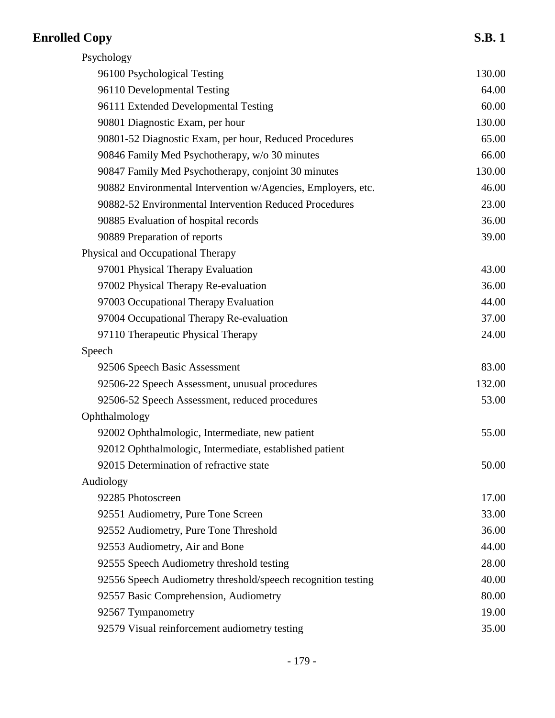| Psychology                                                   |        |
|--------------------------------------------------------------|--------|
| 96100 Psychological Testing                                  | 130.00 |
| 96110 Developmental Testing                                  | 64.00  |
| 96111 Extended Developmental Testing                         | 60.00  |
| 90801 Diagnostic Exam, per hour                              | 130.00 |
| 90801-52 Diagnostic Exam, per hour, Reduced Procedures       | 65.00  |
| 90846 Family Med Psychotherapy, w/o 30 minutes               | 66.00  |
| 90847 Family Med Psychotherapy, conjoint 30 minutes          | 130.00 |
| 90882 Environmental Intervention w/Agencies, Employers, etc. | 46.00  |
| 90882-52 Environmental Intervention Reduced Procedures       | 23.00  |
| 90885 Evaluation of hospital records                         | 36.00  |
| 90889 Preparation of reports                                 | 39.00  |
| Physical and Occupational Therapy                            |        |
| 97001 Physical Therapy Evaluation                            | 43.00  |
| 97002 Physical Therapy Re-evaluation                         | 36.00  |
| 97003 Occupational Therapy Evaluation                        | 44.00  |
| 97004 Occupational Therapy Re-evaluation                     | 37.00  |
| 97110 Therapeutic Physical Therapy                           | 24.00  |
| Speech                                                       |        |
| 92506 Speech Basic Assessment                                | 83.00  |
| 92506-22 Speech Assessment, unusual procedures               | 132.00 |
| 92506-52 Speech Assessment, reduced procedures               | 53.00  |
| Ophthalmology                                                |        |
| 92002 Ophthalmologic, Intermediate, new patient              | 55.00  |
| 92012 Ophthalmologic, Intermediate, established patient      |        |
| 92015 Determination of refractive state                      | 50.00  |
| Audiology                                                    |        |
| 92285 Photoscreen                                            | 17.00  |
| 92551 Audiometry, Pure Tone Screen                           | 33.00  |
| 92552 Audiometry, Pure Tone Threshold                        | 36.00  |
| 92553 Audiometry, Air and Bone                               | 44.00  |
| 92555 Speech Audiometry threshold testing                    | 28.00  |
| 92556 Speech Audiometry threshold/speech recognition testing | 40.00  |
| 92557 Basic Comprehension, Audiometry                        | 80.00  |
| 92567 Tympanometry                                           | 19.00  |
| 92579 Visual reinforcement audiometry testing                | 35.00  |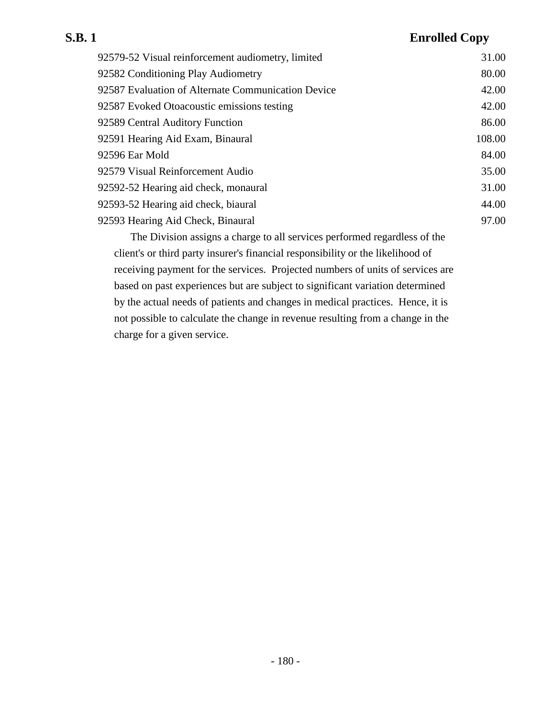# **S.B. 1 Enrolled Copy** 92579-52 Visual reinforcement audiometry, limited 31.00 92582 Conditioning Play Audiometry 80.00 92587 Evaluation of Alternate Communication Device 42.00 92587 Evoked Otoacoustic emissions testing 42.00 92589 Central Auditory Function 86.00 92591 Hearing Aid Exam, Binaural 108.00 92596 Ear Mold 84.00

92579 Visual Reinforcement Audio 35.00 92592-52 Hearing aid check, monaural 31.00 92593-52 Hearing aid check, biaural 44.00 92593 Hearing Aid Check, Binaural 97.00

The Division assigns a charge to all services performed regardless of the client's or third party insurer's financial responsibility or the likelihood of receiving payment for the services. Projected numbers of units of services are based on past experiences but are subject to significant variation determined by the actual needs of patients and changes in medical practices. Hence, it is not possible to calculate the change in revenue resulting from a change in the charge for a given service.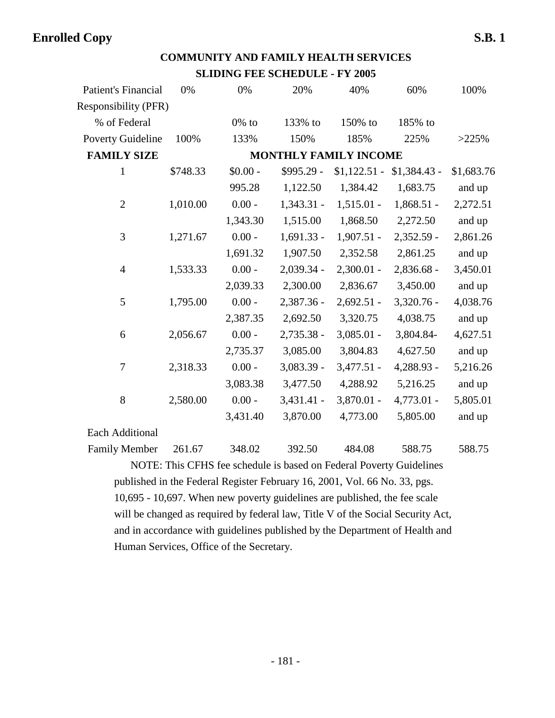## **COMMUNITY AND FAMILY HEALTH SERVICES SLIDING FEE SCHEDULE - FY 2005**

| <b>Patient's Financial</b>  | 0%       | 0%        | 20%          | 40%                          | 60%           | 100%       |
|-----------------------------|----------|-----------|--------------|------------------------------|---------------|------------|
| <b>Responsibility (PFR)</b> |          |           |              |                              |               |            |
| % of Federal                |          | $0\%$ to  | 133% to      | 150% to                      | 185% to       |            |
| <b>Poverty Guideline</b>    | 100%     | 133%      | 150%         | 185%                         | 225%          | >225%      |
| <b>FAMILY SIZE</b>          |          |           |              | <b>MONTHLY FAMILY INCOME</b> |               |            |
| $\mathbf{1}$                | \$748.33 | $$0.00 -$ | \$995.29 -   | $$1,122.51$ -                | $$1,384.43$ - | \$1,683.76 |
|                             |          | 995.28    | 1,122.50     | 1,384.42                     | 1,683.75      | and up     |
| $\overline{2}$              | 1,010.00 | $0.00 -$  | $1,343.31 -$ | $1,515.01 -$                 | $1,868.51 -$  | 2,272.51   |
|                             |          | 1,343.30  | 1,515.00     | 1,868.50                     | 2,272.50      | and up     |
| 3                           | 1,271.67 | $0.00 -$  | $1,691.33 -$ | $1,907.51 -$                 | 2,352.59 -    | 2,861.26   |
|                             |          | 1,691.32  | 1,907.50     | 2,352.58                     | 2,861.25      | and up     |
| $\overline{4}$              | 1,533.33 | $0.00 -$  | 2,039.34 -   | $2,300.01 -$                 | 2,836.68 -    | 3,450.01   |
|                             |          | 2,039.33  | 2,300.00     | 2,836.67                     | 3,450.00      | and up     |
| 5                           | 1,795.00 | $0.00 -$  | 2,387.36 -   | $2,692.51 -$                 | $3,320.76 -$  | 4,038.76   |
|                             |          | 2,387.35  | 2,692.50     | 3,320.75                     | 4,038.75      | and up     |
| 6                           | 2,056.67 | $0.00 -$  | 2,735.38 -   | $3,085.01 -$                 | 3,804.84-     | 4,627.51   |
|                             |          | 2,735.37  | 3,085.00     | 3,804.83                     | 4,627.50      | and up     |
| 7                           | 2,318.33 | $0.00 -$  | 3,083.39 -   | $3,477.51 -$                 | 4,288.93 -    | 5,216.26   |
|                             |          | 3,083.38  | 3,477.50     | 4,288.92                     | 5,216.25      | and up     |
| 8                           | 2,580.00 | $0.00 -$  | $3,431.41 -$ | 3,870.01 -                   | 4,773.01 -    | 5,805.01   |
|                             |          | 3,431.40  | 3,870.00     | 4,773.00                     | 5,805.00      | and up     |
| <b>Each Additional</b>      |          |           |              |                              |               |            |
| <b>Family Member</b>        | 261.67   | 348.02    | 392.50       | 484.08                       | 588.75        | 588.75     |

NOTE: This CFHS fee schedule is based on Federal Poverty Guidelines published in the Federal Register February 16, 2001, Vol. 66 No. 33, pgs. 10,695 - 10,697. When new poverty guidelines are published, the fee scale will be changed as required by federal law, Title V of the Social Security Act, and in accordance with guidelines published by the Department of Health and Human Services, Office of the Secretary.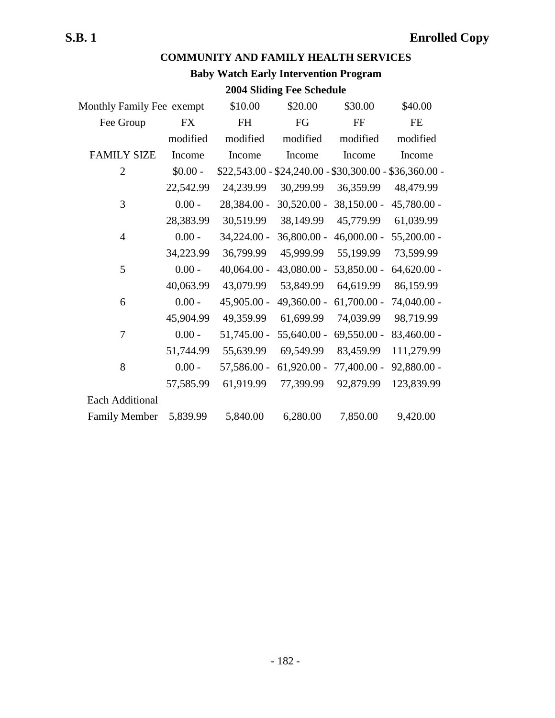## **COMMUNITY AND FAMILY HEALTH SERVICES**

## **Baby Watch Early Intervention Program**

## **2004 Sliding Fee Schedule**

| Monthly Family Fee exempt | \$10.00       | \$20.00       | \$30.00       | \$40.00                                               |
|---------------------------|---------------|---------------|---------------|-------------------------------------------------------|
| FX                        | FH            | FG            | FF            | FE                                                    |
| modified                  | modified      | modified      | modified      | modified                                              |
| Income                    | Income        | Income        | Income        | Income                                                |
| $$0.00 -$                 |               |               |               |                                                       |
| 22,542.99                 | 24,239.99     | 30,299.99     | 36,359.99     | 48,479.99                                             |
| $0.00 -$                  | 28,384.00 -   | $30,520.00 -$ | $38,150.00 -$ | 45,780.00 -                                           |
| 28,383.99                 | 30,519.99     | 38,149.99     | 45,779.99     | 61,039.99                                             |
| $0.00 -$                  | 34,224.00 -   | 36,800.00 -   | $46,000.00 -$ | $55,200.00 -$                                         |
| 34,223.99                 | 36,799.99     | 45,999.99     | 55,199.99     | 73,599.99                                             |
| $0.00 -$                  | $40,064.00 -$ | 43,080.00 -   | 53,850.00 -   | $64,620.00 -$                                         |
| 40,063.99                 | 43,079.99     | 53,849.99     | 64,619.99     | 86,159.99                                             |
| $0.00 -$                  | 45,905.00 -   | 49,360.00 -   | $61,700.00 -$ | 74,040.00 -                                           |
| 45,904.99                 | 49,359.99     | 61,699.99     | 74,039.99     | 98,719.99                                             |
| $0.00 -$                  | $51,745.00 -$ | $55,640.00 -$ | $69,550.00 -$ | 83,460.00 -                                           |
| 51,744.99                 | 55,639.99     | 69,549.99     | 83,459.99     | 111,279.99                                            |
| $0.00 -$                  | 57,586.00 -   | $61,920.00 -$ | 77,400.00 -   | 92,880.00 -                                           |
| 57,585.99                 | 61,919.99     | 77,399.99     | 92,879.99     | 123,839.99                                            |
|                           |               |               |               |                                                       |
| 5,839.99                  | 5,840.00      | 6,280.00      | 7,850.00      | 9,420.00                                              |
|                           |               |               |               | $$22,543.00 - $24,240.00 - $30,300.00 - $36,360.00 -$ |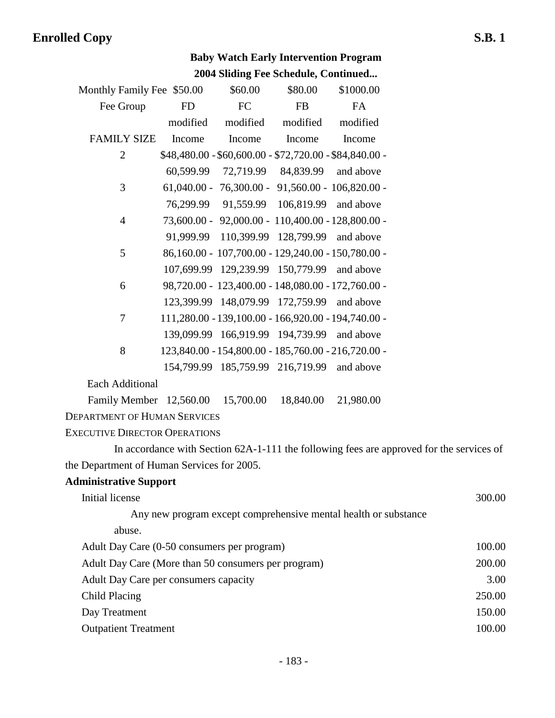|                                                     |           |           | <b>Baby Watch Early Intervention Program</b> |                                                                 |                                                                                          |
|-----------------------------------------------------|-----------|-----------|----------------------------------------------|-----------------------------------------------------------------|------------------------------------------------------------------------------------------|
|                                                     |           |           | 2004 Sliding Fee Schedule, Continued         |                                                                 |                                                                                          |
| Monthly Family Fee \$50.00                          |           | \$60.00   | \$80.00                                      | \$1000.00                                                       |                                                                                          |
| Fee Group                                           | <b>FD</b> | <b>FC</b> | <b>FB</b>                                    | <b>FA</b>                                                       |                                                                                          |
|                                                     | modified  | modified  | modified                                     | modified                                                        |                                                                                          |
| <b>FAMILY SIZE</b>                                  | Income    | Income    | Income                                       | Income                                                          |                                                                                          |
| $\overline{2}$                                      |           |           |                                              | $$48,480.00 - $60,600.00 - $72,720.00 - $84,840.00 -$           |                                                                                          |
|                                                     | 60,599.99 | 72,719.99 | 84,839.99                                    | and above                                                       |                                                                                          |
| 3                                                   |           |           |                                              | $61,040.00 - 76,300.00 - 91,560.00 - 106,820.00 -$              |                                                                                          |
|                                                     | 76,299.99 | 91,559.99 | 106,819.99 and above                         |                                                                 |                                                                                          |
| $\overline{4}$                                      |           |           |                                              | 73,600.00 - 92,000.00 - 110,400.00 - 128,800.00 -               |                                                                                          |
|                                                     | 91,999.99 |           | 110,399.99 128,799.99 and above              |                                                                 |                                                                                          |
| 5                                                   |           |           |                                              | 86,160.00 - 107,700.00 - 129,240.00 - 150,780.00 -              |                                                                                          |
|                                                     |           |           | 107,699.99 129,239.99 150,779.99 and above   |                                                                 |                                                                                          |
| 6                                                   |           |           |                                              | 98,720.00 - 123,400.00 - 148,080.00 - 172,760.00 -              |                                                                                          |
|                                                     |           |           | 123,399.99 148,079.99 172,759.99 and above   |                                                                 |                                                                                          |
| 7                                                   |           |           |                                              | 111,280.00 - 139,100.00 - 166,920.00 - 194,740.00 -             |                                                                                          |
|                                                     |           |           | 139,099.99 166,919.99 194,739.99 and above   |                                                                 |                                                                                          |
| 8                                                   |           |           |                                              | 123,840.00 - 154,800.00 - 185,760.00 - 216,720.00 -             |                                                                                          |
|                                                     |           |           | 154,799.99 185,759.99 216,719.99 and above   |                                                                 |                                                                                          |
| <b>Each Additional</b>                              |           |           |                                              |                                                                 |                                                                                          |
| Family Member 12,560.00                             |           | 15,700.00 | 18,840.00                                    | 21,980.00                                                       |                                                                                          |
| <b>DEPARTMENT OF HUMAN SERVICES</b>                 |           |           |                                              |                                                                 |                                                                                          |
| <b>EXECUTIVE DIRECTOR OPERATIONS</b>                |           |           |                                              |                                                                 |                                                                                          |
|                                                     |           |           |                                              |                                                                 | In accordance with Section 62A-1-111 the following fees are approved for the services of |
| the Department of Human Services for 2005.          |           |           |                                              |                                                                 |                                                                                          |
| <b>Administrative Support</b>                       |           |           |                                              |                                                                 |                                                                                          |
| Initial license                                     |           |           |                                              |                                                                 | 300.00                                                                                   |
|                                                     |           |           |                                              | Any new program except comprehensive mental health or substance |                                                                                          |
| abuse.                                              |           |           |                                              |                                                                 |                                                                                          |
| Adult Day Care (0-50 consumers per program)         |           |           |                                              |                                                                 | 100.00                                                                                   |
| Adult Day Care (More than 50 consumers per program) |           |           |                                              |                                                                 | 200.00                                                                                   |
| Adult Day Care per consumers capacity               |           |           |                                              |                                                                 | 3.00                                                                                     |
| <b>Child Placing</b>                                |           |           |                                              |                                                                 | 250.00                                                                                   |
| Day Treatment                                       |           |           |                                              |                                                                 | 150.00                                                                                   |

- 
- Outpatient Treatment 100.00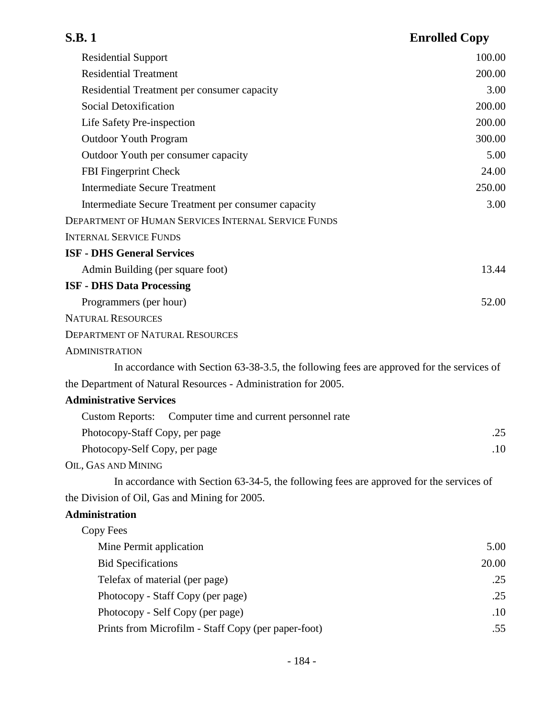| <b>S.B.1</b>                                                                              | <b>Enrolled Copy</b> |
|-------------------------------------------------------------------------------------------|----------------------|
| <b>Residential Support</b>                                                                | 100.00               |
| <b>Residential Treatment</b>                                                              | 200.00               |
| Residential Treatment per consumer capacity                                               | 3.00                 |
| Social Detoxification                                                                     | 200.00               |
| Life Safety Pre-inspection                                                                | 200.00               |
| <b>Outdoor Youth Program</b>                                                              | 300.00               |
| Outdoor Youth per consumer capacity                                                       | 5.00                 |
| FBI Fingerprint Check                                                                     | 24.00                |
| <b>Intermediate Secure Treatment</b>                                                      | 250.00               |
| Intermediate Secure Treatment per consumer capacity                                       | 3.00                 |
| <b>DEPARTMENT OF HUMAN SERVICES INTERNAL SERVICE FUNDS</b>                                |                      |
| <b>INTERNAL SERVICE FUNDS</b>                                                             |                      |
| <b>ISF - DHS General Services</b>                                                         |                      |
| Admin Building (per square foot)                                                          | 13.44                |
| <b>ISF - DHS Data Processing</b>                                                          |                      |
| Programmers (per hour)                                                                    | 52.00                |
| <b>NATURAL RESOURCES</b>                                                                  |                      |
| <b>DEPARTMENT OF NATURAL RESOURCES</b>                                                    |                      |
| <b>ADMINISTRATION</b>                                                                     |                      |
| In accordance with Section 63-38-3.5, the following fees are approved for the services of |                      |
| the Department of Natural Resources - Administration for 2005.                            |                      |
| <b>Administrative Services</b>                                                            |                      |
| Computer time and current personnel rate<br><b>Custom Reports:</b>                        |                      |
| Photocopy-Staff Copy, per page                                                            | .25                  |
| Photocopy-Self Copy, per page                                                             | .10                  |
| OIL, GAS AND MINING                                                                       |                      |
| In accordance with Section 63-34-5, the following fees are approved for the services of   |                      |
| the Division of Oil, Gas and Mining for 2005.                                             |                      |
| <b>Administration</b>                                                                     |                      |
| Copy Fees                                                                                 |                      |
| Mine Permit application                                                                   | 5.00                 |
| <b>Bid Specifications</b>                                                                 | 20.00                |
| Telefax of material (per page)                                                            | .25                  |
| Photocopy - Staff Copy (per page)                                                         | .25                  |
| Photocopy - Self Copy (per page)                                                          | .10                  |
| Prints from Microfilm - Staff Copy (per paper-foot)                                       | .55                  |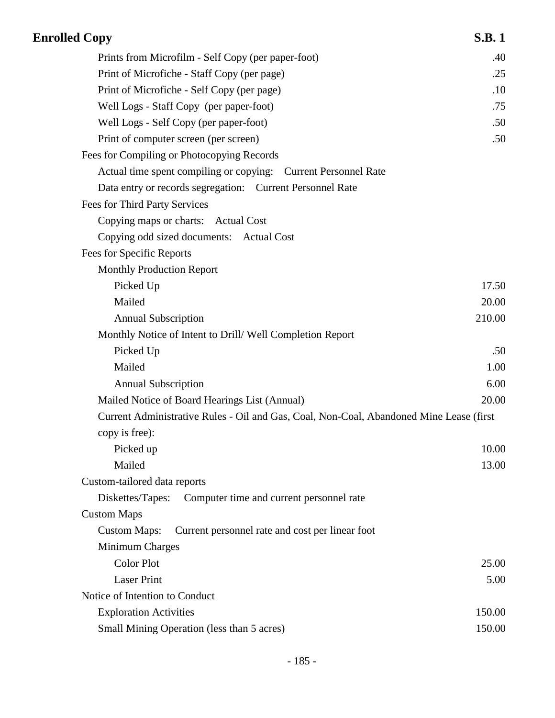| <b>Enrolled Copy</b>                                                                    | <b>S.B.1</b> |
|-----------------------------------------------------------------------------------------|--------------|
| Prints from Microfilm - Self Copy (per paper-foot)                                      | .40          |
| Print of Microfiche - Staff Copy (per page)                                             | .25          |
| Print of Microfiche - Self Copy (per page)                                              | .10          |
| Well Logs - Staff Copy (per paper-foot)                                                 | .75          |
| Well Logs - Self Copy (per paper-foot)                                                  | .50          |
| Print of computer screen (per screen)                                                   | .50          |
| Fees for Compiling or Photocopying Records                                              |              |
| Actual time spent compiling or copying: Current Personnel Rate                          |              |
| Data entry or records segregation: Current Personnel Rate                               |              |
| Fees for Third Party Services                                                           |              |
| Copying maps or charts: Actual Cost                                                     |              |
| Copying odd sized documents: Actual Cost                                                |              |
| Fees for Specific Reports                                                               |              |
| <b>Monthly Production Report</b>                                                        |              |
| Picked Up                                                                               | 17.50        |
| Mailed                                                                                  | 20.00        |
| <b>Annual Subscription</b>                                                              | 210.00       |
| Monthly Notice of Intent to Drill/Well Completion Report                                |              |
| Picked Up                                                                               | .50          |
| Mailed                                                                                  | 1.00         |
| <b>Annual Subscription</b>                                                              | 6.00         |
| Mailed Notice of Board Hearings List (Annual)                                           | 20.00        |
| Current Administrative Rules - Oil and Gas, Coal, Non-Coal, Abandoned Mine Lease (first |              |
| copy is free):                                                                          |              |
| Picked up                                                                               | 10.00        |
| Mailed                                                                                  | 13.00        |
| Custom-tailored data reports                                                            |              |
| Diskettes/Tapes:<br>Computer time and current personnel rate                            |              |
| <b>Custom Maps</b>                                                                      |              |
| <b>Custom Maps:</b><br>Current personnel rate and cost per linear foot                  |              |
| Minimum Charges                                                                         |              |
| <b>Color Plot</b>                                                                       | 25.00        |
| <b>Laser Print</b>                                                                      | 5.00         |
| Notice of Intention to Conduct                                                          |              |
| <b>Exploration Activities</b>                                                           | 150.00       |
| Small Mining Operation (less than 5 acres)                                              | 150.00       |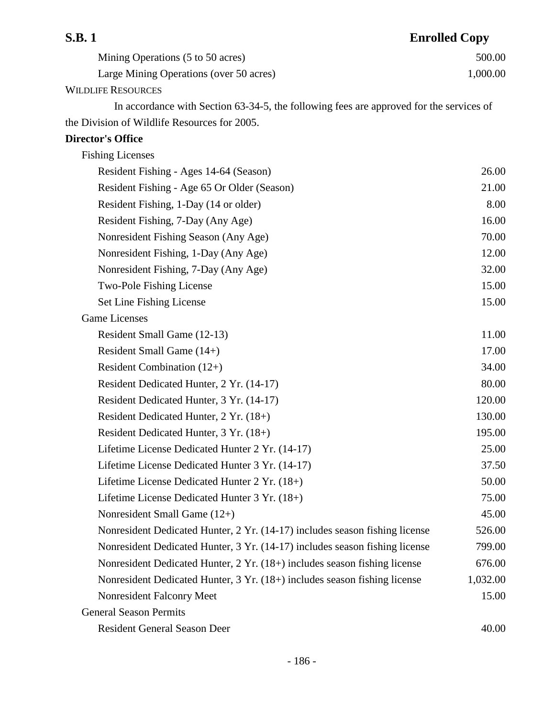| <b>S.B.1</b>                                                                            | <b>Enrolled Copy</b> |
|-----------------------------------------------------------------------------------------|----------------------|
| Mining Operations (5 to 50 acres)                                                       | 500.00               |
| Large Mining Operations (over 50 acres)                                                 | 1,000.00             |
| <b>WILDLIFE RESOURCES</b>                                                               |                      |
| In accordance with Section 63-34-5, the following fees are approved for the services of |                      |
| the Division of Wildlife Resources for 2005.                                            |                      |
| <b>Director's Office</b>                                                                |                      |
| <b>Fishing Licenses</b>                                                                 |                      |
| Resident Fishing - Ages 14-64 (Season)                                                  | 26.00                |
| Resident Fishing - Age 65 Or Older (Season)                                             | 21.00                |
| Resident Fishing, 1-Day (14 or older)                                                   | 8.00                 |
| Resident Fishing, 7-Day (Any Age)                                                       | 16.00                |
| Nonresident Fishing Season (Any Age)                                                    | 70.00                |
| Nonresident Fishing, 1-Day (Any Age)                                                    | 12.00                |
| Nonresident Fishing, 7-Day (Any Age)                                                    | 32.00                |
| Two-Pole Fishing License                                                                | 15.00                |
| Set Line Fishing License                                                                | 15.00                |
| <b>Game Licenses</b>                                                                    |                      |
| Resident Small Game (12-13)                                                             | 11.00                |
| Resident Small Game (14+)                                                               | 17.00                |
| Resident Combination $(12+)$                                                            | 34.00                |
| Resident Dedicated Hunter, 2 Yr. (14-17)                                                | 80.00                |
| Resident Dedicated Hunter, 3 Yr. (14-17)                                                | 120.00               |
| Resident Dedicated Hunter, 2 Yr. (18+)                                                  | 130.00               |
| Resident Dedicated Hunter, 3 Yr. (18+)                                                  | 195.00               |
| Lifetime License Dedicated Hunter 2 Yr. (14-17)                                         | 25.00                |
| Lifetime License Dedicated Hunter 3 Yr. (14-17)                                         | 37.50                |
| Lifetime License Dedicated Hunter 2 Yr. (18+)                                           | 50.00                |
| Lifetime License Dedicated Hunter 3 Yr. (18+)                                           | 75.00                |
| Nonresident Small Game (12+)                                                            | 45.00                |
| Nonresident Dedicated Hunter, 2 Yr. (14-17) includes season fishing license             | 526.00               |
| Nonresident Dedicated Hunter, 3 Yr. (14-17) includes season fishing license             | 799.00               |
| Nonresident Dedicated Hunter, 2 Yr. (18+) includes season fishing license               | 676.00               |
| Nonresident Dedicated Hunter, 3 Yr. (18+) includes season fishing license               | 1,032.00             |
| Nonresident Falconry Meet                                                               | 15.00                |
| <b>General Season Permits</b>                                                           |                      |
| <b>Resident General Season Deer</b>                                                     | 40.00                |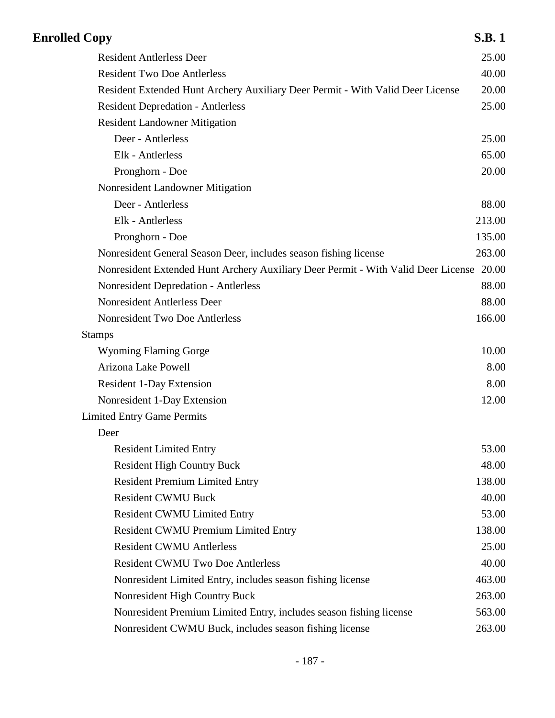| <b>Enrolled Copy</b>                                                              | <b>S.B.1</b> |
|-----------------------------------------------------------------------------------|--------------|
| <b>Resident Antlerless Deer</b>                                                   | 25.00        |
| <b>Resident Two Doe Antlerless</b>                                                | 40.00        |
| Resident Extended Hunt Archery Auxiliary Deer Permit - With Valid Deer License    | 20.00        |
| <b>Resident Depredation - Antlerless</b>                                          | 25.00        |
| <b>Resident Landowner Mitigation</b>                                              |              |
| Deer - Antlerless                                                                 | 25.00        |
| Elk - Antlerless                                                                  | 65.00        |
| Pronghorn - Doe                                                                   | 20.00        |
| Nonresident Landowner Mitigation                                                  |              |
| Deer - Antlerless                                                                 | 88.00        |
| Elk - Antlerless                                                                  | 213.00       |
| Pronghorn - Doe                                                                   | 135.00       |
| Nonresident General Season Deer, includes season fishing license                  | 263.00       |
| Nonresident Extended Hunt Archery Auxiliary Deer Permit - With Valid Deer License | 20.00        |
| <b>Nonresident Depredation - Antlerless</b>                                       | 88.00        |
| Nonresident Antlerless Deer                                                       | 88.00        |
| Nonresident Two Doe Antlerless                                                    | 166.00       |
| <b>Stamps</b>                                                                     |              |
| <b>Wyoming Flaming Gorge</b>                                                      | 10.00        |
| Arizona Lake Powell                                                               | 8.00         |
| <b>Resident 1-Day Extension</b>                                                   | 8.00         |
| Nonresident 1-Day Extension                                                       | 12.00        |
| <b>Limited Entry Game Permits</b>                                                 |              |
| Deer                                                                              |              |
| <b>Resident Limited Entry</b>                                                     | 53.00        |
| <b>Resident High Country Buck</b>                                                 | 48.00        |
| <b>Resident Premium Limited Entry</b>                                             | 138.00       |
| <b>Resident CWMU Buck</b>                                                         | 40.00        |
| <b>Resident CWMU Limited Entry</b>                                                | 53.00        |
| <b>Resident CWMU Premium Limited Entry</b>                                        | 138.00       |
| <b>Resident CWMU Antlerless</b>                                                   | 25.00        |
| <b>Resident CWMU Two Doe Antlerless</b>                                           | 40.00        |
| Nonresident Limited Entry, includes season fishing license                        | 463.00       |
| Nonresident High Country Buck                                                     | 263.00       |
| Nonresident Premium Limited Entry, includes season fishing license                | 563.00       |
| Nonresident CWMU Buck, includes season fishing license                            | 263.00       |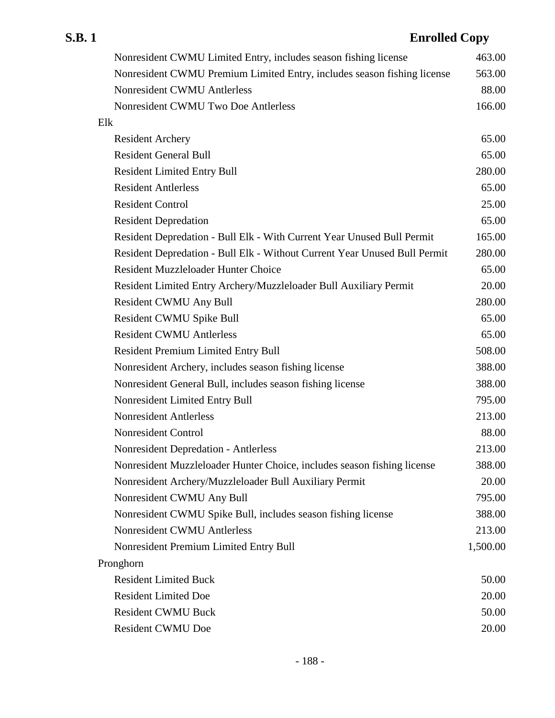| Nonresident CWMU Limited Entry, includes season fishing license           | 463.00   |
|---------------------------------------------------------------------------|----------|
| Nonresident CWMU Premium Limited Entry, includes season fishing license   | 563.00   |
| Nonresident CWMU Antlerless                                               | 88.00    |
| Nonresident CWMU Two Doe Antlerless                                       | 166.00   |
| Elk                                                                       |          |
| <b>Resident Archery</b>                                                   | 65.00    |
| <b>Resident General Bull</b>                                              | 65.00    |
| <b>Resident Limited Entry Bull</b>                                        | 280.00   |
| <b>Resident Antlerless</b>                                                | 65.00    |
| <b>Resident Control</b>                                                   | 25.00    |
| <b>Resident Depredation</b>                                               | 65.00    |
| Resident Depredation - Bull Elk - With Current Year Unused Bull Permit    | 165.00   |
| Resident Depredation - Bull Elk - Without Current Year Unused Bull Permit | 280.00   |
| <b>Resident Muzzleloader Hunter Choice</b>                                | 65.00    |
| Resident Limited Entry Archery/Muzzleloader Bull Auxiliary Permit         | 20.00    |
| <b>Resident CWMU Any Bull</b>                                             | 280.00   |
| <b>Resident CWMU Spike Bull</b>                                           | 65.00    |
| <b>Resident CWMU Antlerless</b>                                           | 65.00    |
| <b>Resident Premium Limited Entry Bull</b>                                | 508.00   |
| Nonresident Archery, includes season fishing license                      | 388.00   |
| Nonresident General Bull, includes season fishing license                 | 388.00   |
| Nonresident Limited Entry Bull                                            | 795.00   |
| <b>Nonresident Antlerless</b>                                             | 213.00   |
| Nonresident Control                                                       | 88.00    |
| <b>Nonresident Depredation - Antlerless</b>                               | 213.00   |
| Nonresident Muzzleloader Hunter Choice, includes season fishing license   | 388.00   |
| Nonresident Archery/Muzzleloader Bull Auxiliary Permit                    | 20.00    |
| Nonresident CWMU Any Bull                                                 | 795.00   |
| Nonresident CWMU Spike Bull, includes season fishing license              | 388.00   |
| Nonresident CWMU Antlerless                                               | 213.00   |
| Nonresident Premium Limited Entry Bull                                    | 1,500.00 |
| Pronghorn                                                                 |          |
| <b>Resident Limited Buck</b>                                              | 50.00    |
| <b>Resident Limited Doe</b>                                               | 20.00    |
| <b>Resident CWMU Buck</b>                                                 | 50.00    |
| <b>Resident CWMU Doe</b>                                                  | 20.00    |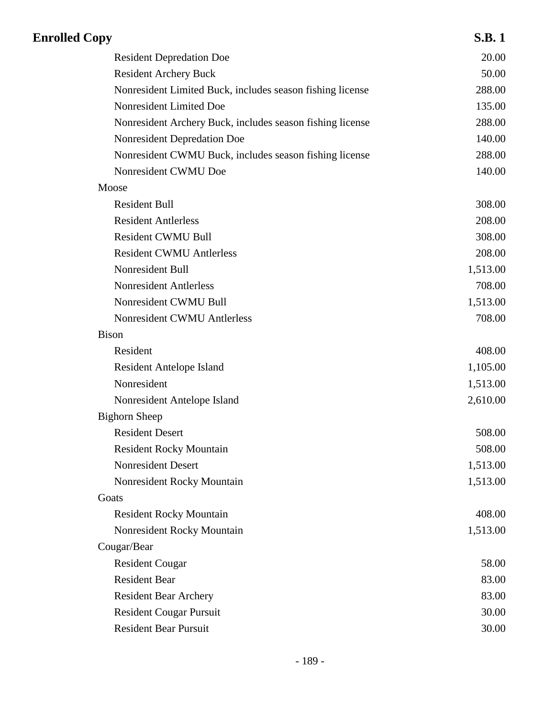| <b>Enrolled Copy</b>                                      | <b>S.B.1</b> |
|-----------------------------------------------------------|--------------|
| <b>Resident Depredation Doe</b>                           | 20.00        |
| <b>Resident Archery Buck</b>                              | 50.00        |
| Nonresident Limited Buck, includes season fishing license | 288.00       |
| Nonresident Limited Doe                                   | 135.00       |
| Nonresident Archery Buck, includes season fishing license | 288.00       |
| Nonresident Depredation Doe                               | 140.00       |
| Nonresident CWMU Buck, includes season fishing license    | 288.00       |
| Nonresident CWMU Doe                                      | 140.00       |
| Moose                                                     |              |
| <b>Resident Bull</b>                                      | 308.00       |
| <b>Resident Antlerless</b>                                | 208.00       |
| <b>Resident CWMU Bull</b>                                 | 308.00       |
| <b>Resident CWMU Antlerless</b>                           | 208.00       |
| Nonresident Bull                                          | 1,513.00     |
| <b>Nonresident Antlerless</b>                             | 708.00       |
| Nonresident CWMU Bull                                     | 1,513.00     |
| Nonresident CWMU Antlerless                               | 708.00       |
| <b>Bison</b>                                              |              |
| Resident                                                  | 408.00       |
| <b>Resident Antelope Island</b>                           | 1,105.00     |
| Nonresident                                               | 1,513.00     |
| Nonresident Antelope Island                               | 2,610.00     |
| <b>Bighorn Sheep</b>                                      |              |
| <b>Resident Desert</b>                                    | 508.00       |
| <b>Resident Rocky Mountain</b>                            | 508.00       |
| <b>Nonresident Desert</b>                                 | 1,513.00     |
| Nonresident Rocky Mountain                                | 1,513.00     |
| Goats                                                     |              |
| <b>Resident Rocky Mountain</b>                            | 408.00       |
| Nonresident Rocky Mountain                                | 1,513.00     |
| Cougar/Bear                                               |              |
| <b>Resident Cougar</b>                                    | 58.00        |
| <b>Resident Bear</b>                                      | 83.00        |
| <b>Resident Bear Archery</b>                              | 83.00        |
| <b>Resident Cougar Pursuit</b>                            | 30.00        |
| <b>Resident Bear Pursuit</b>                              | 30.00        |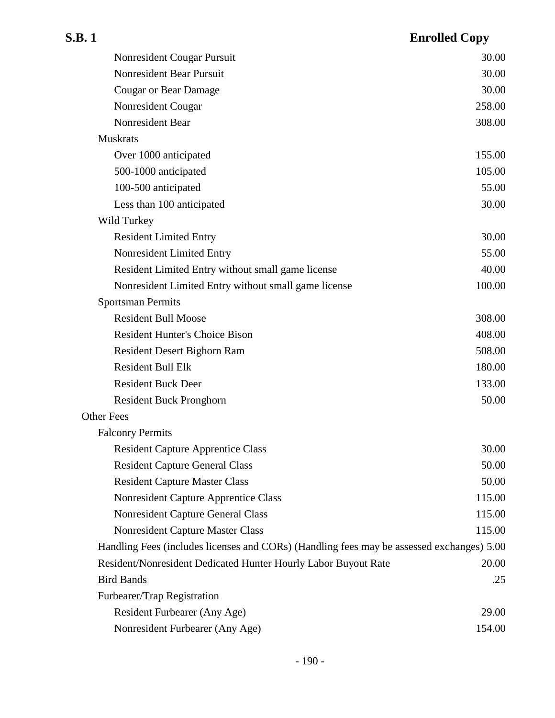| Nonresident Cougar Pursuit                                                                | 30.00  |
|-------------------------------------------------------------------------------------------|--------|
| Nonresident Bear Pursuit                                                                  | 30.00  |
| <b>Cougar or Bear Damage</b>                                                              | 30.00  |
| Nonresident Cougar                                                                        | 258.00 |
| Nonresident Bear                                                                          | 308.00 |
| <b>Muskrats</b>                                                                           |        |
| Over 1000 anticipated                                                                     | 155.00 |
| 500-1000 anticipated                                                                      | 105.00 |
| 100-500 anticipated                                                                       | 55.00  |
| Less than 100 anticipated                                                                 | 30.00  |
| Wild Turkey                                                                               |        |
| <b>Resident Limited Entry</b>                                                             | 30.00  |
| Nonresident Limited Entry                                                                 | 55.00  |
| Resident Limited Entry without small game license                                         | 40.00  |
| Nonresident Limited Entry without small game license                                      | 100.00 |
| <b>Sportsman Permits</b>                                                                  |        |
| <b>Resident Bull Moose</b>                                                                | 308.00 |
| <b>Resident Hunter's Choice Bison</b>                                                     | 408.00 |
| Resident Desert Bighorn Ram                                                               | 508.00 |
| <b>Resident Bull Elk</b>                                                                  | 180.00 |
| <b>Resident Buck Deer</b>                                                                 | 133.00 |
| <b>Resident Buck Pronghorn</b>                                                            | 50.00  |
| <b>Other Fees</b>                                                                         |        |
| <b>Falconry Permits</b>                                                                   |        |
| <b>Resident Capture Apprentice Class</b>                                                  | 30.00  |
| <b>Resident Capture General Class</b>                                                     | 50.00  |
| <b>Resident Capture Master Class</b>                                                      | 50.00  |
| Nonresident Capture Apprentice Class                                                      | 115.00 |
| Nonresident Capture General Class                                                         | 115.00 |
| <b>Nonresident Capture Master Class</b>                                                   | 115.00 |
| Handling Fees (includes licenses and CORs) (Handling fees may be assessed exchanges) 5.00 |        |
| Resident/Nonresident Dedicated Hunter Hourly Labor Buyout Rate                            | 20.00  |
| <b>Bird Bands</b>                                                                         | .25    |
| Furbearer/Trap Registration                                                               |        |
| Resident Furbearer (Any Age)                                                              | 29.00  |
| Nonresident Furbearer (Any Age)                                                           | 154.00 |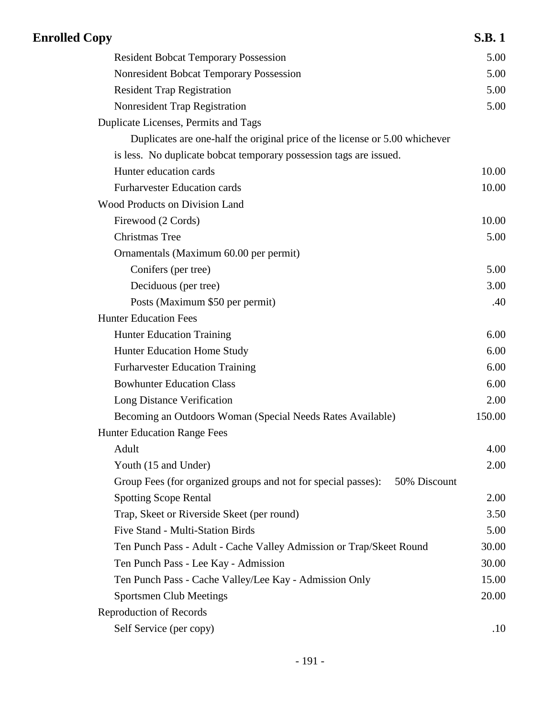| <b>Enrolled Copy</b>                                                          | <b>S.B.1</b> |
|-------------------------------------------------------------------------------|--------------|
| <b>Resident Bobcat Temporary Possession</b>                                   | 5.00         |
| Nonresident Bobcat Temporary Possession                                       | 5.00         |
| <b>Resident Trap Registration</b>                                             | 5.00         |
| Nonresident Trap Registration                                                 | 5.00         |
| Duplicate Licenses, Permits and Tags                                          |              |
| Duplicates are one-half the original price of the license or 5.00 whichever   |              |
| is less. No duplicate bobcat temporary possession tags are issued.            |              |
| Hunter education cards                                                        | 10.00        |
| <b>Furharvester Education cards</b>                                           | 10.00        |
| Wood Products on Division Land                                                |              |
| Firewood (2 Cords)                                                            | 10.00        |
| <b>Christmas Tree</b>                                                         | 5.00         |
| Ornamentals (Maximum 60.00 per permit)                                        |              |
| Conifers (per tree)                                                           | 5.00         |
| Deciduous (per tree)                                                          | 3.00         |
| Posts (Maximum \$50 per permit)                                               | .40          |
| <b>Hunter Education Fees</b>                                                  |              |
| <b>Hunter Education Training</b>                                              | 6.00         |
| Hunter Education Home Study                                                   | 6.00         |
| <b>Furharvester Education Training</b>                                        | 6.00         |
| <b>Bowhunter Education Class</b>                                              | 6.00         |
| Long Distance Verification                                                    | 2.00         |
| Becoming an Outdoors Woman (Special Needs Rates Available)                    | 150.00       |
| <b>Hunter Education Range Fees</b>                                            |              |
| Adult                                                                         | 4.00         |
| Youth (15 and Under)                                                          | 2.00         |
| Group Fees (for organized groups and not for special passes):<br>50% Discount |              |
| <b>Spotting Scope Rental</b>                                                  | 2.00         |
| Trap, Skeet or Riverside Skeet (per round)                                    | 3.50         |
| <b>Five Stand - Multi-Station Birds</b>                                       | 5.00         |
| Ten Punch Pass - Adult - Cache Valley Admission or Trap/Skeet Round           | 30.00        |
| Ten Punch Pass - Lee Kay - Admission                                          | 30.00        |
| Ten Punch Pass - Cache Valley/Lee Kay - Admission Only                        | 15.00        |
| <b>Sportsmen Club Meetings</b>                                                | 20.00        |
| Reproduction of Records                                                       |              |
| Self Service (per copy)                                                       | .10          |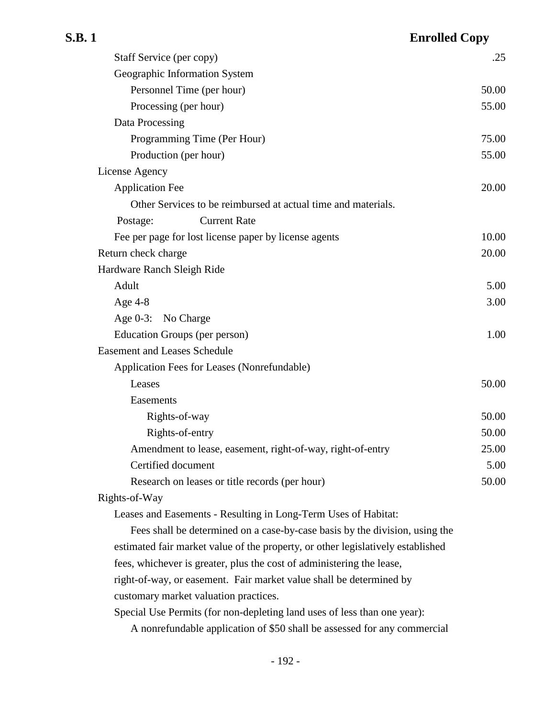## **S.B. 1 Enrolled Copy** Staff Service (per copy) .25 Geographic Information System Personnel Time (per hour) 50.00 Processing (per hour) 55.00 Data Processing Programming Time (Per Hour) 75.00 Production (per hour) 55.00 License Agency Application Fee 20.00 Other Services to be reimbursed at actual time and materials. Postage: Current Rate Fee per page for lost license paper by license agents 10.00 Return check charge 20.00 Hardware Ranch Sleigh Ride Adult 5.00 Age  $4-8$  3.00 Age 0-3: No Charge Education Groups (per person) 1.00 Easement and Leases Schedule Application Fees for Leases (Nonrefundable) Leases 50.00 Easements Rights-of-way 50.00 Rights-of-entry 50.00 Amendment to lease, easement, right-of-way, right-of-entry 25.00 Certified document 5.00 Research on leases or title records (per hour) 50.00 Rights-of-Way Leases and Easements - Resulting in Long-Term Uses of Habitat: Fees shall be determined on a case-by-case basis by the division, using the

estimated fair market value of the property, or other legislatively established fees, whichever is greater, plus the cost of administering the lease, right-of-way, or easement. Fair market value shall be determined by customary market valuation practices.

Special Use Permits (for non-depleting land uses of less than one year):

A nonrefundable application of \$50 shall be assessed for any commercial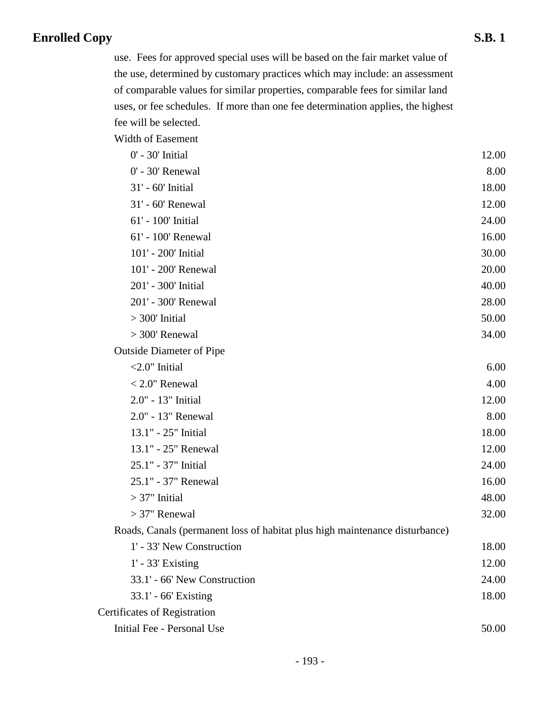use. Fees for approved special uses will be based on the fair market value of the use, determined by customary practices which may include: an assessment of comparable values for similar properties, comparable fees for similar land uses, or fee schedules. If more than one fee determination applies, the highest fee will be selected.

Width of Easement

| 0' - 30' Initial                                                            | 12.00 |
|-----------------------------------------------------------------------------|-------|
| 0' - 30' Renewal                                                            | 8.00  |
| 31' - 60' Initial                                                           | 18.00 |
| 31' - 60' Renewal                                                           | 12.00 |
| 61' - 100' Initial                                                          | 24.00 |
| 61' - 100' Renewal                                                          | 16.00 |
| 101' - 200' Initial                                                         | 30.00 |
| 101' - 200' Renewal                                                         | 20.00 |
| 201' - 300' Initial                                                         | 40.00 |
| 201' - 300' Renewal                                                         | 28.00 |
| $>300'$ Initial                                                             | 50.00 |
| $>$ 300' Renewal                                                            | 34.00 |
| <b>Outside Diameter of Pipe</b>                                             |       |
| $<$ 2.0" Initial                                                            | 6.00  |
| $< 2.0$ " Renewal                                                           | 4.00  |
| 2.0" - 13" Initial                                                          | 12.00 |
| 2.0" - 13" Renewal                                                          | 8.00  |
| 13.1" - 25" Initial                                                         | 18.00 |
| 13.1" - 25" Renewal                                                         | 12.00 |
| 25.1" - 37" Initial                                                         | 24.00 |
| 25.1" - 37" Renewal                                                         | 16.00 |
| $>37$ " Initial                                                             | 48.00 |
| $>37$ " Renewal                                                             | 32.00 |
| Roads, Canals (permanent loss of habitat plus high maintenance disturbance) |       |
| 1' - 33' New Construction                                                   | 18.00 |
| $1'$ - 33' Existing                                                         | 12.00 |
| 33.1' - 66' New Construction                                                | 24.00 |
| 33.1' - 66' Existing                                                        | 18.00 |
| <b>Certificates of Registration</b>                                         |       |
| Initial Fee - Personal Use                                                  | 50.00 |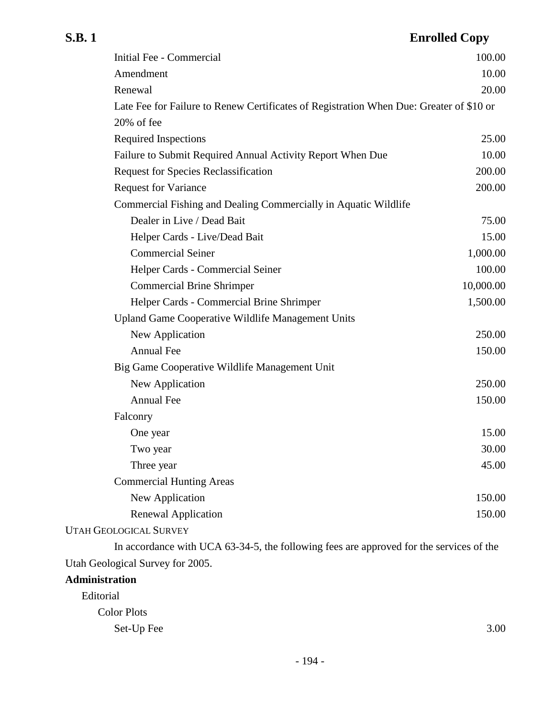| Initial Fee - Commercial                                                                | 100.00    |
|-----------------------------------------------------------------------------------------|-----------|
| Amendment                                                                               | 10.00     |
| Renewal                                                                                 | 20.00     |
| Late Fee for Failure to Renew Certificates of Registration When Due: Greater of \$10 or |           |
| 20% of fee                                                                              |           |
| <b>Required Inspections</b>                                                             | 25.00     |
| Failure to Submit Required Annual Activity Report When Due                              | 10.00     |
| <b>Request for Species Reclassification</b>                                             | 200.00    |
| <b>Request for Variance</b>                                                             | 200.00    |
| Commercial Fishing and Dealing Commercially in Aquatic Wildlife                         |           |
| Dealer in Live / Dead Bait                                                              | 75.00     |
| Helper Cards - Live/Dead Bait                                                           | 15.00     |
| <b>Commercial Seiner</b>                                                                | 1,000.00  |
| Helper Cards - Commercial Seiner                                                        | 100.00    |
| <b>Commercial Brine Shrimper</b>                                                        | 10,000.00 |
| Helper Cards - Commercial Brine Shrimper                                                | 1,500.00  |
| Upland Game Cooperative Wildlife Management Units                                       |           |
| New Application                                                                         | 250.00    |
| Annual Fee                                                                              | 150.00    |
| Big Game Cooperative Wildlife Management Unit                                           |           |
| New Application                                                                         | 250.00    |
| Annual Fee                                                                              | 150.00    |
| Falconry                                                                                |           |
| One year                                                                                | 15.00     |
| Two year                                                                                | 30.00     |
| Three year                                                                              | 45.00     |
| <b>Commercial Hunting Areas</b>                                                         |           |
| New Application                                                                         | 150.00    |
| <b>Renewal Application</b>                                                              | 150.00    |
| <b>UTAH GEOLOGICAL SURVEY</b>                                                           |           |

In accordance with UCA 63-34-5, the following fees are approved for the services of the Utah Geological Survey for 2005.

## **Administration**

| Editorial          |      |
|--------------------|------|
| <b>Color Plots</b> |      |
| Set-Up Fee         | 3.00 |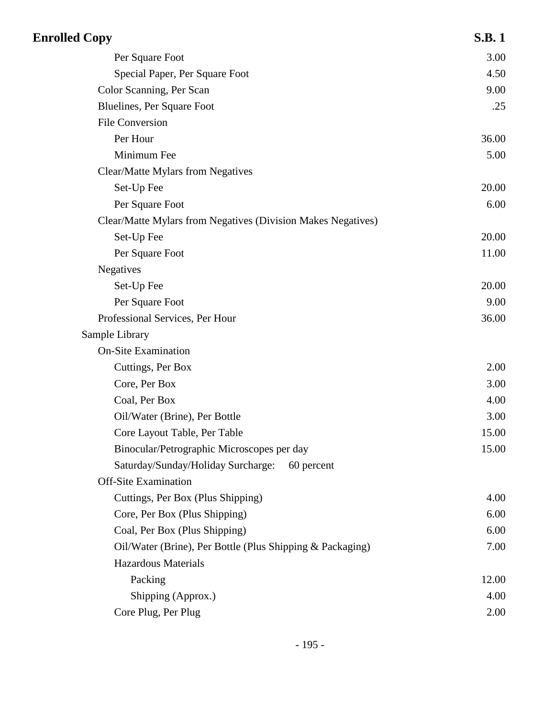| <b>Enrolled Copy</b>                                         | <b>S.B.1</b> |
|--------------------------------------------------------------|--------------|
| Per Square Foot                                              | 3.00         |
| Special Paper, Per Square Foot                               | 4.50         |
| Color Scanning, Per Scan                                     | 9.00         |
| Bluelines, Per Square Foot                                   | .25          |
| <b>File Conversion</b>                                       |              |
| Per Hour                                                     | 36.00        |
| Minimum Fee                                                  | 5.00         |
| Clear/Matte Mylars from Negatives                            |              |
| Set-Up Fee                                                   | 20.00        |
| Per Square Foot                                              | 6.00         |
| Clear/Matte Mylars from Negatives (Division Makes Negatives) |              |
| Set-Up Fee                                                   | 20.00        |
| Per Square Foot                                              | 11.00        |
| Negatives                                                    |              |
| Set-Up Fee                                                   | 20.00        |
| Per Square Foot                                              | 9.00         |
| Professional Services, Per Hour                              | 36.00        |
| Sample Library                                               |              |
| <b>On-Site Examination</b>                                   |              |
| Cuttings, Per Box                                            | 2.00         |
| Core, Per Box                                                | 3.00         |
| Coal, Per Box                                                | 4.00         |
| Oil/Water (Brine), Per Bottle                                | 3.00         |
| Core Layout Table, Per Table                                 | 15.00        |
| Binocular/Petrographic Microscopes per day                   | 15.00        |
| Saturday/Sunday/Holiday Surcharge:<br>60 percent             |              |
| <b>Off-Site Examination</b>                                  |              |
| Cuttings, Per Box (Plus Shipping)                            | 4.00         |
| Core, Per Box (Plus Shipping)                                | 6.00         |
| Coal, Per Box (Plus Shipping)                                | 6.00         |
| Oil/Water (Brine), Per Bottle (Plus Shipping & Packaging)    | 7.00         |
| Hazardous Materials                                          |              |
| Packing                                                      | 12.00        |
| Shipping (Approx.)                                           | 4.00         |
| Core Plug, Per Plug                                          | 2.00         |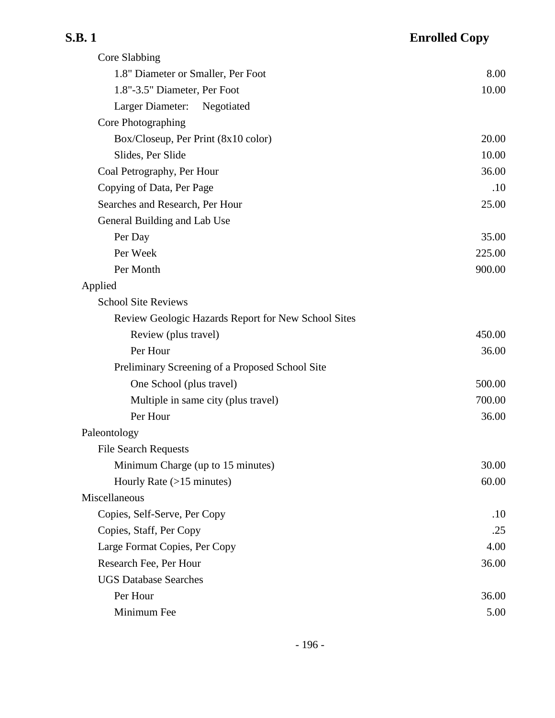| ں ر<br>٠ |  |
|----------|--|
|----------|--|

| Core Slabbing                                       |        |
|-----------------------------------------------------|--------|
| 1.8" Diameter or Smaller, Per Foot                  | 8.00   |
| 1.8"-3.5" Diameter, Per Foot                        | 10.00  |
| Larger Diameter:<br>Negotiated                      |        |
| Core Photographing                                  |        |
| Box/Closeup, Per Print $(8x10 \text{ color})$       | 20.00  |
| Slides, Per Slide                                   | 10.00  |
| Coal Petrography, Per Hour                          | 36.00  |
| Copying of Data, Per Page                           | .10    |
| Searches and Research, Per Hour                     | 25.00  |
| General Building and Lab Use                        |        |
| Per Day                                             | 35.00  |
| Per Week                                            | 225.00 |
| Per Month                                           | 900.00 |
| Applied                                             |        |
| <b>School Site Reviews</b>                          |        |
| Review Geologic Hazards Report for New School Sites |        |
| Review (plus travel)                                | 450.00 |
| Per Hour                                            | 36.00  |
| Preliminary Screening of a Proposed School Site     |        |
| One School (plus travel)                            | 500.00 |
| Multiple in same city (plus travel)                 | 700.00 |
| Per Hour                                            | 36.00  |
| Paleontology                                        |        |
| <b>File Search Requests</b>                         |        |
| Minimum Charge (up to 15 minutes)                   | 30.00  |
| Hourly Rate $(>15$ minutes)                         | 60.00  |
| Miscellaneous                                       |        |
| Copies, Self-Serve, Per Copy                        | .10    |
| Copies, Staff, Per Copy                             | .25    |
| Large Format Copies, Per Copy                       | 4.00   |
| Research Fee, Per Hour                              | 36.00  |
| <b>UGS Database Searches</b>                        |        |
| Per Hour                                            | 36.00  |
| Minimum Fee                                         | 5.00   |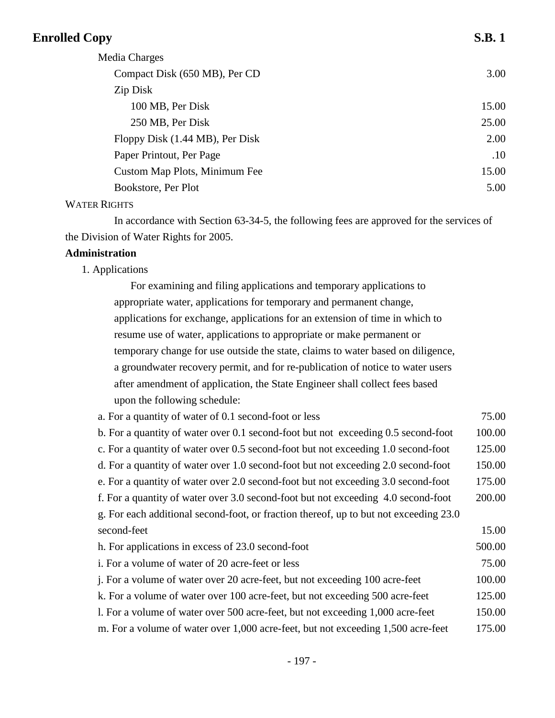| <b>Enrolled Copy</b>            | <b>S.B.1</b> |
|---------------------------------|--------------|
| Media Charges                   |              |
| Compact Disk (650 MB), Per CD   | 3.00         |
| Zip Disk                        |              |
| 100 MB, Per Disk                | 15.00        |
| 250 MB, Per Disk                | 25.00        |
| Floppy Disk (1.44 MB), Per Disk | 2.00         |
| Paper Printout, Per Page        | .10          |
| Custom Map Plots, Minimum Fee   | 15.00        |
| Bookstore, Per Plot             | 5.00         |

## WATER RIGHTS

In accordance with Section 63-34-5, the following fees are approved for the services of the Division of Water Rights for 2005.

## **Administration**

1. Applications

For examining and filing applications and temporary applications to appropriate water, applications for temporary and permanent change, applications for exchange, applications for an extension of time in which to resume use of water, applications to appropriate or make permanent or temporary change for use outside the state, claims to water based on diligence, a groundwater recovery permit, and for re-publication of notice to water users after amendment of application, the State Engineer shall collect fees based upon the following schedule:

| a. For a quantity of water of 0.1 second-foot or less                                 | 75.00  |
|---------------------------------------------------------------------------------------|--------|
| b. For a quantity of water over 0.1 second-foot but not exceeding 0.5 second-foot     | 100.00 |
| c. For a quantity of water over 0.5 second-foot but not exceeding 1.0 second-foot     | 125.00 |
| d. For a quantity of water over 1.0 second-foot but not exceeding 2.0 second-foot     | 150.00 |
| e. For a quantity of water over 2.0 second-foot but not exceeding 3.0 second-foot     | 175.00 |
| f. For a quantity of water over 3.0 second-foot but not exceeding 4.0 second-foot     | 200.00 |
| g. For each additional second-foot, or fraction thereof, up to but not exceeding 23.0 |        |
| second-feet                                                                           | 15.00  |
| h. For applications in excess of 23.0 second-foot                                     | 500.00 |
| i. For a volume of water of 20 acre-feet or less                                      | 75.00  |
| j. For a volume of water over 20 acre-feet, but not exceeding 100 acre-feet           | 100.00 |
| k. For a volume of water over 100 acre-feet, but not exceeding 500 acre-feet          | 125.00 |
| 1. For a volume of water over 500 acre-feet, but not exceeding 1,000 acre-feet        | 150.00 |
| m. For a volume of water over 1,000 acre-feet, but not exceeding 1,500 acre-feet      | 175.00 |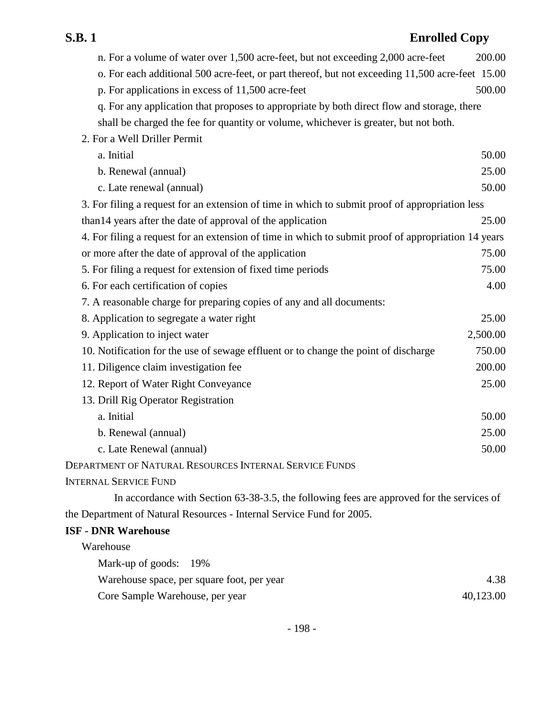| S.B. 1<br><b>Enrolled Copy</b>                                                                      |          |
|-----------------------------------------------------------------------------------------------------|----------|
| n. For a volume of water over 1,500 acre-feet, but not exceeding 2,000 acre-feet                    | 200.00   |
| o. For each additional 500 acre-feet, or part thereof, but not exceeding 11,500 acre-feet 15.00     |          |
| p. For applications in excess of 11,500 acre-feet                                                   | 500.00   |
| q. For any application that proposes to appropriate by both direct flow and storage, there          |          |
| shall be charged the fee for quantity or volume, whichever is greater, but not both.                |          |
| 2. For a Well Driller Permit                                                                        |          |
| a. Initial                                                                                          | 50.00    |
| b. Renewal (annual)                                                                                 | 25.00    |
| c. Late renewal (annual)                                                                            | 50.00    |
| 3. For filing a request for an extension of time in which to submit proof of appropriation less     |          |
| than 14 years after the date of approval of the application                                         | 25.00    |
| 4. For filing a request for an extension of time in which to submit proof of appropriation 14 years |          |
| or more after the date of approval of the application                                               | 75.00    |
| 5. For filing a request for extension of fixed time periods                                         | 75.00    |
| 6. For each certification of copies                                                                 | 4.00     |
| 7. A reasonable charge for preparing copies of any and all documents:                               |          |
| 8. Application to segregate a water right                                                           | 25.00    |
| 9. Application to inject water                                                                      | 2,500.00 |
| 10. Notification for the use of sewage effluent or to change the point of discharge                 | 750.00   |
| 11. Diligence claim investigation fee                                                               | 200.00   |
| 12. Report of Water Right Conveyance                                                                | 25.00    |
| 13. Drill Rig Operator Registration                                                                 |          |
| a. Initial                                                                                          | 50.00    |
| b. Renewal (annual)                                                                                 | 25.00    |
| c. Late Renewal (annual)                                                                            | 50.00    |
| DEPARTMENT OF NATURAL RESOURCES INTERNAL SERVICE FUNDS                                              |          |
| <b>INTERNAL SERVICE FUND</b>                                                                        |          |
| In accordance with Section 63-38-3.5, the following fees are approved for the services of           |          |
| the Department of Natural Resources - Internal Service Fund for 2005.                               |          |
| <b>ISF - DNR Warehouse</b>                                                                          |          |

Warehouse

| Mark-up of goods: 19%                      |           |
|--------------------------------------------|-----------|
| Warehouse space, per square foot, per year | 4.38      |
| Core Sample Warehouse, per year            | 40,123.00 |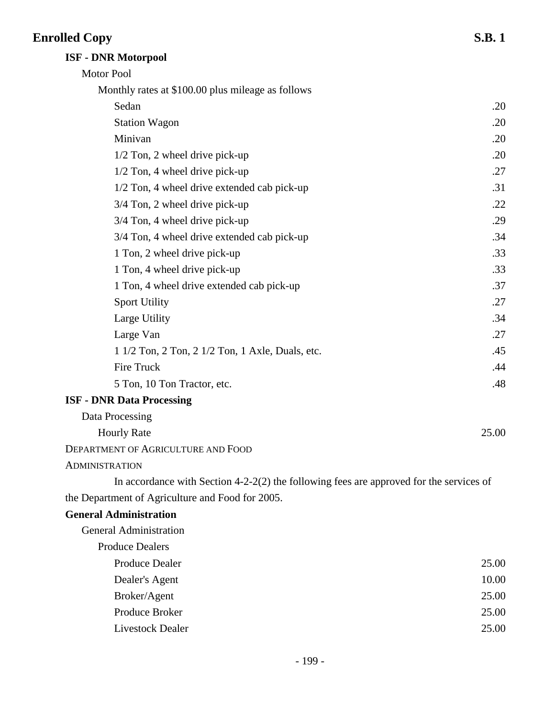## **ISF - DNR Motorpool**

| Motor Pool                                                                                |       |
|-------------------------------------------------------------------------------------------|-------|
| Monthly rates at \$100.00 plus mileage as follows                                         |       |
| Sedan                                                                                     | .20   |
| <b>Station Wagon</b>                                                                      | .20   |
| Minivan                                                                                   | .20   |
| $1/2$ Ton, 2 wheel drive pick-up                                                          | .20   |
| $1/2$ Ton, 4 wheel drive pick-up                                                          | .27   |
| 1/2 Ton, 4 wheel drive extended cab pick-up                                               | .31   |
| $3/4$ Ton, 2 wheel drive pick-up                                                          | .22   |
| 3/4 Ton, 4 wheel drive pick-up                                                            | .29   |
| 3/4 Ton, 4 wheel drive extended cab pick-up                                               | .34   |
| 1 Ton, 2 wheel drive pick-up                                                              | .33   |
| 1 Ton, 4 wheel drive pick-up                                                              | .33   |
| 1 Ton, 4 wheel drive extended cab pick-up                                                 | .37   |
| <b>Sport Utility</b>                                                                      | .27   |
| Large Utility                                                                             | .34   |
| Large Van                                                                                 | .27   |
| 1 1/2 Ton, 2 Ton, 2 1/2 Ton, 1 Axle, Duals, etc.                                          | .45   |
| Fire Truck                                                                                | .44   |
| 5 Ton, 10 Ton Tractor, etc.                                                               | .48   |
| <b>ISF - DNR Data Processing</b>                                                          |       |
| Data Processing                                                                           |       |
| <b>Hourly Rate</b>                                                                        | 25.00 |
| <b>DEPARTMENT OF AGRICULTURE AND FOOD</b>                                                 |       |
| <b>ADMINISTRATION</b>                                                                     |       |
| In accordance with Section $4-2-2(2)$ the following fees are approved for the services of |       |
| the Department of Agriculture and Food for 2005.                                          |       |
| <b>General Administration</b>                                                             |       |
| <b>General Administration</b>                                                             |       |
| <b>Produce Dealers</b>                                                                    |       |
| <b>Produce Dealer</b>                                                                     | 25.00 |
| Dealer's Agent                                                                            | 10.00 |
| Broker/Agent                                                                              | 25.00 |
| Produce Broker                                                                            | 25.00 |
| Livestock Dealer                                                                          | 25.00 |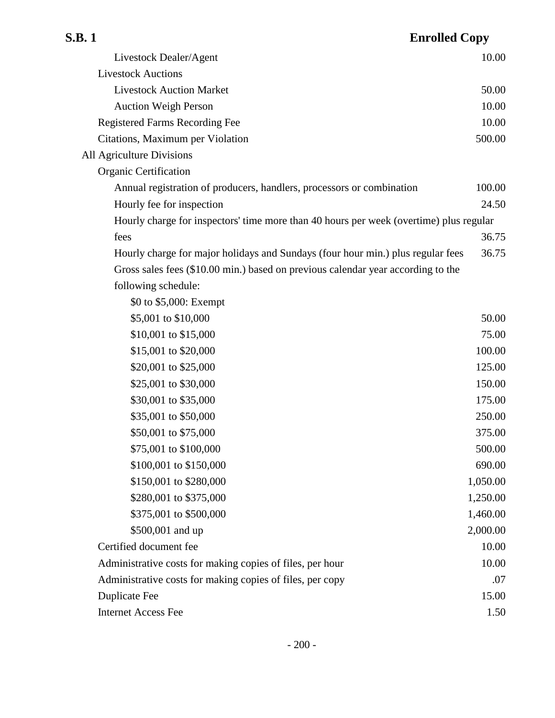| S.B. 1                                                                                 | <b>Enrolled Copy</b> |
|----------------------------------------------------------------------------------------|----------------------|
| Livestock Dealer/Agent                                                                 | 10.00                |
| <b>Livestock Auctions</b>                                                              |                      |
| <b>Livestock Auction Market</b>                                                        | 50.00                |
| <b>Auction Weigh Person</b>                                                            | 10.00                |
| <b>Registered Farms Recording Fee</b>                                                  | 10.00                |
| Citations, Maximum per Violation                                                       | 500.00               |
| All Agriculture Divisions                                                              |                      |
| <b>Organic Certification</b>                                                           |                      |
| Annual registration of producers, handlers, processors or combination                  | 100.00               |
| Hourly fee for inspection                                                              | 24.50                |
| Hourly charge for inspectors' time more than 40 hours per week (overtime) plus regular |                      |
| fees                                                                                   | 36.75                |
| Hourly charge for major holidays and Sundays (four hour min.) plus regular fees        | 36.75                |
| Gross sales fees (\$10.00 min.) based on previous calendar year according to the       |                      |
| following schedule:                                                                    |                      |
| \$0 to \$5,000: Exempt                                                                 |                      |
| \$5,001 to \$10,000                                                                    | 50.00                |
| \$10,001 to \$15,000                                                                   | 75.00                |
| \$15,001 to \$20,000                                                                   | 100.00               |
| \$20,001 to \$25,000                                                                   | 125.00               |
| \$25,001 to \$30,000                                                                   | 150.00               |
| \$30,001 to \$35,000                                                                   | 175.00               |
| \$35,001 to \$50,000                                                                   | 250.00               |
| \$50,001 to \$75,000                                                                   | 375.00               |
| \$75,001 to \$100,000                                                                  | 500.00               |
| \$100,001 to \$150,000                                                                 | 690.00               |
| \$150,001 to \$280,000                                                                 | 1,050.00             |
| \$280,001 to \$375,000                                                                 | 1,250.00             |
| \$375,001 to \$500,000                                                                 | 1,460.00             |
| \$500,001 and up                                                                       | 2,000.00             |
| Certified document fee                                                                 | 10.00                |
| Administrative costs for making copies of files, per hour                              | 10.00                |
| Administrative costs for making copies of files, per copy                              | .07                  |
| <b>Duplicate Fee</b>                                                                   | 15.00                |
| <b>Internet Access Fee</b>                                                             | 1.50                 |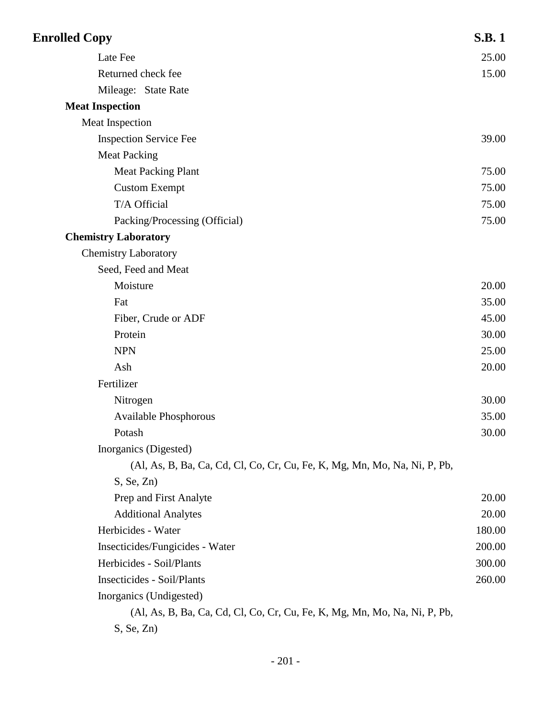| <b>Enrolled Copy</b>                                                      | <b>S.B.1</b> |
|---------------------------------------------------------------------------|--------------|
| Late Fee                                                                  | 25.00        |
| Returned check fee                                                        | 15.00        |
| Mileage: State Rate                                                       |              |
| <b>Meat Inspection</b>                                                    |              |
| Meat Inspection                                                           |              |
| <b>Inspection Service Fee</b>                                             | 39.00        |
| <b>Meat Packing</b>                                                       |              |
| <b>Meat Packing Plant</b>                                                 | 75.00        |
| <b>Custom Exempt</b>                                                      | 75.00        |
| T/A Official                                                              | 75.00        |
| Packing/Processing (Official)                                             | 75.00        |
| <b>Chemistry Laboratory</b>                                               |              |
| <b>Chemistry Laboratory</b>                                               |              |
| Seed, Feed and Meat                                                       |              |
| Moisture                                                                  | 20.00        |
| Fat                                                                       | 35.00        |
| Fiber, Crude or ADF                                                       | 45.00        |
| Protein                                                                   | 30.00        |
| <b>NPN</b>                                                                | 25.00        |
| Ash                                                                       | 20.00        |
| Fertilizer                                                                |              |
| Nitrogen                                                                  | 30.00        |
| <b>Available Phosphorous</b>                                              | 35.00        |
| Potash                                                                    | 30.00        |
| Inorganics (Digested)                                                     |              |
| (Al, As, B, Ba, Ca, Cd, Cl, Co, Cr, Cu, Fe, K, Mg, Mn, Mo, Na, Ni, P, Pb, |              |
| S, Se, Zn)                                                                |              |
| Prep and First Analyte                                                    | 20.00        |
| <b>Additional Analytes</b>                                                | 20.00        |
| Herbicides - Water                                                        | 180.00       |
| Insecticides/Fungicides - Water                                           | 200.00       |
| Herbicides - Soil/Plants                                                  | 300.00       |
| <b>Insecticides - Soil/Plants</b>                                         | 260.00       |
| Inorganics (Undigested)                                                   |              |
| (Al, As, B, Ba, Ca, Cd, Cl, Co, Cr, Cu, Fe, K, Mg, Mn, Mo, Na, Ni, P, Pb, |              |
| S, Se, Zn)                                                                |              |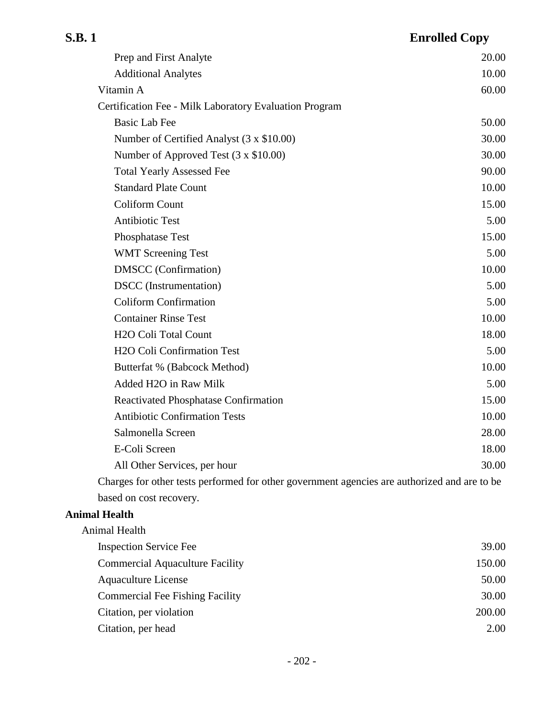| <b>S.B.1</b>               | <b>Enrolled Copy</b> |
|----------------------------|----------------------|
| Prep and First Analyte     | 20.00                |
| <b>Additional Analytes</b> | 10.00                |
| $\mathbf{v}$               | $\sim$ 00            |

| <b>Additional Analytes</b>                                                                   | 10.00 |
|----------------------------------------------------------------------------------------------|-------|
| Vitamin A                                                                                    | 60.00 |
| Certification Fee - Milk Laboratory Evaluation Program                                       |       |
| <b>Basic Lab Fee</b>                                                                         | 50.00 |
| Number of Certified Analyst (3 x \$10.00)                                                    | 30.00 |
| Number of Approved Test (3 x \$10.00)                                                        | 30.00 |
| <b>Total Yearly Assessed Fee</b>                                                             | 90.00 |
| <b>Standard Plate Count</b>                                                                  | 10.00 |
| <b>Coliform Count</b>                                                                        | 15.00 |
| <b>Antibiotic Test</b>                                                                       | 5.00  |
| Phosphatase Test                                                                             | 15.00 |
| <b>WMT Screening Test</b>                                                                    | 5.00  |
| <b>DMSCC</b> (Confirmation)                                                                  | 10.00 |
| <b>DSCC</b> (Instrumentation)                                                                | 5.00  |
| <b>Coliform Confirmation</b>                                                                 | 5.00  |
| <b>Container Rinse Test</b>                                                                  | 10.00 |
| H <sub>2</sub> O Coli Total Count                                                            | 18.00 |
| <b>H2O Coli Confirmation Test</b>                                                            | 5.00  |
| Butterfat % (Babcock Method)                                                                 | 10.00 |
| Added H2O in Raw Milk                                                                        | 5.00  |
| Reactivated Phosphatase Confirmation                                                         | 15.00 |
| <b>Antibiotic Confirmation Tests</b>                                                         | 10.00 |
| Salmonella Screen                                                                            | 28.00 |
| E-Coli Screen                                                                                | 18.00 |
| All Other Services, per hour                                                                 | 30.00 |
| Charges for other tests performed for other government agencies are authorized and are to be |       |
| based on cost recovery.                                                                      |       |

## **Animal Health**

| Animal Health                          |        |
|----------------------------------------|--------|
| <b>Inspection Service Fee</b>          | 39.00  |
| <b>Commercial Aquaculture Facility</b> | 150.00 |
| <b>Aquaculture License</b>             | 50.00  |
| <b>Commercial Fee Fishing Facility</b> | 30.00  |
| Citation, per violation                | 200.00 |
| Citation, per head                     | 2.00   |
|                                        |        |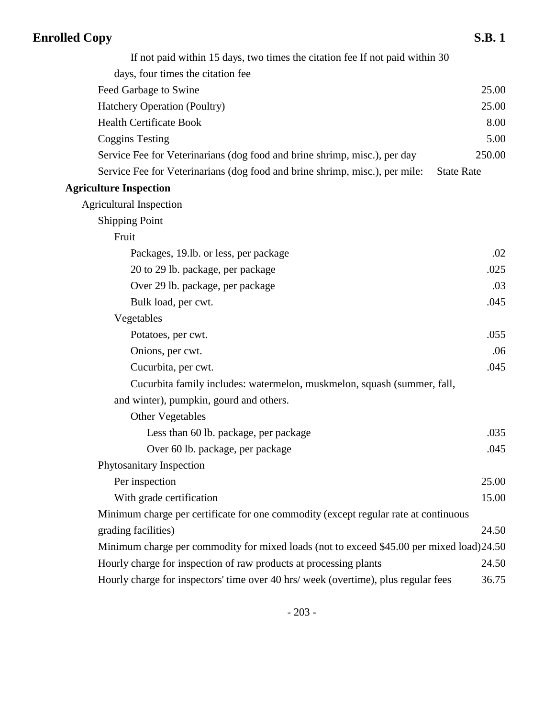| <b>Enrolled Copy</b>                                                                     | <b>S.B.1</b>      |
|------------------------------------------------------------------------------------------|-------------------|
| If not paid within 15 days, two times the citation fee If not paid within 30             |                   |
| days, four times the citation fee                                                        |                   |
| Feed Garbage to Swine                                                                    | 25.00             |
| Hatchery Operation (Poultry)                                                             | 25.00             |
| <b>Health Certificate Book</b>                                                           | 8.00              |
| <b>Coggins Testing</b>                                                                   | 5.00              |
| Service Fee for Veterinarians (dog food and brine shrimp, misc.), per day                | 250.00            |
| Service Fee for Veterinarians (dog food and brine shrimp, misc.), per mile:              | <b>State Rate</b> |
| <b>Agriculture Inspection</b>                                                            |                   |
| <b>Agricultural Inspection</b>                                                           |                   |
| <b>Shipping Point</b>                                                                    |                   |
| Fruit                                                                                    |                   |
| Packages, 19.1b. or less, per package                                                    | .02               |
| 20 to 29 lb. package, per package                                                        | .025              |
| Over 29 lb. package, per package                                                         | .03               |
| Bulk load, per cwt.                                                                      | .045              |
| Vegetables                                                                               |                   |
| Potatoes, per cwt.                                                                       | .055              |
| Onions, per cwt.                                                                         | .06               |
| Cucurbita, per cwt.                                                                      | .045              |
| Cucurbita family includes: watermelon, muskmelon, squash (summer, fall,                  |                   |
| and winter), pumpkin, gourd and others.                                                  |                   |
| <b>Other Vegetables</b>                                                                  |                   |
| Less than 60 lb. package, per package                                                    | .035              |
| Over 60 lb. package, per package                                                         | .045              |
| Phytosanitary Inspection                                                                 |                   |
| Per inspection                                                                           | 25.00             |
| With grade certification                                                                 | 15.00             |
| Minimum charge per certificate for one commodity (except regular rate at continuous      |                   |
| grading facilities)                                                                      | 24.50             |
| Minimum charge per commodity for mixed loads (not to exceed \$45.00 per mixed load)24.50 |                   |
| Hourly charge for inspection of raw products at processing plants                        | 24.50             |
| Hourly charge for inspectors' time over 40 hrs/ week (overtime), plus regular fees       | 36.75             |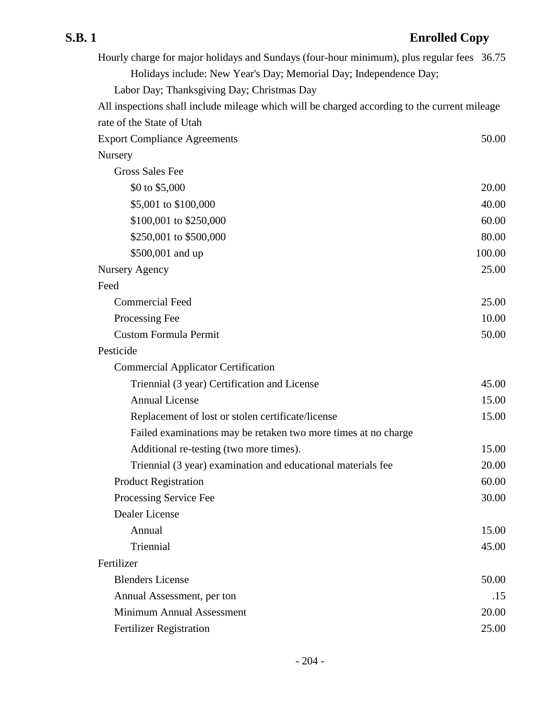| Hourly charge for major holidays and Sundays (four-hour minimum), plus regular fees 36.75    |        |
|----------------------------------------------------------------------------------------------|--------|
| Holidays include: New Year's Day; Memorial Day; Independence Day;                            |        |
| Labor Day; Thanksgiving Day; Christmas Day                                                   |        |
| All inspections shall include mileage which will be charged according to the current mileage |        |
| rate of the State of Utah                                                                    |        |
| <b>Export Compliance Agreements</b>                                                          | 50.00  |
| Nursery                                                                                      |        |
| <b>Gross Sales Fee</b>                                                                       |        |
| \$0 to \$5,000                                                                               | 20.00  |
| \$5,001 to \$100,000                                                                         | 40.00  |
| \$100,001 to \$250,000                                                                       | 60.00  |
| \$250,001 to \$500,000                                                                       | 80.00  |
| \$500,001 and up                                                                             | 100.00 |
| Nursery Agency                                                                               | 25.00  |
| Feed                                                                                         |        |
| <b>Commercial Feed</b>                                                                       | 25.00  |
| Processing Fee                                                                               | 10.00  |
| <b>Custom Formula Permit</b>                                                                 | 50.00  |
| Pesticide                                                                                    |        |
| <b>Commercial Applicator Certification</b>                                                   |        |
| Triennial (3 year) Certification and License                                                 | 45.00  |
| <b>Annual License</b>                                                                        | 15.00  |
| Replacement of lost or stolen certificate/license                                            | 15.00  |
| Failed examinations may be retaken two more times at no charge                               |        |
| Additional re-testing (two more times).                                                      | 15.00  |
| Triennial (3 year) examination and educational materials fee                                 | 20.00  |
| <b>Product Registration</b>                                                                  | 60.00  |
| Processing Service Fee                                                                       | 30.00  |
| Dealer License                                                                               |        |
| Annual                                                                                       | 15.00  |
| Triennial                                                                                    | 45.00  |
| Fertilizer                                                                                   |        |
| <b>Blenders License</b>                                                                      | 50.00  |
| Annual Assessment, per ton                                                                   | .15    |
| Minimum Annual Assessment                                                                    | 20.00  |
| <b>Fertilizer Registration</b>                                                               | 25.00  |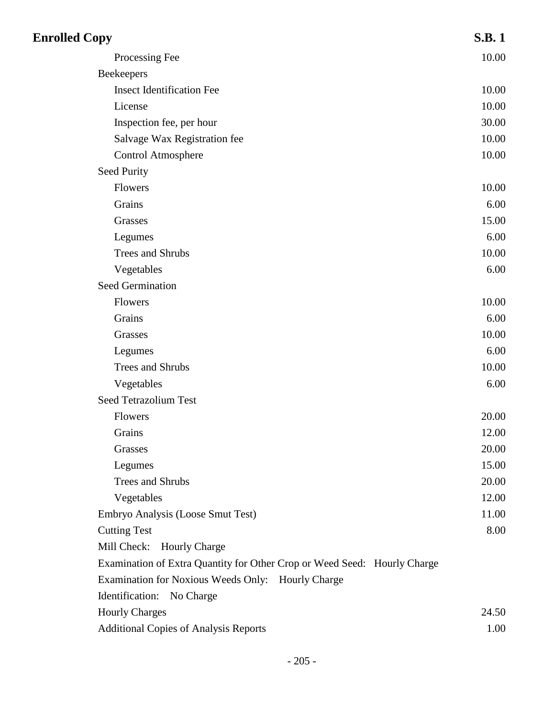| <b>Enrolled Copy</b>                                                     | <b>S.B.1</b> |
|--------------------------------------------------------------------------|--------------|
| Processing Fee                                                           | 10.00        |
| <b>Beekeepers</b>                                                        |              |
| <b>Insect Identification Fee</b>                                         | 10.00        |
| License                                                                  | 10.00        |
| Inspection fee, per hour                                                 | 30.00        |
| Salvage Wax Registration fee                                             | 10.00        |
| <b>Control Atmosphere</b>                                                | 10.00        |
| <b>Seed Purity</b>                                                       |              |
| Flowers                                                                  | 10.00        |
| Grains                                                                   | 6.00         |
| Grasses                                                                  | 15.00        |
| Legumes                                                                  | 6.00         |
| Trees and Shrubs                                                         | 10.00        |
| Vegetables                                                               | 6.00         |
| <b>Seed Germination</b>                                                  |              |
| Flowers                                                                  | 10.00        |
| Grains                                                                   | 6.00         |
| Grasses                                                                  | 10.00        |
| Legumes                                                                  | 6.00         |
| Trees and Shrubs                                                         | 10.00        |
| Vegetables                                                               | 6.00         |
| Seed Tetrazolium Test                                                    |              |
| Flowers                                                                  | 20.00        |
| Grains                                                                   | 12.00        |
| Grasses                                                                  | 20.00        |
| Legumes                                                                  | 15.00        |
| Trees and Shrubs                                                         | 20.00        |
| Vegetables                                                               | 12.00        |
| Embryo Analysis (Loose Smut Test)                                        | 11.00        |
| <b>Cutting Test</b>                                                      | 8.00         |
| Mill Check: Hourly Charge                                                |              |
| Examination of Extra Quantity for Other Crop or Weed Seed: Hourly Charge |              |
| Examination for Noxious Weeds Only: Hourly Charge                        |              |
| Identification: No Charge                                                |              |
| <b>Hourly Charges</b>                                                    | 24.50        |
| <b>Additional Copies of Analysis Reports</b>                             | 1.00         |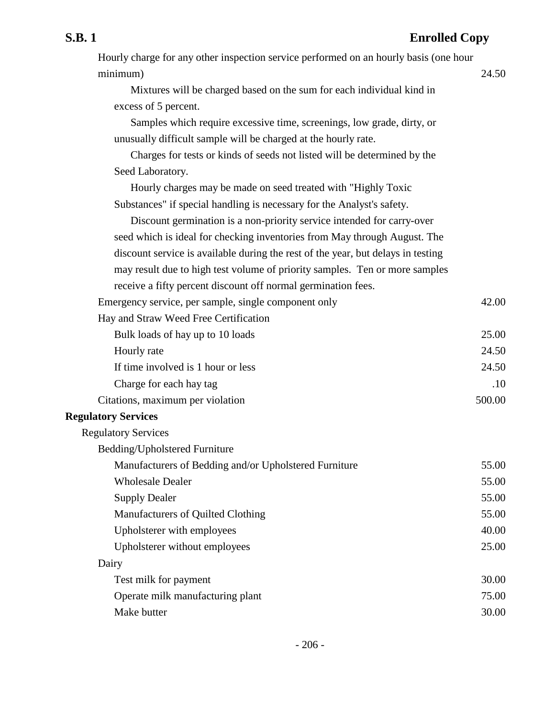| Hourly charge for any other inspection service performed on an hourly basis (one hour |        |
|---------------------------------------------------------------------------------------|--------|
| minimum)                                                                              | 24.50  |
| Mixtures will be charged based on the sum for each individual kind in                 |        |
| excess of 5 percent.                                                                  |        |
| Samples which require excessive time, screenings, low grade, dirty, or                |        |
| unusually difficult sample will be charged at the hourly rate.                        |        |
| Charges for tests or kinds of seeds not listed will be determined by the              |        |
| Seed Laboratory.                                                                      |        |
| Hourly charges may be made on seed treated with "Highly Toxic                         |        |
| Substances" if special handling is necessary for the Analyst's safety.                |        |
| Discount germination is a non-priority service intended for carry-over                |        |
| seed which is ideal for checking inventories from May through August. The             |        |
| discount service is available during the rest of the year, but delays in testing      |        |
| may result due to high test volume of priority samples. Ten or more samples           |        |
| receive a fifty percent discount off normal germination fees.                         |        |
| Emergency service, per sample, single component only                                  | 42.00  |
| Hay and Straw Weed Free Certification                                                 |        |
| Bulk loads of hay up to 10 loads                                                      | 25.00  |
| Hourly rate                                                                           | 24.50  |
| If time involved is 1 hour or less                                                    | 24.50  |
| Charge for each hay tag                                                               | .10    |
| Citations, maximum per violation                                                      | 500.00 |
| <b>Regulatory Services</b>                                                            |        |
| <b>Regulatory Services</b>                                                            |        |
| Bedding/Upholstered Furniture                                                         |        |
| Manufacturers of Bedding and/or Upholstered Furniture                                 | 55.00  |
| <b>Wholesale Dealer</b>                                                               | 55.00  |
| <b>Supply Dealer</b>                                                                  | 55.00  |
| Manufacturers of Quilted Clothing                                                     | 55.00  |
| Upholsterer with employees                                                            | 40.00  |
| Upholsterer without employees                                                         | 25.00  |
| Dairy                                                                                 |        |
| Test milk for payment                                                                 | 30.00  |
| Operate milk manufacturing plant                                                      | 75.00  |
| Make butter                                                                           | 30.00  |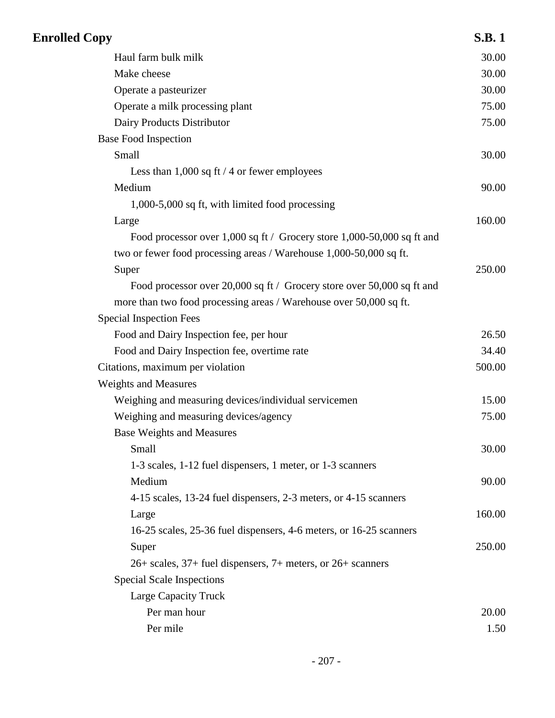| <b>Enrolled Copy</b>                                                   | <b>S.B.1</b> |
|------------------------------------------------------------------------|--------------|
| Haul farm bulk milk                                                    | 30.00        |
| Make cheese                                                            | 30.00        |
| Operate a pasteurizer                                                  | 30.00        |
| Operate a milk processing plant                                        | 75.00        |
| Dairy Products Distributor                                             | 75.00        |
| <b>Base Food Inspection</b>                                            |              |
| Small                                                                  | 30.00        |
| Less than $1,000$ sq ft $/$ 4 or fewer employees                       |              |
| Medium                                                                 | 90.00        |
| 1,000-5,000 sq ft, with limited food processing                        |              |
| Large                                                                  | 160.00       |
| Food processor over 1,000 sq ft / Grocery store 1,000-50,000 sq ft and |              |
| two or fewer food processing areas / Warehouse 1,000-50,000 sq ft.     |              |
| Super                                                                  | 250.00       |
| Food processor over 20,000 sq ft / Grocery store over 50,000 sq ft and |              |
| more than two food processing areas / Warehouse over 50,000 sq ft.     |              |
| <b>Special Inspection Fees</b>                                         |              |
| Food and Dairy Inspection fee, per hour                                | 26.50        |
| Food and Dairy Inspection fee, overtime rate                           | 34.40        |
| Citations, maximum per violation                                       | 500.00       |
| <b>Weights and Measures</b>                                            |              |
| Weighing and measuring devices/individual servicemen                   | 15.00        |
| Weighing and measuring devices/agency                                  | 75.00        |
| <b>Base Weights and Measures</b>                                       |              |
| Small                                                                  | 30.00        |
| 1-3 scales, 1-12 fuel dispensers, 1 meter, or 1-3 scanners             |              |
| Medium                                                                 | 90.00        |
| 4-15 scales, 13-24 fuel dispensers, 2-3 meters, or 4-15 scanners       |              |
| Large                                                                  | 160.00       |
| 16-25 scales, 25-36 fuel dispensers, 4-6 meters, or 16-25 scanners     |              |
| Super                                                                  | 250.00       |
| 26+ scales, 37+ fuel dispensers, 7+ meters, or 26+ scanners            |              |
| <b>Special Scale Inspections</b>                                       |              |
| Large Capacity Truck                                                   |              |
| Per man hour                                                           | 20.00        |
| Per mile                                                               | 1.50         |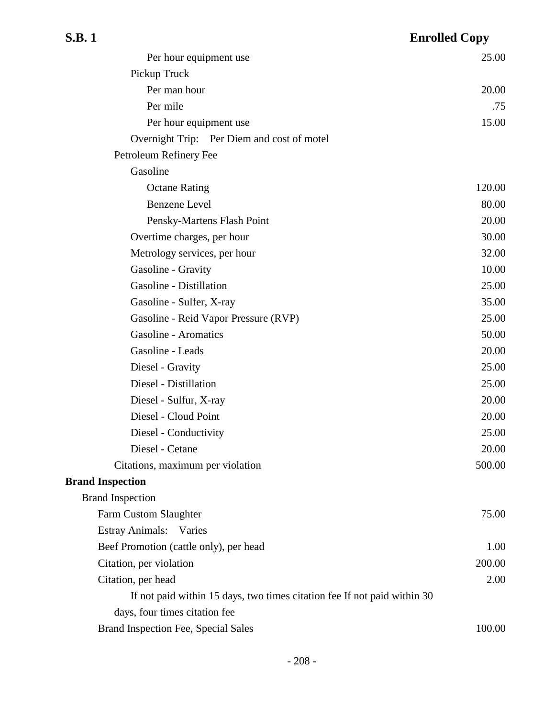| Per hour equipment use                                                   | 25.00  |
|--------------------------------------------------------------------------|--------|
| Pickup Truck                                                             |        |
| Per man hour                                                             | 20.00  |
| Per mile                                                                 | .75    |
| Per hour equipment use                                                   | 15.00  |
| Overnight Trip: Per Diem and cost of motel                               |        |
| Petroleum Refinery Fee                                                   |        |
| Gasoline                                                                 |        |
| <b>Octane Rating</b>                                                     | 120.00 |
| <b>Benzene</b> Level                                                     | 80.00  |
| Pensky-Martens Flash Point                                               | 20.00  |
| Overtime charges, per hour                                               | 30.00  |
| Metrology services, per hour                                             | 32.00  |
| Gasoline - Gravity                                                       | 10.00  |
| Gasoline - Distillation                                                  | 25.00  |
| Gasoline - Sulfer, X-ray                                                 | 35.00  |
| Gasoline - Reid Vapor Pressure (RVP)                                     | 25.00  |
| <b>Gasoline - Aromatics</b>                                              | 50.00  |
| Gasoline - Leads                                                         | 20.00  |
| Diesel - Gravity                                                         | 25.00  |
| Diesel - Distillation                                                    | 25.00  |
| Diesel - Sulfur, X-ray                                                   | 20.00  |
| Diesel - Cloud Point                                                     | 20.00  |
| Diesel - Conductivity                                                    | 25.00  |
| Diesel - Cetane                                                          | 20.00  |
| Citations, maximum per violation                                         | 500.00 |
| <b>Brand Inspection</b>                                                  |        |
| <b>Brand Inspection</b>                                                  |        |
| Farm Custom Slaughter                                                    | 75.00  |
| Estray Animals: Varies                                                   |        |
| Beef Promotion (cattle only), per head                                   | 1.00   |
| Citation, per violation                                                  | 200.00 |
| Citation, per head                                                       | 2.00   |
| If not paid within 15 days, two times citation fee If not paid within 30 |        |
| days, four times citation fee                                            |        |
| Brand Inspection Fee, Special Sales                                      | 100.00 |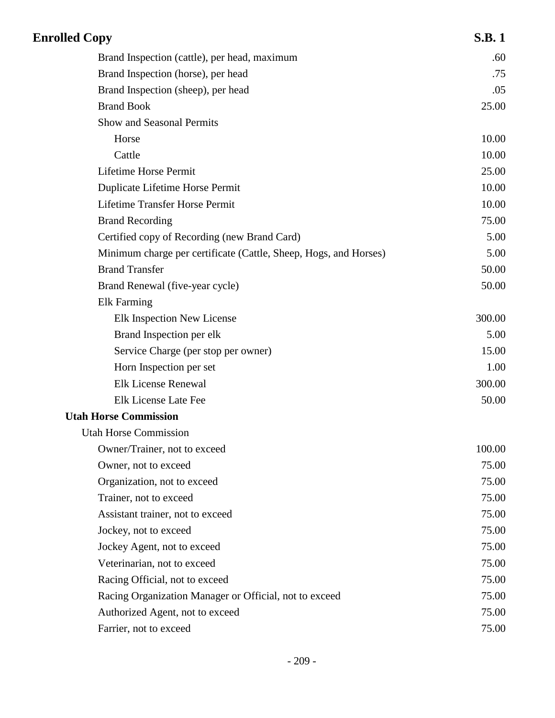| <b>Enrolled Copy</b>                                             | <b>S.B.1</b> |
|------------------------------------------------------------------|--------------|
| Brand Inspection (cattle), per head, maximum                     | .60          |
| Brand Inspection (horse), per head                               | .75          |
| Brand Inspection (sheep), per head                               | .05          |
| <b>Brand Book</b>                                                | 25.00        |
| Show and Seasonal Permits                                        |              |
| Horse                                                            | 10.00        |
| Cattle                                                           | 10.00        |
| Lifetime Horse Permit                                            | 25.00        |
| Duplicate Lifetime Horse Permit                                  | 10.00        |
| <b>Lifetime Transfer Horse Permit</b>                            | 10.00        |
| <b>Brand Recording</b>                                           | 75.00        |
| Certified copy of Recording (new Brand Card)                     | 5.00         |
| Minimum charge per certificate (Cattle, Sheep, Hogs, and Horses) | 5.00         |
| <b>Brand Transfer</b>                                            | 50.00        |
| Brand Renewal (five-year cycle)                                  | 50.00        |
| <b>Elk Farming</b>                                               |              |
| Elk Inspection New License                                       | 300.00       |
| Brand Inspection per elk                                         | 5.00         |
| Service Charge (per stop per owner)                              | 15.00        |
| Horn Inspection per set                                          | 1.00         |
| <b>Elk License Renewal</b>                                       | 300.00       |
| Elk License Late Fee                                             | 50.00        |
| <b>Utah Horse Commission</b>                                     |              |
| <b>Utah Horse Commission</b>                                     |              |
| Owner/Trainer, not to exceed                                     | 100.00       |
| Owner, not to exceed                                             | 75.00        |
| Organization, not to exceed                                      | 75.00        |
| Trainer, not to exceed                                           | 75.00        |
| Assistant trainer, not to exceed                                 | 75.00        |
| Jockey, not to exceed                                            | 75.00        |
| Jockey Agent, not to exceed                                      | 75.00        |
| Veterinarian, not to exceed                                      | 75.00        |
| Racing Official, not to exceed                                   | 75.00        |
| Racing Organization Manager or Official, not to exceed           | 75.00        |
| Authorized Agent, not to exceed                                  | 75.00        |
| Farrier, not to exceed                                           | 75.00        |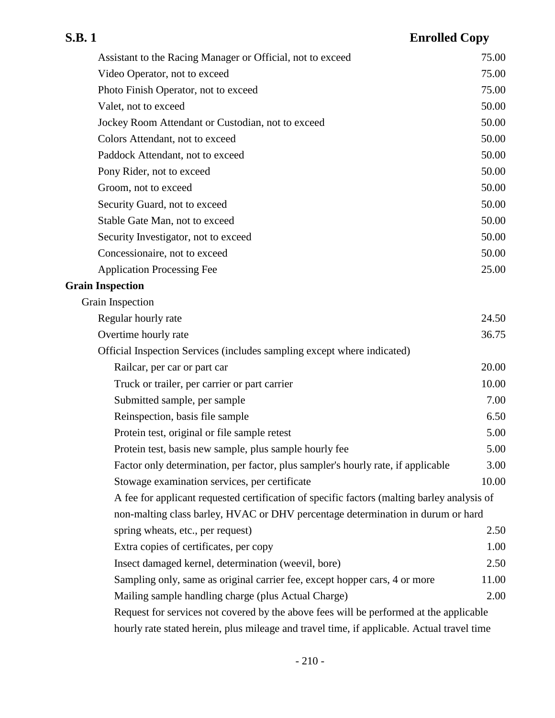## **S.B. 1 Enrolled Copy** Assistant to the Racing Manager or Official, not to exceed 75.00 Video Operator, not to exceed 75.00 Photo Finish Operator, not to exceed 75.00 Valet, not to exceed 50.00 Jockey Room Attendant or Custodian, not to exceed 50.00 Colors Attendant, not to exceed 50.00 Paddock Attendant, not to exceed 50.00 Pony Rider, not to exceed 50.00 Groom, not to exceed 50.00 Security Guard, not to exceed 50.00 Stable Gate Man, not to exceed 50.00 Security Investigator, not to exceed 50.00 Concessionaire, not to exceed 50.00 Application Processing Fee 25.00 **Grain Inspection** Grain Inspection Regular hourly rate 24.50 Overtime hourly rate 36.75 Official Inspection Services (includes sampling except where indicated) Railcar, per car or part car 20.00 Truck or trailer, per carrier or part carrier 10.00 Submitted sample, per sample 7.00 Reinspection, basis file sample 6.50 Protein test, original or file sample retest 5.00 Protein test, basis new sample, plus sample hourly fee 5.00 Factor only determination, per factor, plus sampler's hourly rate, if applicable  $3.00$ Stowage examination services, per certificate 10.00 A fee for applicant requested certification of specific factors (malting barley analysis of non-malting class barley, HVAC or DHV percentage determination in durum or hard spring wheats, etc., per request) 2.50 Extra copies of certificates, per copy 1.00 Insect damaged kernel, determination (weevil, bore) 2.50 Sampling only, same as original carrier fee, except hopper cars, 4 or more 11.00 Mailing sample handling charge (plus Actual Charge) 2.00 Request for services not covered by the above fees will be performed at the applicable hourly rate stated herein, plus mileage and travel time, if applicable. Actual travel time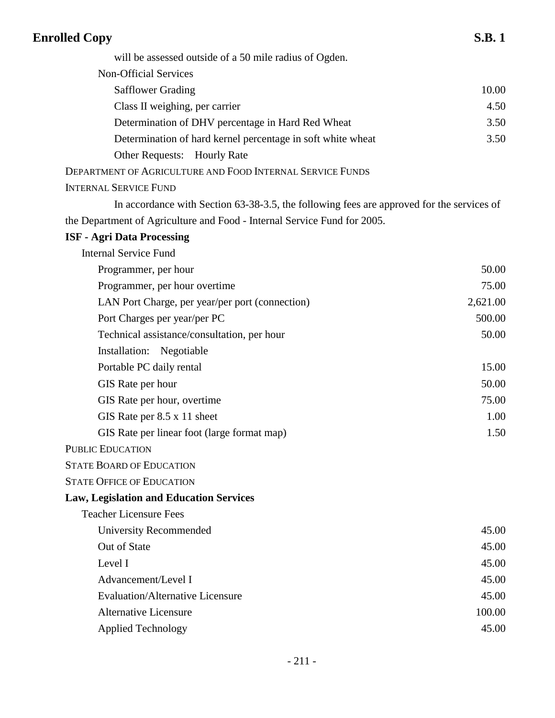| <b>Enrolled Copy</b>                                                                      | <b>S.B.1</b> |
|-------------------------------------------------------------------------------------------|--------------|
| will be assessed outside of a 50 mile radius of Ogden.                                    |              |
| <b>Non-Official Services</b>                                                              |              |
| <b>Safflower Grading</b>                                                                  | 10.00        |
| Class II weighing, per carrier                                                            | 4.50         |
| Determination of DHV percentage in Hard Red Wheat                                         | 3.50         |
| Determination of hard kernel percentage in soft white wheat                               | 3.50         |
| Other Requests: Hourly Rate                                                               |              |
| DEPARTMENT OF AGRICULTURE AND FOOD INTERNAL SERVICE FUNDS                                 |              |
| <b>INTERNAL SERVICE FUND</b>                                                              |              |
| In accordance with Section 63-38-3.5, the following fees are approved for the services of |              |
| the Department of Agriculture and Food - Internal Service Fund for 2005.                  |              |
| <b>ISF - Agri Data Processing</b>                                                         |              |
| <b>Internal Service Fund</b>                                                              |              |
| Programmer, per hour                                                                      | 50.00        |
| Programmer, per hour overtime                                                             | 75.00        |
| LAN Port Charge, per year/per port (connection)                                           | 2,621.00     |
| Port Charges per year/per PC                                                              | 500.00       |
| Technical assistance/consultation, per hour                                               | 50.00        |
| Installation: Negotiable                                                                  |              |
| Portable PC daily rental                                                                  | 15.00        |
| GIS Rate per hour                                                                         | 50.00        |
| GIS Rate per hour, overtime                                                               | 75.00        |
| GIS Rate per $8.5 \times 11$ sheet                                                        | 1.00         |
| GIS Rate per linear foot (large format map)                                               | 1.50         |
| <b>PUBLIC EDUCATION</b>                                                                   |              |
| <b>STATE BOARD OF EDUCATION</b>                                                           |              |
| <b>STATE OFFICE OF EDUCATION</b>                                                          |              |
| <b>Law, Legislation and Education Services</b>                                            |              |
| <b>Teacher Licensure Fees</b>                                                             |              |
| University Recommended                                                                    | 45.00        |
| Out of State                                                                              | 45.00        |
| Level I                                                                                   | 45.00        |
| Advancement/Level I                                                                       | 45.00        |
| <b>Evaluation/Alternative Licensure</b>                                                   | 45.00        |
| <b>Alternative Licensure</b>                                                              | 100.00       |
| <b>Applied Technology</b>                                                                 | 45.00        |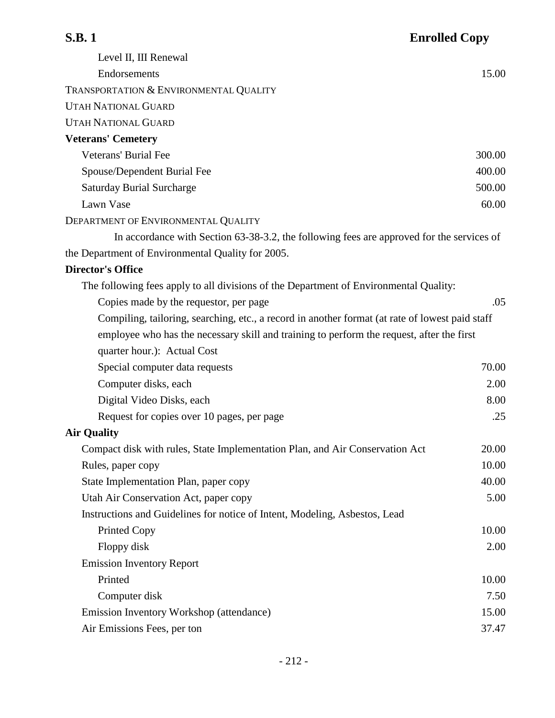| <b>S.B.1</b>                                                                                    | <b>Enrolled Copy</b> |
|-------------------------------------------------------------------------------------------------|----------------------|
| Level II, III Renewal                                                                           |                      |
| Endorsements                                                                                    | 15.00                |
| TRANSPORTATION & ENVIRONMENTAL QUALITY                                                          |                      |
| <b>UTAH NATIONAL GUARD</b>                                                                      |                      |
| <b>UTAH NATIONAL GUARD</b>                                                                      |                      |
| <b>Veterans' Cemetery</b>                                                                       |                      |
| <b>Veterans' Burial Fee</b>                                                                     | 300.00               |
| Spouse/Dependent Burial Fee                                                                     | 400.00               |
| <b>Saturday Burial Surcharge</b>                                                                | 500.00               |
| Lawn Vase                                                                                       | 60.00                |
| DEPARTMENT OF ENVIRONMENTAL QUALITY                                                             |                      |
| In accordance with Section 63-38-3.2, the following fees are approved for the services of       |                      |
| the Department of Environmental Quality for 2005.                                               |                      |
| <b>Director's Office</b>                                                                        |                      |
| The following fees apply to all divisions of the Department of Environmental Quality:           |                      |
| Copies made by the requestor, per page                                                          | .05                  |
| Compiling, tailoring, searching, etc., a record in another format (at rate of lowest paid staff |                      |
| employee who has the necessary skill and training to perform the request, after the first       |                      |
| quarter hour.): Actual Cost                                                                     |                      |
| Special computer data requests                                                                  | 70.00                |
| Computer disks, each                                                                            | 2.00                 |
| Digital Video Disks, each                                                                       | 8.00                 |
| Request for copies over 10 pages, per page                                                      | .25                  |
| <b>Air Quality</b>                                                                              |                      |
| Compact disk with rules, State Implementation Plan, and Air Conservation Act                    | 20.00                |
| Rules, paper copy                                                                               | 10.00                |
| State Implementation Plan, paper copy                                                           | 40.00                |
| Utah Air Conservation Act, paper copy                                                           | 5.00                 |
| Instructions and Guidelines for notice of Intent, Modeling, Asbestos, Lead                      |                      |
| <b>Printed Copy</b>                                                                             | 10.00                |
| Floppy disk                                                                                     | 2.00                 |
| <b>Emission Inventory Report</b>                                                                |                      |
| Printed                                                                                         | 10.00                |
| Computer disk                                                                                   | 7.50                 |
| Emission Inventory Workshop (attendance)                                                        | 15.00                |
| Air Emissions Fees, per ton                                                                     | 37.47                |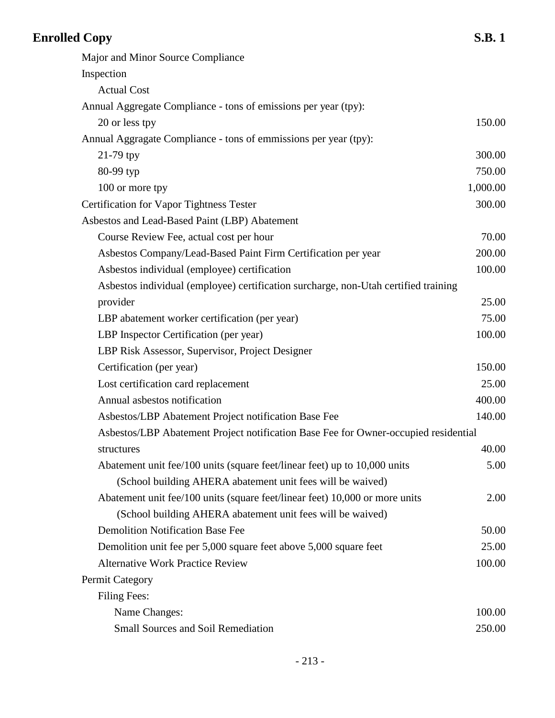| <b>Enrolled Copy</b>                                                                | <b>S.B.1</b> |
|-------------------------------------------------------------------------------------|--------------|
| Major and Minor Source Compliance                                                   |              |
| Inspection                                                                          |              |
| <b>Actual Cost</b>                                                                  |              |
| Annual Aggregate Compliance - tons of emissions per year (tpy):                     |              |
| 20 or less tpy                                                                      | 150.00       |
| Annual Aggragate Compliance - tons of emmissions per year (tpy):                    |              |
| $21-79$ tpy                                                                         | 300.00       |
| 80-99 typ                                                                           | 750.00       |
| 100 or more tpy                                                                     | 1,000.00     |
| <b>Certification for Vapor Tightness Tester</b>                                     | 300.00       |
| Asbestos and Lead-Based Paint (LBP) Abatement                                       |              |
| Course Review Fee, actual cost per hour                                             | 70.00        |
| Asbestos Company/Lead-Based Paint Firm Certification per year                       | 200.00       |
| Asbestos individual (employee) certification                                        | 100.00       |
| Asbestos individual (employee) certification surcharge, non-Utah certified training |              |
| provider                                                                            | 25.00        |
| LBP abatement worker certification (per year)                                       | 75.00        |
| LBP Inspector Certification (per year)                                              | 100.00       |
| LBP Risk Assessor, Supervisor, Project Designer                                     |              |
| Certification (per year)                                                            | 150.00       |
| Lost certification card replacement                                                 | 25.00        |
| Annual asbestos notification                                                        | 400.00       |
| Asbestos/LBP Abatement Project notification Base Fee                                | 140.00       |
| Asbestos/LBP Abatement Project notification Base Fee for Owner-occupied residential |              |
| structures                                                                          | 40.00        |
| Abatement unit fee/100 units (square feet/linear feet) up to 10,000 units           | 5.00         |
| (School building AHERA abatement unit fees will be waived)                          |              |
| Abatement unit fee/100 units (square feet/linear feet) 10,000 or more units         | 2.00         |
| (School building AHERA abatement unit fees will be waived)                          |              |
| <b>Demolition Notification Base Fee</b>                                             | 50.00        |
| Demolition unit fee per 5,000 square feet above 5,000 square feet                   | 25.00        |
| <b>Alternative Work Practice Review</b>                                             | 100.00       |
| <b>Permit Category</b>                                                              |              |
| <b>Filing Fees:</b>                                                                 |              |
| Name Changes:                                                                       | 100.00       |
| <b>Small Sources and Soil Remediation</b>                                           | 250.00       |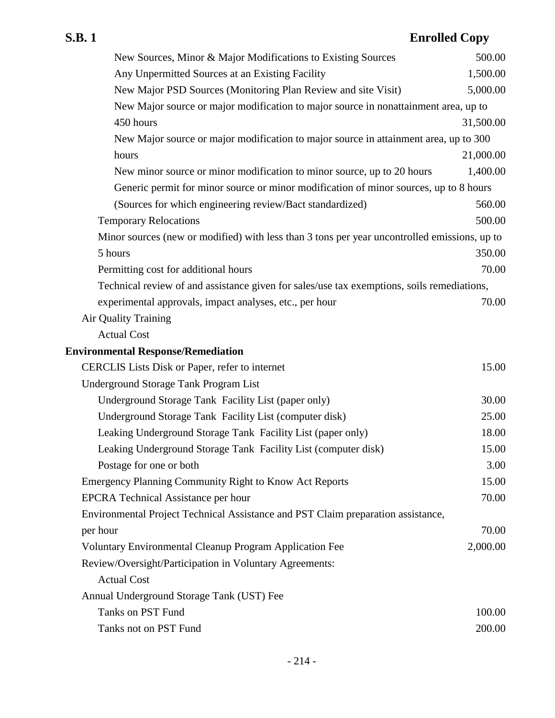| New Sources, Minor & Major Modifications to Existing Sources                                 | 500.00    |
|----------------------------------------------------------------------------------------------|-----------|
| Any Unpermitted Sources at an Existing Facility                                              | 1,500.00  |
| New Major PSD Sources (Monitoring Plan Review and site Visit)                                | 5,000.00  |
| New Major source or major modification to major source in nonattainment area, up to          |           |
| 450 hours                                                                                    | 31,500.00 |
| New Major source or major modification to major source in attainment area, up to 300         |           |
| hours                                                                                        | 21,000.00 |
| New minor source or minor modification to minor source, up to 20 hours                       | 1,400.00  |
| Generic permit for minor source or minor modification of minor sources, up to 8 hours        |           |
| (Sources for which engineering review/Bact standardized)                                     | 560.00    |
| <b>Temporary Relocations</b>                                                                 | 500.00    |
| Minor sources (new or modified) with less than 3 tons per year uncontrolled emissions, up to |           |
| 5 hours                                                                                      | 350.00    |
| Permitting cost for additional hours                                                         | 70.00     |
| Technical review of and assistance given for sales/use tax exemptions, soils remediations,   |           |
| experimental approvals, impact analyses, etc., per hour                                      | 70.00     |
| <b>Air Quality Training</b>                                                                  |           |
| <b>Actual Cost</b>                                                                           |           |
| <b>Environmental Response/Remediation</b>                                                    |           |
| CERCLIS Lists Disk or Paper, refer to internet                                               | 15.00     |
| <b>Underground Storage Tank Program List</b>                                                 |           |
| Underground Storage Tank Facility List (paper only)                                          | 30.00     |
| Underground Storage Tank Facility List (computer disk)                                       | 25.00     |
| Leaking Underground Storage Tank Facility List (paper only)                                  | 18.00     |
| Leaking Underground Storage Tank Facility List (computer disk)                               | 15.00     |
| Postage for one or both                                                                      | 3.00      |
| <b>Emergency Planning Community Right to Know Act Reports</b>                                | 15.00     |
| <b>EPCRA Technical Assistance per hour</b>                                                   | 70.00     |
| Environmental Project Technical Assistance and PST Claim preparation assistance,             |           |
| per hour                                                                                     | 70.00     |
| <b>Voluntary Environmental Cleanup Program Application Fee</b>                               | 2,000.00  |
| Review/Oversight/Participation in Voluntary Agreements:                                      |           |
| <b>Actual Cost</b>                                                                           |           |
| Annual Underground Storage Tank (UST) Fee                                                    |           |
| Tanks on PST Fund                                                                            | 100.00    |
| Tanks not on PST Fund                                                                        | 200.00    |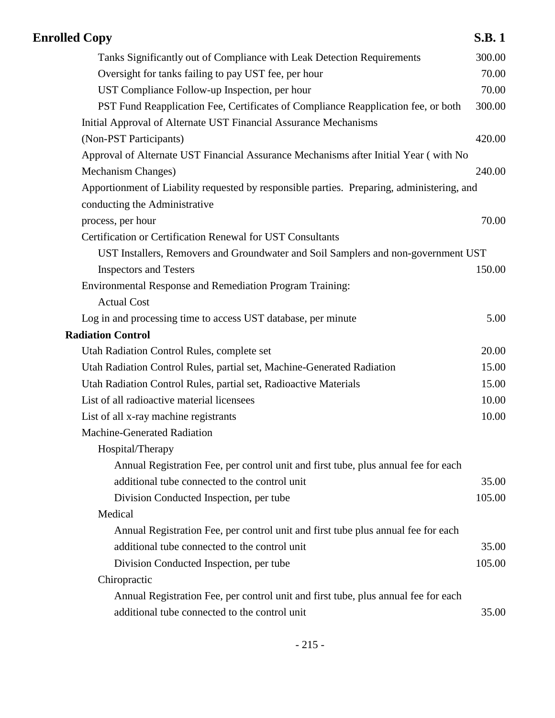| <b>Enrolled Copy</b>                                                                                                                                  | <b>S.B.1</b> |
|-------------------------------------------------------------------------------------------------------------------------------------------------------|--------------|
| Tanks Significantly out of Compliance with Leak Detection Requirements                                                                                | 300.00       |
| Oversight for tanks failing to pay UST fee, per hour                                                                                                  | 70.00        |
| UST Compliance Follow-up Inspection, per hour                                                                                                         | 70.00        |
| PST Fund Reapplication Fee, Certificates of Compliance Reapplication fee, or both<br>Initial Approval of Alternate UST Financial Assurance Mechanisms | 300.00       |
| (Non-PST Participants)                                                                                                                                | 420.00       |
| Approval of Alternate UST Financial Assurance Mechanisms after Initial Year (with No                                                                  |              |
| Mechanism Changes)                                                                                                                                    | 240.00       |
| Apportionment of Liability requested by responsible parties. Preparing, administering, and<br>conducting the Administrative                           |              |
| process, per hour                                                                                                                                     | 70.00        |
| <b>Certification or Certification Renewal for UST Consultants</b>                                                                                     |              |
| UST Installers, Removers and Groundwater and Soil Samplers and non-government UST                                                                     |              |
| <b>Inspectors and Testers</b>                                                                                                                         | 150.00       |
| Environmental Response and Remediation Program Training:<br><b>Actual Cost</b>                                                                        |              |
| Log in and processing time to access UST database, per minute                                                                                         | 5.00         |
| <b>Radiation Control</b>                                                                                                                              |              |
| Utah Radiation Control Rules, complete set                                                                                                            | 20.00        |
| Utah Radiation Control Rules, partial set, Machine-Generated Radiation                                                                                | 15.00        |
| Utah Radiation Control Rules, partial set, Radioactive Materials                                                                                      | 15.00        |
| List of all radioactive material licensees                                                                                                            | 10.00        |
| List of all x-ray machine registrants                                                                                                                 | 10.00        |
| <b>Machine-Generated Radiation</b>                                                                                                                    |              |
| Hospital/Therapy                                                                                                                                      |              |
| Annual Registration Fee, per control unit and first tube, plus annual fee for each                                                                    |              |
| additional tube connected to the control unit                                                                                                         | 35.00        |
| Division Conducted Inspection, per tube                                                                                                               | 105.00       |
| Medical                                                                                                                                               |              |
| Annual Registration Fee, per control unit and first tube plus annual fee for each                                                                     |              |
| additional tube connected to the control unit                                                                                                         | 35.00        |
| Division Conducted Inspection, per tube                                                                                                               | 105.00       |
| Chiropractic                                                                                                                                          |              |
| Annual Registration Fee, per control unit and first tube, plus annual fee for each                                                                    |              |
| additional tube connected to the control unit                                                                                                         | 35.00        |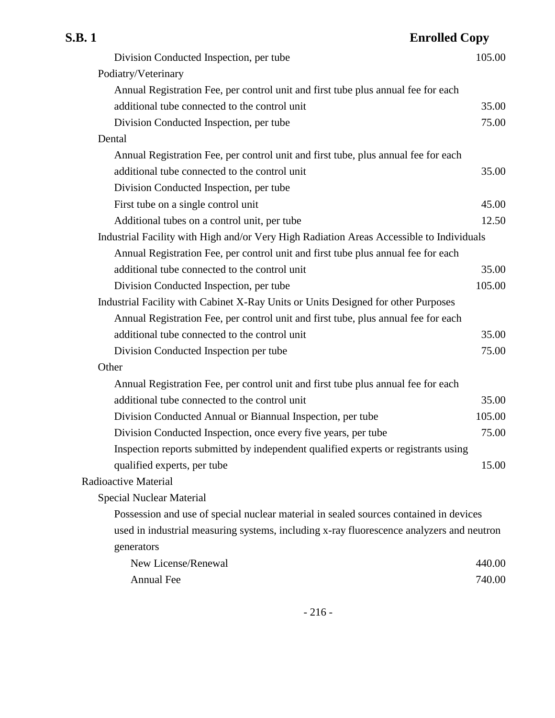| S.B. 1 | <b>Enrolled Copy</b>                                                                     |        |
|--------|------------------------------------------------------------------------------------------|--------|
|        | Division Conducted Inspection, per tube                                                  | 105.00 |
|        | Podiatry/Veterinary                                                                      |        |
|        | Annual Registration Fee, per control unit and first tube plus annual fee for each        |        |
|        | additional tube connected to the control unit                                            | 35.00  |
|        | Division Conducted Inspection, per tube                                                  | 75.00  |
| Dental |                                                                                          |        |
|        | Annual Registration Fee, per control unit and first tube, plus annual fee for each       |        |
|        | additional tube connected to the control unit                                            | 35.00  |
|        | Division Conducted Inspection, per tube                                                  |        |
|        | First tube on a single control unit                                                      | 45.00  |
|        | Additional tubes on a control unit, per tube                                             | 12.50  |
|        | Industrial Facility with High and/or Very High Radiation Areas Accessible to Individuals |        |
|        | Annual Registration Fee, per control unit and first tube plus annual fee for each        |        |
|        | additional tube connected to the control unit                                            | 35.00  |
|        | Division Conducted Inspection, per tube                                                  | 105.00 |
|        | Industrial Facility with Cabinet X-Ray Units or Units Designed for other Purposes        |        |
|        | Annual Registration Fee, per control unit and first tube, plus annual fee for each       |        |
|        | additional tube connected to the control unit                                            | 35.00  |
|        | Division Conducted Inspection per tube                                                   | 75.00  |
| Other  |                                                                                          |        |
|        | Annual Registration Fee, per control unit and first tube plus annual fee for each        |        |
|        | additional tube connected to the control unit                                            | 35.00  |
|        | Division Conducted Annual or Biannual Inspection, per tube                               | 105.00 |
|        | Division Conducted Inspection, once every five years, per tube                           | 75.00  |
|        | Inspection reports submitted by independent qualified experts or registrants using       |        |
|        | qualified experts, per tube                                                              | 15.00  |
|        | Radioactive Material                                                                     |        |
|        | <b>Special Nuclear Material</b>                                                          |        |
|        | Possession and use of special nuclear material in sealed sources contained in devices    |        |
|        | used in industrial measuring systems, including x-ray fluorescence analyzers and neutron |        |
|        | generators                                                                               |        |
|        | New License/Renewal                                                                      | 440.00 |
|        | <b>Annual Fee</b>                                                                        | 740.00 |
|        |                                                                                          |        |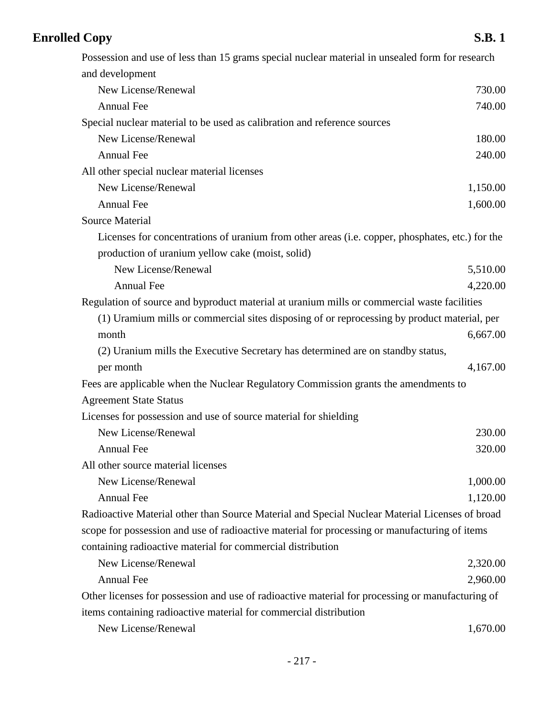# **Enrolled Copy** S.B. 1

| Possession and use of less than 15 grams special nuclear material in unsealed form for research  |          |
|--------------------------------------------------------------------------------------------------|----------|
| and development                                                                                  |          |
| New License/Renewal                                                                              | 730.00   |
| <b>Annual Fee</b>                                                                                | 740.00   |
| Special nuclear material to be used as calibration and reference sources                         |          |
| New License/Renewal                                                                              | 180.00   |
| Annual Fee                                                                                       | 240.00   |
| All other special nuclear material licenses                                                      |          |
| New License/Renewal                                                                              | 1,150.00 |
| Annual Fee                                                                                       | 1,600.00 |
| <b>Source Material</b>                                                                           |          |
| Licenses for concentrations of uranium from other areas (i.e. copper, phosphates, etc.) for the  |          |
| production of uranium yellow cake (moist, solid)                                                 |          |
| New License/Renewal                                                                              | 5,510.00 |
| <b>Annual Fee</b>                                                                                | 4,220.00 |
| Regulation of source and byproduct material at uranium mills or commercial waste facilities      |          |
| (1) Uramium mills or commercial sites disposing of or reprocessing by product material, per      |          |
| month                                                                                            | 6,667.00 |
| (2) Uranium mills the Executive Secretary has determined are on standby status,                  |          |
| per month                                                                                        | 4,167.00 |
| Fees are applicable when the Nuclear Regulatory Commission grants the amendments to              |          |
| <b>Agreement State Status</b>                                                                    |          |
| Licenses for possession and use of source material for shielding                                 |          |
| New License/Renewal                                                                              | 230.00   |
| Annual Fee                                                                                       | 320.00   |
| All other source material licenses                                                               |          |
| New License/Renewal                                                                              | 1,000.00 |
| <b>Annual Fee</b>                                                                                | 1,120.00 |
| Radioactive Material other than Source Material and Special Nuclear Material Licenses of broad   |          |
| scope for possession and use of radioactive material for processing or manufacturing of items    |          |
| containing radioactive material for commercial distribution                                      |          |
| New License/Renewal                                                                              | 2,320.00 |
| <b>Annual Fee</b>                                                                                | 2,960.00 |
| Other licenses for possession and use of radioactive material for processing or manufacturing of |          |
| items containing radioactive material for commercial distribution                                |          |
| New License/Renewal                                                                              | 1,670.00 |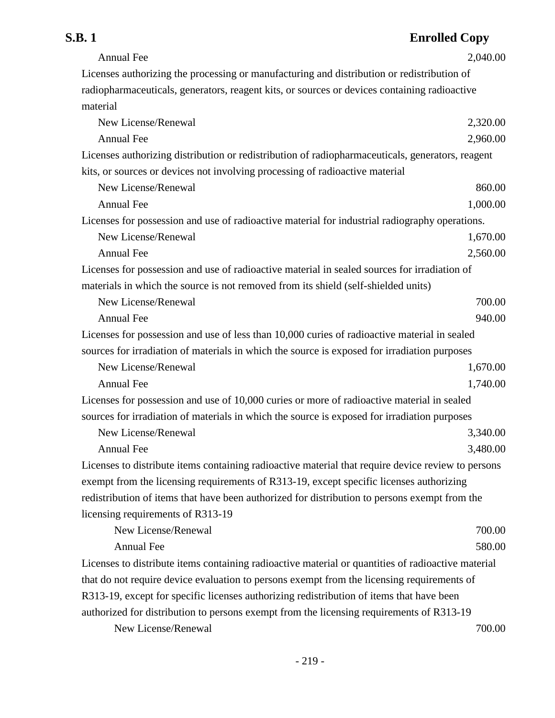# **S.B. 1 Enrolled Copy**

| <b>Annual Fee</b>                                                                                  | 2,040.00 |
|----------------------------------------------------------------------------------------------------|----------|
| Licenses authorizing the processing or manufacturing and distribution or redistribution of         |          |
| radiopharmaceuticals, generators, reagent kits, or sources or devices containing radioactive       |          |
| material                                                                                           |          |
| New License/Renewal                                                                                | 2,320.00 |
| <b>Annual Fee</b>                                                                                  | 2,960.00 |
| Licenses authorizing distribution or redistribution of radiopharmaceuticals, generators, reagent   |          |
| kits, or sources or devices not involving processing of radioactive material                       |          |
| New License/Renewal                                                                                | 860.00   |
| <b>Annual Fee</b>                                                                                  | 1,000.00 |
| Licenses for possession and use of radioactive material for industrial radiography operations.     |          |
| New License/Renewal                                                                                | 1,670.00 |
| <b>Annual Fee</b>                                                                                  | 2,560.00 |
| Licenses for possession and use of radioactive material in sealed sources for irradiation of       |          |
| materials in which the source is not removed from its shield (self-shielded units)                 |          |
| New License/Renewal                                                                                | 700.00   |
| <b>Annual Fee</b>                                                                                  | 940.00   |
| Licenses for possession and use of less than 10,000 curies of radioactive material in sealed       |          |
| sources for irradiation of materials in which the source is exposed for irradiation purposes       |          |
| New License/Renewal                                                                                | 1,670.00 |
| <b>Annual Fee</b>                                                                                  | 1,740.00 |
| Licenses for possession and use of 10,000 curies or more of radioactive material in sealed         |          |
| sources for irradiation of materials in which the source is exposed for irradiation purposes       |          |
| New License/Renewal                                                                                | 3,340.00 |
| Annual Fee                                                                                         | 3,480.00 |
| Licenses to distribute items containing radioactive material that require device review to persons |          |
| exempt from the licensing requirements of R313-19, except specific licenses authorizing            |          |
| redistribution of items that have been authorized for distribution to persons exempt from the      |          |
| licensing requirements of R313-19                                                                  |          |
| New License/Renewal                                                                                | 700.00   |
| <b>Annual Fee</b>                                                                                  | 580.00   |
| Licenses to distribute items containing radioactive material or quantities of radioactive material |          |
| that do not require device evaluation to persons exempt from the licensing requirements of         |          |
| R313-19, except for specific licenses authorizing redistribution of items that have been           |          |
| authorized for distribution to persons exempt from the licensing requirements of R313-19           |          |
| New License/Renewal                                                                                | 700.00   |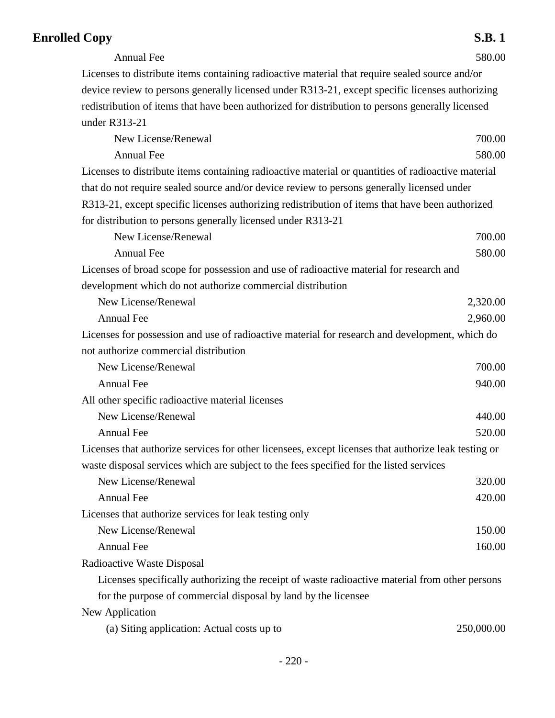## **Enrolled Copy** S.B. 1

Annual Fee 580.00

Licenses to distribute items containing radioactive material that require sealed source and/or device review to persons generally licensed under R313-21, except specific licenses authorizing redistribution of items that have been authorized for distribution to persons generally licensed under R313-21

| New License/Renewal                                                                                  | 700.00     |
|------------------------------------------------------------------------------------------------------|------------|
| <b>Annual Fee</b>                                                                                    | 580.00     |
| Licenses to distribute items containing radioactive material or quantities of radioactive material   |            |
| that do not require sealed source and/or device review to persons generally licensed under           |            |
| R313-21, except specific licenses authorizing redistribution of items that have been authorized      |            |
| for distribution to persons generally licensed under R313-21                                         |            |
| New License/Renewal                                                                                  | 700.00     |
| <b>Annual Fee</b>                                                                                    | 580.00     |
| Licenses of broad scope for possession and use of radioactive material for research and              |            |
| development which do not authorize commercial distribution                                           |            |
| New License/Renewal                                                                                  | 2,320.00   |
| <b>Annual Fee</b>                                                                                    | 2,960.00   |
| Licenses for possession and use of radioactive material for research and development, which do       |            |
| not authorize commercial distribution                                                                |            |
| New License/Renewal                                                                                  | 700.00     |
| <b>Annual Fee</b>                                                                                    | 940.00     |
| All other specific radioactive material licenses                                                     |            |
| New License/Renewal                                                                                  | 440.00     |
| <b>Annual Fee</b>                                                                                    | 520.00     |
| Licenses that authorize services for other licensees, except licenses that authorize leak testing or |            |
| waste disposal services which are subject to the fees specified for the listed services              |            |
| New License/Renewal                                                                                  | 320.00     |
| <b>Annual Fee</b>                                                                                    | 420.00     |
| Licenses that authorize services for leak testing only                                               |            |
| New License/Renewal                                                                                  | 150.00     |
| <b>Annual Fee</b>                                                                                    | 160.00     |
| Radioactive Waste Disposal                                                                           |            |
| Licenses specifically authorizing the receipt of waste radioactive material from other persons       |            |
| for the purpose of commercial disposal by land by the licensee                                       |            |
| New Application                                                                                      |            |
| (a) Siting application: Actual costs up to                                                           | 250,000.00 |
|                                                                                                      |            |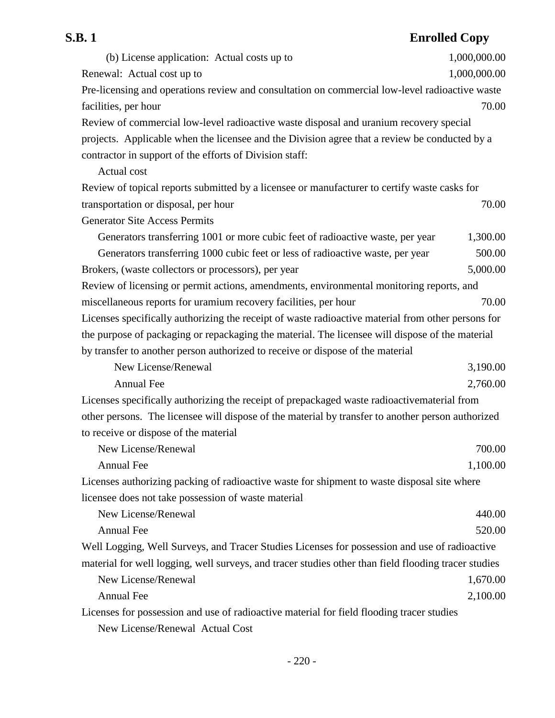# **S.B. 1 Enrolled Copy**

| (b) License application: Actual costs up to                                                          | 1,000,000.00 |
|------------------------------------------------------------------------------------------------------|--------------|
| Renewal: Actual cost up to                                                                           | 1,000,000.00 |
| Pre-licensing and operations review and consultation on commercial low-level radioactive waste       |              |
| facilities, per hour                                                                                 | 70.00        |
| Review of commercial low-level radioactive waste disposal and uranium recovery special               |              |
| projects. Applicable when the licensee and the Division agree that a review be conducted by a        |              |
| contractor in support of the efforts of Division staff:                                              |              |
| Actual cost                                                                                          |              |
| Review of topical reports submitted by a licensee or manufacturer to certify waste casks for         |              |
| transportation or disposal, per hour                                                                 | 70.00        |
| <b>Generator Site Access Permits</b>                                                                 |              |
| Generators transferring 1001 or more cubic feet of radioactive waste, per year                       | 1,300.00     |
| Generators transferring 1000 cubic feet or less of radioactive waste, per year                       | 500.00       |
| Brokers, (waste collectors or processors), per year                                                  | 5,000.00     |
| Review of licensing or permit actions, amendments, environmental monitoring reports, and             |              |
| miscellaneous reports for uramium recovery facilities, per hour                                      | 70.00        |
| Licenses specifically authorizing the receipt of waste radioactive material from other persons for   |              |
| the purpose of packaging or repackaging the material. The licensee will dispose of the material      |              |
| by transfer to another person authorized to receive or dispose of the material                       |              |
| New License/Renewal                                                                                  | 3,190.00     |
| <b>Annual Fee</b>                                                                                    | 2,760.00     |
| Licenses specifically authorizing the receipt of prepackaged waste radioactivematerial from          |              |
| other persons. The licensee will dispose of the material by transfer to another person authorized    |              |
| to receive or dispose of the material                                                                |              |
| New License/Renewal                                                                                  | 700.00       |
| Annual Fee                                                                                           | 1,100.00     |
| Licenses authorizing packing of radioactive waste for shipment to waste disposal site where          |              |
| licensee does not take possession of waste material                                                  |              |
| New License/Renewal                                                                                  | 440.00       |
| Annual Fee                                                                                           | 520.00       |
| Well Logging, Well Surveys, and Tracer Studies Licenses for possession and use of radioactive        |              |
| material for well logging, well surveys, and tracer studies other than field flooding tracer studies |              |
| New License/Renewal                                                                                  | 1,670.00     |
| <b>Annual Fee</b>                                                                                    | 2,100.00     |
| Licenses for possession and use of radioactive material for field flooding tracer studies            |              |
| New License/Renewal Actual Cost                                                                      |              |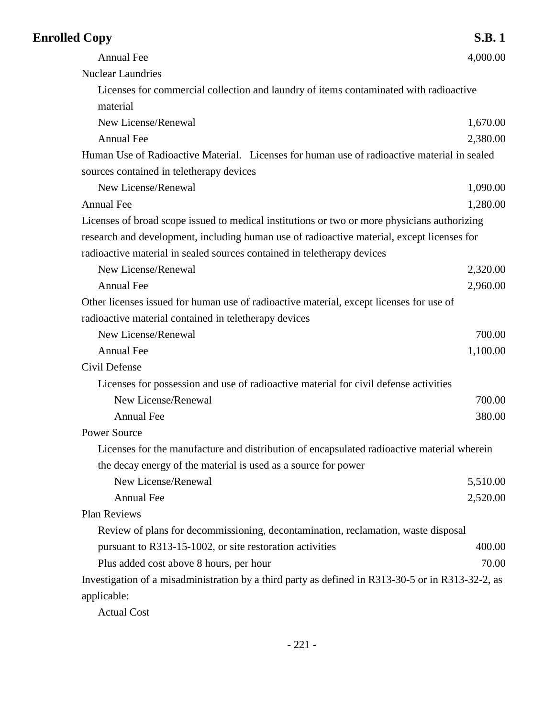| <b>Enrolled Copy</b>                                                                              | <b>S.B.1</b> |
|---------------------------------------------------------------------------------------------------|--------------|
| Annual Fee                                                                                        | 4,000.00     |
| <b>Nuclear Laundries</b>                                                                          |              |
| Licenses for commercial collection and laundry of items contaminated with radioactive             |              |
| material                                                                                          |              |
| New License/Renewal                                                                               | 1,670.00     |
| <b>Annual Fee</b>                                                                                 | 2,380.00     |
| Human Use of Radioactive Material. Licenses for human use of radioactive material in sealed       |              |
| sources contained in teletherapy devices                                                          |              |
| New License/Renewal                                                                               | 1,090.00     |
| <b>Annual Fee</b>                                                                                 | 1,280.00     |
| Licenses of broad scope issued to medical institutions or two or more physicians authorizing      |              |
| research and development, including human use of radioactive material, except licenses for        |              |
| radioactive material in sealed sources contained in teletherapy devices                           |              |
| New License/Renewal                                                                               | 2,320.00     |
| <b>Annual Fee</b>                                                                                 | 2,960.00     |
| Other licenses issued for human use of radioactive material, except licenses for use of           |              |
| radioactive material contained in teletherapy devices                                             |              |
| New License/Renewal                                                                               | 700.00       |
| <b>Annual Fee</b>                                                                                 | 1,100.00     |
| Civil Defense                                                                                     |              |
| Licenses for possession and use of radioactive material for civil defense activities              |              |
| New License/Renewal                                                                               | 700.00       |
| <b>Annual Fee</b>                                                                                 | 380.00       |
| <b>Power Source</b>                                                                               |              |
| Licenses for the manufacture and distribution of encapsulated radioactive material wherein        |              |
| the decay energy of the material is used as a source for power                                    |              |
| New License/Renewal                                                                               | 5,510.00     |
| Annual Fee                                                                                        | 2,520.00     |
| Plan Reviews                                                                                      |              |
| Review of plans for decommissioning, decontamination, reclamation, waste disposal                 |              |
| pursuant to R313-15-1002, or site restoration activities                                          | 400.00       |
| Plus added cost above 8 hours, per hour                                                           | 70.00        |
| Investigation of a misadministration by a third party as defined in R313-30-5 or in R313-32-2, as |              |
| applicable:                                                                                       |              |

Actual Cost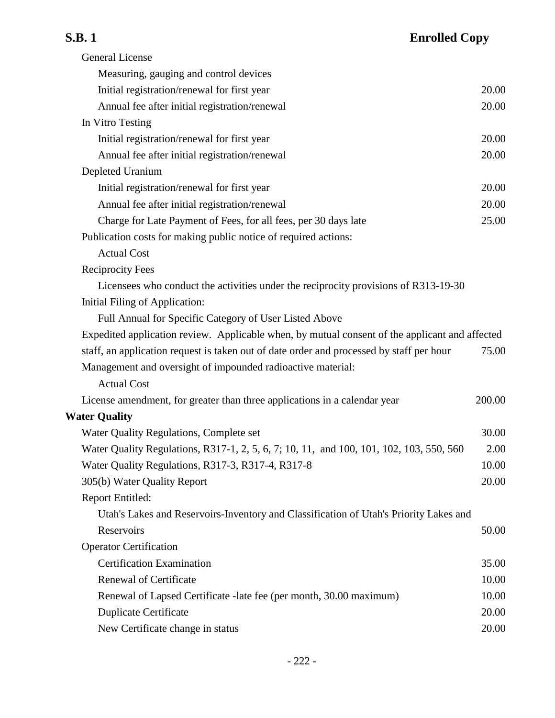# **S.B. 1 Enrolled Copy**

| <b>General License</b>                                                                         |        |
|------------------------------------------------------------------------------------------------|--------|
| Measuring, gauging and control devices                                                         |        |
| Initial registration/renewal for first year                                                    | 20.00  |
| Annual fee after initial registration/renewal                                                  | 20.00  |
| In Vitro Testing                                                                               |        |
| Initial registration/renewal for first year                                                    | 20.00  |
| Annual fee after initial registration/renewal                                                  | 20.00  |
| Depleted Uranium                                                                               |        |
| Initial registration/renewal for first year                                                    | 20.00  |
| Annual fee after initial registration/renewal                                                  | 20.00  |
| Charge for Late Payment of Fees, for all fees, per 30 days late                                | 25.00  |
| Publication costs for making public notice of required actions:                                |        |
| <b>Actual Cost</b>                                                                             |        |
| <b>Reciprocity Fees</b>                                                                        |        |
| Licensees who conduct the activities under the reciprocity provisions of R313-19-30            |        |
| Initial Filing of Application:                                                                 |        |
| Full Annual for Specific Category of User Listed Above                                         |        |
| Expedited application review. Applicable when, by mutual consent of the applicant and affected |        |
| staff, an application request is taken out of date order and processed by staff per hour       | 75.00  |
| Management and oversight of impounded radioactive material:                                    |        |
| <b>Actual Cost</b>                                                                             |        |
| License amendment, for greater than three applications in a calendar year                      | 200.00 |
| <b>Water Quality</b>                                                                           |        |
| Water Quality Regulations, Complete set                                                        | 30.00  |
| Water Quality Regulations, R317-1, 2, 5, 6, 7; 10, 11, and 100, 101, 102, 103, 550, 560        | 2.00   |
| Water Quality Regulations, R317-3, R317-4, R317-8                                              | 10.00  |
| 305(b) Water Quality Report                                                                    | 20.00  |
| Report Entitled:                                                                               |        |
| Utah's Lakes and Reservoirs-Inventory and Classification of Utah's Priority Lakes and          |        |
| Reservoirs                                                                                     | 50.00  |
| <b>Operator Certification</b>                                                                  |        |
| <b>Certification Examination</b>                                                               | 35.00  |
| Renewal of Certificate                                                                         | 10.00  |
| Renewal of Lapsed Certificate -late fee (per month, 30.00 maximum)                             | 10.00  |
| <b>Duplicate Certificate</b>                                                                   | 20.00  |
| New Certificate change in status                                                               | 20.00  |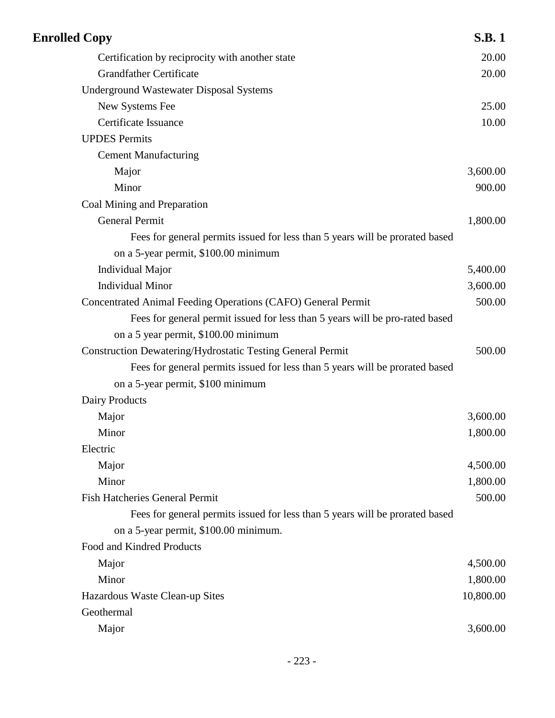| <b>Enrolled Copy</b>                                                         | <b>S.B.1</b> |
|------------------------------------------------------------------------------|--------------|
| Certification by reciprocity with another state                              | 20.00        |
| <b>Grandfather Certificate</b>                                               | 20.00        |
| <b>Underground Wastewater Disposal Systems</b>                               |              |
| New Systems Fee                                                              | 25.00        |
| Certificate Issuance                                                         | 10.00        |
| <b>UPDES Permits</b>                                                         |              |
| <b>Cement Manufacturing</b>                                                  |              |
| Major                                                                        | 3,600.00     |
| Minor                                                                        | 900.00       |
| Coal Mining and Preparation                                                  |              |
| <b>General Permit</b>                                                        | 1,800.00     |
| Fees for general permits issued for less than 5 years will be prorated based |              |
| on a 5-year permit, \$100.00 minimum                                         |              |
| <b>Individual Major</b>                                                      | 5,400.00     |
| <b>Individual Minor</b>                                                      | 3,600.00     |
| Concentrated Animal Feeding Operations (CAFO) General Permit                 | 500.00       |
| Fees for general permit issued for less than 5 years will be pro-rated based |              |
| on a 5 year permit, \$100.00 minimum                                         |              |
| <b>Construction Dewatering/Hydrostatic Testing General Permit</b>            | 500.00       |
| Fees for general permits issued for less than 5 years will be prorated based |              |
| on a 5-year permit, \$100 minimum                                            |              |
| Dairy Products                                                               |              |
| Major                                                                        | 3,600.00     |
| Minor                                                                        | 1,800.00     |
| Electric                                                                     |              |
| Major                                                                        | 4,500.00     |
| Minor                                                                        | 1,800.00     |
| <b>Fish Hatcheries General Permit</b>                                        | 500.00       |
| Fees for general permits issued for less than 5 years will be prorated based |              |
| on a 5-year permit, \$100.00 minimum.                                        |              |
| Food and Kindred Products                                                    |              |
| Major                                                                        | 4,500.00     |
| Minor                                                                        | 1,800.00     |
| Hazardous Waste Clean-up Sites                                               | 10,800.00    |
| Geothermal                                                                   |              |
| Major                                                                        | 3,600.00     |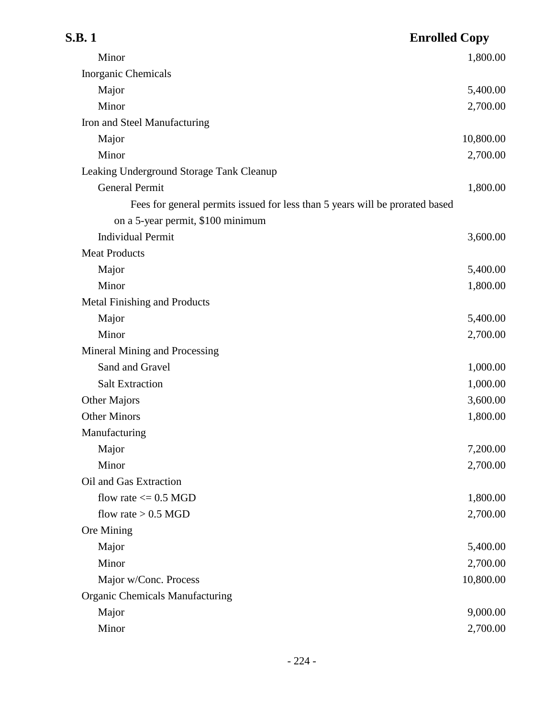| S.B. 1                                                                       | <b>Enrolled Copy</b> |
|------------------------------------------------------------------------------|----------------------|
| Minor                                                                        | 1,800.00             |
| Inorganic Chemicals                                                          |                      |
| Major                                                                        | 5,400.00             |
| Minor                                                                        | 2,700.00             |
| Iron and Steel Manufacturing                                                 |                      |
| Major                                                                        | 10,800.00            |
| Minor                                                                        | 2,700.00             |
| Leaking Underground Storage Tank Cleanup                                     |                      |
| <b>General Permit</b>                                                        | 1,800.00             |
| Fees for general permits issued for less than 5 years will be prorated based |                      |
| on a 5-year permit, \$100 minimum                                            |                      |
| <b>Individual Permit</b>                                                     | 3,600.00             |
| <b>Meat Products</b>                                                         |                      |
| Major                                                                        | 5,400.00             |
| Minor                                                                        | 1,800.00             |
| <b>Metal Finishing and Products</b>                                          |                      |
| Major                                                                        | 5,400.00             |
| Minor                                                                        | 2,700.00             |
| Mineral Mining and Processing                                                |                      |
| Sand and Gravel                                                              | 1,000.00             |
| <b>Salt Extraction</b>                                                       | 1,000.00             |
| Other Majors                                                                 | 3,600.00             |
| <b>Other Minors</b>                                                          | 1,800.00             |
| Manufacturing                                                                |                      |
| Major                                                                        | 7,200.00             |
| Minor                                                                        | 2,700.00             |
| Oil and Gas Extraction                                                       |                      |
| flow rate $\leq$ 0.5 MGD                                                     | 1,800.00             |
| flow rate $> 0.5$ MGD                                                        | 2,700.00             |
| Ore Mining                                                                   |                      |
| Major                                                                        | 5,400.00             |
| Minor                                                                        | 2,700.00             |
| Major w/Conc. Process                                                        | 10,800.00            |
| <b>Organic Chemicals Manufacturing</b>                                       |                      |
| Major                                                                        | 9,000.00             |
| Minor                                                                        | 2,700.00             |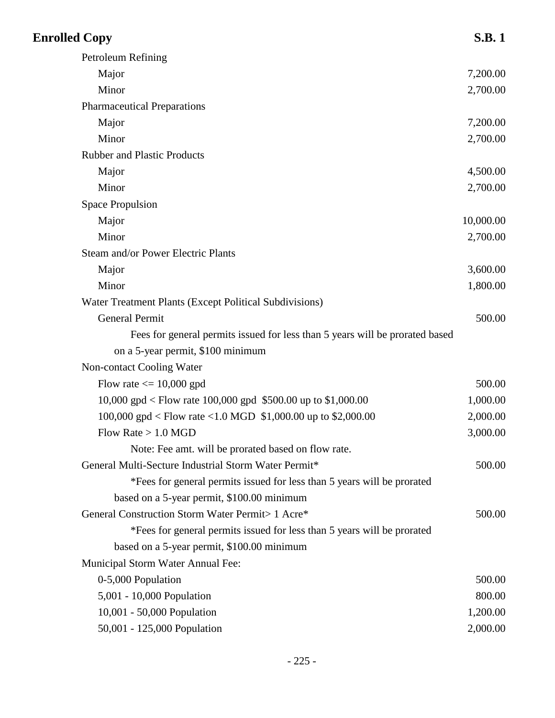| <b>Enrolled Copy</b>                                                         | <b>S.B.1</b> |
|------------------------------------------------------------------------------|--------------|
| Petroleum Refining                                                           |              |
| Major                                                                        | 7,200.00     |
| Minor                                                                        | 2,700.00     |
| <b>Pharmaceutical Preparations</b>                                           |              |
| Major                                                                        | 7,200.00     |
| Minor                                                                        | 2,700.00     |
| <b>Rubber and Plastic Products</b>                                           |              |
| Major                                                                        | 4,500.00     |
| Minor                                                                        | 2,700.00     |
| <b>Space Propulsion</b>                                                      |              |
| Major                                                                        | 10,000.00    |
| Minor                                                                        | 2,700.00     |
| Steam and/or Power Electric Plants                                           |              |
| Major                                                                        | 3,600.00     |
| Minor                                                                        | 1,800.00     |
| Water Treatment Plants (Except Political Subdivisions)                       |              |
| <b>General Permit</b>                                                        | 500.00       |
| Fees for general permits issued for less than 5 years will be prorated based |              |
| on a 5-year permit, \$100 minimum                                            |              |
| Non-contact Cooling Water                                                    |              |
| Flow rate $\leq$ 10,000 gpd                                                  | 500.00       |
| 10,000 gpd < Flow rate 100,000 gpd \$500.00 up to \$1,000.00                 | 1,000.00     |
| 100,000 gpd < Flow rate <1.0 MGD \$1,000.00 up to \$2,000.00                 | 2,000.00     |
| Flow Rate $> 1.0$ MGD                                                        | 3,000.00     |
| Note: Fee amt. will be prorated based on flow rate.                          |              |
| General Multi-Secture Industrial Storm Water Permit*                         | 500.00       |
| *Fees for general permits issued for less than 5 years will be prorated      |              |
| based on a 5-year permit, \$100.00 minimum                                   |              |
| General Construction Storm Water Permit> 1 Acre*                             | 500.00       |
| *Fees for general permits issued for less than 5 years will be prorated      |              |
| based on a 5-year permit, \$100.00 minimum                                   |              |
| Municipal Storm Water Annual Fee:                                            |              |
| 0-5,000 Population                                                           | 500.00       |
| 5,001 - 10,000 Population                                                    | 800.00       |
| 10,001 - 50,000 Population                                                   | 1,200.00     |
| 50,001 - 125,000 Population                                                  | 2,000.00     |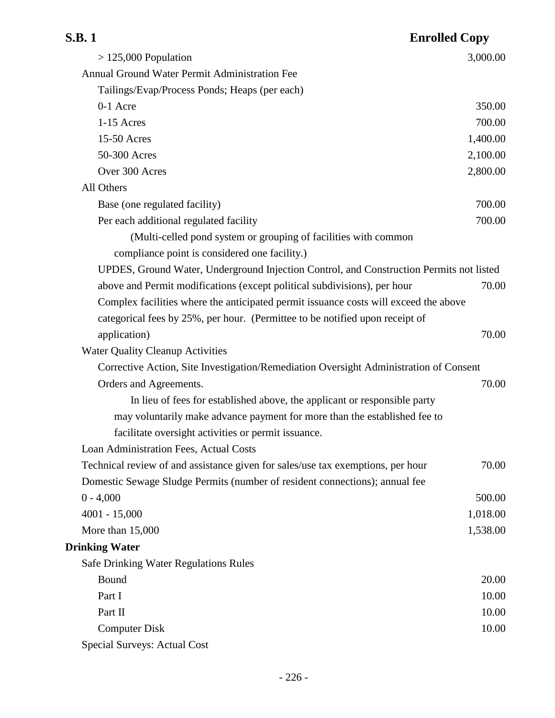| S.B. 1                                                                                  | <b>Enrolled Copy</b> |
|-----------------------------------------------------------------------------------------|----------------------|
| $> 125,000$ Population                                                                  | 3,000.00             |
| Annual Ground Water Permit Administration Fee                                           |                      |
| Tailings/Evap/Process Ponds; Heaps (per each)                                           |                      |
| 0-1 Acre                                                                                | 350.00               |
| 1-15 Acres                                                                              | 700.00               |
| 15-50 Acres                                                                             | 1,400.00             |
| 50-300 Acres                                                                            | 2,100.00             |
| Over 300 Acres                                                                          | 2,800.00             |
| All Others                                                                              |                      |
| Base (one regulated facility)                                                           | 700.00               |
| Per each additional regulated facility                                                  | 700.00               |
| (Multi-celled pond system or grouping of facilities with common                         |                      |
| compliance point is considered one facility.)                                           |                      |
| UPDES, Ground Water, Underground Injection Control, and Construction Permits not listed |                      |
| above and Permit modifications (except political subdivisions), per hour                | 70.00                |
| Complex facilities where the anticipated permit issuance costs will exceed the above    |                      |
| categorical fees by 25%, per hour. (Permittee to be notified upon receipt of            |                      |
| application)                                                                            | 70.00                |
| <b>Water Quality Cleanup Activities</b>                                                 |                      |
| Corrective Action, Site Investigation/Remediation Oversight Administration of Consent   |                      |
| Orders and Agreements.                                                                  | 70.00                |
| In lieu of fees for established above, the applicant or responsible party               |                      |
| may voluntarily make advance payment for more than the established fee to               |                      |
| facilitate oversight activities or permit issuance.                                     |                      |
| Loan Administration Fees, Actual Costs                                                  |                      |
| Technical review of and assistance given for sales/use tax exemptions, per hour         | 70.00                |
| Domestic Sewage Sludge Permits (number of resident connections); annual fee             |                      |
| $0 - 4,000$                                                                             | 500.00               |
| $4001 - 15,000$                                                                         | 1,018.00             |
| More than $15,000$                                                                      | 1,538.00             |
| <b>Drinking Water</b>                                                                   |                      |
| <b>Safe Drinking Water Regulations Rules</b>                                            |                      |
| Bound                                                                                   | 20.00                |
| Part I                                                                                  | 10.00                |
| Part II                                                                                 | 10.00                |
| <b>Computer Disk</b>                                                                    | 10.00                |
| <b>Special Surveys: Actual Cost</b>                                                     |                      |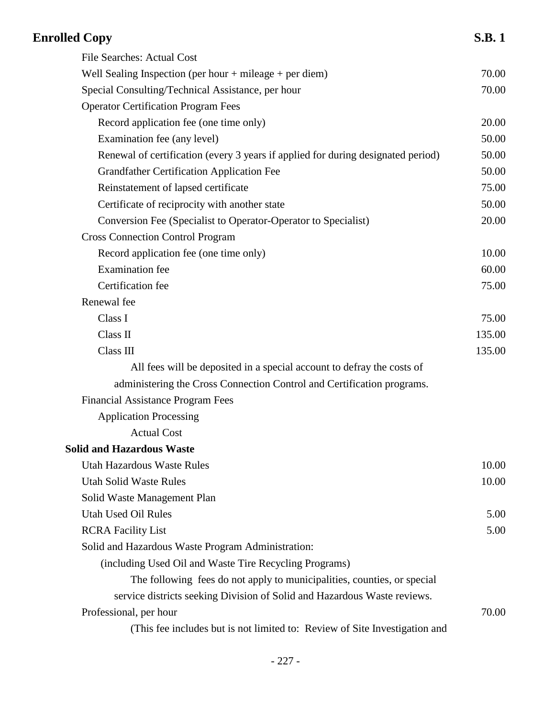| <b>Enrolled Copy</b>                                                             | <b>S.B.1</b> |
|----------------------------------------------------------------------------------|--------------|
| <b>File Searches: Actual Cost</b>                                                |              |
| Well Sealing Inspection (per hour $+$ mileage $+$ per diem)                      | 70.00        |
| Special Consulting/Technical Assistance, per hour                                | 70.00        |
| <b>Operator Certification Program Fees</b>                                       |              |
| Record application fee (one time only)                                           | 20.00        |
| Examination fee (any level)                                                      | 50.00        |
| Renewal of certification (every 3 years if applied for during designated period) | 50.00        |
| <b>Grandfather Certification Application Fee</b>                                 | 50.00        |
| Reinstatement of lapsed certificate                                              | 75.00        |
| Certificate of reciprocity with another state                                    | 50.00        |
| Conversion Fee (Specialist to Operator-Operator to Specialist)                   | 20.00        |
| <b>Cross Connection Control Program</b>                                          |              |
| Record application fee (one time only)                                           | 10.00        |
| <b>Examination</b> fee                                                           | 60.00        |
| Certification fee                                                                | 75.00        |
| Renewal fee                                                                      |              |
| Class I                                                                          | 75.00        |
| Class II                                                                         | 135.00       |
| Class III                                                                        | 135.00       |
| All fees will be deposited in a special account to defray the costs of           |              |
| administering the Cross Connection Control and Certification programs.           |              |
| <b>Financial Assistance Program Fees</b>                                         |              |
| <b>Application Processing</b>                                                    |              |
| <b>Actual Cost</b>                                                               |              |
| <b>Solid and Hazardous Waste</b>                                                 |              |
| <b>Utah Hazardous Waste Rules</b>                                                | 10.00        |
| <b>Utah Solid Waste Rules</b>                                                    | 10.00        |
| Solid Waste Management Plan                                                      |              |
| <b>Utah Used Oil Rules</b>                                                       | 5.00         |
| <b>RCRA Facility List</b>                                                        | 5.00         |
| Solid and Hazardous Waste Program Administration:                                |              |
| (including Used Oil and Waste Tire Recycling Programs)                           |              |
| The following fees do not apply to municipalities, counties, or special          |              |
| service districts seeking Division of Solid and Hazardous Waste reviews.         |              |
| Professional, per hour                                                           | 70.00        |
| (This fee includes but is not limited to: Review of Site Investigation and       |              |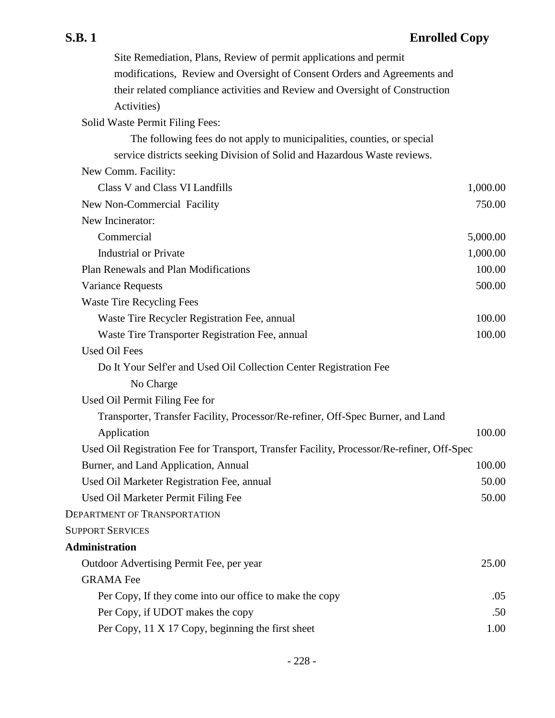Site Remediation, Plans, Review of permit applications and permit modifications, Review and Oversight of Consent Orders and Agreements and their related compliance activities and Review and Oversight of Construction Activities) Solid Waste Permit Filing Fees: The following fees do not apply to municipalities, counties, or special service districts seeking Division of Solid and Hazardous Waste reviews. New Comm. Facility: Class V and Class VI Landfills 1,000.00 New Non-Commercial Facility 750.00 New Incinerator: Commercial 5,000.00 Industrial or Private 1,000.00 Plan Renewals and Plan Modifications 100.00 Variance Requests 500.00 Waste Tire Recycling Fees Waste Tire Recycler Registration Fee, annual 100.00 Waste Tire Transporter Registration Fee, annual 100.00 Used Oil Fees Do It Your Self'er and Used Oil Collection Center Registration Fee No Charge Used Oil Permit Filing Fee for Transporter, Transfer Facility, Processor/Re-refiner, Off-Spec Burner, and Land Application 100.00 Used Oil Registration Fee for Transport, Transfer Facility, Processor/Re-refiner, Off-Spec Burner, and Land Application, Annual 100.00 Used Oil Marketer Registration Fee, annual 50.00 Used Oil Marketer Permit Filing Fee 50.00 DEPARTMENT OF TRANSPORTATION SUPPORT SERVICES **Administration** Outdoor Advertising Permit Fee, per year 25.00 GRAMA Fee Per Copy, If they come into our office to make the copy .05 Per Copy, if UDOT makes the copy .50 Per Copy, 11 X 17 Copy, beginning the first sheet 1.00